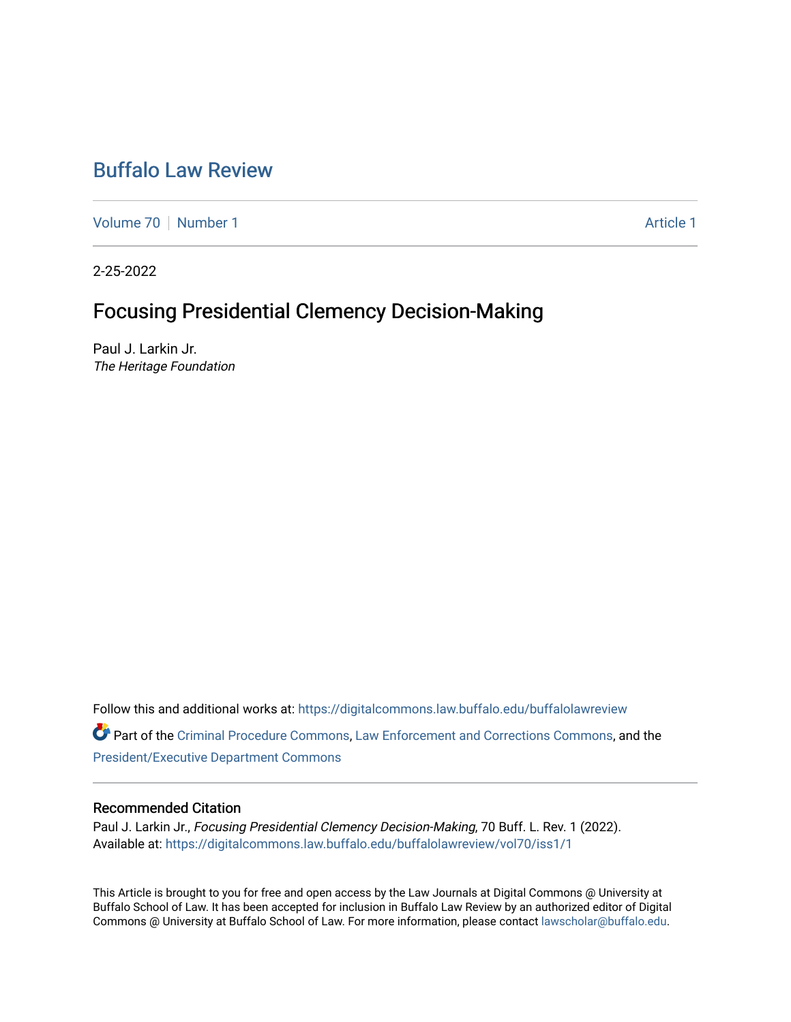## [Buffalo Law Review](https://digitalcommons.law.buffalo.edu/buffalolawreview)

[Volume 70](https://digitalcommons.law.buffalo.edu/buffalolawreview/vol70) [Number 1](https://digitalcommons.law.buffalo.edu/buffalolawreview/vol70/iss1) Article 1

2-25-2022

# Focusing Presidential Clemency Decision-Making

Paul J. Larkin Jr. The Heritage Foundation

Follow this and additional works at: [https://digitalcommons.law.buffalo.edu/buffalolawreview](https://digitalcommons.law.buffalo.edu/buffalolawreview?utm_source=digitalcommons.law.buffalo.edu%2Fbuffalolawreview%2Fvol70%2Fiss1%2F1&utm_medium=PDF&utm_campaign=PDFCoverPages) 

Part of the [Criminal Procedure Commons,](http://network.bepress.com/hgg/discipline/1073?utm_source=digitalcommons.law.buffalo.edu%2Fbuffalolawreview%2Fvol70%2Fiss1%2F1&utm_medium=PDF&utm_campaign=PDFCoverPages) [Law Enforcement and Corrections Commons,](http://network.bepress.com/hgg/discipline/854?utm_source=digitalcommons.law.buffalo.edu%2Fbuffalolawreview%2Fvol70%2Fiss1%2F1&utm_medium=PDF&utm_campaign=PDFCoverPages) and the [President/Executive Department Commons](http://network.bepress.com/hgg/discipline/1118?utm_source=digitalcommons.law.buffalo.edu%2Fbuffalolawreview%2Fvol70%2Fiss1%2F1&utm_medium=PDF&utm_campaign=PDFCoverPages)

#### Recommended Citation

Paul J. Larkin Jr., Focusing Presidential Clemency Decision-Making, 70 Buff. L. Rev. 1 (2022). Available at: [https://digitalcommons.law.buffalo.edu/buffalolawreview/vol70/iss1/1](https://digitalcommons.law.buffalo.edu/buffalolawreview/vol70/iss1/1?utm_source=digitalcommons.law.buffalo.edu%2Fbuffalolawreview%2Fvol70%2Fiss1%2F1&utm_medium=PDF&utm_campaign=PDFCoverPages) 

This Article is brought to you for free and open access by the Law Journals at Digital Commons @ University at Buffalo School of Law. It has been accepted for inclusion in Buffalo Law Review by an authorized editor of Digital Commons @ University at Buffalo School of Law. For more information, please contact [lawscholar@buffalo.edu](mailto:lawscholar@buffalo.edu).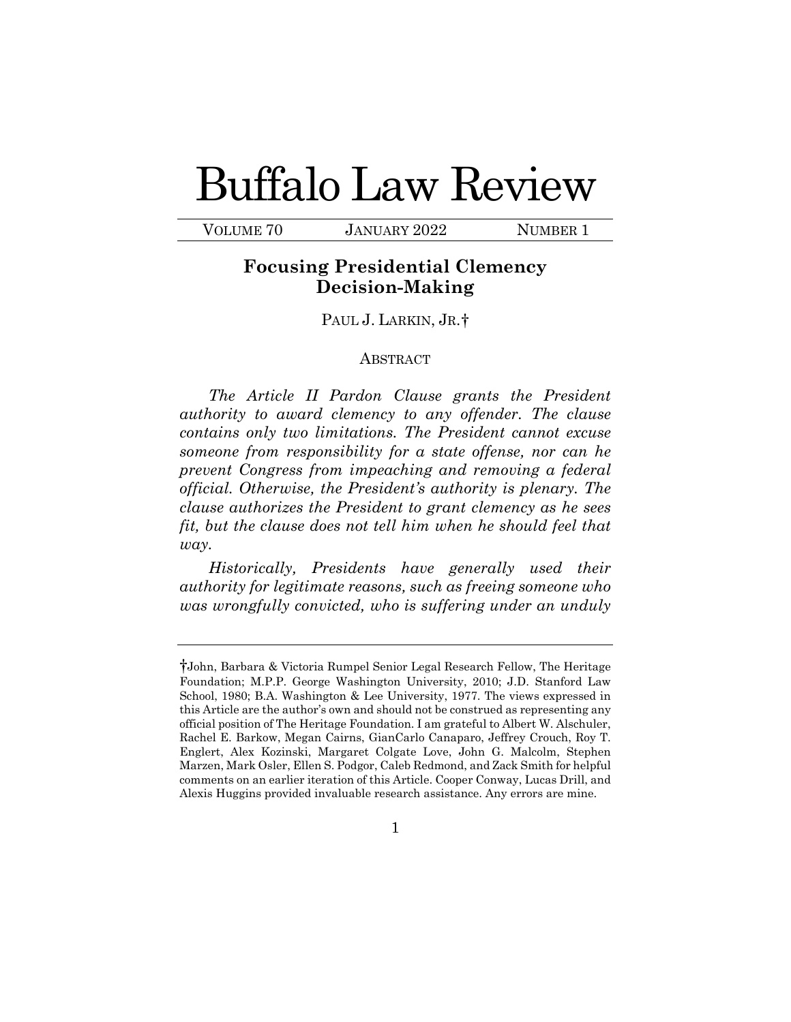# Buffalo Law Review

VOLUME 70 JANUARY 2022 NUMBER 1

## **Focusing Presidential Clemency Decision-Making**

PAUL J. LARKIN, JR.[†](#page-1-0)

#### ABSTRACT

*The Article II Pardon Clause grants the President authority to award clemency to any offender. The clause contains only two limitations. The President cannot excuse someone from responsibility for a state offense, nor can he prevent Congress from impeaching and removing a federal official. Otherwise, the President's authority is plenary. The clause authorizes the President to grant clemency as he sees fit, but the clause does not tell him when he should feel that way.*

*Historically, Presidents have generally used their authority for legitimate reasons, such as freeing someone who was wrongfully convicted, who is suffering under an unduly* 

<span id="page-1-0"></span><sup>†</sup>John, Barbara & Victoria Rumpel Senior Legal Research Fellow, The Heritage Foundation; M.P.P. George Washington University, 2010; J.D. Stanford Law School, 1980; B.A. Washington & Lee University, 1977. The views expressed in this Article are the author's own and should not be construed as representing any official position of The Heritage Foundation. I am grateful to Albert W. Alschuler, Rachel E. Barkow, Megan Cairns, GianCarlo Canaparo, Jeffrey Crouch, Roy T. Englert, Alex Kozinski, Margaret Colgate Love, John G. Malcolm, Stephen Marzen, Mark Osler, Ellen S. Podgor, Caleb Redmond, and Zack Smith for helpful comments on an earlier iteration of this Article. Cooper Conway, Lucas Drill, and Alexis Huggins provided invaluable research assistance. Any errors are mine.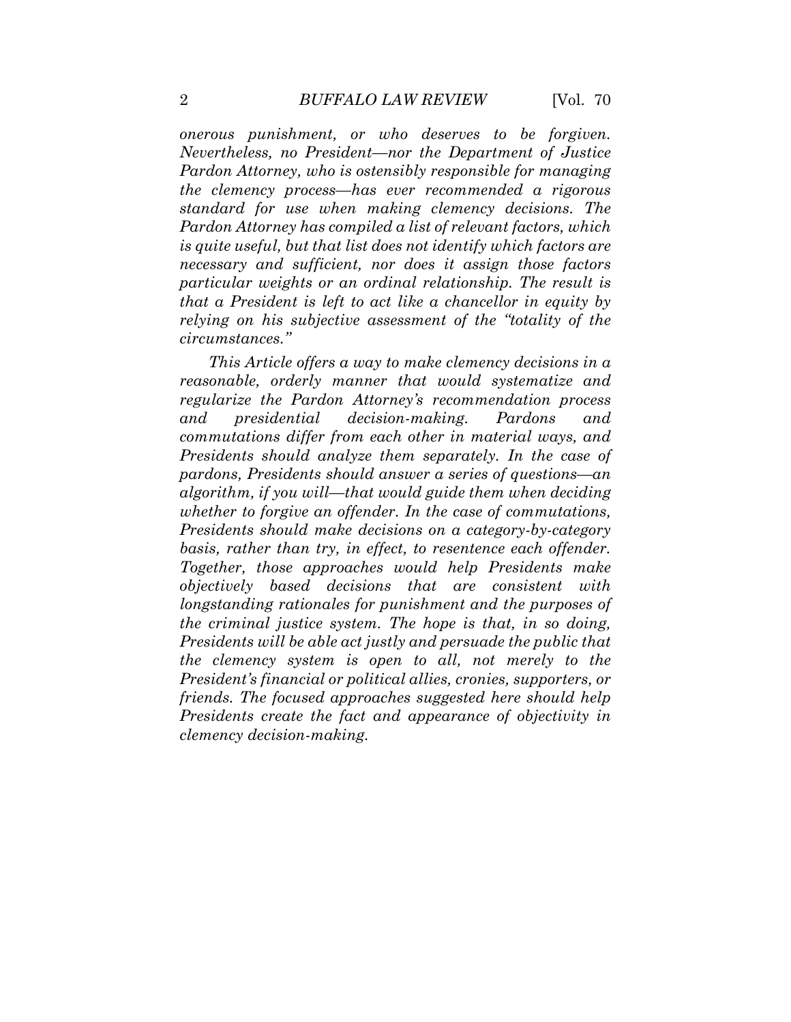*onerous punishment, or who deserves to be forgiven. Nevertheless, no President—nor the Department of Justice Pardon Attorney, who is ostensibly responsible for managing the clemency process—has ever recommended a rigorous standard for use when making clemency decisions. The Pardon Attorney has compiled a list of relevant factors, which is quite useful, but that list does not identify which factors are necessary and sufficient, nor does it assign those factors particular weights or an ordinal relationship. The result is that a President is left to act like a chancellor in equity by relying on his subjective assessment of the "totality of the circumstances."*

*This Article offers a way to make clemency decisions in a reasonable, orderly manner that would systematize and regularize the Pardon Attorney's recommendation process and presidential decision-making. Pardons and commutations differ from each other in material ways, and Presidents should analyze them separately. In the case of pardons, Presidents should answer a series of questions—an algorithm, if you will—that would guide them when deciding whether to forgive an offender. In the case of commutations, Presidents should make decisions on a category-by-category basis, rather than try, in effect, to resentence each offender. Together, those approaches would help Presidents make objectively based decisions that are consistent with longstanding rationales for punishment and the purposes of the criminal justice system. The hope is that, in so doing, Presidents will be able act justly and persuade the public that the clemency system is open to all, not merely to the President's financial or political allies, cronies, supporters, or friends. The focused approaches suggested here should help Presidents create the fact and appearance of objectivity in clemency decision-making.*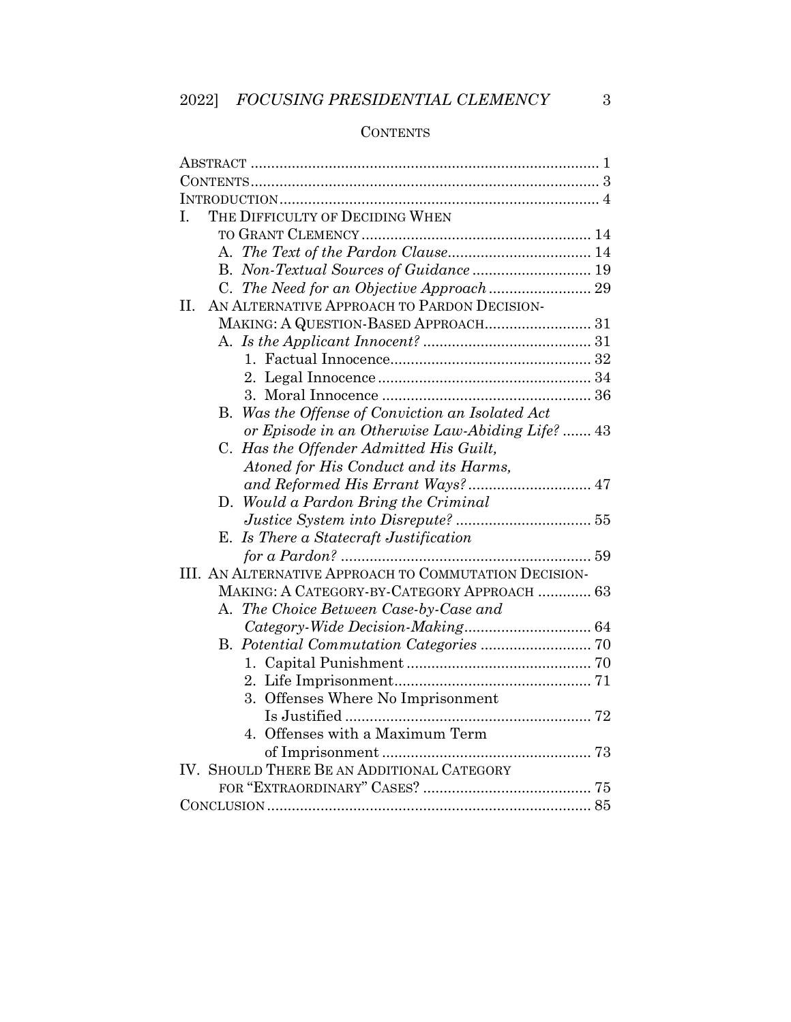### **CONTENTS**

| THE DIFFICULTY OF DECIDING WHEN<br>L                  |
|-------------------------------------------------------|
|                                                       |
|                                                       |
| B. Non-Textual Sources of Guidance  19                |
|                                                       |
| AN ALTERNATIVE APPROACH TO PARDON DECISION-<br>II.    |
|                                                       |
|                                                       |
|                                                       |
|                                                       |
|                                                       |
| Was the Offense of Conviction an Isolated Act<br>B.   |
| or Episode in an Otherwise Law-Abiding Life?  43      |
| C. Has the Offender Admitted His Guilt,               |
| Atoned for His Conduct and its Harms,                 |
|                                                       |
| Would a Pardon Bring the Criminal<br>$D_{\tau}$       |
|                                                       |
| E. Is There a Statecraft Justification                |
|                                                       |
| III. AN ALTERNATIVE APPROACH TO COMMUTATION DECISION- |
| MAKING: A CATEGORY-BY-CATEGORY APPROACH  63           |
| A. The Choice Between Case-by-Case and                |
|                                                       |
|                                                       |
|                                                       |
|                                                       |
| 3. Offenses Where No Imprisonment                     |
|                                                       |
| 4. Offenses with a Maximum Term                       |
|                                                       |
| IV. SHOULD THERE BE AN ADDITIONAL CATEGORY            |
|                                                       |
|                                                       |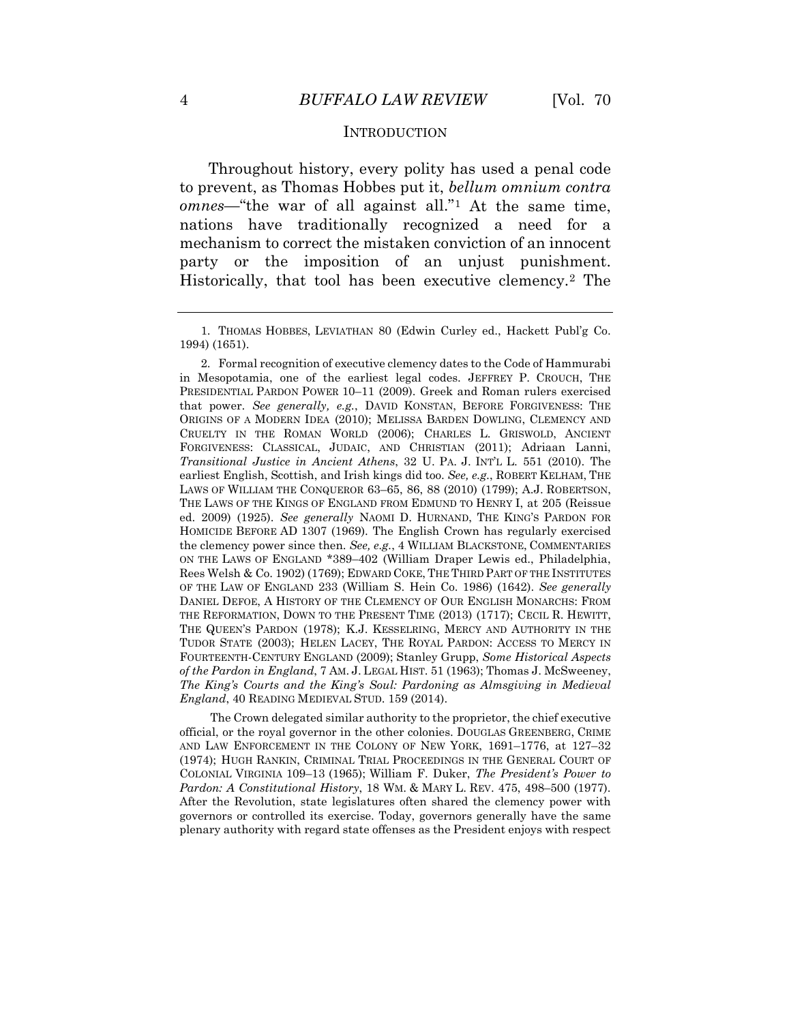#### INTRODUCTION

Throughout history, every polity has used a penal code to prevent, as Thomas Hobbes put it, *bellum omnium contra omnes—*"the war of all against all."[1](#page-4-0) At the same time, nations have traditionally recognized a need for a mechanism to correct the mistaken conviction of an innocent party or the imposition of an unjust punishment. Historically, that tool has been executive clemency.[2](#page-4-1) The

The Crown delegated similar authority to the proprietor, the chief executive official, or the royal governor in the other colonies. DOUGLAS GREENBERG, CRIME AND LAW ENFORCEMENT IN THE COLONY OF NEW YORK, 1691–1776, at 127–32 (1974); HUGH RANKIN, CRIMINAL TRIAL PROCEEDINGS IN THE GENERAL COURT OF COLONIAL VIRGINIA 109–13 (1965); William F. Duker, *The President's Power to Pardon: A Constitutional History*, 18 WM. & MARY L. REV. 475, 498–500 (1977). After the Revolution, state legislatures often shared the clemency power with governors or controlled its exercise. Today, governors generally have the same plenary authority with regard state offenses as the President enjoys with respect

<span id="page-4-0"></span> <sup>1.</sup> THOMAS HOBBES, LEVIATHAN 80 (Edwin Curley ed., Hackett Publ'g Co. 1994) (1651).

<span id="page-4-1"></span> <sup>2.</sup> Formal recognition of executive clemency dates to the Code of Hammurabi in Mesopotamia, one of the earliest legal codes. JEFFREY P. CROUCH, THE PRESIDENTIAL PARDON POWER 10–11 (2009). Greek and Roman rulers exercised that power. *See generally, e.g.*, DAVID KONSTAN, BEFORE FORGIVENESS: THE ORIGINS OF A MODERN IDEA (2010); MELISSA BARDEN DOWLING, CLEMENCY AND CRUELTY IN THE ROMAN WORLD (2006); CHARLES L. GRISWOLD, ANCIENT FORGIVENESS: CLASSICAL, JUDAIC, AND CHRISTIAN (2011); Adriaan Lanni, *Transitional Justice in Ancient Athens*, 32 U. PA. J. INT'L L. 551 (2010). The earliest English, Scottish, and Irish kings did too. *See, e.g.*, ROBERT KELHAM, THE LAWS OF WILLIAM THE CONQUEROR 63–65, 86, 88 (2010) (1799); A.J. ROBERTSON, THE LAWS OF THE KINGS OF ENGLAND FROM EDMUND TO HENRY I, at 205 (Reissue ed. 2009) (1925). *See generally* NAOMI D. HURNAND, THE KING'S PARDON FOR HOMICIDE BEFORE AD 1307 (1969). The English Crown has regularly exercised the clemency power since then. *See, e.g.*, 4 WILLIAM BLACKSTONE, COMMENTARIES ON THE LAWS OF ENGLAND \*389–402 (William Draper Lewis ed., Philadelphia, Rees Welsh & Co. 1902) (1769); EDWARD COKE, THE THIRD PART OF THE INSTITUTES OF THE LAW OF ENGLAND 233 (William S. Hein Co. 1986) (1642). *See generally* DANIEL DEFOE, A HISTORY OF THE CLEMENCY OF OUR ENGLISH MONARCHS: FROM THE REFORMATION, DOWN TO THE PRESENT TIME (2013) (1717); CECIL R. HEWITT, THE QUEEN'S PARDON (1978); K.J. KESSELRING, MERCY AND AUTHORITY IN THE TUDOR STATE (2003); HELEN LACEY, THE ROYAL PARDON: ACCESS TO MERCY IN FOURTEENTH-CENTURY ENGLAND (2009); Stanley Grupp, *Some Historical Aspects of the Pardon in England*, 7 AM. J. LEGAL HIST. 51 (1963); Thomas J. McSweeney, *The King's Courts and the King's Soul: Pardoning as Almsgiving in Medieval England*, 40 READING MEDIEVAL STUD. 159 (2014).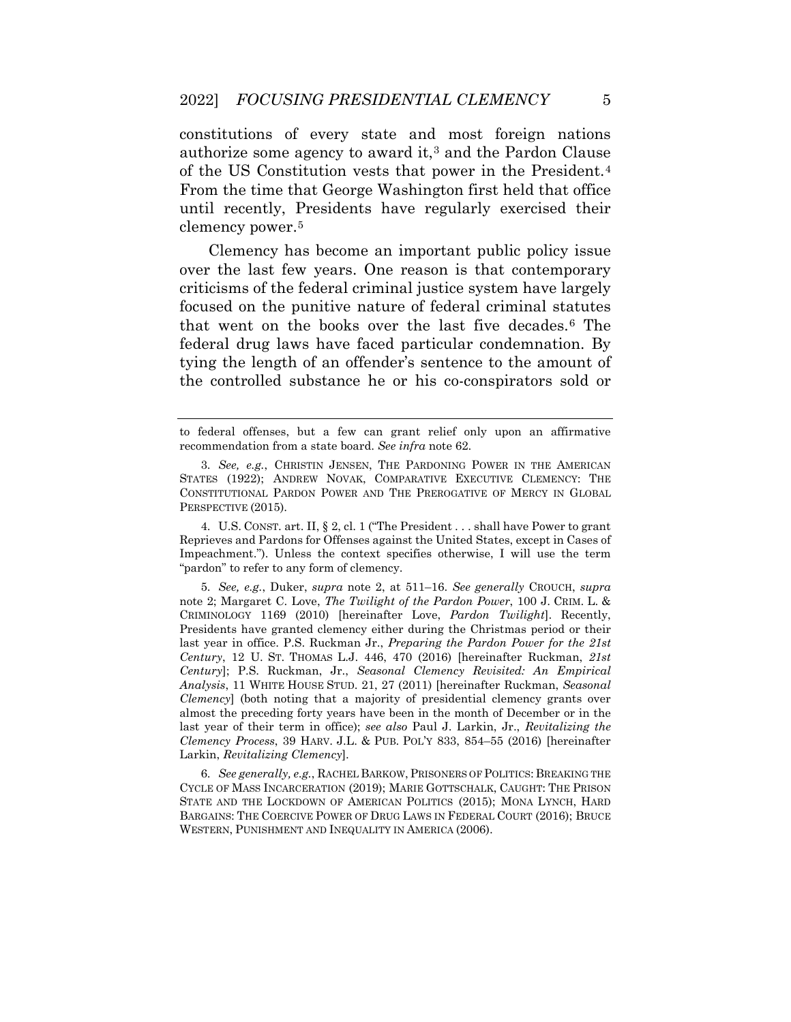constitutions of every state and most foreign nations authorize some agency to award it,[3](#page-5-0) and the Pardon Clause of the US Constitution vests that power in the President.[4](#page-5-1) From the time that George Washington first held that office until recently, Presidents have regularly exercised their clemency power.[5](#page-5-2)

Clemency has become an important public policy issue over the last few years. One reason is that contemporary criticisms of the federal criminal justice system have largely focused on the punitive nature of federal criminal statutes that went on the books over the last five decades.[6](#page-5-3) The federal drug laws have faced particular condemnation. By tying the length of an offender's sentence to the amount of the controlled substance he or his co-conspirators sold or

<span id="page-5-1"></span> 4. U.S. CONST. art. II, § 2, cl. 1 ("The President . . . shall have Power to grant Reprieves and Pardons for Offenses against the United States, except in Cases of Impeachment."). Unless the context specifies otherwise, I will use the term "pardon" to refer to any form of clemency.

<span id="page-5-2"></span>5. *See, e.g.*, Duker, *supra* note 2, at 511–16. *See generally* CROUCH, *supra* note 2; Margaret C. Love, *The Twilight of the Pardon Power*, 100 J. CRIM. L. & CRIMINOLOGY 1169 (2010) [hereinafter Love, *Pardon Twilight*]. Recently, Presidents have granted clemency either during the Christmas period or their last year in office. P.S. Ruckman Jr., *Preparing the Pardon Power for the 21st Century*, 12 U. ST. THOMAS L.J. 446, 470 (2016) [hereinafter Ruckman, *21st Century*]; P.S. Ruckman, Jr., *Seasonal Clemency Revisited: An Empirical Analysis*, 11 WHITE HOUSE STUD. 21, 27 (2011) [hereinafter Ruckman, *Seasonal Clemency*] (both noting that a majority of presidential clemency grants over almost the preceding forty years have been in the month of December or in the last year of their term in office); *see also* Paul J. Larkin, Jr., *Revitalizing the Clemency Process*, 39 HARV. J.L. & PUB. POL'Y 833, 854–55 (2016) [hereinafter Larkin, *Revitalizing Clemency*].

<span id="page-5-3"></span>6. *See generally, e.g.*, RACHEL BARKOW, PRISONERS OF POLITICS: BREAKING THE CYCLE OF MASS INCARCERATION (2019); MARIE GOTTSCHALK, CAUGHT: THE PRISON STATE AND THE LOCKDOWN OF AMERICAN POLITICS (2015); MONA LYNCH, HARD BARGAINS: THE COERCIVE POWER OF DRUG LAWS IN FEDERAL COURT (2016); BRUCE WESTERN, PUNISHMENT AND INEQUALITY IN AMERICA (2006).

<span id="page-5-0"></span>to federal offenses, but a few can grant relief only upon an affirmative recommendation from a state board. *See infra* note 62.

<sup>3.</sup> *See, e.g.*, CHRISTIN JENSEN, THE PARDONING POWER IN THE AMERICAN STATES (1922); ANDREW NOVAK, COMPARATIVE EXECUTIVE CLEMENCY: THE CONSTITUTIONAL PARDON POWER AND THE PREROGATIVE OF MERCY IN GLOBAL PERSPECTIVE (2015).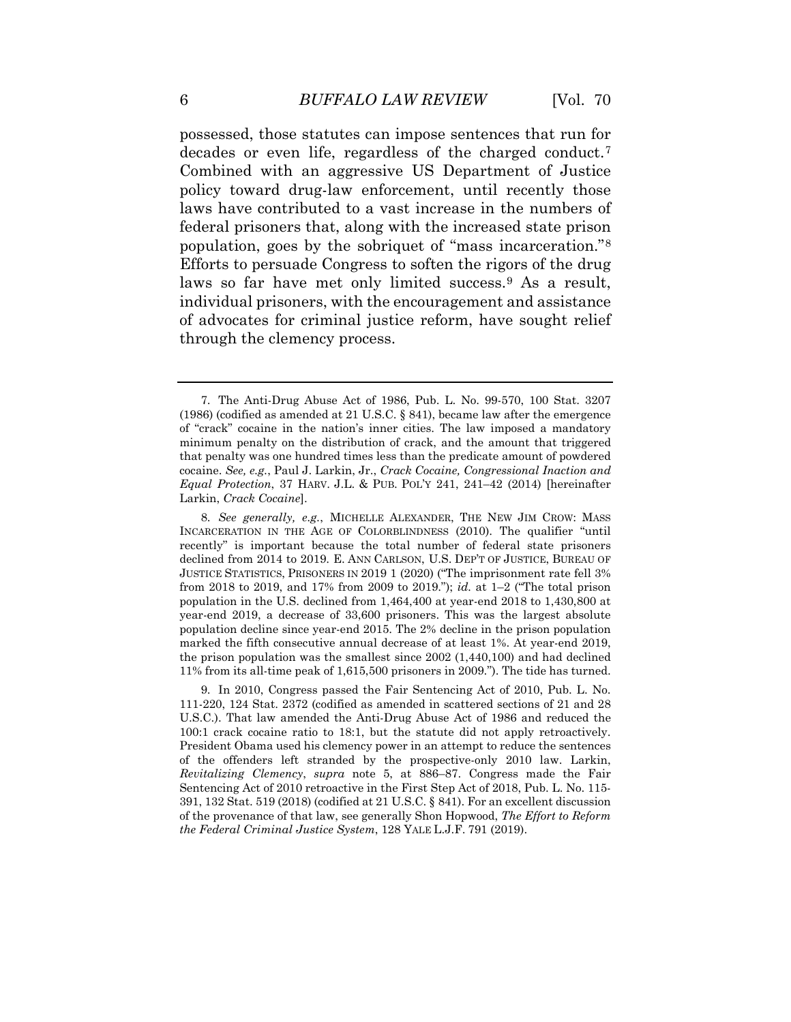possessed, those statutes can impose sentences that run for decades or even life, regardless of the charged conduct.[7](#page-6-0) Combined with an aggressive US Department of Justice policy toward drug-law enforcement, until recently those laws have contributed to a vast increase in the numbers of federal prisoners that, along with the increased state prison population, goes by the sobriquet of "mass incarceration."[8](#page-6-1) Efforts to persuade Congress to soften the rigors of the drug laws so far have met only limited success.[9](#page-6-2) As a result, individual prisoners, with the encouragement and assistance of advocates for criminal justice reform, have sought relief through the clemency process.

<span id="page-6-1"></span>8. *See generally, e.g.*, MICHELLE ALEXANDER, THE NEW JIM CROW: MASS INCARCERATION IN THE AGE OF COLORBLINDNESS (2010). The qualifier "until recently" is important because the total number of federal state prisoners declined from 2014 to 2019. E. ANN CARLSON, U.S. DEP'T OF JUSTICE, BUREAU OF JUSTICE STATISTICS, PRISONERS IN 2019 1 (2020) ("The imprisonment rate fell 3% from 2018 to 2019, and 17% from 2009 to 2019."); *id.* at 1–2 ("The total prison population in the U.S. declined from 1,464,400 at year-end 2018 to 1,430,800 at year-end 2019, a decrease of 33,600 prisoners. This was the largest absolute population decline since year-end 2015. The 2% decline in the prison population marked the fifth consecutive annual decrease of at least 1%. At year-end 2019, the prison population was the smallest since 2002 (1,440,100) and had declined 11% from its all-time peak of 1,615,500 prisoners in 2009."). The tide has turned.

<span id="page-6-2"></span> 9. In 2010, Congress passed the Fair Sentencing Act of 2010, Pub. L. No. 111-220, 124 Stat. 2372 (codified as amended in scattered sections of 21 and 28 U.S.C.). That law amended the Anti-Drug Abuse Act of 1986 and reduced the 100:1 crack cocaine ratio to 18:1, but the statute did not apply retroactively. President Obama used his clemency power in an attempt to reduce the sentences of the offenders left stranded by the prospective-only 2010 law. Larkin, *Revitalizing Clemency*, *supra* note 5, at 886–87. Congress made the Fair Sentencing Act of 2010 retroactive in the First Step Act of 2018, Pub. L. No. 115- 391, 132 Stat. 519 (2018) (codified at 21 U.S.C. § 841). For an excellent discussion of the provenance of that law, see generally Shon Hopwood, *The Effort to Reform the Federal Criminal Justice System*, 128 YALE L.J.F. 791 (2019).

<span id="page-6-0"></span> <sup>7.</sup> The Anti-Drug Abuse Act of 1986, Pub. L. No. 99-570, 100 Stat. 3207 (1986) (codified as amended at 21 U.S.C. § 841), became law after the emergence of "crack" cocaine in the nation's inner cities. The law imposed a mandatory minimum penalty on the distribution of crack, and the amount that triggered that penalty was one hundred times less than the predicate amount of powdered cocaine. *See, e.g.*, Paul J. Larkin, Jr., *Crack Cocaine, Congressional Inaction and Equal Protection*, 37 HARV. J.L. & PUB. POL'Y 241, 241–42 (2014) [hereinafter Larkin, *Crack Cocaine*].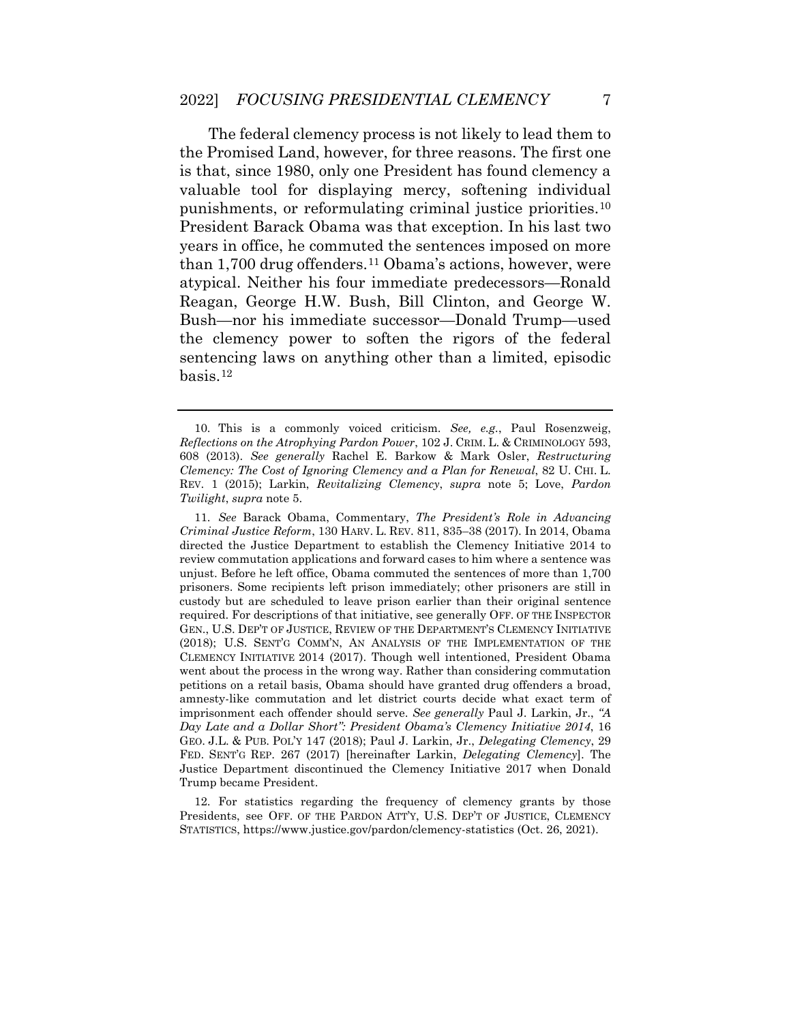The federal clemency process is not likely to lead them to the Promised Land, however, for three reasons. The first one is that, since 1980, only one President has found clemency a valuable tool for displaying mercy, softening individual punishments, or reformulating criminal justice priorities.[10](#page-7-0) President Barack Obama was that exception. In his last two years in office, he commuted the sentences imposed on more than 1,700 drug offenders.[11](#page-7-1) Obama's actions, however, were atypical. Neither his four immediate predecessors—Ronald Reagan, George H.W. Bush, Bill Clinton, and George W. Bush—nor his immediate successor—Donald Trump—used the clemency power to soften the rigors of the federal sentencing laws on anything other than a limited, episodic basis.[12](#page-8-0)

<span id="page-7-1"></span>11. *See* Barack Obama, Commentary, *The President's Role in Advancing Criminal Justice Reform*, 130 HARV. L. REV. 811, 835–38 (2017). In 2014, Obama directed the Justice Department to establish the Clemency Initiative 2014 to review commutation applications and forward cases to him where a sentence was unjust. Before he left office, Obama commuted the sentences of more than 1,700 prisoners. Some recipients left prison immediately; other prisoners are still in custody but are scheduled to leave prison earlier than their original sentence required. For descriptions of that initiative, see generally OFF. OF THE INSPECTOR GEN., U.S. DEP'T OF JUSTICE, REVIEW OF THE DEPARTMENT'S CLEMENCY INITIATIVE (2018); U.S. SENT'G COMM'N, AN ANALYSIS OF THE IMPLEMENTATION OF THE CLEMENCY INITIATIVE 2014 (2017). Though well intentioned, President Obama went about the process in the wrong way. Rather than considering commutation petitions on a retail basis, Obama should have granted drug offenders a broad, amnesty-like commutation and let district courts decide what exact term of imprisonment each offender should serve. *See generally* Paul J. Larkin, Jr., *"A Day Late and a Dollar Short": President Obama's Clemency Initiative 2014*, 16 GEO. J.L. & PUB. POL'Y 147 (2018); Paul J. Larkin, Jr., *Delegating Clemency*, 29 FED. SENT'G REP. 267 (2017) [hereinafter Larkin, *Delegating Clemency*]. The Justice Department discontinued the Clemency Initiative 2017 when Donald Trump became President.

12. For statistics regarding the frequency of clemency grants by those Presidents, see OFF. OF THE PARDON ATT'Y, U.S. DEP'T OF JUSTICE, CLEMENCY STATISTICS, https://www.justice.gov/pardon/clemency-statistics (Oct. 26, 2021).

<span id="page-7-0"></span><sup>10.</sup> This is a commonly voiced criticism. *See, e.g.*, Paul Rosenzweig, *Reflections on the Atrophying Pardon Power*, 102 J. CRIM. L. & CRIMINOLOGY 593, 608 (2013). *See generally* Rachel E. Barkow & Mark Osler, *Restructuring Clemency: The Cost of Ignoring Clemency and a Plan for Renewal*, 82 U. CHI. L. REV. 1 (2015); Larkin, *Revitalizing Clemency*, *supra* note 5; Love, *Pardon Twilight*, *supra* note 5.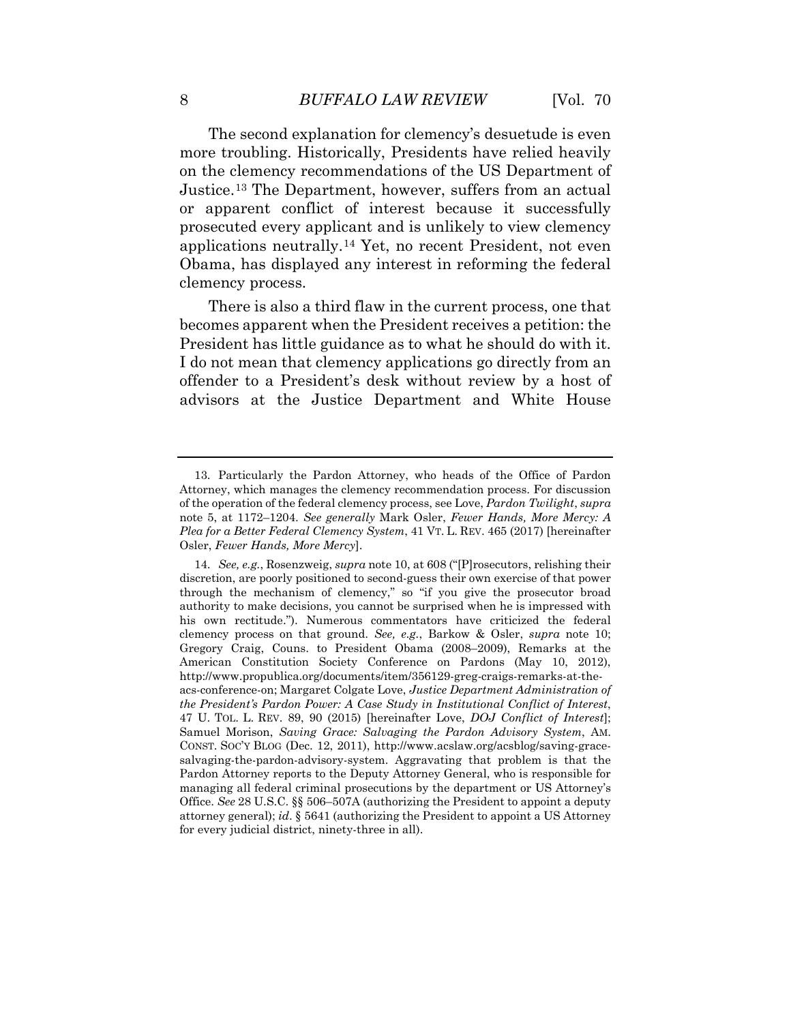The second explanation for clemency's desuetude is even more troubling. Historically, Presidents have relied heavily on the clemency recommendations of the US Department of Justice.[13](#page-8-1) The Department, however, suffers from an actual or apparent conflict of interest because it successfully prosecuted every applicant and is unlikely to view clemency applications neutrally.[14](#page-8-2) Yet, no recent President, not even Obama, has displayed any interest in reforming the federal clemency process.

There is also a third flaw in the current process, one that becomes apparent when the President receives a petition: the President has little guidance as to what he should do with it. I do not mean that clemency applications go directly from an offender to a President's desk without review by a host of advisors at the Justice Department and White House

<span id="page-8-1"></span><span id="page-8-0"></span><sup>13.</sup> Particularly the Pardon Attorney, who heads of the Office of Pardon Attorney, which manages the clemency recommendation process. For discussion of the operation of the federal clemency process, see Love, *Pardon Twilight*, *supra* note 5, at 1172–1204. *See generally* Mark Osler, *Fewer Hands, More Mercy: A Plea for a Better Federal Clemency System*, 41 VT. L. REV. 465 (2017) [hereinafter Osler, *Fewer Hands, More Mercy*].

<span id="page-8-2"></span><sup>14.</sup> *See, e.g.*, Rosenzweig, *supra* note 10, at 608 ("[P]rosecutors, relishing their discretion, are poorly positioned to second-guess their own exercise of that power through the mechanism of clemency," so "if you give the prosecutor broad authority to make decisions, you cannot be surprised when he is impressed with his own rectitude."). Numerous commentators have criticized the federal clemency process on that ground. *See, e.g.*, Barkow & Osler, *supra* note 10; Gregory Craig, Couns. to President Obama (2008–2009), Remarks at the American Constitution Society Conference on Pardons (May 10, 2012), http://www.propublica.org/documents/item/356129-greg-craigs-remarks-at-theacs-conference-on; Margaret Colgate Love, *Justice Department Administration of the President's Pardon Power: A Case Study in Institutional Conflict of Interest*, 47 U. TOL. L. REV. 89, 90 (2015) [hereinafter Love, *DOJ Conflict of Interest*]; Samuel Morison, *Saving Grace: Salvaging the Pardon Advisory System*, AM. CONST. SOC'Y BLOG (Dec. 12, 2011), http://www.acslaw.org/acsblog/saving-gracesalvaging-the-pardon-advisory-system. Aggravating that problem is that the Pardon Attorney reports to the Deputy Attorney General, who is responsible for managing all federal criminal prosecutions by the department or US Attorney's Office. *See* 28 U.S.C. §§ 506–507A (authorizing the President to appoint a deputy attorney general); *id*. § 5641 (authorizing the President to appoint a US Attorney for every judicial district, ninety-three in all).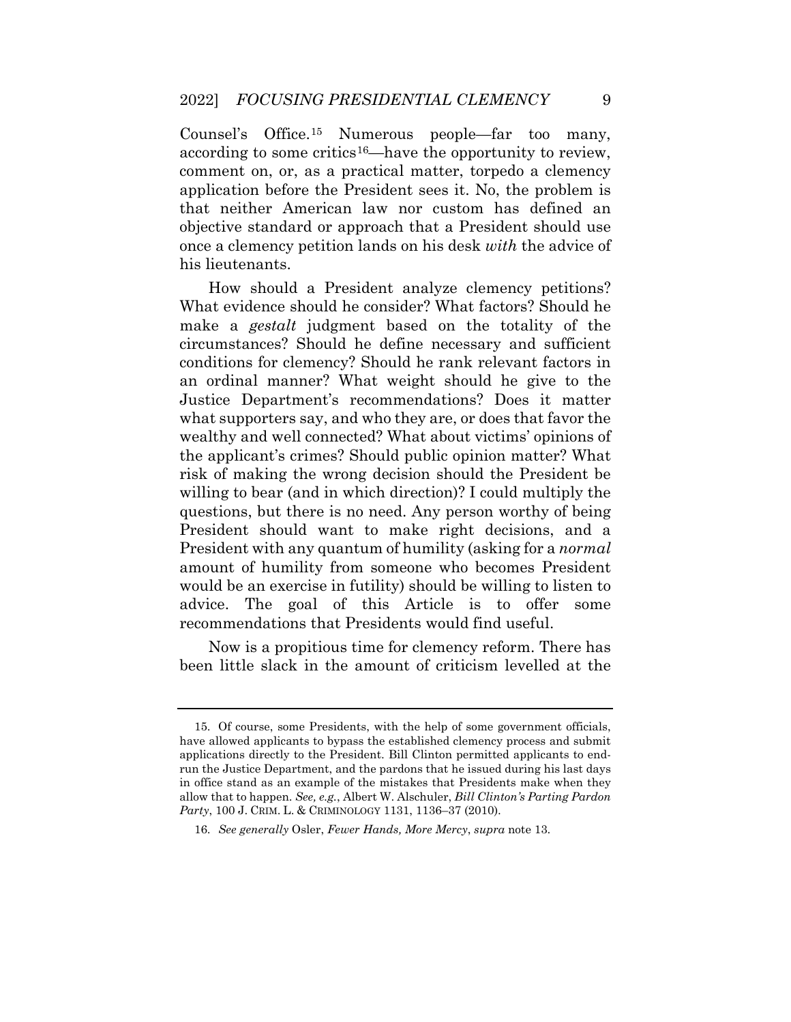Counsel's Office.[15](#page-9-0) Numerous people—far too many, according to some critics<sup>[16](#page-9-1)—have the opportunity to review,</sup> comment on, or, as a practical matter, torpedo a clemency application before the President sees it. No, the problem is that neither American law nor custom has defined an objective standard or approach that a President should use once a clemency petition lands on his desk *with* the advice of his lieutenants.

How should a President analyze clemency petitions? What evidence should he consider? What factors? Should he make a *gestalt* judgment based on the totality of the circumstances? Should he define necessary and sufficient conditions for clemency? Should he rank relevant factors in an ordinal manner? What weight should he give to the Justice Department's recommendations? Does it matter what supporters say, and who they are, or does that favor the wealthy and well connected? What about victims' opinions of the applicant's crimes? Should public opinion matter? What risk of making the wrong decision should the President be willing to bear (and in which direction)? I could multiply the questions, but there is no need. Any person worthy of being President should want to make right decisions, and a President with any quantum of humility (asking for a *normal* amount of humility from someone who becomes President would be an exercise in futility) should be willing to listen to advice. The goal of this Article is to offer some recommendations that Presidents would find useful.

Now is a propitious time for clemency reform. There has been little slack in the amount of criticism levelled at the

<span id="page-9-0"></span><sup>15.</sup> Of course, some Presidents, with the help of some government officials, have allowed applicants to bypass the established clemency process and submit applications directly to the President. Bill Clinton permitted applicants to endrun the Justice Department, and the pardons that he issued during his last days in office stand as an example of the mistakes that Presidents make when they allow that to happen. *See, e.g.*, Albert W. Alschuler, *Bill Clinton's Parting Pardon Party*, 100 J. CRIM. L. & CRIMINOLOGY 1131, 1136–37 (2010).

<span id="page-9-1"></span><sup>16.</sup> *See generally* Osler, *Fewer Hands, More Mercy*, *supra* note 13.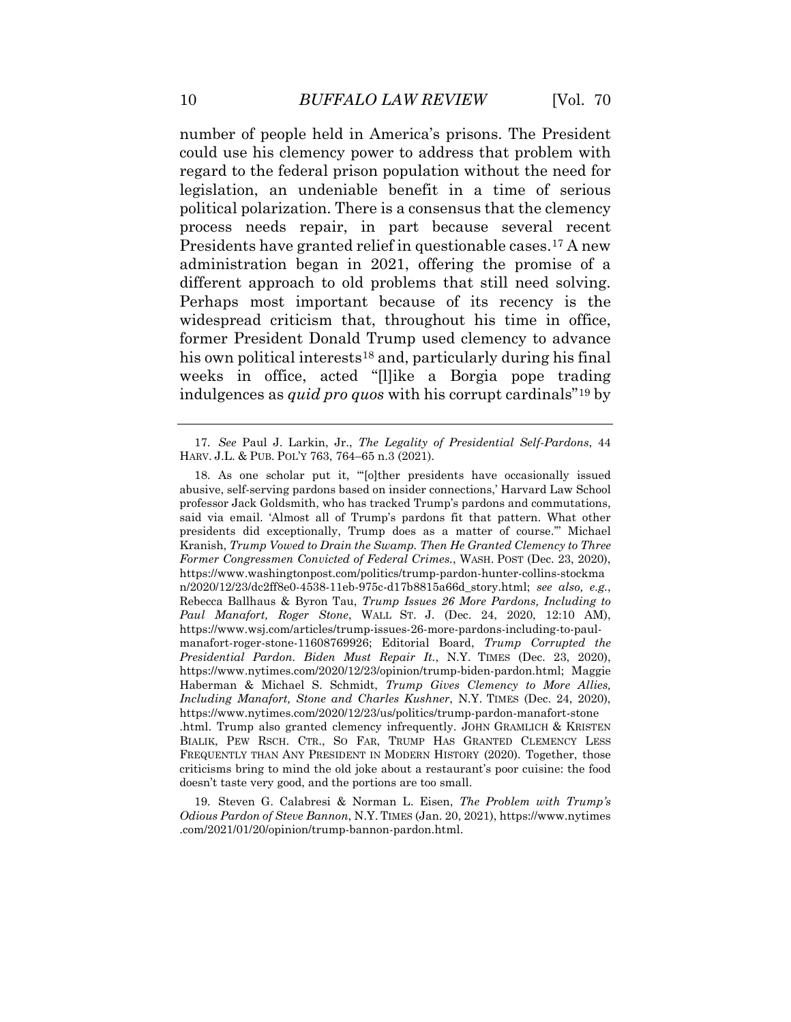number of people held in America's prisons. The President could use his clemency power to address that problem with regard to the federal prison population without the need for legislation, an undeniable benefit in a time of serious political polarization. There is a consensus that the clemency process needs repair, in part because several recent Presidents have granted relief in questionable cases.[17](#page-10-0) A new administration began in 2021, offering the promise of a different approach to old problems that still need solving. Perhaps most important because of its recency is the widespread criticism that, throughout his time in office, former President Donald Trump used clemency to advance his own political interests<sup>[18](#page-10-1)</sup> and, particularly during his final weeks in office, acted "[l]ike a Borgia pope trading indulgences as *quid pro quos* with his corrupt cardinals"[19](#page-11-0) by

<sup>17.</sup> *See* Paul J. Larkin, Jr., *The Legality of Presidential Self-Pardons*, 44 HARV. J.L. & PUB. POL'Y 763, 764–65 n.3 (2021).

<span id="page-10-1"></span><span id="page-10-0"></span><sup>18.</sup> As one scholar put it, "'[o]ther presidents have occasionally issued abusive, self-serving pardons based on insider connections,' Harvard Law School professor Jack Goldsmith, who has tracked Trump's pardons and commutations, said via email. 'Almost all of Trump's pardons fit that pattern. What other presidents did exceptionally, Trump does as a matter of course.'" Michael Kranish, *Trump Vowed to Drain the Swamp. Then He Granted Clemency to Three Former Congressmen Convicted of Federal Crimes.*, WASH. POST (Dec. 23, 2020), https://www.washingtonpost.com/politics/trump-pardon-hunter-collins-stockma n/2020/12/23/dc2ff8e0-4538-11eb-975c-d17b8815a66d\_story.html; *see also, e.g.*, Rebecca Ballhaus & Byron Tau, *Trump Issues 26 More Pardons, Including to Paul Manafort, Roger Stone*, WALL ST. J. (Dec. 24, 2020, 12:10 AM), https://www.wsj.com/articles/trump-issues-26-more-pardons-including-to-paulmanafort-roger-stone-11608769926; Editorial Board, *Trump Corrupted the Presidential Pardon. Biden Must Repair It.*, N.Y. TIMES (Dec. 23, 2020), https://www.nytimes.com/2020/12/23/opinion/trump-biden-pardon.html; Maggie Haberman & Michael S. Schmidt, *Trump Gives Clemency to More Allies, Including Manafort, Stone and Charles Kushner*, N.Y. TIMES (Dec. 24, 2020), https://www.nytimes.com/2020/12/23/us/politics/trump-pardon-manafort-stone .html. Trump also granted clemency infrequently. JOHN GRAMLICH & KRISTEN BIALIK, PEW RSCH. CTR., SO FAR, TRUMP HAS GRANTED CLEMENCY LESS FREQUENTLY THAN ANY PRESIDENT IN MODERN HISTORY (2020). Together, those criticisms bring to mind the old joke about a restaurant's poor cuisine: the food doesn't taste very good, and the portions are too small.

<sup>19.</sup> Steven G. Calabresi & Norman L. Eisen, *The Problem with Trump's Odious Pardon of Steve Bannon*, N.Y. TIMES (Jan. 20, 2021), https://www.nytimes .com/2021/01/20/opinion/trump-bannon-pardon.html.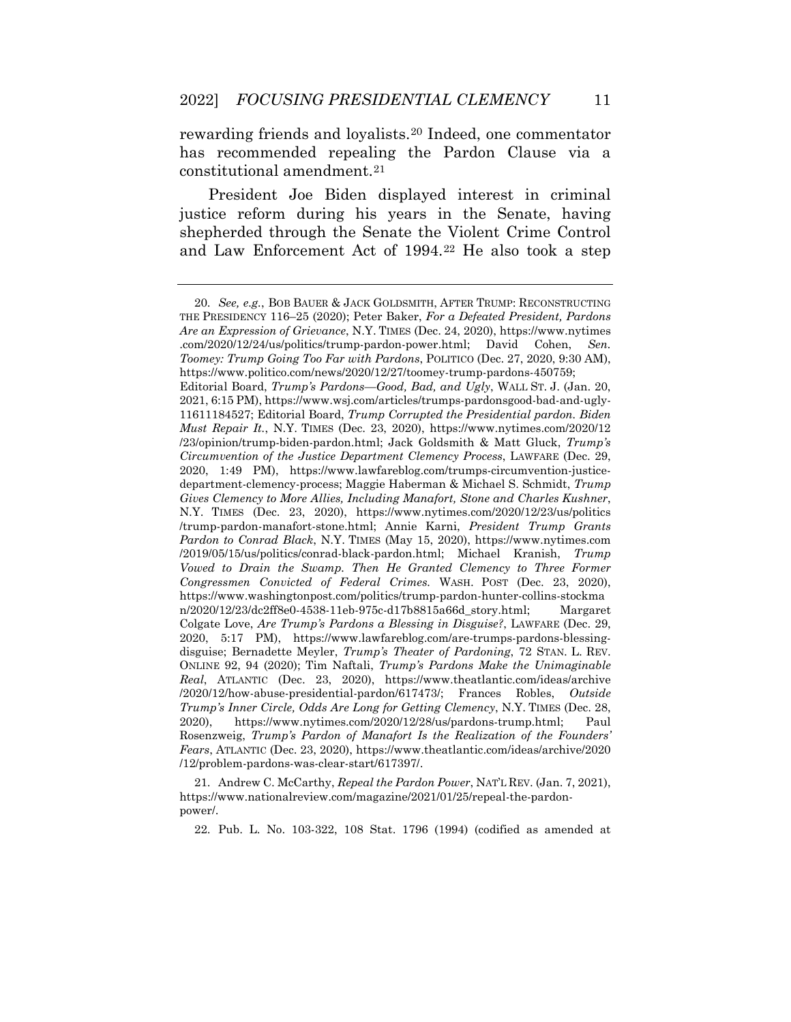rewarding friends and loyalists.[20](#page-11-1) Indeed, one commentator has recommended repealing the Pardon Clause via a constitutional amendment.[21](#page-11-2)

President Joe Biden displayed interest in criminal justice reform during his years in the Senate, having shepherded through the Senate the Violent Crime Control and Law Enforcement Act of 1994.[22](#page-12-0) He also took a step

<span id="page-11-2"></span>21. Andrew C. McCarthy, *Repeal the Pardon Power*, NAT'L REV. (Jan. 7, 2021), https://www.nationalreview.com/magazine/2021/01/25/repeal-the-pardonpower/.

22. Pub. L. No. 103-322, 108 Stat. 1796 (1994) (codified as amended at

<span id="page-11-1"></span><span id="page-11-0"></span><sup>20.</sup> *See, e.g.*, BOB BAUER & JACK GOLDSMITH, AFTER TRUMP: RECONSTRUCTING THE PRESIDENCY 116–25 (2020); Peter Baker, *For a Defeated President, Pardons Are an Expression of Grievance*, N.Y. TIMES (Dec. 24, 2020), https://www.nytimes .com/2020/12/24/us/politics/trump-pardon-power.html; David Cohen, *Sen. Toomey: Trump Going Too Far with Pardons*, POLITICO (Dec. 27, 2020, 9:30 AM), https://www.politico.com/news/2020/12/27/toomey-trump-pardons-450759; Editorial Board, *Trump's Pardons—Good, Bad, and Ugly*, WALL ST. J. (Jan. 20, 2021, 6:15 PM), https://www.wsj.com/articles/trumps-pardonsgood-bad-and-ugly-11611184527; Editorial Board, *Trump Corrupted the Presidential pardon. Biden Must Repair It.*, N.Y. TIMES (Dec. 23, 2020), https://www.nytimes.com/2020/12 /23/opinion/trump-biden-pardon.html; Jack Goldsmith & Matt Gluck, *Trump's Circumvention of the Justice Department Clemency Process*, LAWFARE (Dec. 29, 2020, 1:49 PM), https://www.lawfareblog.com/trumps-circumvention-justicedepartment-clemency-process; Maggie Haberman & Michael S. Schmidt, *Trump Gives Clemency to More Allies, Including Manafort, Stone and Charles Kushner*, N.Y. TIMES (Dec. 23, 2020), https://www.nytimes.com/2020/12/23/us/politics /trump-pardon-manafort-stone.html; Annie Karni, *President Trump Grants Pardon to Conrad Black*, N.Y. TIMES (May 15, 2020), https://www.nytimes.com /2019/05/15/us/politics/conrad-black-pardon.html; Michael Kranish, *Trump Vowed to Drain the Swamp. Then He Granted Clemency to Three Former Congressmen Convicted of Federal Crimes.* WASH. POST (Dec. 23, 2020), https://www.washingtonpost.com/politics/trump-pardon-hunter-collins-stockma n/2020/12/23/dc2ff8e0-4538-11eb-975c-d17b8815a66d\_story.html; Margaret Colgate Love, *Are Trump's Pardons a Blessing in Disguise?*, LAWFARE (Dec. 29, 2020, 5:17 PM), https://www.lawfareblog.com/are-trumps-pardons-blessingdisguise; Bernadette Meyler, *Trump's Theater of Pardoning*, 72 STAN. L. REV. ONLINE 92, 94 (2020); Tim Naftali, *Trump's Pardons Make the Unimaginable Real*, ATLANTIC (Dec. 23, 2020), https://www.theatlantic.com/ideas/archive /2020/12/how-abuse-presidential-pardon/617473/; Frances Robles, *Outside Trump's Inner Circle, Odds Are Long for Getting Clemency*, N.Y. TIMES (Dec. 28, 2020), https://www.nytimes.com/2020/12/28/us/pardons-trump.html; Paul Rosenzweig, *Trump's Pardon of Manafort Is the Realization of the Founders' Fears*, ATLANTIC (Dec. 23, 2020), https://www.theatlantic.com/ideas/archive/2020 /12/problem-pardons-was-clear-start/617397/.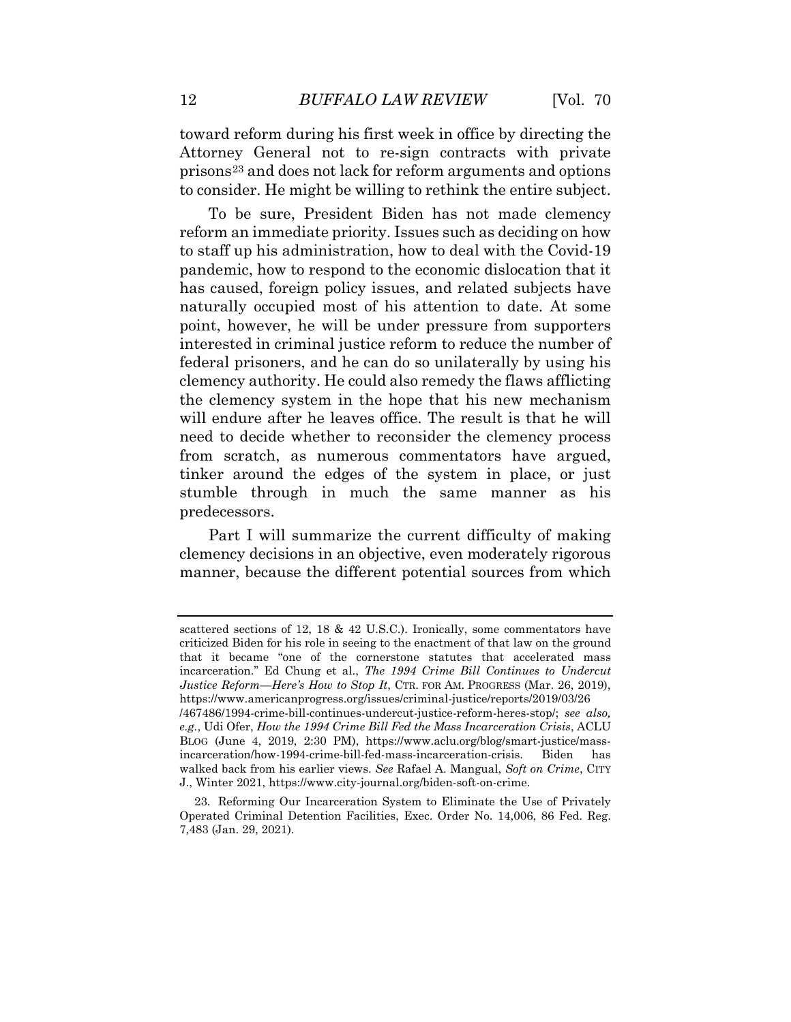toward reform during his first week in office by directing the Attorney General not to re-sign contracts with private prisons[23](#page-12-1) and does not lack for reform arguments and options to consider. He might be willing to rethink the entire subject.

To be sure, President Biden has not made clemency reform an immediate priority. Issues such as deciding on how to staff up his administration, how to deal with the Covid-19 pandemic, how to respond to the economic dislocation that it has caused, foreign policy issues, and related subjects have naturally occupied most of his attention to date. At some point, however, he will be under pressure from supporters interested in criminal justice reform to reduce the number of federal prisoners, and he can do so unilaterally by using his clemency authority. He could also remedy the flaws afflicting the clemency system in the hope that his new mechanism will endure after he leaves office. The result is that he will need to decide whether to reconsider the clemency process from scratch, as numerous commentators have argued, tinker around the edges of the system in place, or just stumble through in much the same manner as his predecessors.

Part I will summarize the current difficulty of making clemency decisions in an objective, even moderately rigorous manner, because the different potential sources from which

<span id="page-12-0"></span>scattered sections of 12, 18 & 42 U.S.C.). Ironically, some commentators have criticized Biden for his role in seeing to the enactment of that law on the ground that it became "one of the cornerstone statutes that accelerated mass incarceration." Ed Chung et al., *The 1994 Crime Bill Continues to Undercut Justice Reform—Here's How to Stop It*, CTR. FOR AM. PROGRESS (Mar. 26, 2019), https://www.americanprogress.org/issues/criminal-justice/reports/2019/03/26

<sup>/467486/1994-</sup>crime-bill-continues-undercut-justice-reform-heres-stop/; *see also, e.g.*, Udi Ofer, *How the 1994 Crime Bill Fed the Mass Incarceration Crisis*, ACLU BLOG (June 4, 2019, 2:30 PM), https://www.aclu.org/blog/smart-justice/massincarceration/how-1994-crime-bill-fed-mass-incarceration-crisis. Biden has walked back from his earlier views. *See* Rafael A. Mangual, *Soft on Crime*, CITY J., Winter 2021, https://www.city-journal.org/biden-soft-on-crime.

<span id="page-12-1"></span><sup>23.</sup> Reforming Our Incarceration System to Eliminate the Use of Privately Operated Criminal Detention Facilities, Exec. Order No. 14,006, 86 Fed. Reg. 7,483 (Jan. 29, 2021).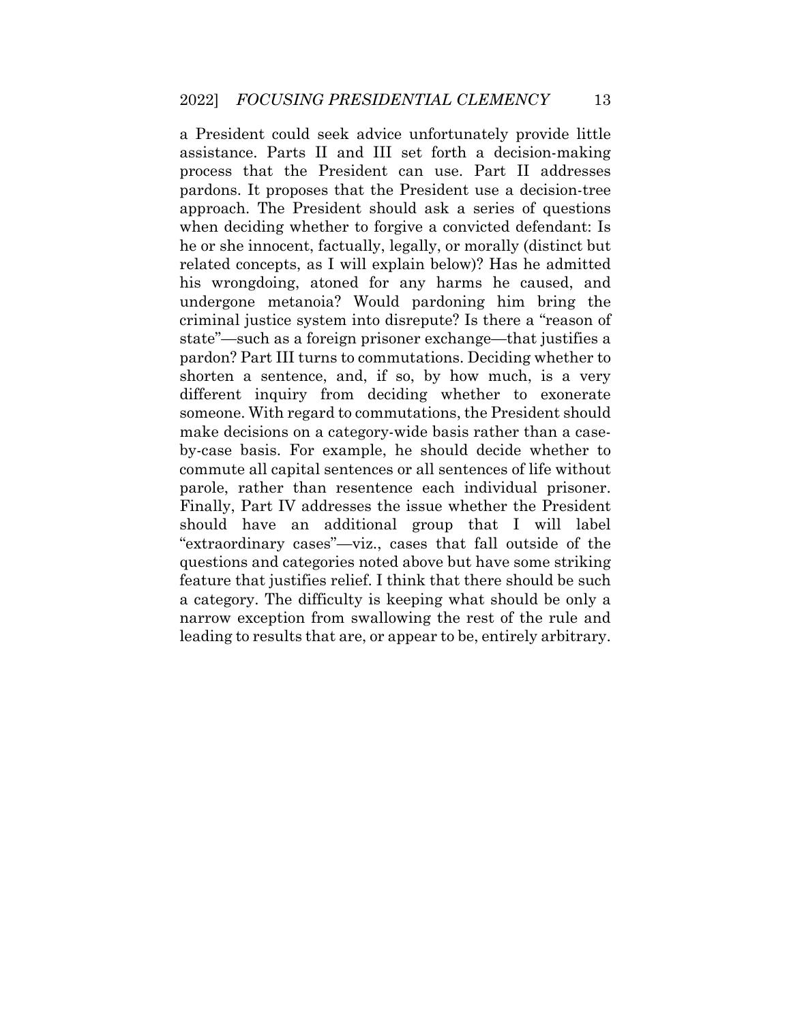a President could seek advice unfortunately provide little assistance. Parts II and III set forth a decision-making process that the President can use. Part II addresses pardons. It proposes that the President use a decision-tree approach. The President should ask a series of questions when deciding whether to forgive a convicted defendant: Is he or she innocent, factually, legally, or morally (distinct but related concepts, as I will explain below)? Has he admitted his wrongdoing, atoned for any harms he caused, and undergone metanoia? Would pardoning him bring the criminal justice system into disrepute? Is there a "reason of state"—such as a foreign prisoner exchange—that justifies a pardon? Part III turns to commutations. Deciding whether to shorten a sentence, and, if so, by how much, is a very different inquiry from deciding whether to exonerate someone. With regard to commutations, the President should make decisions on a category-wide basis rather than a caseby-case basis. For example, he should decide whether to commute all capital sentences or all sentences of life without parole, rather than resentence each individual prisoner. Finally, Part IV addresses the issue whether the President should have an additional group that I will label "extraordinary cases"—viz., cases that fall outside of the questions and categories noted above but have some striking feature that justifies relief. I think that there should be such a category. The difficulty is keeping what should be only a narrow exception from swallowing the rest of the rule and leading to results that are, or appear to be, entirely arbitrary.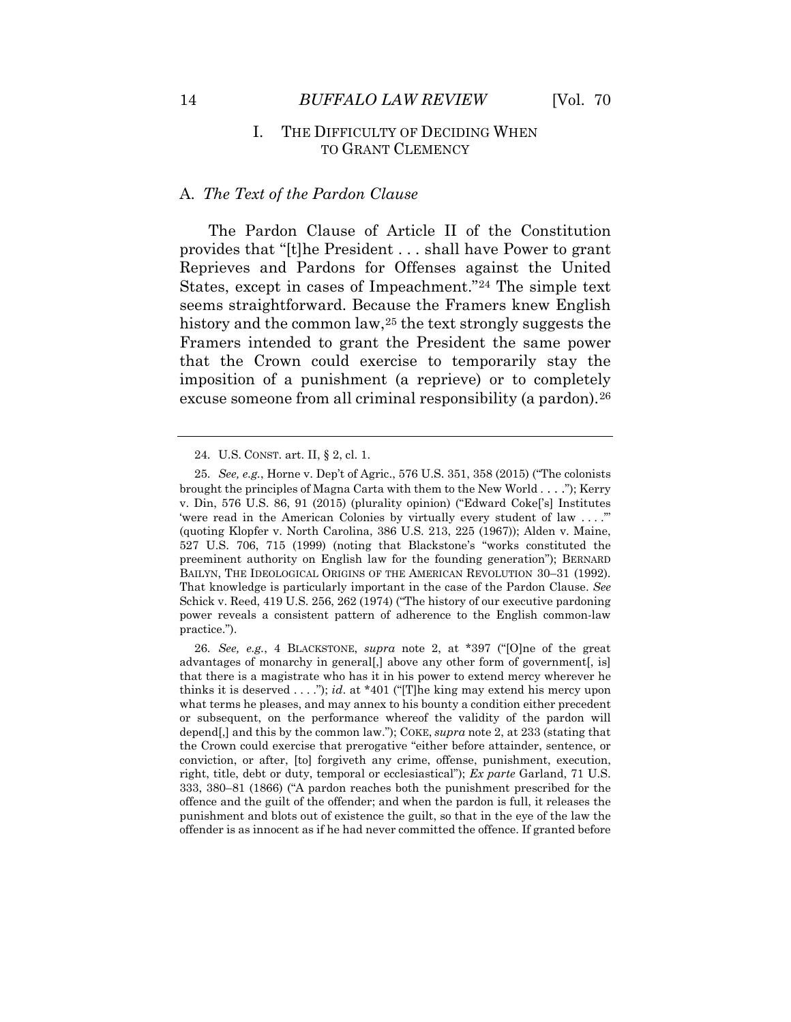#### I. THE DIFFICULTY OF DECIDING WHEN TO GRANT CLEMENCY

#### A. *The Text of the Pardon Clause*

The Pardon Clause of Article II of the Constitution provides that "[t]he President . . . shall have Power to grant Reprieves and Pardons for Offenses against the United States, except in cases of Impeachment."[24](#page-14-0) The simple text seems straightforward. Because the Framers knew English history and the common law,<sup>[25](#page-14-1)</sup> the text strongly suggests the Framers intended to grant the President the same power that the Crown could exercise to temporarily stay the imposition of a punishment (a reprieve) or to completely excuse someone from all criminal responsibility (a pardon).<sup>[26](#page-14-2)</sup>

<sup>24.</sup> U.S. CONST. art. II, § 2, cl. 1.

<span id="page-14-1"></span><span id="page-14-0"></span><sup>25.</sup> *See, e.g.*, Horne v. Dep't of Agric., 576 U.S. 351, 358 (2015) ("The colonists brought the principles of Magna Carta with them to the New World . . . ."); Kerry v. Din, 576 U.S. 86, 91 (2015) (plurality opinion) ("Edward Coke['s] Institutes 'were read in the American Colonies by virtually every student of law . . . .'" (quoting Klopfer v. North Carolina, 386 U.S. 213, 225 (1967)); Alden v. Maine, 527 U.S. 706, 715 (1999) (noting that Blackstone's "works constituted the preeminent authority on English law for the founding generation"); BERNARD BAILYN, THE IDEOLOGICAL ORIGINS OF THE AMERICAN REVOLUTION 30–31 (1992). That knowledge is particularly important in the case of the Pardon Clause. *See* Schick v. Reed, 419 U.S. 256, 262 (1974) ("The history of our executive pardoning power reveals a consistent pattern of adherence to the English common-law practice.").

<span id="page-14-2"></span><sup>26.</sup> *See, e.g.*, 4 BLACKSTONE, *supra* note 2, at \*397 ("[O]ne of the great advantages of monarchy in general[,] above any other form of government[, is] that there is a magistrate who has it in his power to extend mercy wherever he thinks it is deserved . . . ."); *id*. at \*401 ("[T]he king may extend his mercy upon what terms he pleases, and may annex to his bounty a condition either precedent or subsequent, on the performance whereof the validity of the pardon will depend[,] and this by the common law."); COKE, *supra* note 2, at 233 (stating that the Crown could exercise that prerogative "either before attainder, sentence, or conviction, or after, [to] forgiveth any crime, offense, punishment, execution, right, title, debt or duty, temporal or ecclesiastical"); *Ex parte* Garland, 71 U.S. 333, 380–81 (1866) ("A pardon reaches both the punishment prescribed for the offence and the guilt of the offender; and when the pardon is full, it releases the punishment and blots out of existence the guilt, so that in the eye of the law the offender is as innocent as if he had never committed the offence. If granted before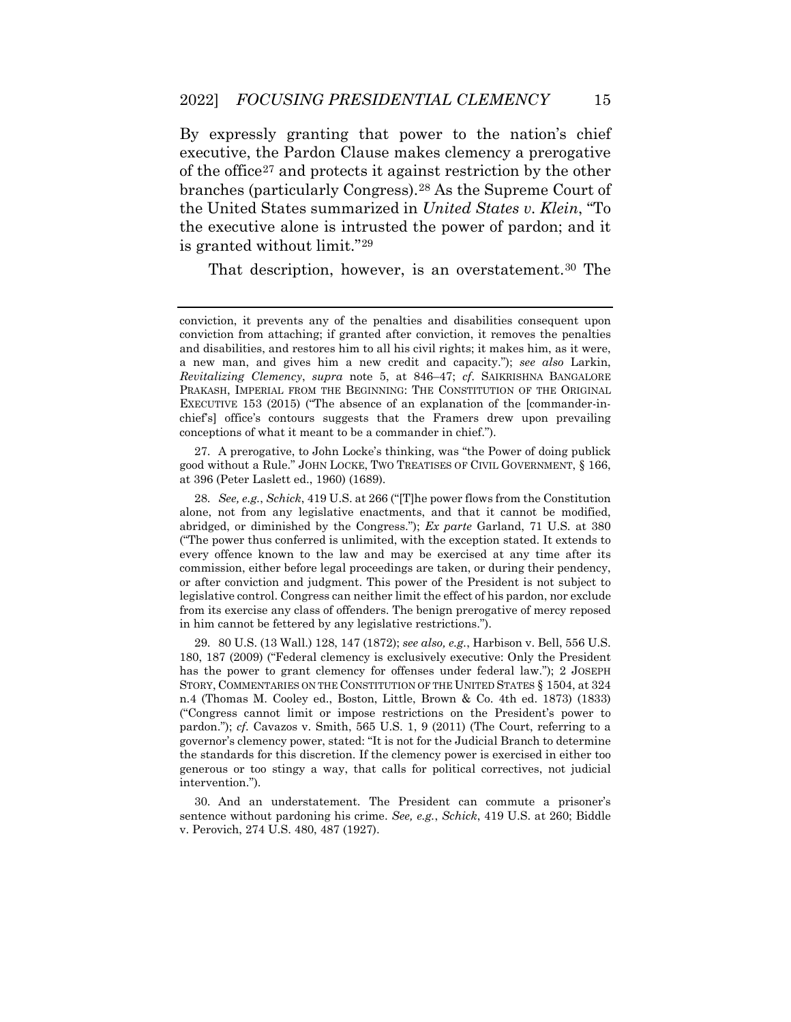By expressly granting that power to the nation's chief executive, the Pardon Clause makes clemency a prerogative of the office[27](#page-15-0) and protects it against restriction by the other branches (particularly Congress).[28](#page-15-1) As the Supreme Court of the United States summarized in *United States v. Klein*, "To the executive alone is intrusted the power of pardon; and it is granted without limit."[29](#page-15-2)

That description, however, is an overstatement.<sup>[30](#page-15-3)</sup> The

<span id="page-15-0"></span>27. A prerogative, to John Locke's thinking, was "the Power of doing publick good without a Rule." JOHN LOCKE, TWO TREATISES OF CIVIL GOVERNMENT, § 166, at 396 (Peter Laslett ed., 1960) (1689).

<span id="page-15-1"></span>28. *See, e.g.*, *Schick*, 419 U.S. at 266 ("[T]he power flows from the Constitution alone, not from any legislative enactments, and that it cannot be modified, abridged, or diminished by the Congress."); *Ex parte* Garland, 71 U.S. at 380 ("The power thus conferred is unlimited, with the exception stated. It extends to every offence known to the law and may be exercised at any time after its commission, either before legal proceedings are taken, or during their pendency, or after conviction and judgment. This power of the President is not subject to legislative control. Congress can neither limit the effect of his pardon, nor exclude from its exercise any class of offenders. The benign prerogative of mercy reposed in him cannot be fettered by any legislative restrictions.").

<span id="page-15-2"></span>29. 80 U.S. (13 Wall.) 128, 147 (1872); *see also, e.g.*, Harbison v. Bell, 556 U.S. 180, 187 (2009) ("Federal clemency is exclusively executive: Only the President has the power to grant clemency for offenses under federal law."); 2 JOSEPH STORY, COMMENTARIES ON THE CONSTITUTION OF THE UNITED STATES § 1504, at 324 n.4 (Thomas M. Cooley ed., Boston, Little, Brown & Co. 4th ed. 1873) (1833) ("Congress cannot limit or impose restrictions on the President's power to pardon."); *cf*. Cavazos v. Smith, 565 U.S. 1, 9 (2011) (The Court, referring to a governor's clemency power, stated: "It is not for the Judicial Branch to determine the standards for this discretion. If the clemency power is exercised in either too generous or too stingy a way, that calls for political correctives, not judicial intervention.").

<span id="page-15-3"></span>30. And an understatement. The President can commute a prisoner's sentence without pardoning his crime. *See, e.g.*, *Schick*, 419 U.S. at 260; Biddle v. Perovich, 274 U.S. 480, 487 (1927).

conviction, it prevents any of the penalties and disabilities consequent upon conviction from attaching; if granted after conviction, it removes the penalties and disabilities, and restores him to all his civil rights; it makes him, as it were, a new man, and gives him a new credit and capacity."); *see also* Larkin, *Revitalizing Clemency*, *supra* note 5, at 846–47; *cf*. SAIKRISHNA BANGALORE PRAKASH, IMPERIAL FROM THE BEGINNING: THE CONSTITUTION OF THE ORIGINAL EXECUTIVE 153 (2015) ("The absence of an explanation of the [commander-inchief's] office's contours suggests that the Framers drew upon prevailing conceptions of what it meant to be a commander in chief.").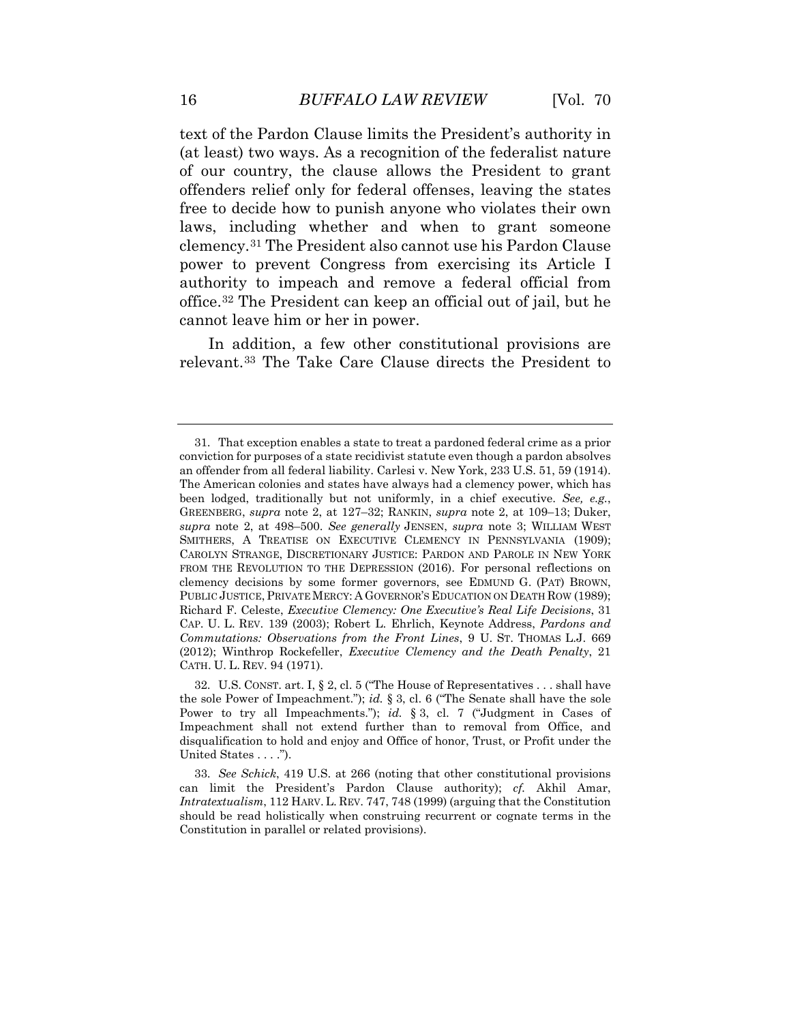text of the Pardon Clause limits the President's authority in (at least) two ways. As a recognition of the federalist nature of our country, the clause allows the President to grant offenders relief only for federal offenses, leaving the states free to decide how to punish anyone who violates their own laws, including whether and when to grant someone clemency.[31](#page-16-0) The President also cannot use his Pardon Clause power to prevent Congress from exercising its Article I authority to impeach and remove a federal official from office.[32](#page-16-1) The President can keep an official out of jail, but he cannot leave him or her in power.

In addition, a few other constitutional provisions are relevant.[33](#page-16-2) The Take Care Clause directs the President to

<span id="page-16-0"></span><sup>31.</sup> That exception enables a state to treat a pardoned federal crime as a prior conviction for purposes of a state recidivist statute even though a pardon absolves an offender from all federal liability. Carlesi v. New York, 233 U.S. 51, 59 (1914). The American colonies and states have always had a clemency power, which has been lodged, traditionally but not uniformly, in a chief executive. *See, e.g.*, GREENBERG, *supra* note 2, at 127–32; RANKIN, *supra* note 2, at 109–13; Duker, *supra* note 2, at 498–500. *See generally* JENSEN, *supra* note 3; WILLIAM WEST SMITHERS, A TREATISE ON EXECUTIVE CLEMENCY IN PENNSYLVANIA (1909); CAROLYN STRANGE, DISCRETIONARY JUSTICE: PARDON AND PAROLE IN NEW YORK FROM THE REVOLUTION TO THE DEPRESSION (2016). For personal reflections on clemency decisions by some former governors, see EDMUND G. (PAT) BROWN, PUBLIC JUSTICE, PRIVATE MERCY: A GOVERNOR'S EDUCATION ON DEATH ROW (1989); Richard F. Celeste, *Executive Clemency: One Executive's Real Life Decisions*, 31 CAP. U. L. REV. 139 (2003); Robert L. Ehrlich, Keynote Address, *Pardons and Commutations: Observations from the Front Lines*, 9 U. ST. THOMAS L.J. 669 (2012); Winthrop Rockefeller, *Executive Clemency and the Death Penalty*, 21 CATH. U. L. REV. 94 (1971).

<span id="page-16-1"></span><sup>32.</sup> U.S. CONST. art. I, § 2, cl. 5 ("The House of Representatives . . . shall have the sole Power of Impeachment."); *id.* § 3, cl. 6 ("The Senate shall have the sole Power to try all Impeachments."); *id.* § 3, cl. 7 ("Judgment in Cases of Impeachment shall not extend further than to removal from Office, and disqualification to hold and enjoy and Office of honor, Trust, or Profit under the United States . . . .").

<span id="page-16-2"></span><sup>33.</sup> *See Schick*, 419 U.S. at 266 (noting that other constitutional provisions can limit the President's Pardon Clause authority); *cf.* Akhil Amar, *Intratextualism*, 112 HARV. L. REV. 747, 748 (1999) (arguing that the Constitution should be read holistically when construing recurrent or cognate terms in the Constitution in parallel or related provisions).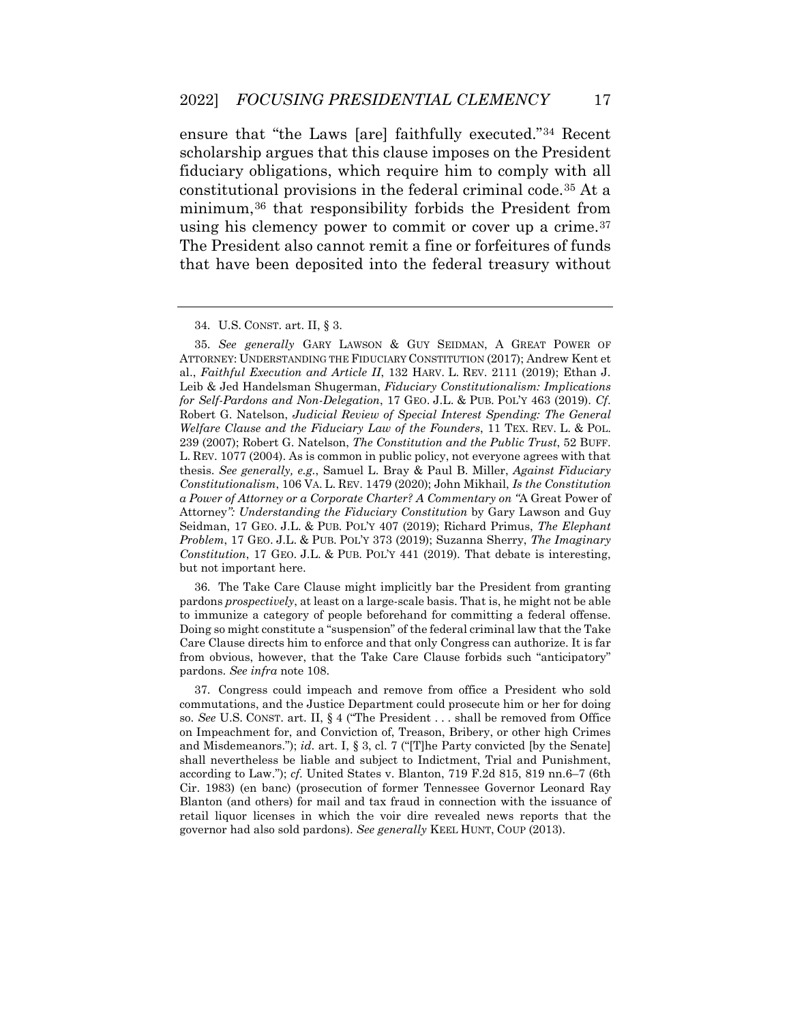ensure that "the Laws [are] faithfully executed."[34](#page-17-0) Recent scholarship argues that this clause imposes on the President fiduciary obligations, which require him to comply with all constitutional provisions in the federal criminal code.[35](#page-17-1) At a minimum,[36](#page-17-2) that responsibility forbids the President from using his clemency power to commit or cover up a crime.<sup>[37](#page-17-3)</sup> The President also cannot remit a fine or forfeitures of funds that have been deposited into the federal treasury without

<span id="page-17-1"></span><span id="page-17-0"></span>35. *See generally* GARY LAWSON & GUY SEIDMAN, A GREAT POWER OF ATTORNEY: UNDERSTANDING THE FIDUCIARY CONSTITUTION (2017); Andrew Kent et al., *Faithful Execution and Article II*, 132 HARV. L. REV. 2111 (2019); Ethan J. Leib & Jed Handelsman Shugerman, *Fiduciary Constitutionalism: Implications for Self-Pardons and Non-Delegation*, 17 GEO. J.L. & PUB. POL'Y 463 (2019). *Cf*. Robert G. Natelson, *Judicial Review of Special Interest Spending: The General Welfare Clause and the Fiduciary Law of the Founders*, 11 TEX. REV. L. & POL. 239 (2007); Robert G. Natelson, *The Constitution and the Public Trust*, 52 BUFF. L. REV. 1077 (2004). As is common in public policy, not everyone agrees with that thesis. *See generally, e.g.*, Samuel L. Bray & Paul B. Miller, *Against Fiduciary Constitutionalism*, 106 VA. L. REV. 1479 (2020); John Mikhail, *Is the Constitution a Power of Attorney or a Corporate Charter? A Commentary on "*A Great Power of Attorney*": Understanding the Fiduciary Constitution* by Gary Lawson and Guy Seidman, 17 GEO. J.L. & PUB. POL'Y 407 (2019); Richard Primus, *The Elephant Problem*, 17 GEO. J.L. & PUB. POL'Y 373 (2019); Suzanna Sherry, *The Imaginary Constitution*, 17 GEO. J.L. & PUB. POL'Y 441 (2019). That debate is interesting, but not important here.

<span id="page-17-2"></span>36. The Take Care Clause might implicitly bar the President from granting pardons *prospectively*, at least on a large-scale basis. That is, he might not be able to immunize a category of people beforehand for committing a federal offense. Doing so might constitute a "suspension" of the federal criminal law that the Take Care Clause directs him to enforce and that only Congress can authorize. It is far from obvious, however, that the Take Care Clause forbids such "anticipatory" pardons. *See infra* note 108.

<span id="page-17-3"></span>37. Congress could impeach and remove from office a President who sold commutations, and the Justice Department could prosecute him or her for doing so. *See* U.S. CONST. art. II, § 4 ("The President . . . shall be removed from Office on Impeachment for, and Conviction of, Treason, Bribery, or other high Crimes and Misdemeanors."); *id*. art. I, § 3, cl. 7 ("[T]he Party convicted [by the Senate] shall nevertheless be liable and subject to Indictment, Trial and Punishment, according to Law."); *cf*. United States v. Blanton, 719 F.2d 815, 819 nn.6–7 (6th Cir. 1983) (en banc) (prosecution of former Tennessee Governor Leonard Ray Blanton (and others) for mail and tax fraud in connection with the issuance of retail liquor licenses in which the voir dire revealed news reports that the governor had also sold pardons). *See generally* KEEL HUNT, COUP (2013).

<sup>34.</sup> U.S. CONST. art. II, § 3.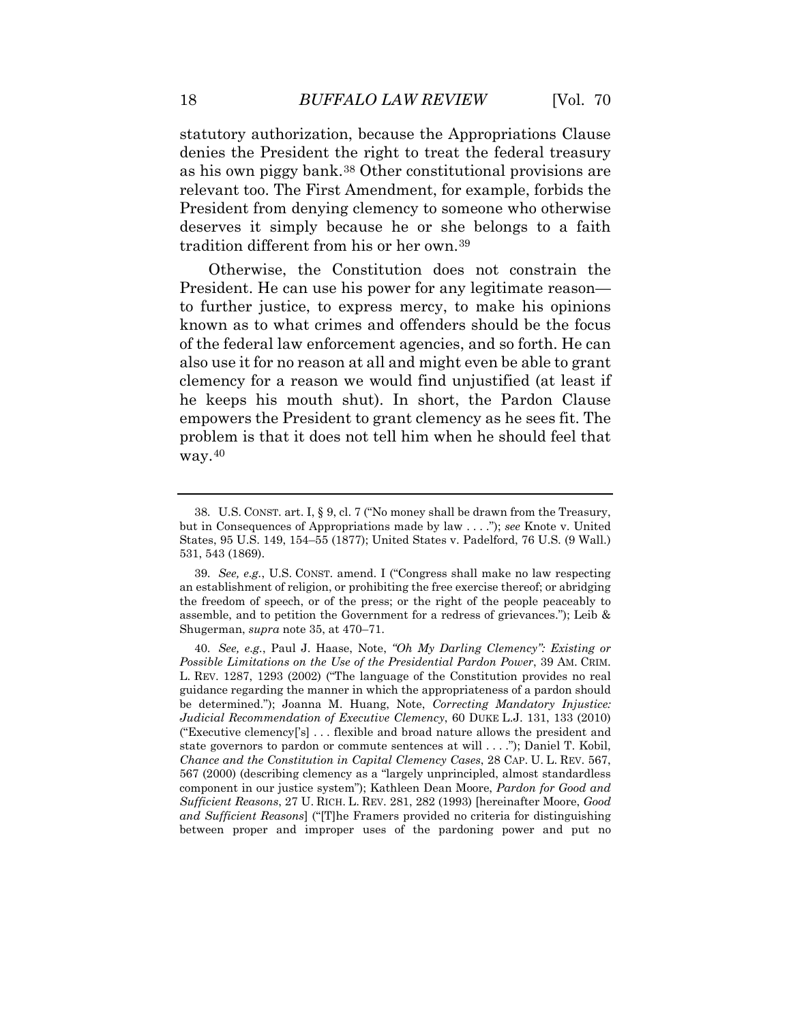statutory authorization, because the Appropriations Clause denies the President the right to treat the federal treasury as his own piggy bank.[38](#page-18-0) Other constitutional provisions are relevant too. The First Amendment, for example, forbids the President from denying clemency to someone who otherwise deserves it simply because he or she belongs to a faith tradition different from his or her own.[39](#page-18-1)

Otherwise, the Constitution does not constrain the President. He can use his power for any legitimate reason to further justice, to express mercy, to make his opinions known as to what crimes and offenders should be the focus of the federal law enforcement agencies, and so forth. He can also use it for no reason at all and might even be able to grant clemency for a reason we would find unjustified (at least if he keeps his mouth shut). In short, the Pardon Clause empowers the President to grant clemency as he sees fit. The problem is that it does not tell him when he should feel that way.[40](#page-18-2)

<span id="page-18-0"></span><sup>38.</sup> U.S. CONST. art. I, § 9, cl. 7 ("No money shall be drawn from the Treasury, but in Consequences of Appropriations made by law . . . ."); *see* Knote v. United States, 95 U.S. 149, 154–55 (1877); United States v. Padelford, 76 U.S. (9 Wall.) 531, 543 (1869).

<span id="page-18-1"></span><sup>39.</sup> *See, e.g.*, U.S. CONST. amend. I ("Congress shall make no law respecting an establishment of religion, or prohibiting the free exercise thereof; or abridging the freedom of speech, or of the press; or the right of the people peaceably to assemble, and to petition the Government for a redress of grievances."); Leib & Shugerman, *supra* note 35, at 470–71.

<span id="page-18-2"></span><sup>40.</sup> *See, e.g.*, Paul J. Haase, Note, *"Oh My Darling Clemency": Existing or Possible Limitations on the Use of the Presidential Pardon Power*, 39 AM. CRIM. L. REV. 1287, 1293 (2002) ("The language of the Constitution provides no real guidance regarding the manner in which the appropriateness of a pardon should be determined."); Joanna M. Huang, Note, *Correcting Mandatory Injustice: Judicial Recommendation of Executive Clemency*, 60 DUKE L.J. 131, 133 (2010) ("Executive clemency['s] . . . flexible and broad nature allows the president and state governors to pardon or commute sentences at will . . . ."); Daniel T. Kobil, *Chance and the Constitution in Capital Clemency Cases*, 28 CAP. U. L. REV. 567, 567 (2000) (describing clemency as a "largely unprincipled, almost standardless component in our justice system"); Kathleen Dean Moore, *Pardon for Good and Sufficient Reasons*, 27 U. RICH. L. REV. 281, 282 (1993) [hereinafter Moore, *Good and Sufficient Reasons*] ("[T]he Framers provided no criteria for distinguishing between proper and improper uses of the pardoning power and put no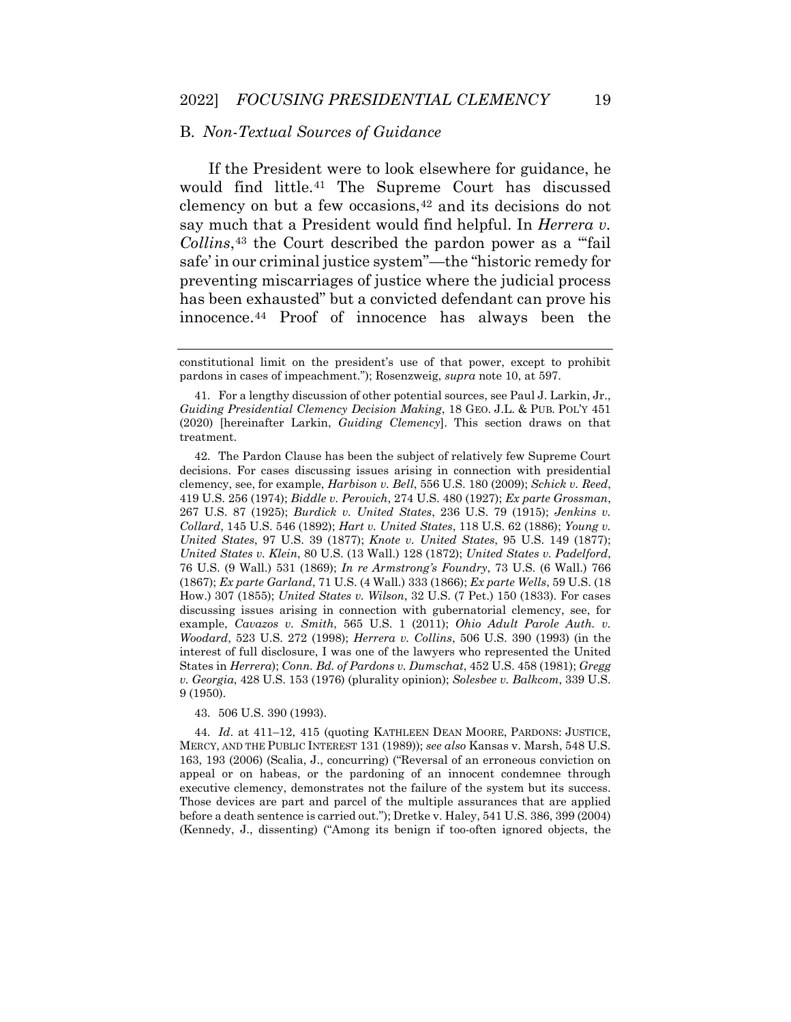#### B. *Non-Textual Sources of Guidance*

If the President were to look elsewhere for guidance, he would find little.[41](#page-19-0) The Supreme Court has discussed clemency on but a few occasions,[42](#page-19-1) and its decisions do not say much that a President would find helpful. In *Herrera v. Collins*,[43](#page-19-2) the Court described the pardon power as a "'fail safe' in our criminal justice system"—the "historic remedy for preventing miscarriages of justice where the judicial process has been exhausted" but a convicted defendant can prove his innocence.[44](#page-19-3) Proof of innocence has always been the

43. 506 U.S. 390 (1993).

<span id="page-19-3"></span><span id="page-19-2"></span>44. *Id*. at 411–12, 415 (quoting KATHLEEN DEAN MOORE, PARDONS: JUSTICE, MERCY, AND THE PUBLIC INTEREST 131 (1989)); *see also* Kansas v. Marsh, 548 U.S. 163, 193 (2006) (Scalia, J., concurring) ("Reversal of an erroneous conviction on appeal or on habeas, or the pardoning of an innocent condemnee through executive clemency, demonstrates not the failure of the system but its success. Those devices are part and parcel of the multiple assurances that are applied before a death sentence is carried out."); Dretke v. Haley, 541 U.S. 386, 399 (2004) (Kennedy, J., dissenting) ("Among its benign if too-often ignored objects, the

constitutional limit on the president's use of that power, except to prohibit pardons in cases of impeachment."); Rosenzweig, *supra* note 10, at 597.

<span id="page-19-0"></span><sup>41.</sup> For a lengthy discussion of other potential sources, see Paul J. Larkin, Jr., *Guiding Presidential Clemency Decision Making*, 18 GEO. J.L. & PUB. POL'Y 451 (2020) [hereinafter Larkin, *Guiding Clemency*]. This section draws on that treatment.

<span id="page-19-1"></span><sup>42.</sup> The Pardon Clause has been the subject of relatively few Supreme Court decisions. For cases discussing issues arising in connection with presidential clemency, see, for example, *Harbison v. Bell*, 556 U.S. 180 (2009); *Schick v. Reed*, 419 U.S. 256 (1974); *Biddle v. Perovich*, 274 U.S. 480 (1927); *Ex parte Grossman*, 267 U.S. 87 (1925); *Burdick v. United States*, 236 U.S. 79 (1915); *Jenkins v. Collard*, 145 U.S. 546 (1892); *Hart v. United States*, 118 U.S. 62 (1886); *Young v. United States*, 97 U.S. 39 (1877); *Knote v. United States*, 95 U.S. 149 (1877); *United States v. Klein*, 80 U.S. (13 Wall.) 128 (1872); *United States v. Padelford*, 76 U.S. (9 Wall.) 531 (1869); *In re Armstrong's Foundry*, 73 U.S. (6 Wall.) 766 (1867); *Ex parte Garland*, 71 U.S. (4 Wall.) 333 (1866); *Ex parte Wells*, 59 U.S. (18 How.) 307 (1855); *United States v. Wilson*, 32 U.S. (7 Pet.) 150 (1833). For cases discussing issues arising in connection with gubernatorial clemency, see, for example, *Cavazos v. Smith*, 565 U.S. 1 (2011); *Ohio Adult Parole Auth. v. Woodard*, 523 U.S. 272 (1998); *Herrera v. Collins*, 506 U.S. 390 (1993) (in the interest of full disclosure, I was one of the lawyers who represented the United States in *Herrera*); *Conn. Bd. of Pardons v. Dumschat*, 452 U.S. 458 (1981); *Gregg v. Georgia*, 428 U.S. 153 (1976) (plurality opinion); *Solesbee v. Balkcom*, 339 U.S. 9 (1950).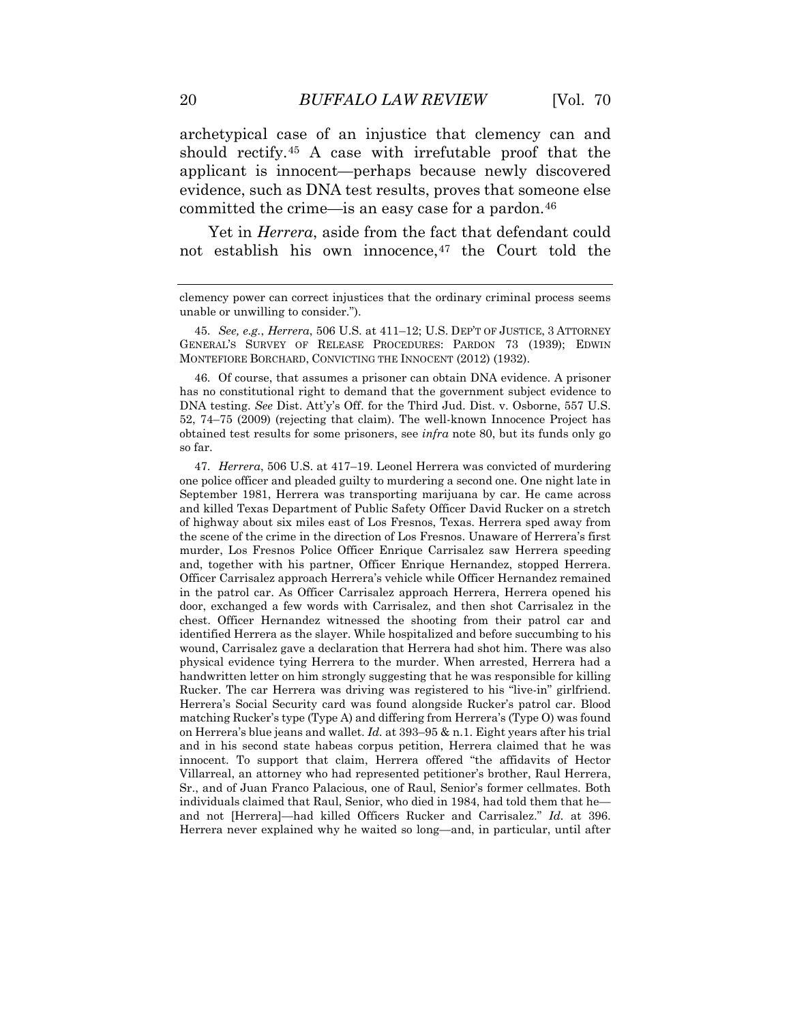archetypical case of an injustice that clemency can and should rectify.[45](#page-20-0) A case with irrefutable proof that the applicant is innocent—perhaps because newly discovered evidence, such as DNA test results, proves that someone else committed the crime—is an easy case for a pardon.[46](#page-20-1)

Yet in *Herrera*, aside from the fact that defendant could not establish his own innocence,<sup>[47](#page-20-2)</sup> the Court told the

45. *See, e.g.*, *Herrera*, 506 U.S. at 411–12; U.S. DEP'T OF JUSTICE, 3 ATTORNEY GENERAL'S SURVEY OF RELEASE PROCEDURES: PARDON 73 (1939); EDWIN MONTEFIORE BORCHARD, CONVICTING THE INNOCENT (2012) (1932).

<span id="page-20-1"></span><span id="page-20-0"></span>46. Of course, that assumes a prisoner can obtain DNA evidence. A prisoner has no constitutional right to demand that the government subject evidence to DNA testing. *See* Dist. Att'y's Off. for the Third Jud. Dist. v. Osborne, 557 U.S. 52, 74–75 (2009) (rejecting that claim). The well-known Innocence Project has obtained test results for some prisoners, see *infra* note 80, but its funds only go so far.

<span id="page-20-2"></span>47. *Herrera*, 506 U.S. at 417–19. Leonel Herrera was convicted of murdering one police officer and pleaded guilty to murdering a second one. One night late in September 1981, Herrera was transporting marijuana by car. He came across and killed Texas Department of Public Safety Officer David Rucker on a stretch of highway about six miles east of Los Fresnos, Texas. Herrera sped away from the scene of the crime in the direction of Los Fresnos. Unaware of Herrera's first murder, Los Fresnos Police Officer Enrique Carrisalez saw Herrera speeding and, together with his partner, Officer Enrique Hernandez, stopped Herrera. Officer Carrisalez approach Herrera's vehicle while Officer Hernandez remained in the patrol car. As Officer Carrisalez approach Herrera, Herrera opened his door, exchanged a few words with Carrisalez, and then shot Carrisalez in the chest. Officer Hernandez witnessed the shooting from their patrol car and identified Herrera as the slayer. While hospitalized and before succumbing to his wound, Carrisalez gave a declaration that Herrera had shot him. There was also physical evidence tying Herrera to the murder. When arrested, Herrera had a handwritten letter on him strongly suggesting that he was responsible for killing Rucker. The car Herrera was driving was registered to his "live-in" girlfriend. Herrera's Social Security card was found alongside Rucker's patrol car. Blood matching Rucker's type (Type A) and differing from Herrera's (Type O) was found on Herrera's blue jeans and wallet. *Id.* at 393–95 & n.1. Eight years after his trial and in his second state habeas corpus petition, Herrera claimed that he was innocent. To support that claim, Herrera offered "the affidavits of Hector Villarreal, an attorney who had represented petitioner's brother, Raul Herrera, Sr., and of Juan Franco Palacious, one of Raul, Senior's former cellmates. Both individuals claimed that Raul, Senior, who died in 1984, had told them that he and not [Herrera]—had killed Officers Rucker and Carrisalez." *Id.* at 396. Herrera never explained why he waited so long—and, in particular, until after

clemency power can correct injustices that the ordinary criminal process seems unable or unwilling to consider.").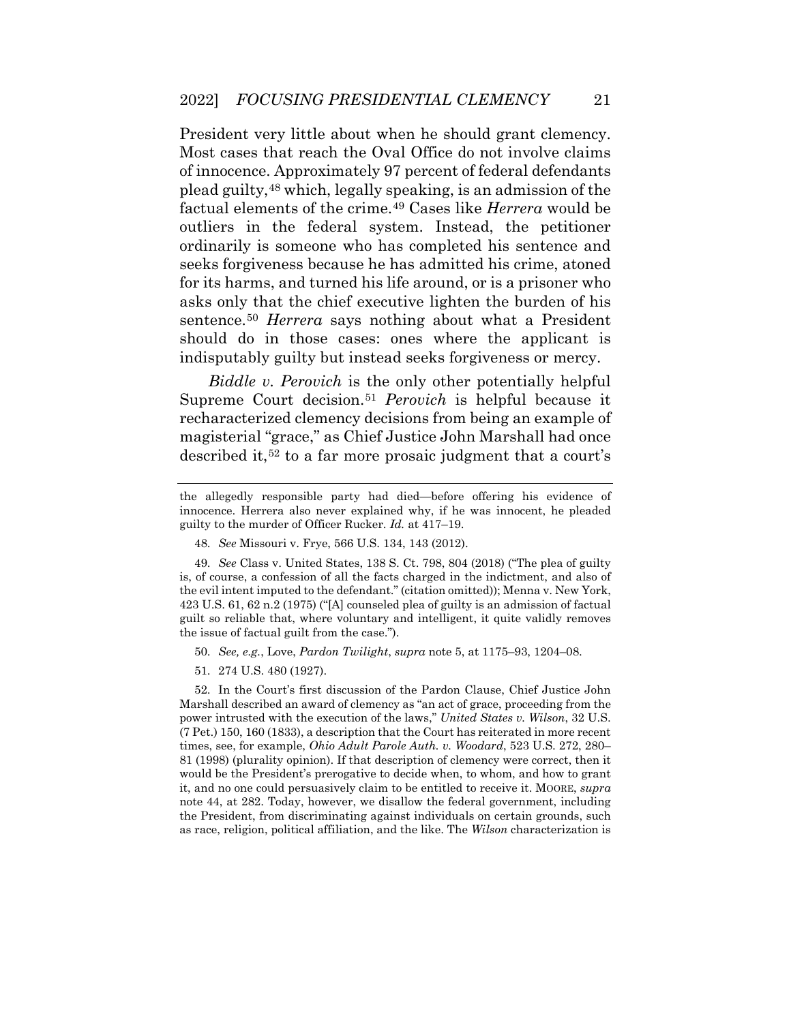President very little about when he should grant clemency. Most cases that reach the Oval Office do not involve claims of innocence. Approximately 97 percent of federal defendants plead guilty,[48](#page-21-0) which, legally speaking, is an admission of the factual elements of the crime.[49](#page-21-1) Cases like *Herrera* would be outliers in the federal system. Instead, the petitioner ordinarily is someone who has completed his sentence and seeks forgiveness because he has admitted his crime, atoned for its harms, and turned his life around, or is a prisoner who asks only that the chief executive lighten the burden of his sentence.[50](#page-21-2) *Herrera* says nothing about what a President should do in those cases: ones where the applicant is indisputably guilty but instead seeks forgiveness or mercy.

*Biddle v. Perovich* is the only other potentially helpful Supreme Court decision.[51](#page-21-3) *Perovich* is helpful because it recharacterized clemency decisions from being an example of magisterial "grace," as Chief Justice John Marshall had once described it,[52](#page-21-4) to a far more prosaic judgment that a court's

48. *See* Missouri v. Frye, 566 U.S. 134, 143 (2012).

<span id="page-21-0"></span>49. *See* Class v. United States, 138 S. Ct. 798, 804 (2018) ("The plea of guilty is, of course, a confession of all the facts charged in the indictment, and also of the evil intent imputed to the defendant." (citation omitted)); Menna v. New York, 423 U.S. 61, 62 n.2 (1975) ("[A] counseled plea of guilty is an admission of factual guilt so reliable that, where voluntary and intelligent, it quite validly removes the issue of factual guilt from the case.").

50. *See, e.g.*, Love, *Pardon Twilight*, *supra* note 5, at 1175–93, 1204–08.

51. 274 U.S. 480 (1927).

<span id="page-21-4"></span><span id="page-21-3"></span><span id="page-21-2"></span><span id="page-21-1"></span>52. In the Court's first discussion of the Pardon Clause, Chief Justice John Marshall described an award of clemency as "an act of grace, proceeding from the power intrusted with the execution of the laws," *United States v. Wilson*, 32 U.S. (7 Pet.) 150, 160 (1833), a description that the Court has reiterated in more recent times, see, for example, *Ohio Adult Parole Auth. v. Woodard*, 523 U.S. 272, 280– 81 (1998) (plurality opinion). If that description of clemency were correct, then it would be the President's prerogative to decide when, to whom, and how to grant it, and no one could persuasively claim to be entitled to receive it. MOORE, *supra* note 44, at 282. Today, however, we disallow the federal government, including the President, from discriminating against individuals on certain grounds, such as race, religion, political affiliation, and the like. The *Wilson* characterization is

the allegedly responsible party had died—before offering his evidence of innocence. Herrera also never explained why, if he was innocent, he pleaded guilty to the murder of Officer Rucker. *Id.* at 417–19.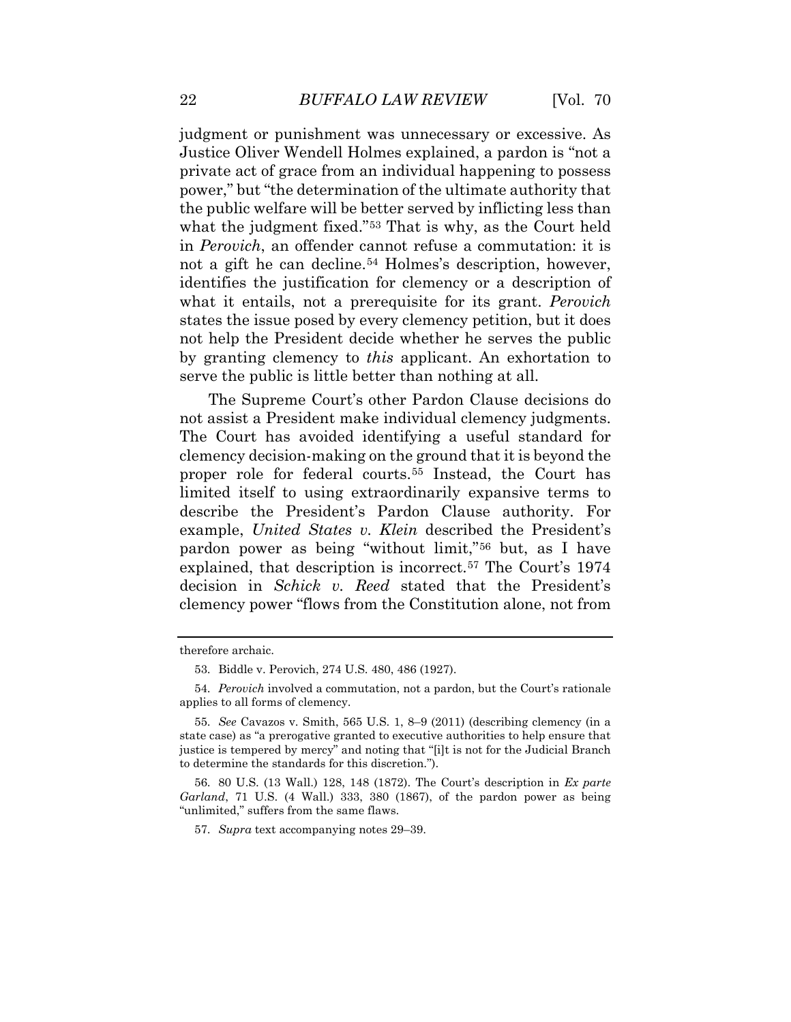judgment or punishment was unnecessary or excessive. As Justice Oliver Wendell Holmes explained, a pardon is "not a private act of grace from an individual happening to possess power," but "the determination of the ultimate authority that the public welfare will be better served by inflicting less than what the judgment fixed."[53](#page-22-0) That is why, as the Court held in *Perovich*, an offender cannot refuse a commutation: it is not a gift he can decline.<sup>[54](#page-22-1)</sup> Holmes's description, however, identifies the justification for clemency or a description of what it entails, not a prerequisite for its grant. *Perovich* states the issue posed by every clemency petition, but it does not help the President decide whether he serves the public by granting clemency to *this* applicant. An exhortation to serve the public is little better than nothing at all.

The Supreme Court's other Pardon Clause decisions do not assist a President make individual clemency judgments. The Court has avoided identifying a useful standard for clemency decision-making on the ground that it is beyond the proper role for federal courts.[55](#page-22-2) Instead, the Court has limited itself to using extraordinarily expansive terms to describe the President's Pardon Clause authority. For example, *United States v. Klein* described the President's pardon power as being "without limit,"[56](#page-22-3) but, as I have explained, that description is incorrect.[57](#page-23-0) The Court's 1974 decision in *Schick v. Reed* stated that the President's clemency power "flows from the Constitution alone, not from

therefore archaic.

<sup>53.</sup> Biddle v. Perovich, 274 U.S. 480, 486 (1927).

<span id="page-22-0"></span><sup>54.</sup> *Perovich* involved a commutation, not a pardon, but the Court's rationale applies to all forms of clemency.

<span id="page-22-2"></span><span id="page-22-1"></span><sup>55.</sup> *See* Cavazos v. Smith, 565 U.S. 1, 8–9 (2011) (describing clemency (in a state case) as "a prerogative granted to executive authorities to help ensure that justice is tempered by mercy" and noting that "[i]t is not for the Judicial Branch to determine the standards for this discretion.").

<span id="page-22-3"></span><sup>56. 80</sup> U.S. (13 Wall.) 128, 148 (1872). The Court's description in *Ex parte Garland*, 71 U.S. (4 Wall.) 333, 380 (1867), of the pardon power as being "unlimited," suffers from the same flaws.

<sup>57.</sup> *Supra* text accompanying notes 29–39.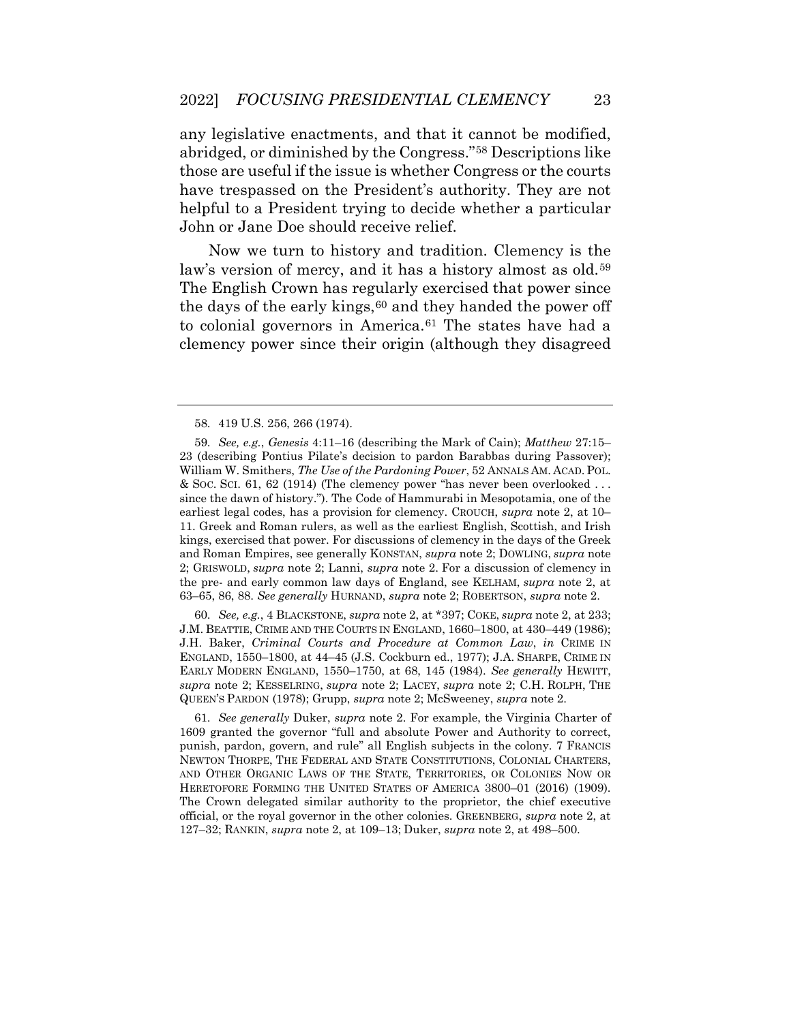any legislative enactments, and that it cannot be modified, abridged, or diminished by the Congress.["58](#page-23-1) Descriptions like those are useful if the issue is whether Congress or the courts have trespassed on the President's authority. They are not helpful to a President trying to decide whether a particular John or Jane Doe should receive relief.

Now we turn to history and tradition. Clemency is the law's version of mercy, and it has a history almost as old.<sup>[59](#page-23-2)</sup> The English Crown has regularly exercised that power since the days of the early kings, $60$  and they handed the power off to colonial governors in America.<sup>[61](#page-23-4)</sup> The states have had a clemency power since their origin (although they disagreed

60. *See, e.g.*, 4 BLACKSTONE, *supra* note 2, at \*397; COKE, *supra* note 2, at 233; J.M. BEATTIE, CRIME AND THE COURTS IN ENGLAND, 1660–1800, at 430–449 (1986); J.H. Baker, *Criminal Courts and Procedure at Common Law*, *in* CRIME IN ENGLAND, 1550–1800, at 44–45 (J.S. Cockburn ed., 1977); J.A. SHARPE, CRIME IN EARLY MODERN ENGLAND, 1550–1750, at 68, 145 (1984). *See generally* HEWITT, *supra* note 2; KESSELRING, *supra* note 2; LACEY, *supra* note 2; C.H. ROLPH, THE QUEEN'S PARDON (1978); Grupp, *supra* note 2; McSweeney, *supra* note 2.

<span id="page-23-4"></span><span id="page-23-3"></span>61. *See generally* Duker, *supra* note 2. For example, the Virginia Charter of 1609 granted the governor "full and absolute Power and Authority to correct, punish, pardon, govern, and rule" all English subjects in the colony. 7 FRANCIS NEWTON THORPE, THE FEDERAL AND STATE CONSTITUTIONS, COLONIAL CHARTERS, AND OTHER ORGANIC LAWS OF THE STATE, TERRITORIES, OR COLONIES NOW OR HERETOFORE FORMING THE UNITED STATES OF AMERICA 3800–01 (2016) (1909). The Crown delegated similar authority to the proprietor, the chief executive official, or the royal governor in the other colonies. GREENBERG, *supra* note 2, at 127–32; RANKIN, *supra* note 2, at 109–13; Duker, *supra* note 2, at 498–500.

<sup>58. 419</sup> U.S. 256, 266 (1974).

<span id="page-23-2"></span><span id="page-23-1"></span><span id="page-23-0"></span><sup>59.</sup> *See, e.g.*, *Genesis* 4:11–16 (describing the Mark of Cain); *Matthew* 27:15– 23 (describing Pontius Pilate's decision to pardon Barabbas during Passover); William W. Smithers, *The Use of the Pardoning Power*, 52 ANNALS AM. ACAD. POL. & SOC. SCI. 61, 62 (1914) (The clemency power "has never been overlooked . . . since the dawn of history."). The Code of Hammurabi in Mesopotamia, one of the earliest legal codes, has a provision for clemency. CROUCH, *supra* note 2, at 10– 11. Greek and Roman rulers, as well as the earliest English, Scottish, and Irish kings, exercised that power. For discussions of clemency in the days of the Greek and Roman Empires, see generally KONSTAN, *supra* note 2; DOWLING, *supra* note 2; GRISWOLD, *supra* note 2; Lanni, *supra* note 2. For a discussion of clemency in the pre- and early common law days of England, see KELHAM, *supra* note 2, at 63–65, 86, 88. *See generally* HURNAND, *supra* note 2; ROBERTSON, *supra* note 2.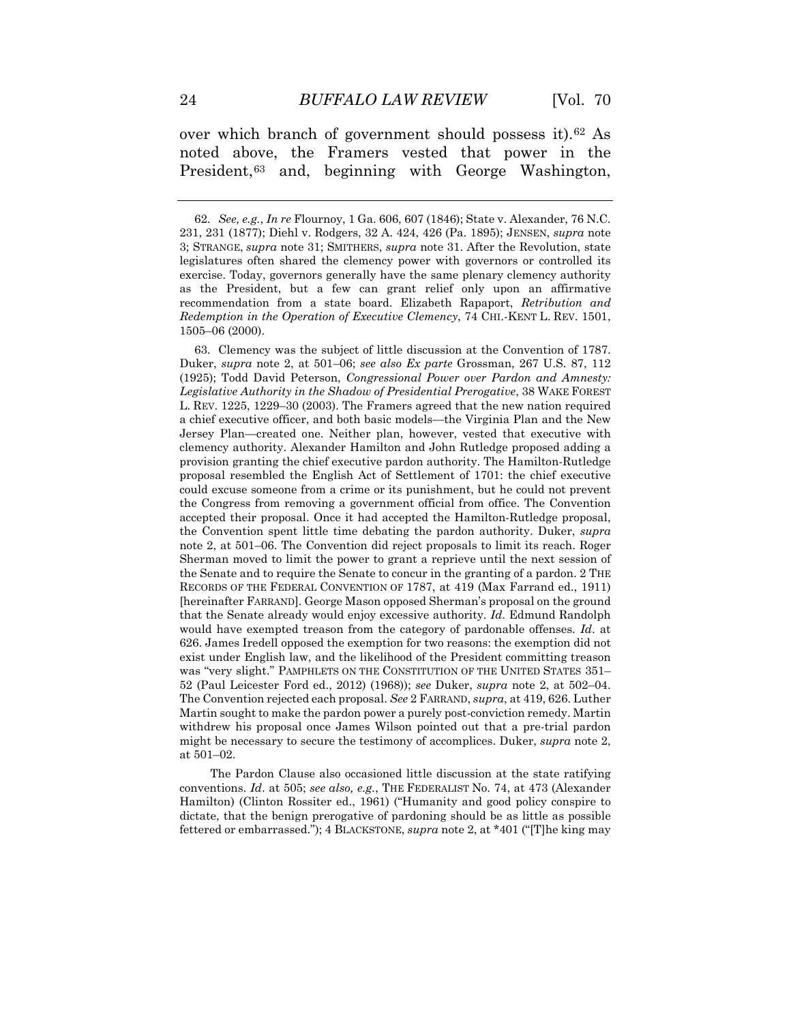over which branch of government should possess it).[62](#page-24-0) As noted above, the Framers vested that power in the President, <sup>[63](#page-24-1)</sup> and, beginning with George Washington,

<span id="page-24-1"></span><span id="page-24-0"></span>63. Clemency was the subject of little discussion at the Convention of 1787. Duker, *supra* note 2, at 501–06; *see also Ex parte* Grossman, 267 U.S. 87, 112 (1925); Todd David Peterson, *Congressional Power over Pardon and Amnesty: Legislative Authority in the Shadow of Presidential Prerogative*, 38 WAKE FOREST L. REV. 1225, 1229–30 (2003). The Framers agreed that the new nation required a chief executive officer, and both basic models—the Virginia Plan and the New Jersey Plan—created one. Neither plan, however, vested that executive with clemency authority. Alexander Hamilton and John Rutledge proposed adding a provision granting the chief executive pardon authority. The Hamilton-Rutledge proposal resembled the English Act of Settlement of 1701: the chief executive could excuse someone from a crime or its punishment, but he could not prevent the Congress from removing a government official from office. The Convention accepted their proposal. Once it had accepted the Hamilton-Rutledge proposal, the Convention spent little time debating the pardon authority. Duker, *supra* note 2, at 501–06. The Convention did reject proposals to limit its reach. Roger Sherman moved to limit the power to grant a reprieve until the next session of the Senate and to require the Senate to concur in the granting of a pardon. 2 THE RECORDS OF THE FEDERAL CONVENTION OF 1787, at 419 (Max Farrand ed., 1911) [hereinafter FARRAND]. George Mason opposed Sherman's proposal on the ground that the Senate already would enjoy excessive authority. *Id*. Edmund Randolph would have exempted treason from the category of pardonable offenses. *Id*. at 626. James Iredell opposed the exemption for two reasons: the exemption did not exist under English law, and the likelihood of the President committing treason was "very slight." PAMPHLETS ON THE CONSTITUTION OF THE UNITED STATES 351– 52 (Paul Leicester Ford ed., 2012) (1968)); *see* Duker, *supra* note 2, at 502–04. The Convention rejected each proposal. *See* 2 FARRAND, *supra*, at 419, 626. Luther Martin sought to make the pardon power a purely post-conviction remedy. Martin withdrew his proposal once James Wilson pointed out that a pre-trial pardon might be necessary to secure the testimony of accomplices. Duker, *supra* note 2, at 501–02.

The Pardon Clause also occasioned little discussion at the state ratifying conventions. *Id*. at 505; *see also, e.g.*, THE FEDERALIST No. 74, at 473 (Alexander Hamilton) (Clinton Rossiter ed., 1961) ("Humanity and good policy conspire to dictate, that the benign prerogative of pardoning should be as little as possible fettered or embarrassed."); 4 BLACKSTONE, *supra* note 2, at \*401 ("[T]he king may

<sup>62.</sup> *See, e.g.*, *In re* Flournoy, 1 Ga. 606, 607 (1846); State v. Alexander, 76 N.C. 231, 231 (1877); Diehl v. Rodgers, 32 A. 424, 426 (Pa. 1895); JENSEN, *supra* note 3; STRANGE, *supra* note 31; SMITHERS, *supra* note 31. After the Revolution, state legislatures often shared the clemency power with governors or controlled its exercise. Today, governors generally have the same plenary clemency authority as the President, but a few can grant relief only upon an affirmative recommendation from a state board. Elizabeth Rapaport, *Retribution and Redemption in the Operation of Executive Clemency*, 74 CHI.-KENT L. REV. 1501, 1505–06 (2000).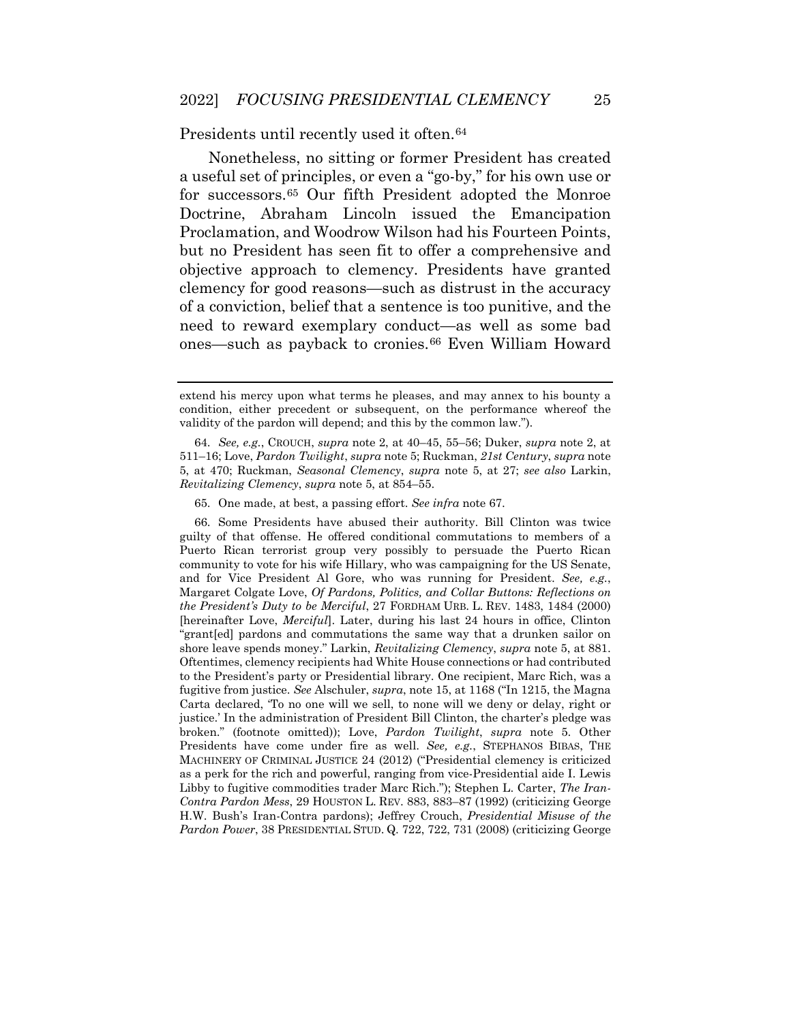Presidents until recently used it often.<sup>[64](#page-25-0)</sup>

Nonetheless, no sitting or former President has created a useful set of principles, or even a "go-by," for his own use or for successors.[65](#page-25-1) Our fifth President adopted the Monroe Doctrine, Abraham Lincoln issued the Emancipation Proclamation, and Woodrow Wilson had his Fourteen Points, but no President has seen fit to offer a comprehensive and objective approach to clemency. Presidents have granted clemency for good reasons—such as distrust in the accuracy of a conviction, belief that a sentence is too punitive, and the need to reward exemplary conduct—as well as some bad ones—such as payback to cronies.[66](#page-25-2) Even William Howard

65. One made, at best, a passing effort. *See infra* note 67.

<span id="page-25-2"></span><span id="page-25-1"></span><span id="page-25-0"></span>66. Some Presidents have abused their authority. Bill Clinton was twice guilty of that offense. He offered conditional commutations to members of a Puerto Rican terrorist group very possibly to persuade the Puerto Rican community to vote for his wife Hillary, who was campaigning for the US Senate, and for Vice President Al Gore, who was running for President. *See, e.g.*, Margaret Colgate Love, *Of Pardons, Politics, and Collar Buttons: Reflections on the President's Duty to be Merciful*, 27 FORDHAM URB. L. REV. 1483, 1484 (2000) [hereinafter Love, *Merciful*]. Later, during his last 24 hours in office, Clinton "grant[ed] pardons and commutations the same way that a drunken sailor on shore leave spends money." Larkin, *Revitalizing Clemency*, *supra* note 5, at 881. Oftentimes, clemency recipients had White House connections or had contributed to the President's party or Presidential library. One recipient, Marc Rich, was a fugitive from justice. *See* Alschuler, *supra*, note 15, at 1168 ("In 1215, the Magna Carta declared, 'To no one will we sell, to none will we deny or delay, right or justice.' In the administration of President Bill Clinton, the charter's pledge was broken." (footnote omitted)); Love, *Pardon Twilight*, *supra* note 5. Other Presidents have come under fire as well. *See, e.g.*, STEPHANOS BIBAS, THE MACHINERY OF CRIMINAL JUSTICE 24 (2012) ("Presidential clemency is criticized as a perk for the rich and powerful, ranging from vice-Presidential aide I. Lewis Libby to fugitive commodities trader Marc Rich."); Stephen L. Carter, *The Iran-Contra Pardon Mess*, 29 HOUSTON L. REV. 883, 883–87 (1992) (criticizing George H.W. Bush's Iran-Contra pardons); Jeffrey Crouch, *Presidential Misuse of the Pardon Power*, 38 PRESIDENTIAL STUD. Q. 722, 722, 731 (2008) (criticizing George

extend his mercy upon what terms he pleases, and may annex to his bounty a condition, either precedent or subsequent, on the performance whereof the validity of the pardon will depend; and this by the common law.").

<sup>64.</sup> *See, e.g.*, CROUCH, *supra* note 2, at 40–45, 55–56; Duker, *supra* note 2, at 511–16; Love, *Pardon Twilight*, *supra* note 5; Ruckman, *21st Century*, *supra* note 5, at 470; Ruckman, *Seasonal Clemency*, *supra* note 5, at 27; *see also* Larkin, *Revitalizing Clemency*, *supra* note 5, at 854–55.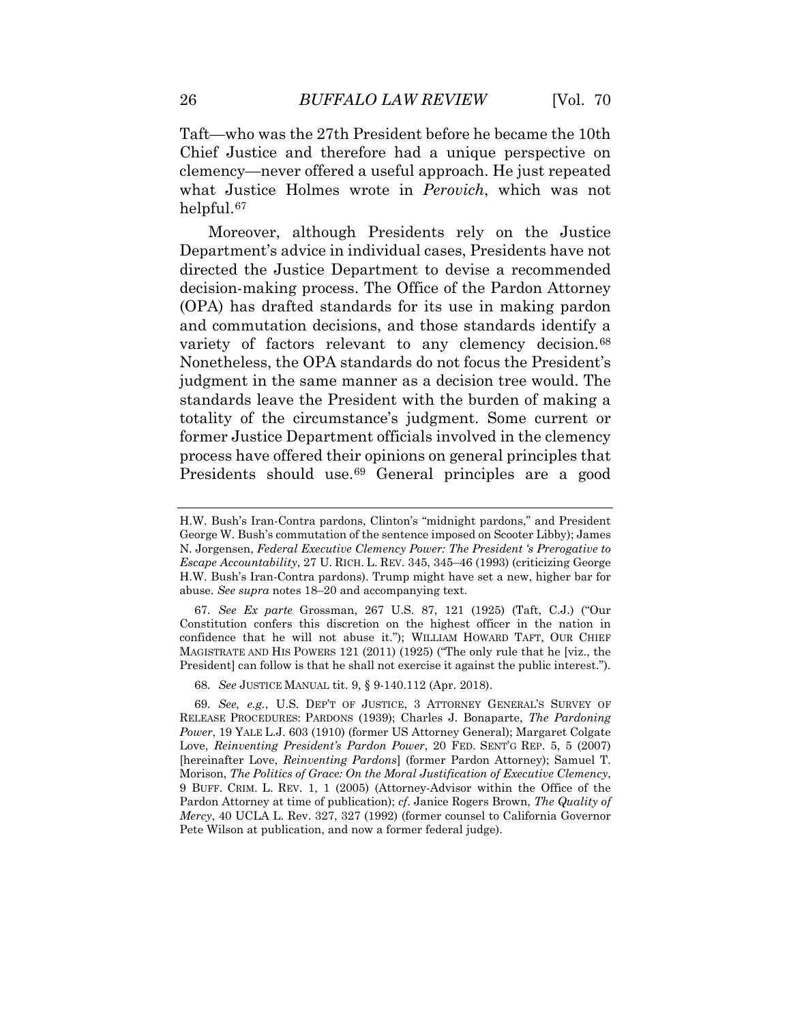Taft—who was the 27th President before he became the 10th Chief Justice and therefore had a unique perspective on clemency—never offered a useful approach. He just repeated what Justice Holmes wrote in *Perovich*, which was not helpful.[67](#page-26-0)

Moreover, although Presidents rely on the Justice Department's advice in individual cases, Presidents have not directed the Justice Department to devise a recommended decision-making process. The Office of the Pardon Attorney (OPA) has drafted standards for its use in making pardon and commutation decisions, and those standards identify a variety of factors relevant to any clemency decision.<sup>[68](#page-26-1)</sup> Nonetheless, the OPA standards do not focus the President's judgment in the same manner as a decision tree would. The standards leave the President with the burden of making a totality of the circumstance's judgment. Some current or former Justice Department officials involved in the clemency process have offered their opinions on general principles that Presidents should use.[69](#page-26-2) General principles are a good

68. *See* JUSTICE MANUAL tit. 9, § 9-140.112 (Apr. 2018).

<span id="page-26-2"></span><span id="page-26-1"></span><span id="page-26-0"></span>69. *See, e.g.*, U.S. DEP'T OF JUSTICE, 3 ATTORNEY GENERAL'S SURVEY OF RELEASE PROCEDURES: PARDONS (1939); Charles J. Bonaparte, *The Pardoning Power*, 19 YALE L.J. 603 (1910) (former US Attorney General); Margaret Colgate Love, *Reinventing President's Pardon Power*, 20 FED. SENT'G REP. 5, 5 (2007) [hereinafter Love, *Reinventing Pardons*] (former Pardon Attorney); Samuel T. Morison, *The Politics of Grace: On the Moral Justification of Executive Clemency*, 9 BUFF. CRIM. L. REV. 1, 1 (2005) (Attorney-Advisor within the Office of the Pardon Attorney at time of publication); *cf*. Janice Rogers Brown, *The Quality of Mercy*, 40 UCLA L. Rev. 327, 327 (1992) (former counsel to California Governor Pete Wilson at publication, and now a former federal judge).

H.W. Bush's Iran-Contra pardons, Clinton's "midnight pardons," and President George W. Bush's commutation of the sentence imposed on Scooter Libby); James N. Jorgensen, *Federal Executive Clemency Power: The President 's Prerogative to Escape Accountability*, 27 U. RICH. L. REV. 345, 345–46 (1993) (criticizing George H.W. Bush's Iran-Contra pardons). Trump might have set a new, higher bar for abuse. *See supra* notes 18–20 and accompanying text.

<sup>67.</sup> *See Ex parte* Grossman, 267 U.S. 87, 121 (1925) (Taft, C.J.) ("Our Constitution confers this discretion on the highest officer in the nation in confidence that he will not abuse it."); WILLIAM HOWARD TAFT, OUR CHIEF MAGISTRATE AND HIS POWERS 121 (2011) (1925) ("The only rule that he [viz., the President] can follow is that he shall not exercise it against the public interest.").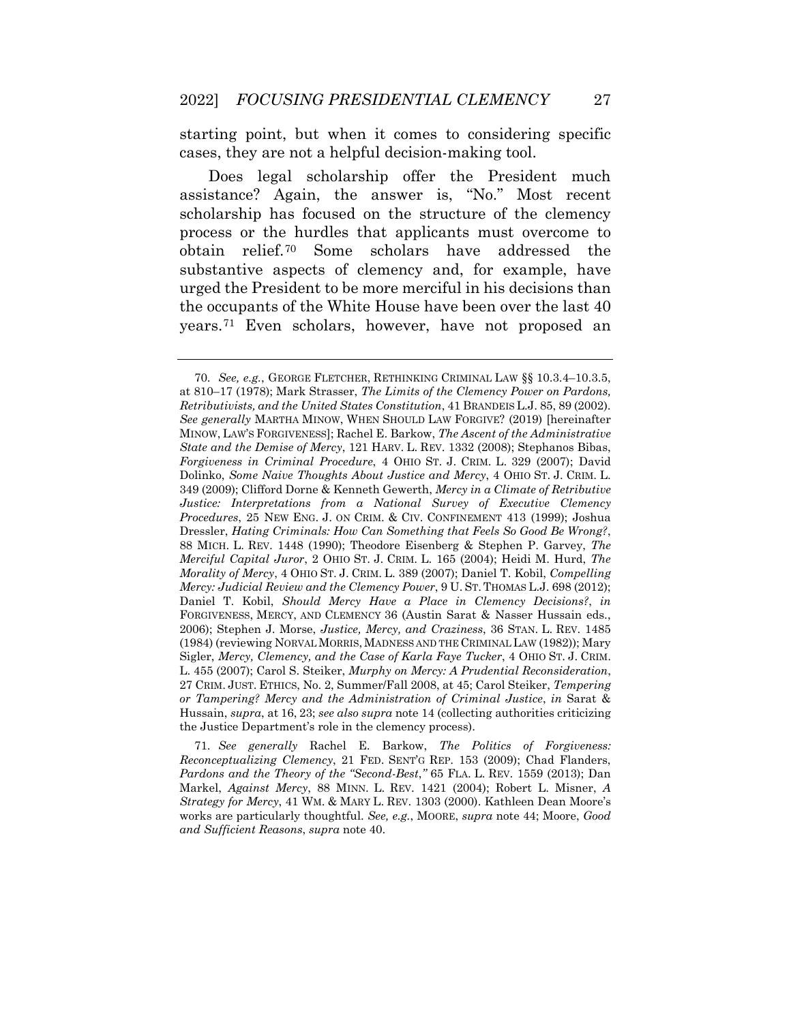starting point, but when it comes to considering specific cases, they are not a helpful decision-making tool.

Does legal scholarship offer the President much assistance? Again, the answer is, "No." Most recent scholarship has focused on the structure of the clemency process or the hurdles that applicants must overcome to obtain relief.[70](#page-27-0) Some scholars have addressed the substantive aspects of clemency and, for example, have urged the President to be more merciful in his decisions than the occupants of the White House have been over the last 40 years.[71](#page-28-0) Even scholars, however, have not proposed an

71. *See generally* Rachel E. Barkow, *The Politics of Forgiveness: Reconceptualizing Clemency*, 21 FED. SENT'G REP. 153 (2009); Chad Flanders, *Pardons and the Theory of the "Second-Best*,*"* 65 FLA. L. REV. 1559 (2013); Dan Markel, *Against Mercy*, 88 MINN. L. REV. 1421 (2004); Robert L. Misner, *A Strategy for Mercy*, 41 WM. & MARY L. REV. 1303 (2000). Kathleen Dean Moore's works are particularly thoughtful. *See, e.g.*, MOORE, *supra* note 44; Moore, *Good and Sufficient Reasons*, *supra* note 40.

<span id="page-27-0"></span><sup>70.</sup> *See, e.g.*, GEORGE FLETCHER, RETHINKING CRIMINAL LAW §§ 10.3.4–10.3.5, at 810–17 (1978); Mark Strasser, *The Limits of the Clemency Power on Pardons, Retributivists, and the United States Constitution*, 41 BRANDEIS L.J. 85, 89 (2002). *See generally* MARTHA MINOW, WHEN SHOULD LAW FORGIVE? (2019) [hereinafter MINOW, LAW'S FORGIVENESS]; Rachel E. Barkow, *The Ascent of the Administrative State and the Demise of Mercy*, 121 HARV. L. REV. 1332 (2008); Stephanos Bibas, *Forgiveness in Criminal Procedure*, 4 OHIO ST. J. CRIM. L. 329 (2007); David Dolinko, *Some Naive Thoughts About Justice and Mercy*, 4 OHIO ST. J. CRIM. L. 349 (2009); Clifford Dorne & Kenneth Gewerth, *Mercy in a Climate of Retributive Justice: Interpretations from a National Survey of Executive Clemency Procedures*, 25 NEW ENG. J. ON CRIM. & CIV. CONFINEMENT 413 (1999); Joshua Dressler, *Hating Criminals: How Can Something that Feels So Good Be Wrong?*, 88 MICH. L. REV. 1448 (1990); Theodore Eisenberg & Stephen P. Garvey, *The Merciful Capital Juror*, 2 OHIO ST. J. CRIM. L. 165 (2004); Heidi M. Hurd, *The Morality of Mercy*, 4 OHIO ST. J. CRIM. L. 389 (2007); Daniel T. Kobil, *Compelling Mercy: Judicial Review and the Clemency Power*, 9 U. ST. THOMAS L.J. 698 (2012); Daniel T. Kobil, *Should Mercy Have a Place in Clemency Decisions?*, *in* FORGIVENESS, MERCY, AND CLEMENCY 36 (Austin Sarat & Nasser Hussain eds., 2006); Stephen J. Morse, *Justice, Mercy, and Craziness*, 36 STAN. L. REV. 1485 (1984) (reviewing NORVAL MORRIS, MADNESS AND THE CRIMINAL LAW (1982)); Mary Sigler, *Mercy, Clemency, and the Case of Karla Faye Tucker*, 4 OHIO ST. J. CRIM. L. 455 (2007); Carol S. Steiker, *Murphy on Mercy: A Prudential Reconsideration*, 27 CRIM. JUST. ETHICS, No. 2, Summer/Fall 2008, at 45; Carol Steiker, *Tempering or Tampering? Mercy and the Administration of Criminal Justice*, *in* Sarat & Hussain, *supra*, at 16, 23; *see also supra* note 14 (collecting authorities criticizing the Justice Department's role in the clemency process).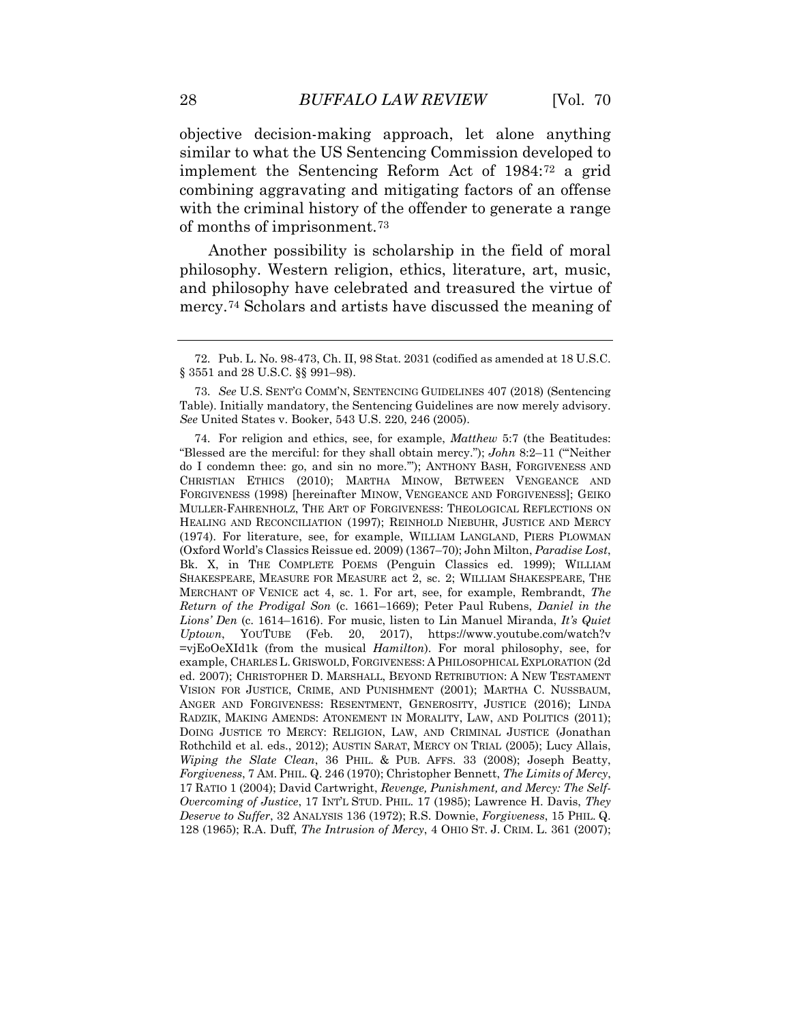objective decision-making approach, let alone anything similar to what the US Sentencing Commission developed to implement the Sentencing Reform Act of 1984:[72](#page-28-1) a grid combining aggravating and mitigating factors of an offense with the criminal history of the offender to generate a range of months of imprisonment.[73](#page-28-2)

Another possibility is scholarship in the field of moral philosophy. Western religion, ethics, literature, art, music, and philosophy have celebrated and treasured the virtue of mercy.[74](#page-28-3) Scholars and artists have discussed the meaning of

<sup>72.</sup> Pub. L. No. 98-473, Ch. II, 98 Stat. 2031 (codified as amended at 18 U.S.C. § 3551 and 28 U.S.C. §§ 991-98).

<span id="page-28-0"></span><sup>73.</sup> *See* U.S. SENT'G COMM'N, SENTENCING GUIDELINES 407 (2018) (Sentencing Table). Initially mandatory, the Sentencing Guidelines are now merely advisory. *See* United States v. Booker, 543 U.S. 220, 246 (2005).

<span id="page-28-3"></span><span id="page-28-2"></span><span id="page-28-1"></span><sup>74.</sup> For religion and ethics, see, for example, *Matthew* 5:7 (the Beatitudes: "Blessed are the merciful: for they shall obtain mercy."); *John* 8:2–11 ("'Neither do I condemn thee: go, and sin no more.'"); ANTHONY BASH, FORGIVENESS AND CHRISTIAN ETHICS (2010); MARTHA MINOW, BETWEEN VENGEANCE AND FORGIVENESS (1998) [hereinafter MINOW, VENGEANCE AND FORGIVENESS]; GEIKO MULLER-FAHRENHOLZ, THE ART OF FORGIVENESS: THEOLOGICAL REFLECTIONS ON HEALING AND RECONCILIATION (1997); REINHOLD NIEBUHR, JUSTICE AND MERCY (1974). For literature, see, for example, WILLIAM LANGLAND, PIERS PLOWMAN (Oxford World's Classics Reissue ed. 2009) (1367–70); John Milton, *Paradise Lost*, Bk. X, in THE COMPLETE POEMS (Penguin Classics ed. 1999); WILLIAM SHAKESPEARE, MEASURE FOR MEASURE act 2, sc. 2; WILLIAM SHAKESPEARE, THE MERCHANT OF VENICE act 4, sc. 1. For art, see, for example, Rembrandt, *The Return of the Prodigal Son* (c. 1661–1669); Peter Paul Rubens, *Daniel in the Lions' Den* (c. 1614–1616). For music, listen to Lin Manuel Miranda, *It's Quiet Uptown*, YOUTUBE (Feb. 20, 2017), https://www.youtube.com/watch?v =vjEoOeXId1k (from the musical *Hamilton*). For moral philosophy, see, for example, CHARLES L. GRISWOLD, FORGIVENESS: A PHILOSOPHICAL EXPLORATION (2d ed. 2007); CHRISTOPHER D. MARSHALL, BEYOND RETRIBUTION: A NEW TESTAMENT VISION FOR JUSTICE, CRIME, AND PUNISHMENT (2001); MARTHA C. NUSSBAUM, ANGER AND FORGIVENESS: RESENTMENT, GENEROSITY, JUSTICE (2016); LINDA RADZIK, MAKING AMENDS: ATONEMENT IN MORALITY, LAW, AND POLITICS (2011); DOING JUSTICE TO MERCY: RELIGION, LAW, AND CRIMINAL JUSTICE (Jonathan Rothchild et al. eds., 2012); AUSTIN SARAT, MERCY ON TRIAL (2005); Lucy Allais, *Wiping the Slate Clean*, 36 PHIL. & PUB. AFFS. 33 (2008); Joseph Beatty, *Forgiveness*, 7 AM. PHIL. Q. 246 (1970); Christopher Bennett, *The Limits of Mercy*, 17 RATIO 1 (2004); David Cartwright, *Revenge, Punishment, and Mercy: The Self-Overcoming of Justice*, 17 INT'L STUD. PHIL. 17 (1985); Lawrence H. Davis, *They Deserve to Suffer*, 32 ANALYSIS 136 (1972); R.S. Downie, *Forgiveness*, 15 PHIL. Q. 128 (1965); R.A. Duff, *The Intrusion of Mercy*, 4 OHIO ST. J. CRIM. L. 361 (2007);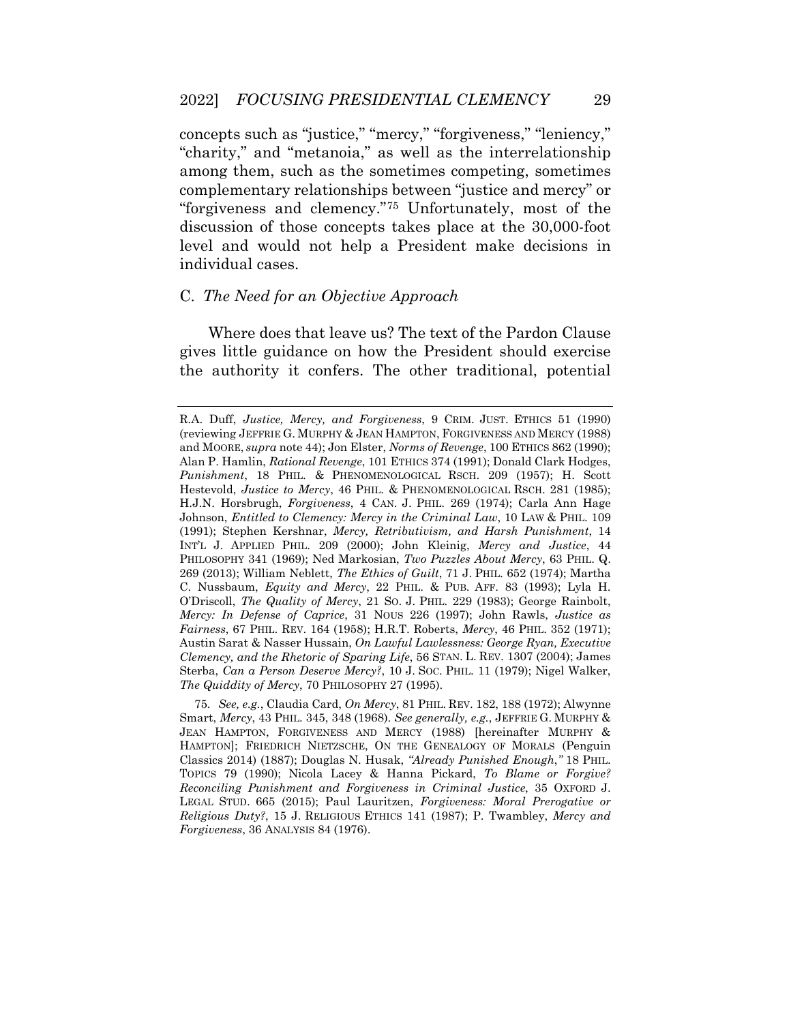concepts such as "justice," "mercy," "forgiveness," "leniency," "charity," and "metanoia," as well as the interrelationship among them, such as the sometimes competing, sometimes complementary relationships between "justice and mercy" or "forgiveness and clemency."[75](#page-29-0) Unfortunately, most of the discussion of those concepts takes place at the 30,000-foot level and would not help a President make decisions in individual cases.

#### C. *The Need for an Objective Approach*

Where does that leave us? The text of the Pardon Clause gives little guidance on how the President should exercise the authority it confers. The other traditional, potential

R.A. Duff, *Justice, Mercy, and Forgiveness*, 9 CRIM. JUST. ETHICS 51 (1990) (reviewing JEFFRIE G. MURPHY & JEAN HAMPTON, FORGIVENESS AND MERCY (1988) and MOORE, *supra* note 44); Jon Elster, *Norms of Revenge*, 100 ETHICS 862 (1990); Alan P. Hamlin, *Rational Revenge*, 101 ETHICS 374 (1991); Donald Clark Hodges, *Punishment*, 18 PHIL. & PHENOMENOLOGICAL RSCH. 209 (1957); H. Scott Hestevold, *Justice to Mercy*, 46 PHIL. & PHENOMENOLOGICAL RSCH. 281 (1985); H.J.N. Horsbrugh, *Forgiveness*, 4 CAN. J. PHIL. 269 (1974); Carla Ann Hage Johnson, *Entitled to Clemency: Mercy in the Criminal Law*, 10 LAW & PHIL. 109 (1991); Stephen Kershnar, *Mercy, Retributivism, and Harsh Punishment*, 14 INT'L J. APPLIED PHIL. 209 (2000); John Kleinig, *Mercy and Justice*, 44 PHILOSOPHY 341 (1969); Ned Markosian, *Two Puzzles About Mercy*, 63 PHIL. Q. 269 (2013); William Neblett, *The Ethics of Guilt*, 71 J. PHIL. 652 (1974); Martha C. Nussbaum, *Equity and Mercy*, 22 PHIL. & PUB. AFF. 83 (1993); Lyla H. O'Driscoll, *The Quality of Mercy*, 21 SO. J. PHIL. 229 (1983); George Rainbolt, *Mercy: In Defense of Caprice*, 31 NOUS 226 (1997); John Rawls, *Justice as Fairness*, 67 PHIL. REV. 164 (1958); H.R.T. Roberts, *Mercy*, 46 PHIL. 352 (1971); Austin Sarat & Nasser Hussain, *On Lawful Lawlessness: George Ryan, Executive Clemency, and the Rhetoric of Sparing Life*, 56 STAN. L. REV. 1307 (2004); James Sterba, *Can a Person Deserve Mercy?*, 10 J. SOC. PHIL. 11 (1979); Nigel Walker, *The Quiddity of Mercy*, 70 PHILOSOPHY 27 (1995).

<span id="page-29-0"></span><sup>75.</sup> *See, e.g.*, Claudia Card, *On Mercy*, 81 PHIL. REV. 182, 188 (1972); Alwynne Smart, *Mercy*, 43 PHIL. 345, 348 (1968). *See generally, e.g.*, JEFFRIE G. MURPHY & JEAN HAMPTON, FORGIVENESS AND MERCY (1988) [hereinafter MURPHY & HAMPTON]; FRIEDRICH NIETZSCHE, ON THE GENEALOGY OF MORALS (Penguin Classics 2014) (1887); Douglas N. Husak, *"Already Punished Enough*,*"* 18 PHIL. TOPICS 79 (1990); Nicola Lacey & Hanna Pickard, *To Blame or Forgive? Reconciling Punishment and Forgiveness in Criminal Justice*, 35 OXFORD J. LEGAL STUD. 665 (2015); Paul Lauritzen, *Forgiveness: Moral Prerogative or Religious Duty?*, 15 J. RELIGIOUS ETHICS 141 (1987); P. Twambley, *Mercy and Forgiveness*, 36 ANALYSIS 84 (1976).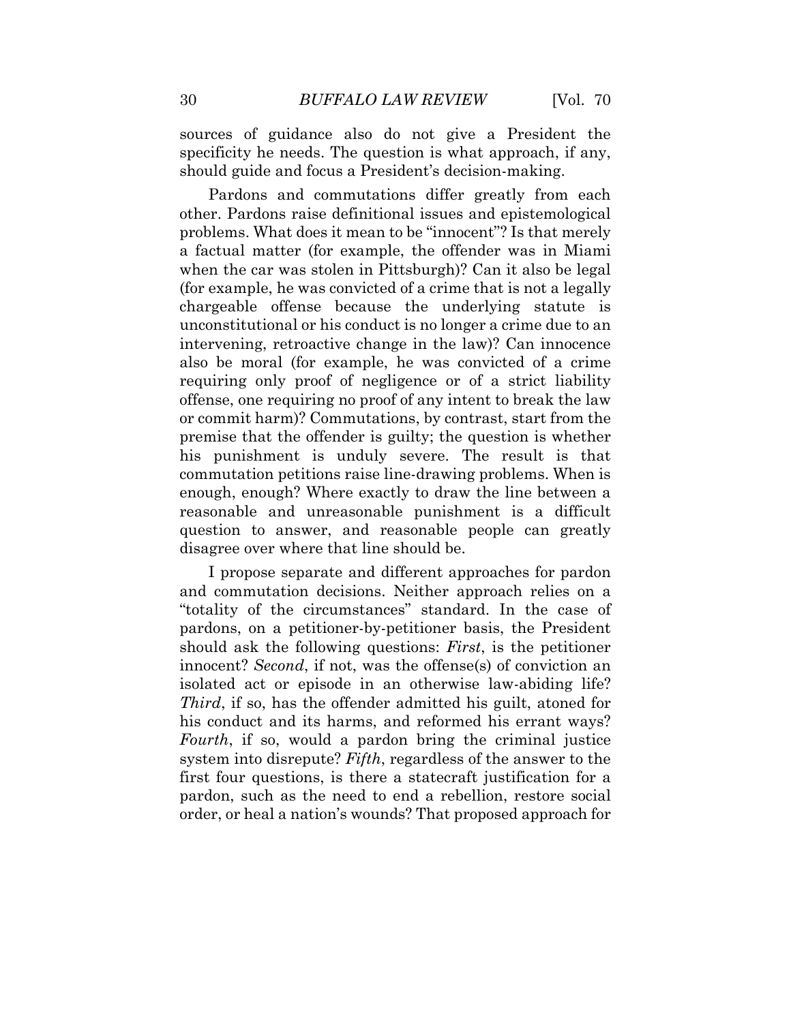sources of guidance also do not give a President the specificity he needs. The question is what approach, if any, should guide and focus a President's decision-making.

Pardons and commutations differ greatly from each other. Pardons raise definitional issues and epistemological problems. What does it mean to be "innocent"? Is that merely a factual matter (for example, the offender was in Miami when the car was stolen in Pittsburgh)? Can it also be legal (for example, he was convicted of a crime that is not a legally chargeable offense because the underlying statute is unconstitutional or his conduct is no longer a crime due to an intervening, retroactive change in the law)? Can innocence also be moral (for example, he was convicted of a crime requiring only proof of negligence or of a strict liability offense, one requiring no proof of any intent to break the law or commit harm)? Commutations, by contrast, start from the premise that the offender is guilty; the question is whether his punishment is unduly severe. The result is that commutation petitions raise line-drawing problems. When is enough, enough? Where exactly to draw the line between a reasonable and unreasonable punishment is a difficult question to answer, and reasonable people can greatly disagree over where that line should be.

I propose separate and different approaches for pardon and commutation decisions. Neither approach relies on a "totality of the circumstances" standard. In the case of pardons, on a petitioner-by-petitioner basis, the President should ask the following questions: *First*, is the petitioner innocent? *Second*, if not, was the offense(s) of conviction an isolated act or episode in an otherwise law-abiding life? *Third*, if so, has the offender admitted his guilt, atoned for his conduct and its harms, and reformed his errant ways? *Fourth*, if so, would a pardon bring the criminal justice system into disrepute? *Fifth*, regardless of the answer to the first four questions, is there a statecraft justification for a pardon, such as the need to end a rebellion, restore social order, or heal a nation's wounds? That proposed approach for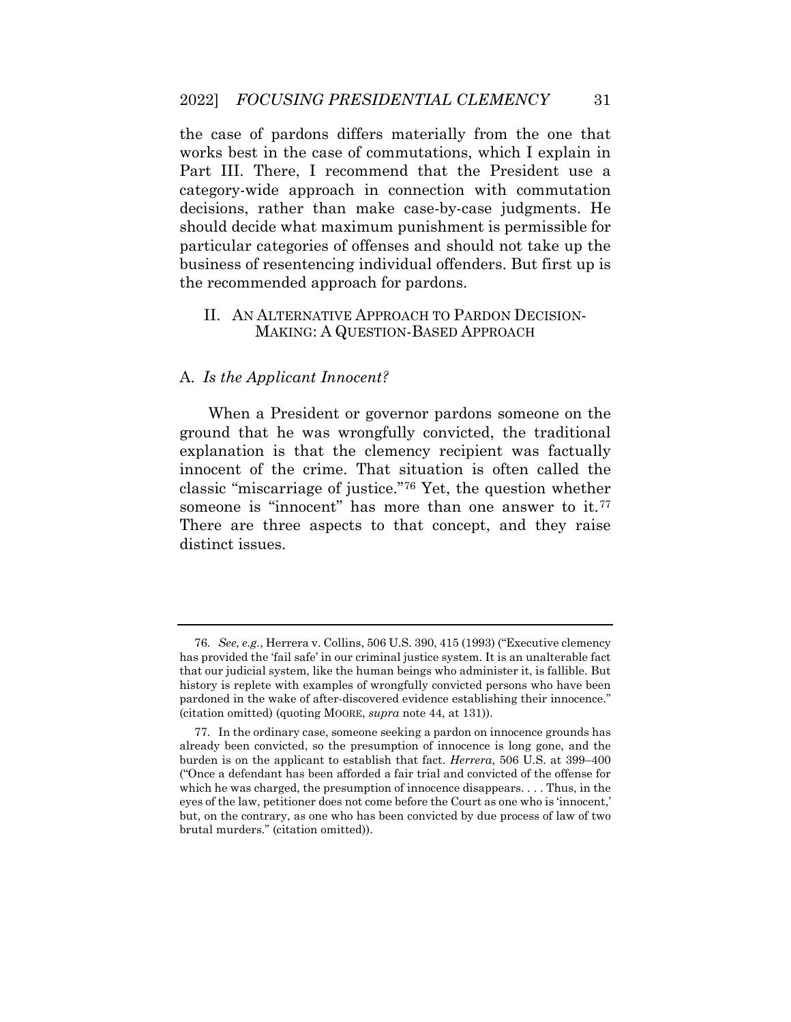the case of pardons differs materially from the one that works best in the case of commutations, which I explain in Part III. There, I recommend that the President use a category-wide approach in connection with commutation decisions, rather than make case-by-case judgments. He should decide what maximum punishment is permissible for particular categories of offenses and should not take up the business of resentencing individual offenders. But first up is the recommended approach for pardons.

#### II. AN ALTERNATIVE APPROACH TO PARDON DECISION-MAKING: A QUESTION-BASED APPROACH

#### A. *Is the Applicant Innocent?*

When a President or governor pardons someone on the ground that he was wrongfully convicted, the traditional explanation is that the clemency recipient was factually innocent of the crime. That situation is often called the classic "miscarriage of justice."[76](#page-31-0) Yet, the question whether someone is "innocent" has more than one answer to it.<sup>[77](#page-31-1)</sup> There are three aspects to that concept, and they raise distinct issues.

<sup>76.</sup> *See, e.g.*, Herrera v. Collins, 506 U.S. 390, 415 (1993) ("Executive clemency has provided the 'fail safe' in our criminal justice system. It is an unalterable fact that our judicial system, like the human beings who administer it, is fallible. But history is replete with examples of wrongfully convicted persons who have been pardoned in the wake of after-discovered evidence establishing their innocence." (citation omitted) (quoting MOORE, *supra* note 44, at 131)).

<span id="page-31-1"></span><span id="page-31-0"></span><sup>77.</sup> In the ordinary case, someone seeking a pardon on innocence grounds has already been convicted, so the presumption of innocence is long gone, and the burden is on the applicant to establish that fact. *Herrera*, 506 U.S. at 399–400 ("Once a defendant has been afforded a fair trial and convicted of the offense for which he was charged, the presumption of innocence disappears. . . . Thus, in the eyes of the law, petitioner does not come before the Court as one who is 'innocent,' but, on the contrary, as one who has been convicted by due process of law of two brutal murders." (citation omitted)).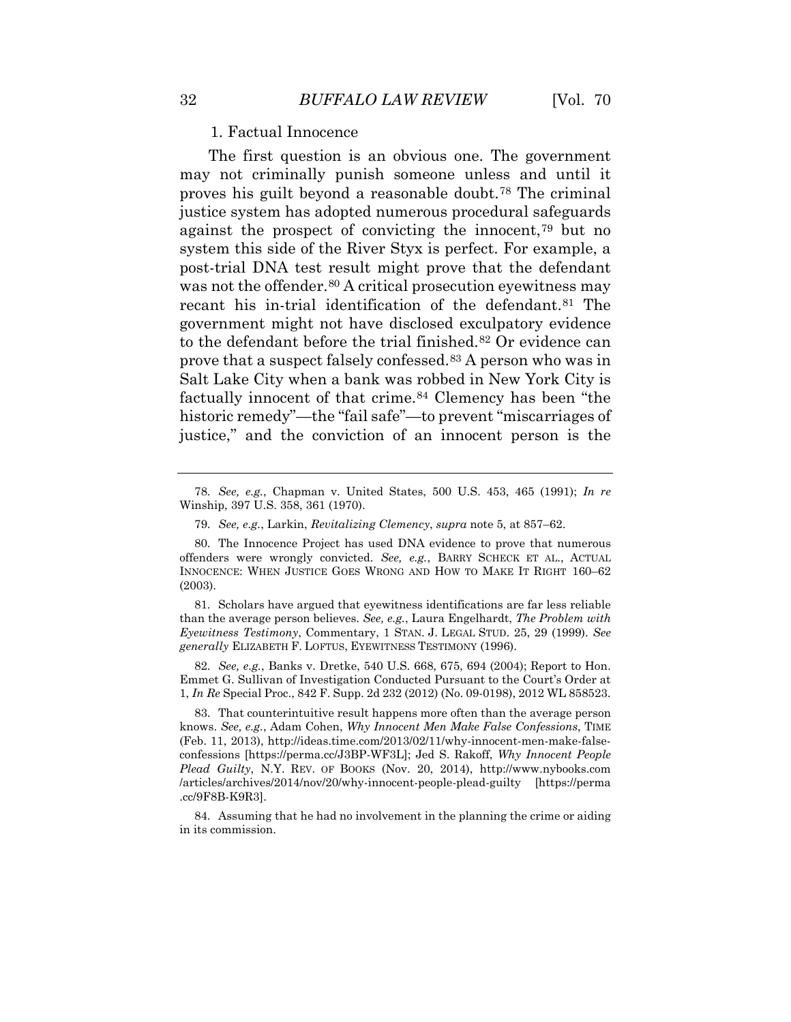#### 1. Factual Innocence

The first question is an obvious one. The government may not criminally punish someone unless and until it proves his guilt beyond a reasonable doubt.[78](#page-33-0) The criminal justice system has adopted numerous procedural safeguards against the prospect of convicting the innocent,[79](#page-33-1) but no system this side of the River Styx is perfect. For example, a post-trial DNA test result might prove that the defendant was not the offender.<sup>[80](#page-33-2)</sup> A critical prosecution eyewitness may recant his in-trial identification of the defendant.[81](#page-33-3) The government might not have disclosed exculpatory evidence to the defendant before the trial finished.[82](#page-33-4) Or evidence can prove that a suspect falsely confessed.[83](#page-33-5) A person who was in Salt Lake City when a bank was robbed in New York City is factually innocent of that crime.<sup>[84](#page-33-6)</sup> Clemency has been "the historic remedy"—the "fail safe"—to prevent "miscarriages of justice," and the conviction of an innocent person is the

81. Scholars have argued that eyewitness identifications are far less reliable than the average person believes. *See, e.g.*, Laura Engelhardt, *The Problem with Eyewitness Testimony*, Commentary, 1 STAN. J. LEGAL STUD. 25, 29 (1999). *See generally* ELIZABETH F. LOFTUS, EYEWITNESS TESTIMONY (1996).

82. *See, e.g.*, [Banks v. Dretke, 540 U.S. 668, 675, 694 \(2004\);](https://1.next.westlaw.com/Link/Document/FullText?findType=Y&serNum=2004152833&pubNum=0000780&originatingDoc=Ibcdab722b72c11e28578f7ccc38dcbee&refType=RP&fi=co_pp_sp_780_675&originationContext=document&transitionType=DocumentItem&contextData=(sc.Search)#co_pp_sp_780_675) Report to Hon. Emmet G. Sullivan of Investigation Conducted Pursuant to the Court's Order at 1, *In Re* [Special Proc., 842 F. Supp. 2d 232 \(2012\)](https://1.next.westlaw.com/Link/Document/FullText?findType=Y&serNum=2027063336&pubNum=0004637&originatingDoc=Ibcdab722b72c11e28578f7ccc38dcbee&refType=RP&originationContext=document&transitionType=DocumentItem&contextData=(sc.Search)) (No. 09-0198), [2012 WL 858523.](https://1.next.westlaw.com/Link/Document/FullText?findType=Y&serNum=2027320857&pubNum=0000999&originatingDoc=Ibcdab722b72c11e28578f7ccc38dcbee&refType=RP&originationContext=document&transitionType=DocumentItem&contextData=(sc.Search))

<sup>78.</sup> *See, e.g.*, Chapman v. United States, 500 U.S. 453, 465 (1991); *In re* Winship, 397 U.S. 358, 361 (1970).

<sup>79.</sup> *See, e.g.*, Larkin, *Revitalizing Clemency*, *supra* note 5, at 857–62.

<sup>80.</sup> The Innocence Project has used DNA evidence to prove that numerous offenders were wrongly convicted. *See, e.g.*, BARRY SCHECK ET AL., ACTUAL INNOCENCE: WHEN JUSTICE GOES WRONG AND HOW TO MAKE IT RIGHT 160–62 (2003).

<sup>83.</sup> That counterintuitive result happens more often than the average person knows. *See, e.g.*, Adam Cohen, *Why Innocent Men Make False Confessions*, TIME (Feb. 11, 2013), http://ideas.time.com/2013/02/11/why-innocent-men-make-falseconfessions [https://perma.cc/J3BP-WF3L]; Jed S. Rakoff, *Why Innocent People Plead Guilty*, N.Y. REV. OF BOOKS (Nov. 20, 2014), http://www.nybooks.com /articles/archives/2014/nov/20/why-innocent-people-plead-guilty [https://perma .cc/9F8B-K9R3].

<sup>84.</sup> Assuming that he had no involvement in the planning the crime or aiding in its commission.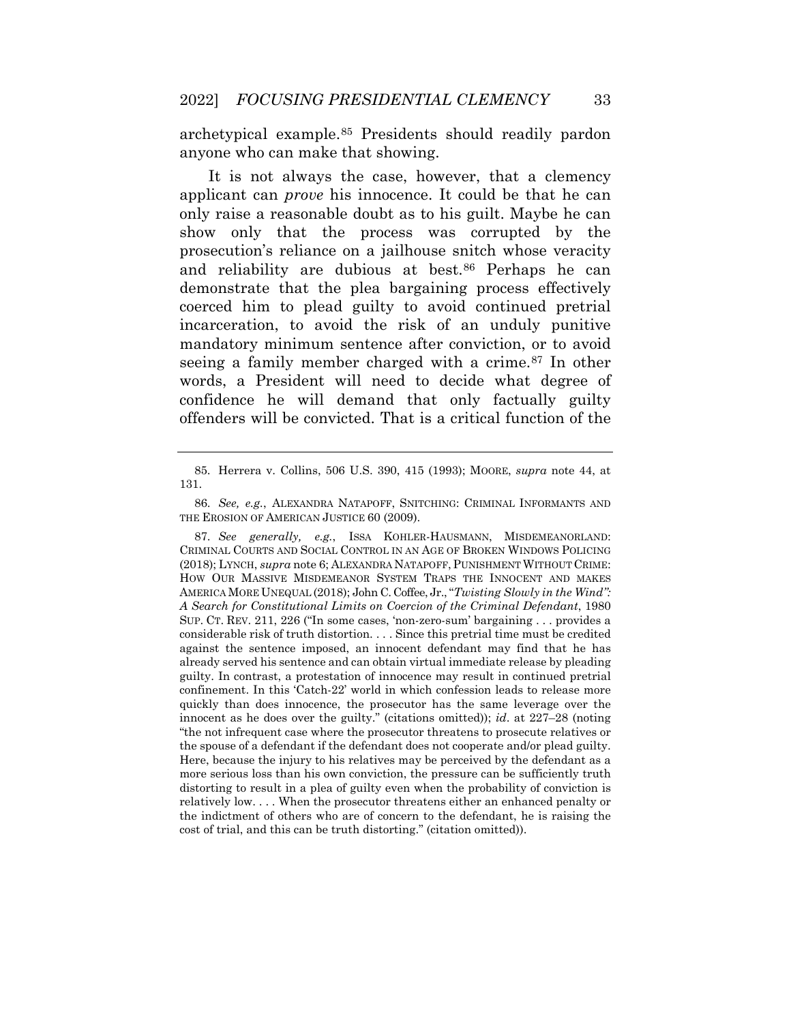archetypical example.[85](#page-34-0) Presidents should readily pardon anyone who can make that showing.

It is not always the case, however, that a clemency applicant can *prove* his innocence. It could be that he can only raise a reasonable doubt as to his guilt. Maybe he can show only that the process was corrupted by the prosecution's reliance on a jailhouse snitch whose veracity and reliability are dubious at best.[86](#page-34-1) Perhaps he can demonstrate that the plea bargaining process effectively coerced him to plead guilty to avoid continued pretrial incarceration, to avoid the risk of an unduly punitive mandatory minimum sentence after conviction, or to avoid seeing a family member charged with a crime.<sup>[87](#page-34-2)</sup> In other words, a President will need to decide what degree of confidence he will demand that only factually guilty offenders will be convicted. That is a critical function of the

<span id="page-33-0"></span><sup>85.</sup> Herrera v. Collins, 506 U.S. 390, 415 (1993); MOORE, *supra* note 44, at 131.

<span id="page-33-1"></span><sup>86.</sup> *See, e.g.*, ALEXANDRA NATAPOFF, SNITCHING: CRIMINAL INFORMANTS AND THE EROSION OF AMERICAN JUSTICE 60 (2009).

<span id="page-33-6"></span><span id="page-33-5"></span><span id="page-33-4"></span><span id="page-33-3"></span><span id="page-33-2"></span><sup>87.</sup> *See generally, e.g.*, ISSA KOHLER-HAUSMANN, MISDEMEANORLAND: CRIMINAL COURTS AND SOCIAL CONTROL IN AN AGE OF BROKEN WINDOWS POLICING (2018); LYNCH, *supra* note 6; ALEXANDRA NATAPOFF, PUNISHMENT WITHOUT CRIME: HOW OUR MASSIVE MISDEMEANOR SYSTEM TRAPS THE INNOCENT AND MAKES AMERICA MORE UNEQUAL (2018); John C. Coffee, Jr., "*Twisting Slowly in the Wind": A Search for Constitutional Limits on Coercion of the Criminal Defendant*, 1980 SUP. CT. REV. 211, 226 ("In some cases, 'non-zero-sum' bargaining . . . provides a considerable risk of truth distortion. . . . Since this pretrial time must be credited against the sentence imposed, an innocent defendant may find that he has already served his sentence and can obtain virtual immediate release by pleading guilty. In contrast, a protestation of innocence may result in continued pretrial confinement. In this 'Catch-22' world in which confession leads to release more quickly than does innocence, the prosecutor has the same leverage over the innocent as he does over the guilty." (citations omitted)); *id*. at 227–28 (noting "the not infrequent case where the prosecutor threatens to prosecute relatives or the spouse of a defendant if the defendant does not cooperate and/or plead guilty. Here, because the injury to his relatives may be perceived by the defendant as a more serious loss than his own conviction, the pressure can be sufficiently truth distorting to result in a plea of guilty even when the probability of conviction is relatively low. . . . When the prosecutor threatens either an enhanced penalty or the indictment of others who are of concern to the defendant, he is raising the cost of trial, and this can be truth distorting." (citation omitted)).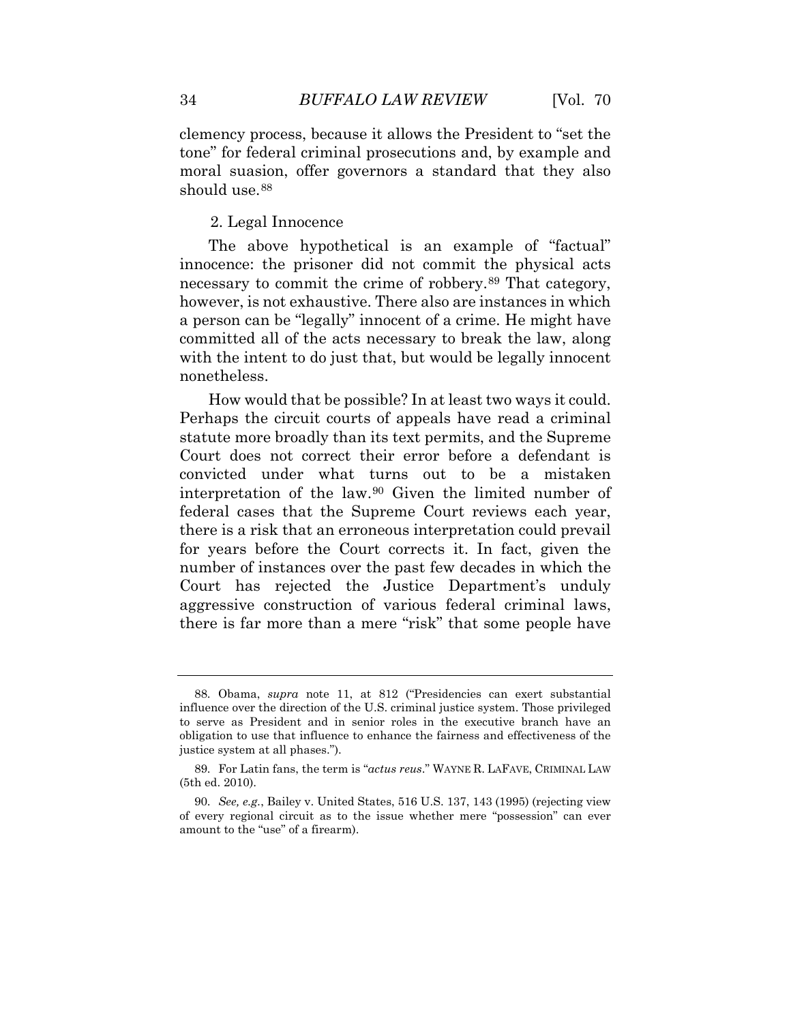clemency process, because it allows the President to "set the tone" for federal criminal prosecutions and, by example and moral suasion, offer governors a standard that they also should use.<sup>[88](#page-35-0)</sup>

#### 2. Legal Innocence

The above hypothetical is an example of "factual" innocence: the prisoner did not commit the physical acts necessary to commit the crime of robbery.[89](#page-35-1) That category, however, is not exhaustive. There also are instances in which a person can be "legally" innocent of a crime. He might have committed all of the acts necessary to break the law, along with the intent to do just that, but would be legally innocent nonetheless.

<span id="page-34-2"></span><span id="page-34-1"></span><span id="page-34-0"></span>How would that be possible? In at least two ways it could. Perhaps the circuit courts of appeals have read a criminal statute more broadly than its text permits, and the Supreme Court does not correct their error before a defendant is convicted under what turns out to be a mistaken interpretation of the law.[90](#page-35-2) Given the limited number of federal cases that the Supreme Court reviews each year, there is a risk that an erroneous interpretation could prevail for years before the Court corrects it. In fact, given the number of instances over the past few decades in which the Court has rejected the Justice Department's unduly aggressive construction of various federal criminal laws, there is far more than a mere "risk" that some people have

<sup>88.</sup> Obama, *supra* note 11, at 812 ("Presidencies can exert substantial influence over the direction of the U.S. criminal justice system. Those privileged to serve as President and in senior roles in the executive branch have an obligation to use that influence to enhance the fairness and effectiveness of the justice system at all phases.").

<sup>89.</sup> For Latin fans, the term is "*actus reus*." WAYNE R. LAFAVE, CRIMINAL LAW (5th ed. 2010).

<sup>90.</sup> *See, e.g.*, Bailey v. United States, 516 U.S. 137, 143 (1995) (rejecting view of every regional circuit as to the issue whether mere "possession" can ever amount to the "use" of a firearm).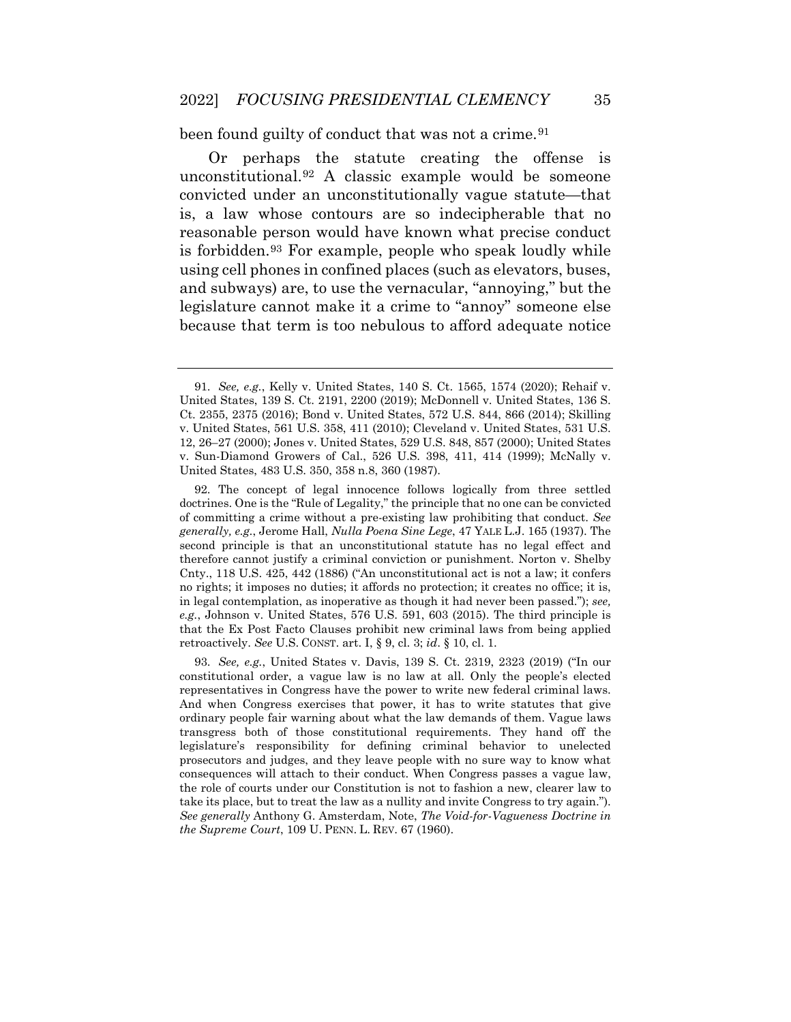been found guilty of conduct that was not a crime.<sup>[91](#page-36-0)</sup>

Or perhaps the statute creating the offense is unconstitutional.[92](#page-36-1) A classic example would be someone convicted under an unconstitutionally vague statute—that is, a law whose contours are so indecipherable that no reasonable person would have known what precise conduct is forbidden.[93](#page-36-2) For example, people who speak loudly while using cell phones in confined places (such as elevators, buses, and subways) are, to use the vernacular, "annoying," but the legislature cannot make it a crime to "annoy" someone else because that term is too nebulous to afford adequate notice

<sup>91.</sup> *See, e.g.*, Kelly v. United States, 140 S. Ct. 1565, 1574 (2020); Rehaif v. United States, 139 S. Ct. 2191, 2200 (2019); McDonnell v. United States, 136 S. Ct. 2355, 2375 (2016); Bond v. United States, 572 U.S. 844, 866 (2014); Skilling v. United States, 561 U.S. 358, 411 (2010); Cleveland v. United States, 531 U.S. 12, 26–27 (2000); Jones v. United States, 529 U.S. 848, 857 (2000); United States v. Sun-Diamond Growers of Cal., 526 U.S. 398, 411, 414 (1999); McNally v. United States, 483 U.S. 350, 358 n.8, 360 (1987).

<sup>92.</sup> The concept of legal innocence follows logically from three settled doctrines. One is the "Rule of Legality," the principle that no one can be convicted of committing a crime without a pre-existing law prohibiting that conduct. *See generally, e.g.*, Jerome Hall, *Nulla Poena Sine Lege*, 47 YALE L.J. 165 (1937). The second principle is that an unconstitutional statute has no legal effect and therefore cannot justify a criminal conviction or punishment. Norton v. Shelby Cnty., 118 U.S. 425, 442 (1886) ("An unconstitutional act is not a law; it confers no rights; it imposes no duties; it affords no protection; it creates no office; it is, in legal contemplation, as inoperative as though it had never been passed."); *see, e.g.*, Johnson v. United States, 576 U.S. 591, 603 (2015). The third principle is that the Ex Post Facto Clauses prohibit new criminal laws from being applied retroactively. *See* U.S. CONST. art. I, § 9, cl. 3; *id*. § 10, cl. 1.

<span id="page-35-2"></span><span id="page-35-1"></span><span id="page-35-0"></span><sup>93.</sup> *See, e.g.*, United States v. Davis, 139 S. Ct. 2319, 2323 (2019) ("In our constitutional order, a vague law is no law at all. Only the people's elected representatives in Congress have the power to write new federal criminal laws. And when Congress exercises that power, it has to write statutes that give ordinary people fair warning about what the law demands of them. Vague laws transgress both of those constitutional requirements. They hand off the legislature's responsibility for defining criminal behavior to unelected prosecutors and judges, and they leave people with no sure way to know what consequences will attach to their conduct. When Congress passes a vague law, the role of courts under our Constitution is not to fashion a new, clearer law to take its place, but to treat the law as a nullity and invite Congress to try again."). *See generally* Anthony G. Amsterdam, Note, *The Void-for-Vagueness Doctrine in the Supreme Court*, 109 U. PENN. L. REV. 67 (1960).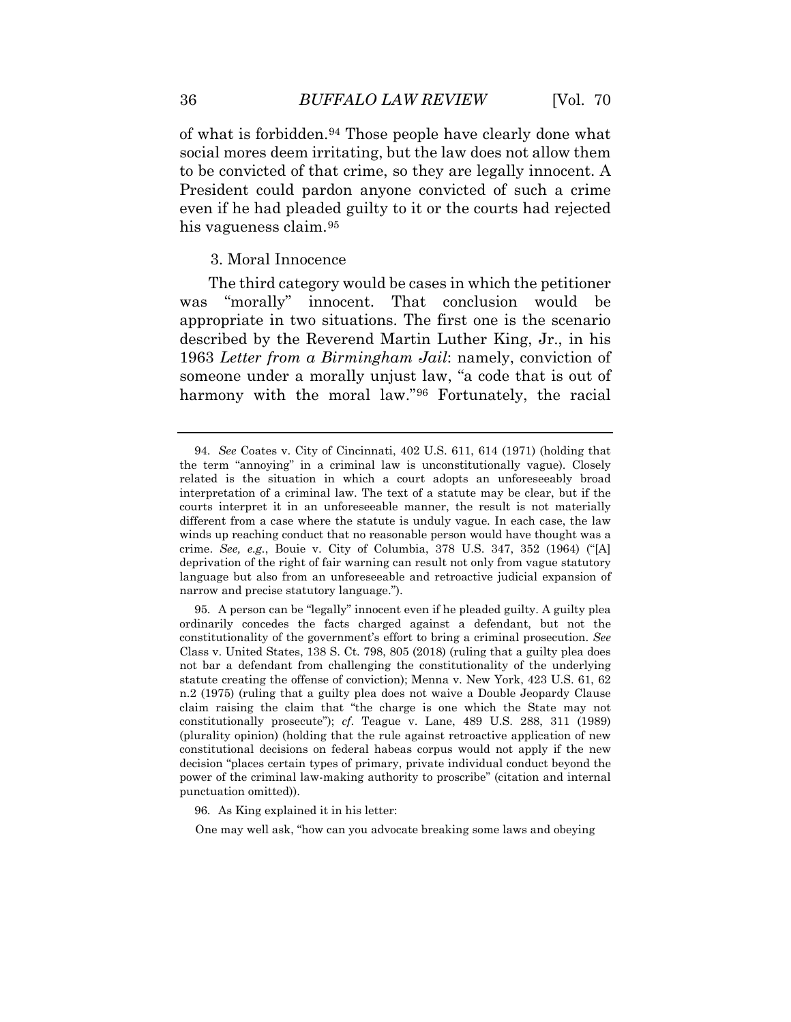of what is forbidden.[94](#page-37-0) Those people have clearly done what social mores deem irritating, but the law does not allow them to be convicted of that crime, so they are legally innocent. A President could pardon anyone convicted of such a crime even if he had pleaded guilty to it or the courts had rejected his vagueness claim.[95](#page-37-1)

### 3. Moral Innocence

The third category would be cases in which the petitioner was "morally" innocent. That conclusion would be appropriate in two situations. The first one is the scenario described by the Reverend Martin Luther King, Jr., in his 1963 *Letter from a Birmingham Jail*: namely, conviction of someone under a morally unjust law, "a code that is out of harmony with the moral law."<sup>[96](#page-38-0)</sup> Fortunately, the racial

96. As King explained it in his letter:

One may well ask, "how can you advocate breaking some laws and obeying

<sup>94.</sup> *See* Coates v. City of Cincinnati, 402 U.S. 611, 614 (1971) (holding that the term "annoying" in a criminal law is unconstitutionally vague). Closely related is the situation in which a court adopts an unforeseeably broad interpretation of a criminal law. The text of a statute may be clear, but if the courts interpret it in an unforeseeable manner, the result is not materially different from a case where the statute is unduly vague. In each case, the law winds up reaching conduct that no reasonable person would have thought was a crime. *See, e.g.*, Bouie v. City of Columbia, 378 U.S. 347, 352 (1964) ("[A] deprivation of the right of fair warning can result not only from vague statutory language but also from an unforeseeable and retroactive judicial expansion of narrow and precise statutory language.").

<sup>95.</sup> A person can be "legally" innocent even if he pleaded guilty. A guilty plea ordinarily concedes the facts charged against a defendant, but not the constitutionality of the government's effort to bring a criminal prosecution. *See* Class v. United States, 138 S. Ct. 798, 805 (2018) (ruling that a guilty plea does not bar a defendant from challenging the constitutionality of the underlying statute creating the offense of conviction); Menna v. New York, 423 U.S. 61, 62 n.2 (1975) (ruling that a guilty plea does not waive a Double Jeopardy Clause claim raising the claim that "the charge is one which the State may not constitutionally prosecute"); *cf*. Teague v. Lane, 489 U.S. 288, 311 (1989) (plurality opinion) (holding that the rule against retroactive application of new constitutional decisions on federal habeas corpus would not apply if the new decision "places certain types of primary, private individual conduct beyond the power of the criminal law-making authority to proscribe" (citation and internal punctuation omitted)).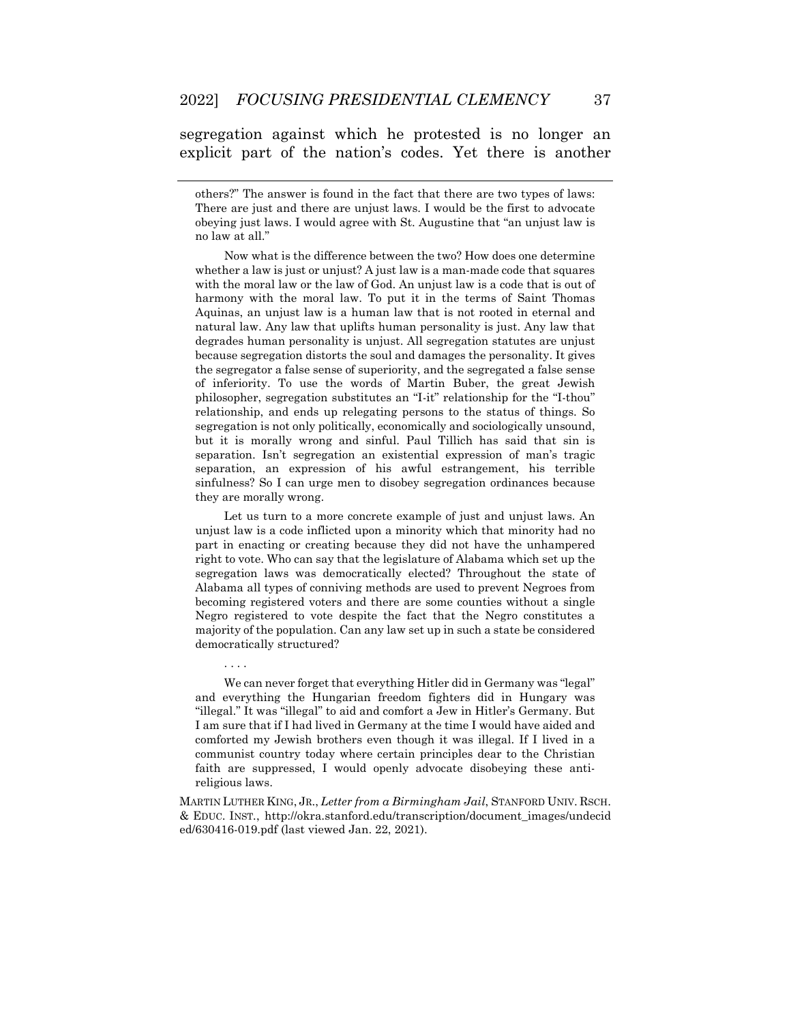segregation against which he protested is no longer an explicit part of the nation's codes. Yet there is another

Now what is the difference between the two? How does one determine whether a law is just or unjust? A just law is a man-made code that squares with the moral law or the law of God. An unjust law is a code that is out of harmony with the moral law. To put it in the terms of Saint Thomas Aquinas, an unjust law is a human law that is not rooted in eternal and natural law. Any law that uplifts human personality is just. Any law that degrades human personality is unjust. All segregation statutes are unjust because segregation distorts the soul and damages the personality. It gives the segregator a false sense of superiority, and the segregated a false sense of inferiority. To use the words of Martin Buber, the great Jewish philosopher, segregation substitutes an "I-it" relationship for the "I-thou" relationship, and ends up relegating persons to the status of things. So segregation is not only politically, economically and sociologically unsound, but it is morally wrong and sinful. Paul Tillich has said that sin is separation. Isn't segregation an existential expression of man's tragic separation, an expression of his awful estrangement, his terrible sinfulness? So I can urge men to disobey segregation ordinances because they are morally wrong.

<span id="page-37-0"></span>Let us turn to a more concrete example of just and unjust laws. An unjust law is a code inflicted upon a minority which that minority had no part in enacting or creating because they did not have the unhampered right to vote. Who can say that the legislature of Alabama which set up the segregation laws was democratically elected? Throughout the state of Alabama all types of conniving methods are used to prevent Negroes from becoming registered voters and there are some counties without a single Negro registered to vote despite the fact that the Negro constitutes a majority of the population. Can any law set up in such a state be considered democratically structured?

<span id="page-37-1"></span>We can never forget that everything Hitler did in Germany was "legal" and everything the Hungarian freedom fighters did in Hungary was "illegal." It was "illegal" to aid and comfort a Jew in Hitler's Germany. But I am sure that if I had lived in Germany at the time I would have aided and comforted my Jewish brothers even though it was illegal. If I lived in a communist country today where certain principles dear to the Christian faith are suppressed, I would openly advocate disobeying these antireligious laws.

. . . .

MARTIN LUTHER KING, JR., *Letter from a Birmingham Jail*, STANFORD UNIV. RSCH. & EDUC. INST*.*, http://okra.stanford.edu/transcription/document\_images/undecid ed/630416-019.pdf (last viewed Jan. 22, 2021).

others?" The answer is found in the fact that there are two types of laws: There are just and there are unjust laws. I would be the first to advocate obeying just laws. I would agree with St. Augustine that "an unjust law is no law at all."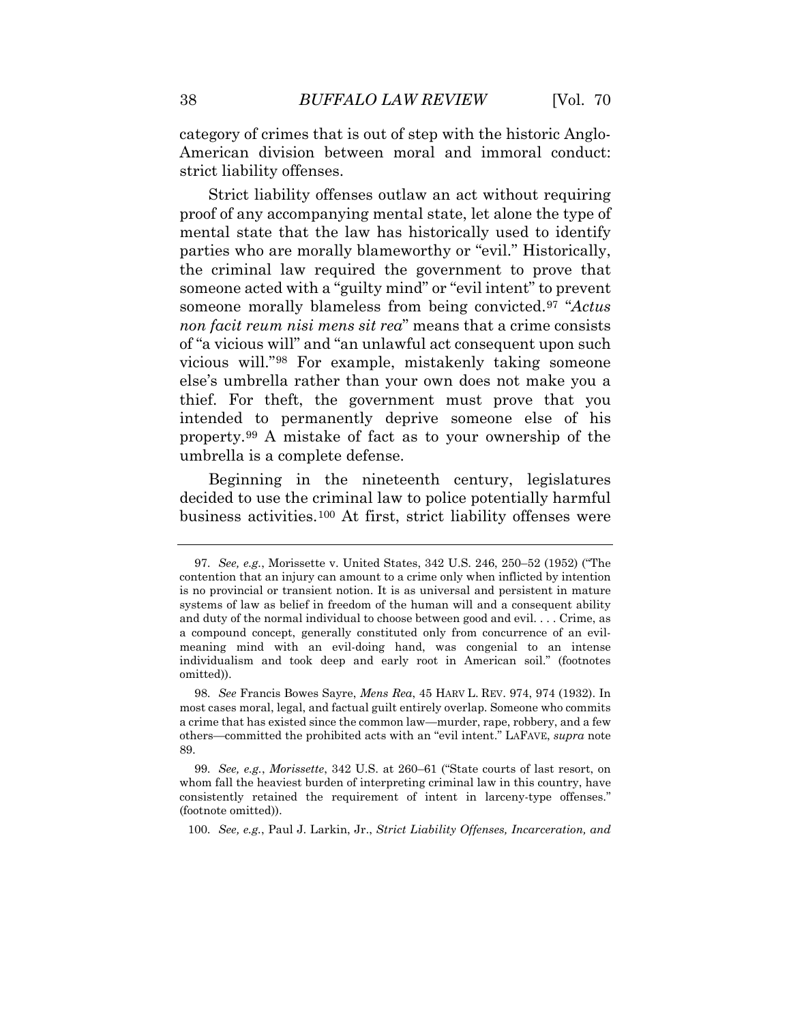category of crimes that is out of step with the historic Anglo-American division between moral and immoral conduct: strict liability offenses.

<span id="page-38-0"></span>Strict liability offenses outlaw an act without requiring proof of any accompanying mental state, let alone the type of mental state that the law has historically used to identify parties who are morally blameworthy or "evil." Historically, the criminal law required the government to prove that someone acted with a "guilty mind" or "evil intent" to prevent someone morally blameless from being convicted.[97](#page-39-0) "*Actus non facit reum nisi mens sit rea*" means that a crime consists of "a vicious will" and "an unlawful act consequent upon such vicious will."[98](#page-39-1) For example, mistakenly taking someone else's umbrella rather than your own does not make you a thief. For theft, the government must prove that you intended to permanently deprive someone else of his property.[99](#page-39-2) A mistake of fact as to your ownership of the umbrella is a complete defense.

Beginning in the nineteenth century, legislatures decided to use the criminal law to police potentially harmful business activities.[100](#page-40-0) At first, strict liability offenses were

100. *See, e.g.*, Paul J. Larkin, Jr., *Strict Liability Offenses, Incarceration, and* 

<sup>97.</sup> *See, e.g.*, Morissette v. United States, 342 U.S. 246, 250–52 (1952) ("The contention that an injury can amount to a crime only when inflicted by intention is no provincial or transient notion. It is as universal and persistent in mature systems of law as belief in freedom of the human will and a consequent ability and duty of the normal individual to choose between good and evil. . . . Crime, as a compound concept, generally constituted only from concurrence of an evilmeaning mind with an evil-doing hand, was congenial to an intense individualism and took deep and early root in American soil." (footnotes omitted)).

<sup>98.</sup> *See* Francis Bowes Sayre, *Mens Rea*, 45 HARV L. REV. 974, 974 (1932). In most cases moral, legal, and factual guilt entirely overlap. Someone who commits a crime that has existed since the common law—murder, rape, robbery, and a few others—committed the prohibited acts with an "evil intent." LAFAVE, *supra* note 89.

<sup>99.</sup> *See, e.g.*, *Morissette*, 342 U.S. at 260–61 ("State courts of last resort, on whom fall the heaviest burden of interpreting criminal law in this country, have consistently retained the requirement of intent in larceny-type offenses." (footnote omitted)).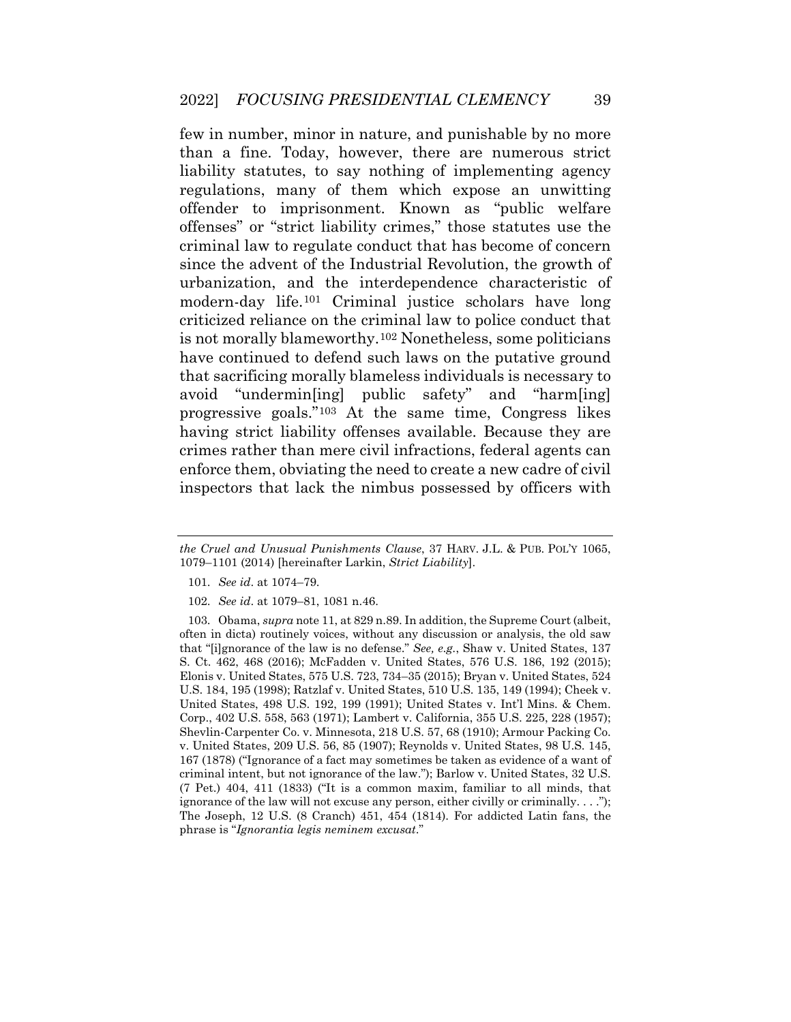few in number, minor in nature, and punishable by no more than a fine. Today, however, there are numerous strict liability statutes, to say nothing of implementing agency regulations, many of them which expose an unwitting offender to imprisonment. Known as "public welfare offenses" or "strict liability crimes," those statutes use the criminal law to regulate conduct that has become of concern since the advent of the Industrial Revolution, the growth of urbanization, and the interdependence characteristic of modern-day life.[101](#page-40-1) Criminal justice scholars have long criticized reliance on the criminal law to police conduct that is not morally blameworthy.[102](#page-40-2) Nonetheless, some politicians have continued to defend such laws on the putative ground that sacrificing morally blameless individuals is necessary to avoid "undermin[ing] public safety" and "harm[ing] progressive goals."[103](#page-40-3) At the same time, Congress likes having strict liability offenses available. Because they are crimes rather than mere civil infractions, federal agents can enforce them, obviating the need to create a new cadre of civil inspectors that lack the nimbus possessed by officers with

- 101. *See id*. at 1074–79.
- 102. *See id*. at 1079–81, 1081 n.46.

<span id="page-39-0"></span>*the Cruel and Unusual Punishments Clause*, 37 HARV. J.L. & PUB. POL'Y 1065, 1079–1101 (2014) [hereinafter Larkin, *Strict Liability*].

<span id="page-39-2"></span><span id="page-39-1"></span><sup>103.</sup> Obama, *supra* note 11, at 829 n.89. In addition, the Supreme Court (albeit, often in dicta) routinely voices, without any discussion or analysis, the old saw that "[i]gnorance of the law is no defense." *See, e.g.*, Shaw v. United States, 137 S. Ct. 462, 468 (2016); McFadden v. United States, 576 U.S. 186, 192 (2015); Elonis v. United States, 575 U.S. 723, 734–35 (2015); Bryan v. United States, 524 U.S. 184, 195 (1998); Ratzlaf v. United States, 510 U.S. 135, 149 (1994); [Cheek v.](https://1.next.westlaw.com/Link/Document/FullText?findType=Y&serNum=1991017903&pubNum=0000780&originatingDoc=I6b3ade8e727b11e28578f7ccc38dcbee&refType=RP&fi=co_pp_sp_780_199&originationContext=document&transitionType=DocumentItem&contextData=(sc.DocLink)#co_pp_sp_780_199)  [United States, 498 U.S. 192, 199 \(1991\);](https://1.next.westlaw.com/Link/Document/FullText?findType=Y&serNum=1991017903&pubNum=0000780&originatingDoc=I6b3ade8e727b11e28578f7ccc38dcbee&refType=RP&fi=co_pp_sp_780_199&originationContext=document&transitionType=DocumentItem&contextData=(sc.DocLink)#co_pp_sp_780_199) [United States v. Int'l Mins. & Chem.](https://1.next.westlaw.com/Link/Document/FullText?findType=Y&serNum=1971127076&pubNum=0000780&originatingDoc=I6b3ade8e727b11e28578f7ccc38dcbee&refType=RP&fi=co_pp_sp_780_563&originationContext=document&transitionType=DocumentItem&contextData=(sc.DocLink)#co_pp_sp_780_563)  [Corp., 402 U.S. 558, 563 \(1971\);](https://1.next.westlaw.com/Link/Document/FullText?findType=Y&serNum=1971127076&pubNum=0000780&originatingDoc=I6b3ade8e727b11e28578f7ccc38dcbee&refType=RP&fi=co_pp_sp_780_563&originationContext=document&transitionType=DocumentItem&contextData=(sc.DocLink)#co_pp_sp_780_563) [Lambert v. California, 355 U.S. 225, 228 \(1957\);](https://1.next.westlaw.com/Link/Document/FullText?findType=Y&serNum=1957127057&pubNum=0000780&originatingDoc=I6b3ade8e727b11e28578f7ccc38dcbee&refType=RP&fi=co_pp_sp_780_228&originationContext=document&transitionType=DocumentItem&contextData=(sc.DocLink)#co_pp_sp_780_228) [Shevlin-Carpenter Co. v. Minnesota, 218 U.S. 57, 68 \(1910\);](https://1.next.westlaw.com/Link/Document/FullText?findType=Y&serNum=1910100367&pubNum=0000780&originatingDoc=I6b3ade8e727b11e28578f7ccc38dcbee&refType=RP&fi=co_pp_sp_780_68&originationContext=document&transitionType=DocumentItem&contextData=(sc.DocLink)#co_pp_sp_780_68) [Armour Packing Co.](https://1.next.westlaw.com/Link/Document/FullText?findType=Y&serNum=1908100307&pubNum=0000780&originatingDoc=I6b3ade8e727b11e28578f7ccc38dcbee&refType=RP&fi=co_pp_sp_780_85&originationContext=document&transitionType=DocumentItem&contextData=(sc.DocLink)#co_pp_sp_780_85)  [v. United States, 209 U.S. 56, 85 \(1907\);](https://1.next.westlaw.com/Link/Document/FullText?findType=Y&serNum=1908100307&pubNum=0000780&originatingDoc=I6b3ade8e727b11e28578f7ccc38dcbee&refType=RP&fi=co_pp_sp_780_85&originationContext=document&transitionType=DocumentItem&contextData=(sc.DocLink)#co_pp_sp_780_85) [Reynolds v. United States, 98 U.S. 145,](https://1.next.westlaw.com/Link/Document/FullText?findType=Y&serNum=1878199070&pubNum=0000780&originatingDoc=I6b3ade8e727b11e28578f7ccc38dcbee&refType=RP&fi=co_pp_sp_780_167&originationContext=document&transitionType=DocumentItem&contextData=(sc.DocLink)#co_pp_sp_780_167)  [167 \(1878\)](https://1.next.westlaw.com/Link/Document/FullText?findType=Y&serNum=1878199070&pubNum=0000780&originatingDoc=I6b3ade8e727b11e28578f7ccc38dcbee&refType=RP&fi=co_pp_sp_780_167&originationContext=document&transitionType=DocumentItem&contextData=(sc.DocLink)#co_pp_sp_780_167) ("Ignorance of a fact may sometimes be taken as evidence of a want of criminal intent, but not ignorance of the law."); [Barlow v. United States, 32 U.S.](https://1.next.westlaw.com/Link/Document/FullText?findType=Y&serNum=1833191898&pubNum=0000780&originatingDoc=I6b3ade8e727b11e28578f7ccc38dcbee&refType=RP&fi=co_pp_sp_780_411&originationContext=document&transitionType=DocumentItem&contextData=(sc.DocLink)#co_pp_sp_780_411)  [\(7 Pet.\) 404, 411 \(1833\)](https://1.next.westlaw.com/Link/Document/FullText?findType=Y&serNum=1833191898&pubNum=0000780&originatingDoc=I6b3ade8e727b11e28578f7ccc38dcbee&refType=RP&fi=co_pp_sp_780_411&originationContext=document&transitionType=DocumentItem&contextData=(sc.DocLink)#co_pp_sp_780_411) ("It is a common maxim, familiar to all minds, that ignorance of the law will not excuse any person, either civilly or criminally. . . ."); [The Joseph, 12 U.S. \(8 Cranch\) 451, 454](https://1.next.westlaw.com/Link/Document/FullText?findType=Y&serNum=1800121029&pubNum=0000780&originatingDoc=I6b3ade8e727b11e28578f7ccc38dcbee&refType=RP&originationContext=document&transitionType=DocumentItem&contextData=(sc.DocLink)) (1814). For addicted Latin fans, the phrase is "*Ignorantia legis neminem excusat*."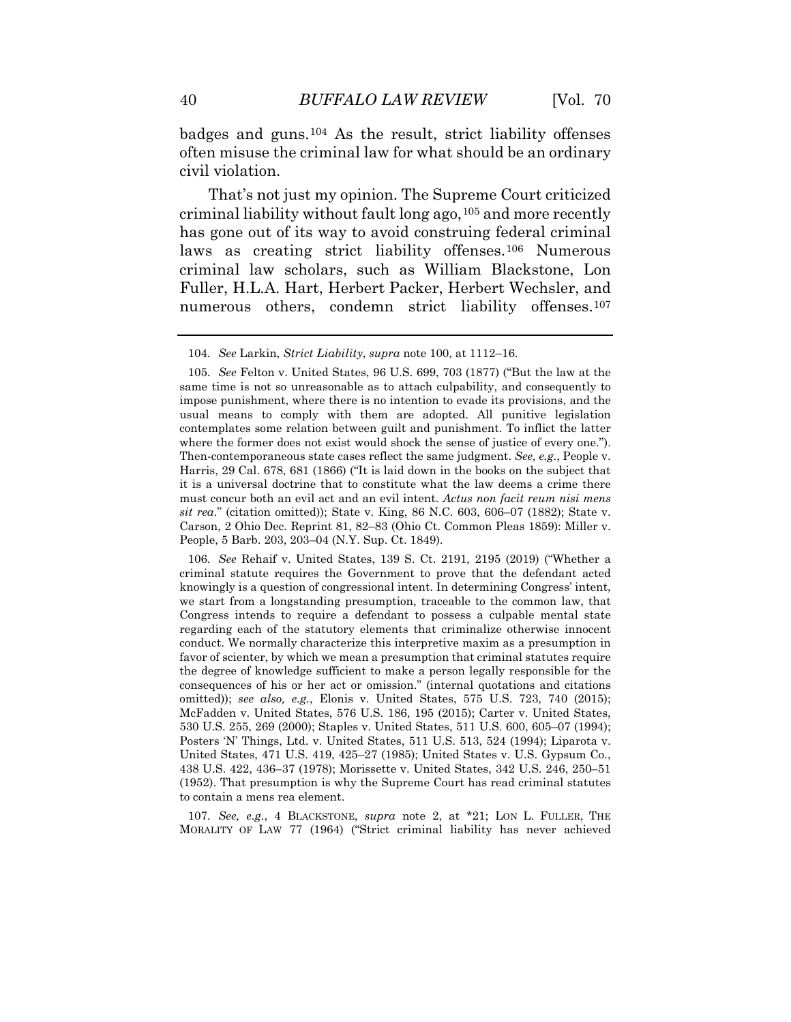badges and guns.[104](#page-41-0) As the result, strict liability offenses often misuse the criminal law for what should be an ordinary civil violation.

That's not just my opinion. The Supreme Court criticized criminal liability without fault long ago,  $105$  and more recently has gone out of its way to avoid construing federal criminal laws as creating strict liability offenses.[106](#page-41-2) Numerous criminal law scholars, such as William Blackstone, Lon Fuller, H.L.A. Hart, Herbert Packer, Herbert Wechsler, and numerous others, condemn strict liability offenses.<sup>[107](#page-42-0)</sup>

<span id="page-40-3"></span><span id="page-40-2"></span><span id="page-40-1"></span><span id="page-40-0"></span>106. *See* Rehaif v. United States, 139 S. Ct. 2191, 2195 (2019) ("Whether a criminal statute requires the Government to prove that the defendant acted knowingly is a question of congressional intent. In determining Congress' intent, we start from a longstanding presumption, traceable to the common law, that Congress intends to require a defendant to possess a culpable mental state regarding each of the statutory elements that criminalize otherwise innocent conduct. We normally characterize this interpretive maxim as a presumption in favor of scienter, by which we mean a presumption that criminal statutes require the degree of knowledge sufficient to make a person legally responsible for the consequences of his or her act or omission." (internal quotations and citations omitted)); *see also, e.g.*, Elonis v. United States, 575 U.S. 723, 740 (2015); McFadden v. United States, 576 U.S. 186, 195 (2015); Carter v. United States, 530 U.S. 255, 269 (2000); Staples v. United States, 511 U.S. 600, 605–07 (1994); Posters 'N' Things, Ltd. v. United States, 511 U.S. 513, 524 (1994); Liparota v. United States, 471 U.S. 419, 425–27 (1985); United States v. U.S. Gypsum Co., 438 U.S. 422, 436–37 (1978); Morissette v. United States, 342 U.S. 246, 250–51 (1952). That presumption is why the Supreme Court has read criminal statutes to contain a mens rea element.

107. *See, e.g.*, 4 BLACKSTONE, *supra* note 2, at \*21; LON L. FULLER, THE MORALITY OF LAW 77 (1964) ("Strict criminal liability has never achieved

<sup>104.</sup> *See* Larkin, *Strict Liability*, *supra* note 100, at 1112–16.

<sup>105.</sup> *See* Felton v. United States, 96 U.S. 699, 703 (1877) ("But the law at the same time is not so unreasonable as to attach culpability, and consequently to impose punishment, where there is no intention to evade its provisions, and the usual means to comply with them are adopted. All punitive legislation contemplates some relation between guilt and punishment. To inflict the latter where the former does not exist would shock the sense of justice of every one."). Then-contemporaneous state cases reflect the same judgment. *See, e.g.*, People v. Harris, 29 Cal. 678, 681 (1866) ("It is laid down in the books on the subject that it is a universal doctrine that to constitute what the law deems a crime there must concur both an evil act and an evil intent. *Actus non facit reum nisi mens sit rea*." (citation omitted)); State v. King, 86 N.C. 603, 606–07 (1882); State v. Carson, 2 Ohio Dec. Reprint 81, 82–83 (Ohio Ct. Common Pleas 1859): Miller v. People, 5 Barb. 203, 203–04 (N.Y. Sup. Ct. 1849).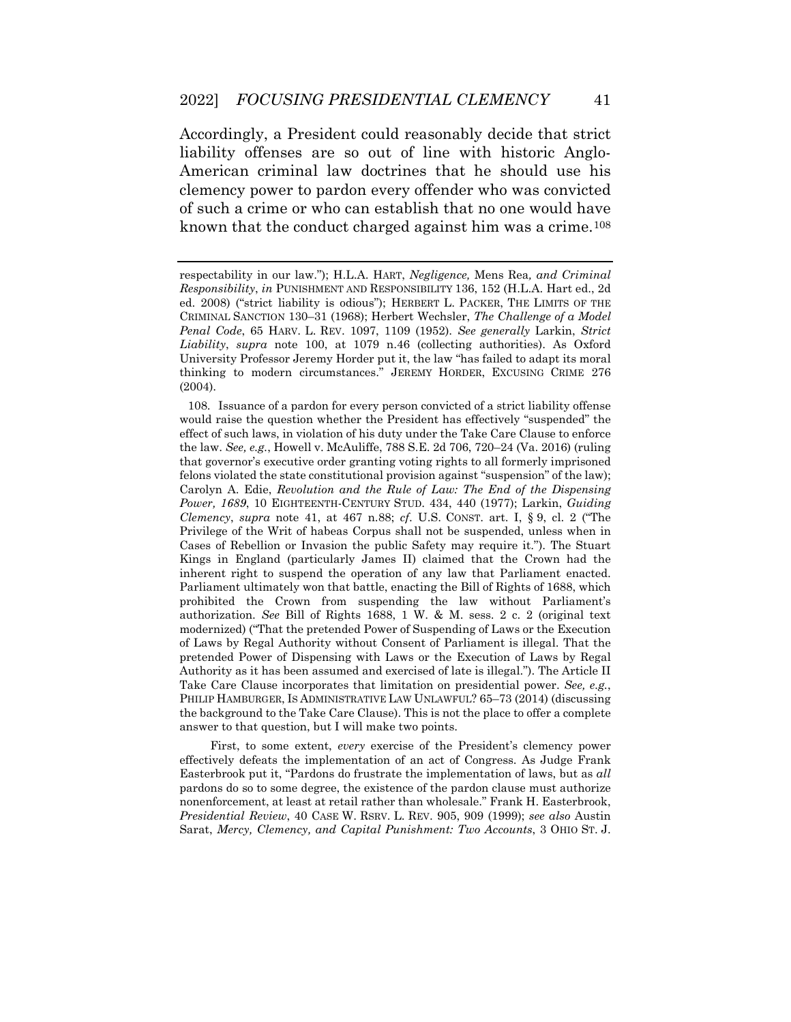Accordingly, a President could reasonably decide that strict liability offenses are so out of line with historic Anglo-American criminal law doctrines that he should use his clemency power to pardon every offender who was convicted of such a crime or who can establish that no one would have known that the conduct charged against him was a crime.<sup>[108](#page-42-1)</sup>

<span id="page-41-1"></span><span id="page-41-0"></span>108. Issuance of a pardon for every person convicted of a strict liability offense would raise the question whether the President has effectively "suspended" the effect of such laws, in violation of his duty under the Take Care Clause to enforce the law. *See, e.g.*, Howell v. McAuliffe, 788 S.E. 2d 706, 720–24 (Va. 2016) (ruling that governor's executive order granting voting rights to all formerly imprisoned felons violated the state constitutional provision against "suspension" of the law); Carolyn A. Edie, *Revolution and the Rule of Law: The End of the Dispensing Power, 1689*, 10 EIGHTEENTH-CENTURY STUD. 434, 440 (1977); Larkin, *Guiding Clemency*, *supra* note 41, at 467 n.88; *cf*. U.S. CONST. art. I, § 9, cl. 2 ("The Privilege of the Writ of habeas Corpus shall not be suspended, unless when in Cases of Rebellion or Invasion the public Safety may require it."). The Stuart Kings in England (particularly James II) claimed that the Crown had the inherent right to suspend the operation of any law that Parliament enacted. Parliament ultimately won that battle, enacting the Bill of Rights of 1688, which prohibited the Crown from suspending the law without Parliament's authorization. *See* Bill of Rights 1688, 1 W. & M. sess. 2 c. 2 (original text modernized) ("That the pretended Power of Suspending of Laws or the Execution of Laws by Regal Authority without Consent of Parliament is illegal. That the pretended Power of Dispensing with Laws or the Execution of Laws by Regal Authority as it has been assumed and exercised of late is illegal."). The Article II Take Care Clause incorporates that limitation on presidential power. *See, e.g.*, PHILIP HAMBURGER, IS ADMINISTRATIVE LAW UNLAWFUL? 65–73 (2014) (discussing the background to the Take Care Clause). This is not the place to offer a complete answer to that question, but I will make two points.

<span id="page-41-2"></span>First, to some extent, *every* exercise of the President's clemency power effectively defeats the implementation of an act of Congress. As Judge Frank Easterbrook put it, "Pardons do frustrate the implementation of laws, but as *all* pardons do so to some degree, the existence of the pardon clause must authorize nonenforcement, at least at retail rather than wholesale." Frank H. Easterbrook, *Presidential Review*, 40 CASE W. RSRV. L. REV. 905, 909 (1999); *see also* Austin Sarat, *Mercy, Clemency, and Capital Punishment: Two Accounts*, 3 OHIO ST. J.

respectability in our law."); H.L.A. HART, *Negligence,* Mens Rea*, and Criminal Responsibility*, *in* PUNISHMENT AND RESPONSIBILITY 136, 152 (H.L.A. Hart ed., 2d ed. 2008) ("strict liability is odious"); HERBERT L. PACKER, THE LIMITS OF THE CRIMINAL SANCTION 130–31 (1968); Herbert Wechsler, *The Challenge of a Model Penal Code*, 65 HARV. L. REV. 1097, 1109 (1952). *See generally* Larkin, *Strict Liability*, *supra* note 100, at 1079 n.46 (collecting authorities). As Oxford University Professor Jeremy Horder put it, the law "has failed to adapt its moral thinking to modern circumstances." JEREMY HORDER, EXCUSING CRIME 276 (2004).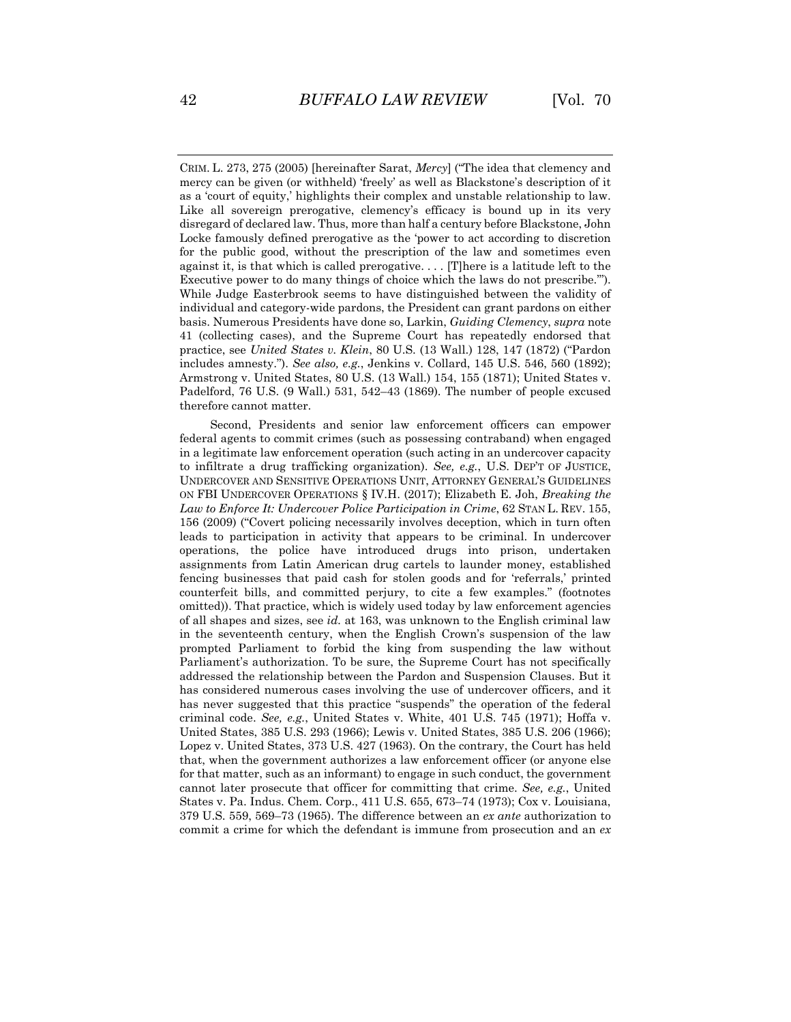CRIM. L. 273, 275 (2005) [hereinafter Sarat, *Mercy*] ("The idea that clemency and mercy can be given (or withheld) 'freely' as well as Blackstone's description of it as a 'court of equity,' highlights their complex and unstable relationship to law. Like all sovereign prerogative, clemency's efficacy is bound up in its very disregard of declared law. Thus, more than half a century before Blackstone, John Locke famously defined prerogative as the 'power to act according to discretion for the public good, without the prescription of the law and sometimes even against it, is that which is called prerogative. . . . [T]here is a latitude left to the Executive power to do many things of choice which the laws do not prescribe.'"). While Judge Easterbrook seems to have distinguished between the validity of individual and category-wide pardons, the President can grant pardons on either basis. Numerous Presidents have done so, Larkin, *Guiding Clemency*, *supra* note 41 (collecting cases), and the Supreme Court has repeatedly endorsed that practice, see *United States v. Klein*, 80 U.S. (13 Wall.) 128, 147 (1872) ("Pardon includes amnesty."). *See also, e.g.*, Jenkins v. Collard, 145 U.S. 546, 560 (1892); Armstrong v. United States, 80 U.S. (13 Wall.) 154, 155 (1871); United States v. Padelford, 76 U.S. (9 Wall.) 531, 542–43 (1869). The number of people excused therefore cannot matter.

<span id="page-42-1"></span><span id="page-42-0"></span>Second, Presidents and senior law enforcement officers can empower federal agents to commit crimes (such as possessing contraband) when engaged in a legitimate law enforcement operation (such acting in an undercover capacity to infiltrate a drug trafficking organization). *See, e.g.*, U.S. DEP'T OF JUSTICE, UNDERCOVER AND SENSITIVE OPERATIONS UNIT, ATTORNEY GENERAL'S GUIDELINES ON FBI UNDERCOVER OPERATIONS § IV.H. (2017); Elizabeth E. Joh, *Breaking the Law to Enforce It: Undercover Police Participation in Crime*, 62 STAN L. REV. 155, 156 (2009) ("Covert policing necessarily involves deception, which in turn often leads to participation in activity that appears to be criminal. In undercover operations, the police have introduced drugs into prison, undertaken assignments from Latin American drug cartels to launder money, established fencing businesses that paid cash for stolen goods and for 'referrals,' printed counterfeit bills, and committed perjury, to cite a few examples." (footnotes omitted)). That practice, which is widely used today by law enforcement agencies of all shapes and sizes, see *id.* at 163, was unknown to the English criminal law in the seventeenth century, when the English Crown's suspension of the law prompted Parliament to forbid the king from suspending the law without Parliament's authorization. To be sure, the Supreme Court has not specifically addressed the relationship between the Pardon and Suspension Clauses. But it has considered numerous cases involving the use of undercover officers, and it has never suggested that this practice "suspends" the operation of the federal criminal code. *See, e.g.*, United States v. White, 401 U.S. 745 (1971); Hoffa v. United States, 385 U.S. 293 (1966); Lewis v. United States, 385 U.S. 206 (1966); Lopez v. United States, 373 U.S. 427 (1963). On the contrary, the Court has held that, when the government authorizes a law enforcement officer (or anyone else for that matter, such as an informant) to engage in such conduct, the government cannot later prosecute that officer for committing that crime. *See, e.g.*, United States v. Pa. Indus. Chem. Corp., 411 U.S. 655, 673–74 (1973); Cox v. Louisiana, 379 U.S. 559, 569–73 (1965). The difference between an *ex ante* authorization to commit a crime for which the defendant is immune from prosecution and an *ex*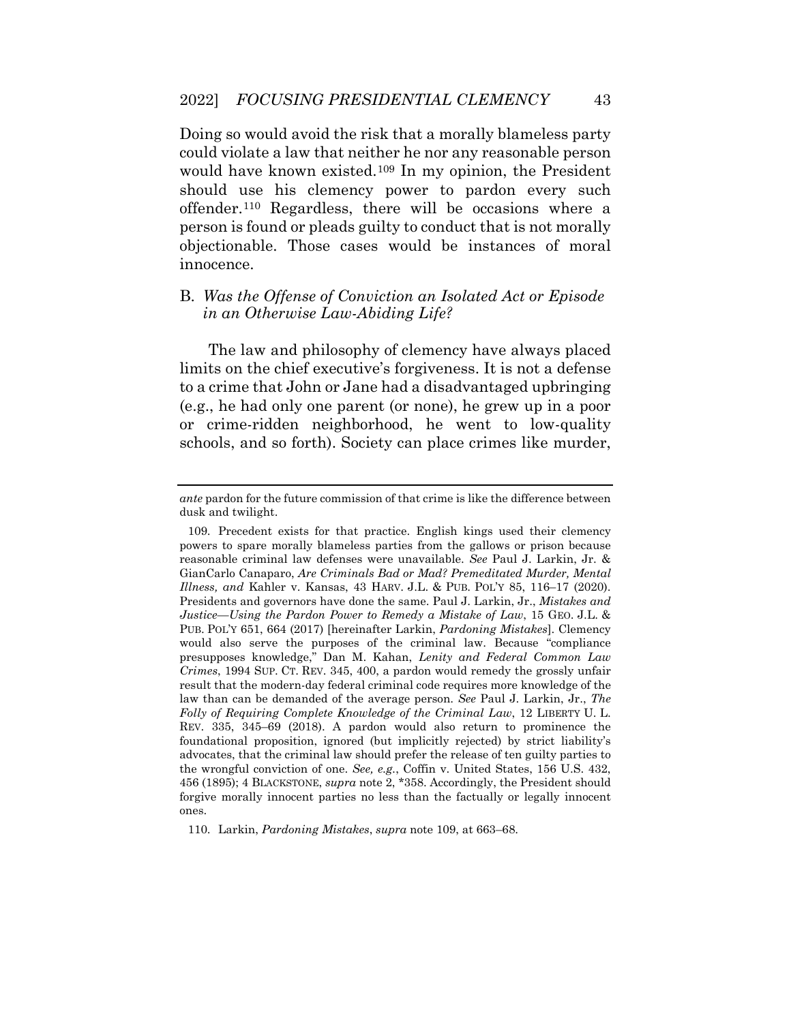Doing so would avoid the risk that a morally blameless party could violate a law that neither he nor any reasonable person would have known existed.[109](#page-44-0) In my opinion, the President should use his clemency power to pardon every such offender.[110](#page-44-1) Regardless, there will be occasions where a person is found or pleads guilty to conduct that is not morally objectionable. Those cases would be instances of moral innocence.

# B. *Was the Offense of Conviction an Isolated Act or Episode in an Otherwise Law-Abiding Life?*

The law and philosophy of clemency have always placed limits on the chief executive's forgiveness. It is not a defense to a crime that John or Jane had a disadvantaged upbringing (e.g., he had only one parent (or none), he grew up in a poor or crime-ridden neighborhood, he went to low-quality schools, and so forth). Society can place crimes like murder,

110. Larkin, *Pardoning Mistakes*, *supra* note 109, at 663–68.

*ante* pardon for the future commission of that crime is like the difference between dusk and twilight.

<sup>109.</sup> Precedent exists for that practice. English kings used their clemency powers to spare morally blameless parties from the gallows or prison because reasonable criminal law defenses were unavailable. *See* Paul J. Larkin, Jr. & GianCarlo Canaparo, *Are Criminals Bad or Mad? Premeditated Murder, Mental Illness, and* Kahler v. Kansas, 43 HARV. J.L. & PUB. POL'Y 85, 116–17 (2020). Presidents and governors have done the same. Paul J. Larkin, Jr., *Mistakes and Justice—Using the Pardon Power to Remedy a Mistake of Law*, 15 GEO. J.L. & PUB. POL'Y 651, 664 (2017) [hereinafter Larkin, *Pardoning Mistakes*]. Clemency would also serve the purposes of the criminal law. Because "compliance presupposes knowledge," Dan M. Kahan, *Lenity and Federal Common Law Crimes*, 1994 SUP. CT. REV. 345, 400, a pardon would remedy the grossly unfair result that the modern-day federal criminal code requires more knowledge of the law than can be demanded of the average person. *See* Paul J. Larkin, Jr., *The Folly of Requiring Complete Knowledge of the Criminal Law*, 12 LIBERTY U. L. REV. 335, 345–69 (2018). A pardon would also return to prominence the foundational proposition, ignored (but implicitly rejected) by strict liability's advocates, that the criminal law should prefer the release of ten guilty parties to the wrongful conviction of one. *See, e.g.*, Coffin v. United States, 156 U.S. 432, 456 (1895); 4 BLACKSTONE, *supra* note 2, \*358. Accordingly, the President should forgive morally innocent parties no less than the factually or legally innocent ones.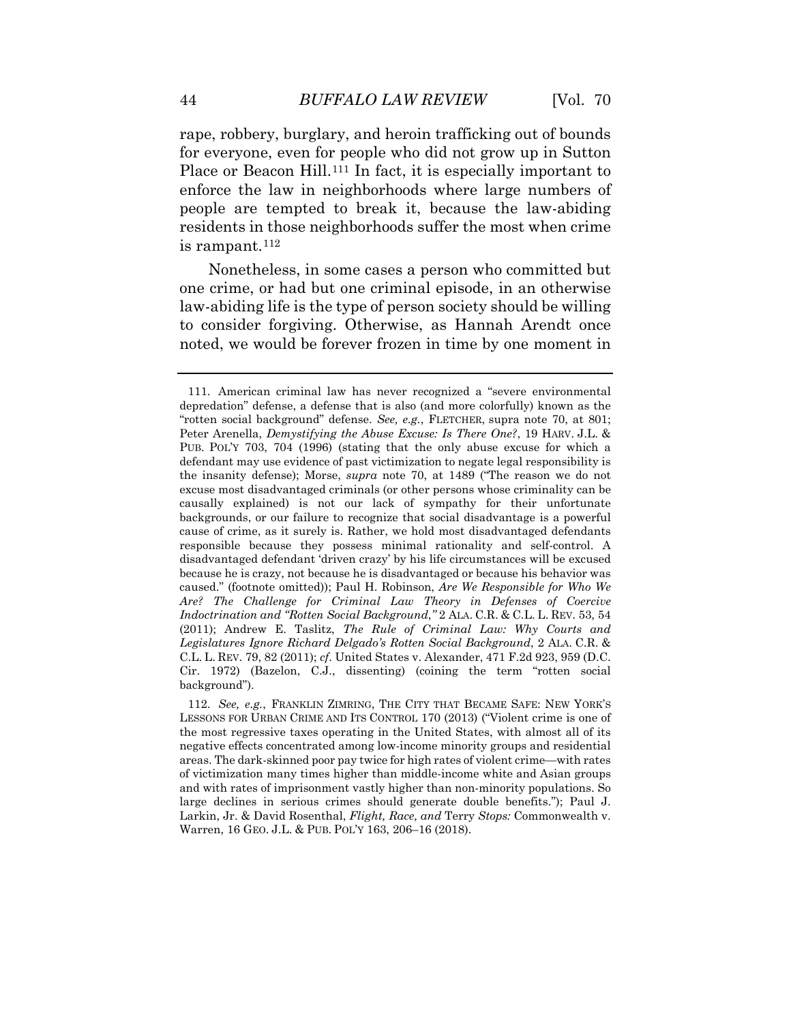rape, robbery, burglary, and heroin trafficking out of bounds for everyone, even for people who did not grow up in Sutton Place or Beacon Hill.<sup>[111](#page-45-0)</sup> In fact, it is especially important to enforce the law in neighborhoods where large numbers of people are tempted to break it, because the law-abiding residents in those neighborhoods suffer the most when crime is rampant.[112](#page-45-1)

Nonetheless, in some cases a person who committed but one crime, or had but one criminal episode, in an otherwise law-abiding life is the type of person society should be willing to consider forgiving. Otherwise, as Hannah Arendt once noted, we would be forever frozen in time by one moment in

<span id="page-44-0"></span><sup>111.</sup> American criminal law has never recognized a "severe environmental depredation" defense, a defense that is also (and more colorfully) known as the "rotten social background" defense. *See, e.g.*, FLETCHER, supra note 70, at 801; Peter Arenella, *Demystifying the Abuse Excuse: Is There One?*, 19 HARV. J.L. & PUB. POL'Y 703, 704 (1996) (stating that the only abuse excuse for which a defendant may use evidence of past victimization to negate legal responsibility is the insanity defense); Morse, *supra* note 70, at 1489 ("The reason we do not excuse most disadvantaged criminals (or other persons whose criminality can be causally explained) is not our lack of sympathy for their unfortunate backgrounds, or our failure to recognize that social disadvantage is a powerful cause of crime, as it surely is. Rather, we hold most disadvantaged defendants responsible because they possess minimal rationality and self-control. A disadvantaged defendant 'driven crazy' by his life circumstances will be excused because he is crazy, not because he is disadvantaged or because his behavior was caused." (footnote omitted)); Paul H. Robinson, *Are We Responsible for Who We Are? The Challenge for Criminal Law Theory in Defenses of Coercive Indoctrination and "Rotten Social Background*,*"* 2 ALA. C.R. & C.L. L. REV. 53, 54 (2011); Andrew E. Taslitz, *The Rule of Criminal Law: Why Courts and Legislatures Ignore Richard Delgado's Rotten Social Background*, 2 ALA. C.R. & C.L. L. REV. 79, 82 (2011); *cf*. United States v. Alexander, 471 F.2d 923, 959 (D.C. Cir. 1972) (Bazelon, C.J., dissenting) (coining the term "rotten social background").

<span id="page-44-1"></span><sup>112.</sup> *See, e.g.*, FRANKLIN ZIMRING, THE CITY THAT BECAME SAFE: NEW YORK'S LESSONS FOR URBAN CRIME AND ITS CONTROL 170 (2013) ("Violent crime is one of the most regressive taxes operating in the United States, with almost all of its negative effects concentrated among low-income minority groups and residential areas. The dark-skinned poor pay twice for high rates of violent crime—with rates of victimization many times higher than middle-income white and Asian groups and with rates of imprisonment vastly higher than non-minority populations. So large declines in serious crimes should generate double benefits."); Paul J. Larkin, Jr. & David Rosenthal, *Flight, Race, and* Terry *Stops:* Commonwealth v. Warren, 16 GEO. J.L. & PUB. POL'Y 163, 206–16 (2018).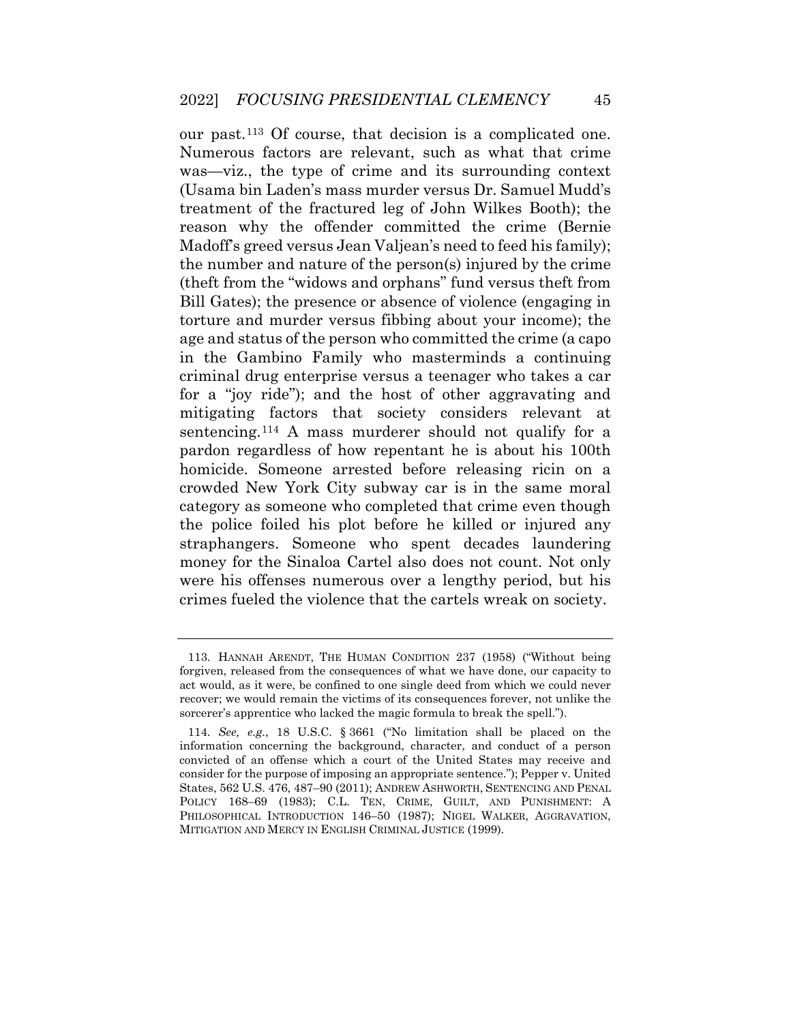our past.[113](#page-46-0) Of course, that decision is a complicated one. Numerous factors are relevant, such as what that crime was—viz., the type of crime and its surrounding context (Usama bin Laden's mass murder versus Dr. Samuel Mudd's treatment of the fractured leg of John Wilkes Booth); the reason why the offender committed the crime (Bernie Madoff's greed versus Jean Valjean's need to feed his family); the number and nature of the person(s) injured by the crime (theft from the "widows and orphans" fund versus theft from Bill Gates); the presence or absence of violence (engaging in torture and murder versus fibbing about your income); the age and status of the person who committed the crime (a capo in the Gambino Family who masterminds a continuing criminal drug enterprise versus a teenager who takes a car for a "joy ride"); and the host of other aggravating and mitigating factors that society considers relevant at sentencing.[114](#page-46-1) A mass murderer should not qualify for a pardon regardless of how repentant he is about his 100th homicide. Someone arrested before releasing ricin on a crowded New York City subway car is in the same moral category as someone who completed that crime even though the police foiled his plot before he killed or injured any straphangers. Someone who spent decades laundering money for the Sinaloa Cartel also does not count. Not only were his offenses numerous over a lengthy period, but his crimes fueled the violence that the cartels wreak on society.

<span id="page-45-0"></span><sup>113.</sup> HANNAH ARENDT, THE HUMAN CONDITION 237 (1958) ("Without being forgiven, released from the consequences of what we have done, our capacity to act would, as it were, be confined to one single deed from which we could never recover; we would remain the victims of its consequences forever, not unlike the sorcerer's apprentice who lacked the magic formula to break the spell.").

<span id="page-45-1"></span><sup>114.</sup> *See, e.g.*, 18 U.S.C. § 3661 ("No limitation shall be placed on the information concerning the background, character, and conduct of a person convicted of an offense which a court of the United States may receive and consider for the purpose of imposing an appropriate sentence."); Pepper v. United States, 562 U.S. 476, 487–90 (2011); ANDREW ASHWORTH, SENTENCING AND PENAL POLICY 168–69 (1983); C.L. TEN, CRIME, GUILT, AND PUNISHMENT: A PHILOSOPHICAL INTRODUCTION 146–50 (1987); NIGEL WALKER, AGGRAVATION, MITIGATION AND MERCY IN ENGLISH CRIMINAL JUSTICE (1999).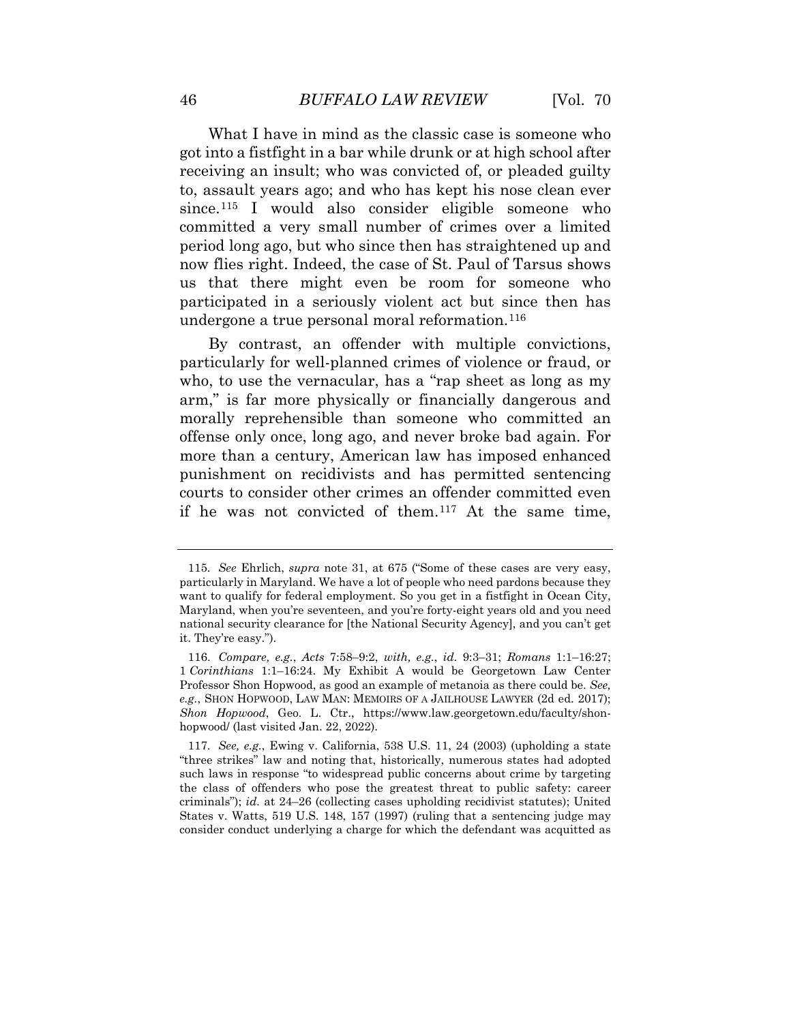What I have in mind as the classic case is someone who got into a fistfight in a bar while drunk or at high school after receiving an insult; who was convicted of, or pleaded guilty to, assault years ago; and who has kept his nose clean ever since.[115](#page-47-0) I would also consider eligible someone who committed a very small number of crimes over a limited period long ago, but who since then has straightened up and now flies right. Indeed, the case of St. Paul of Tarsus shows us that there might even be room for someone who participated in a seriously violent act but since then has undergone a true personal moral reformation.[116](#page-47-1)

By contrast, an offender with multiple convictions, particularly for well-planned crimes of violence or fraud, or who, to use the vernacular, has a "rap sheet as long as my arm," is far more physically or financially dangerous and morally reprehensible than someone who committed an offense only once, long ago, and never broke bad again. For more than a century, American law has imposed enhanced punishment on recidivists and has permitted sentencing courts to consider other crimes an offender committed even if he was not convicted of them.[117](#page-48-0) At the same time,

<sup>115.</sup> *See* Ehrlich, *supra* note 31, at 675 ("Some of these cases are very easy, particularly in Maryland. We have a lot of people who need pardons because they want to qualify for federal employment. So you get in a fistfight in Ocean City, Maryland, when you're seventeen, and you're forty-eight years old and you need national security clearance for [the National Security Agency], and you can't get it. They're easy.").

<span id="page-46-0"></span><sup>116.</sup> *Compare, e.g.*, *Acts* 7:58–9:2, *with, e.g.*, *id*. 9:3–31; *Romans* 1:1–16:27; 1 *Corinthians* 1:1–16:24. My Exhibit A would be Georgetown Law Center Professor Shon Hopwood, as good an example of metanoia as there could be. *See, e.g.*, SHON HOPWOOD, LAW MAN: MEMOIRS OF A JAILHOUSE LAWYER (2d ed. 2017); *Shon Hopwood*, Geo. L. Ctr., https://www.law.georgetown.edu/faculty/shonhopwood/ (last visited Jan. 22, 2022).

<span id="page-46-1"></span><sup>117.</sup> *See, e.g.*, Ewing v. California, 538 U.S. 11, 24 (2003) (upholding a state "three strikes" law and noting that, historically, numerous states had adopted such laws in response "to widespread public concerns about crime by targeting the class of offenders who pose the greatest threat to public safety: career criminals"); *id.* at 24–26 (collecting cases upholding recidivist statutes); United States v. Watts, 519 U.S. 148, 157 (1997) (ruling that a sentencing judge may consider conduct underlying a charge for which the defendant was acquitted as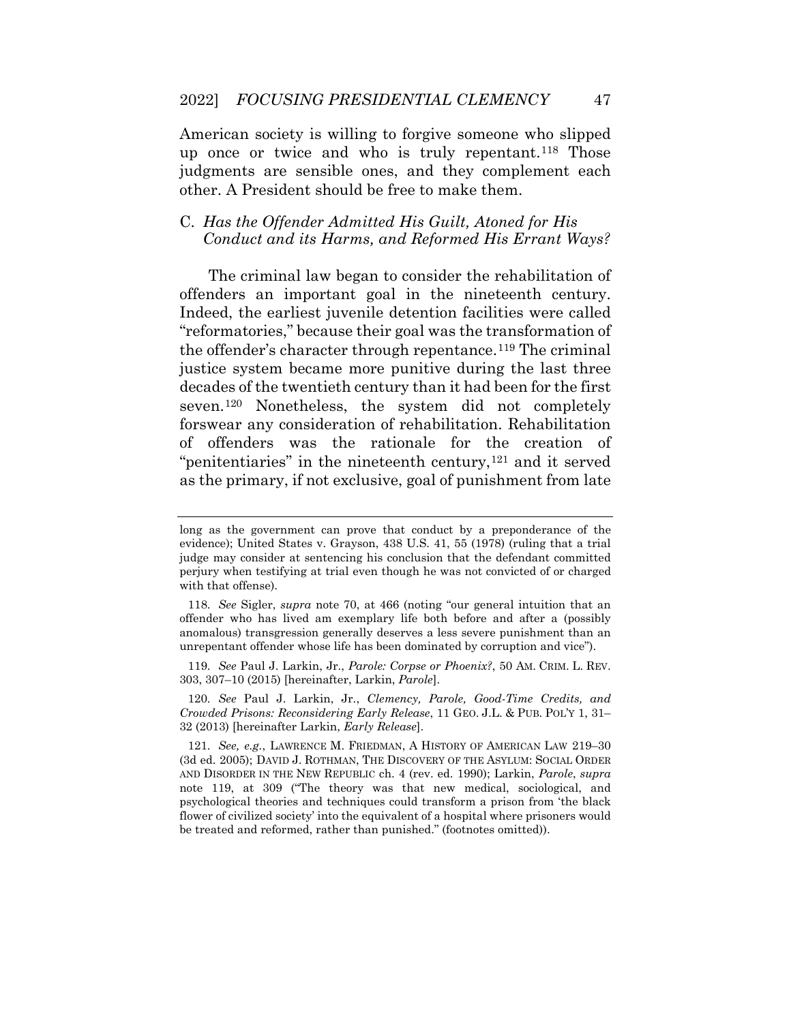American society is willing to forgive someone who slipped up once or twice and who is truly repentant.[118](#page-48-1) Those judgments are sensible ones, and they complement each other. A President should be free to make them.

# C. *Has the Offender Admitted His Guilt, Atoned for His Conduct and its Harms, and Reformed His Errant Ways?*

The criminal law began to consider the rehabilitation of offenders an important goal in the nineteenth century. Indeed, the earliest juvenile detention facilities were called "reformatories," because their goal was the transformation of the offender's character through repentance.<sup>[119](#page-48-2)</sup> The criminal justice system became more punitive during the last three decades of the twentieth century than it had been for the first seven.[120](#page-48-3) Nonetheless, the system did not completely forswear any consideration of rehabilitation. Rehabilitation of offenders was the rationale for the creation of "penitentiaries" in the nineteenth century,<sup>[121](#page-49-0)</sup> and it served as the primary, if not exclusive, goal of punishment from late

120. *See* Paul J. Larkin, Jr., *Clemency, Parole, Good-Time Credits, and Crowded Prisons: Reconsidering Early Release*, 11 GEO. J.L. & PUB. POL'Y 1, 31– 32 (2013) [hereinafter Larkin, *Early Release*].

long as the government can prove that conduct by a preponderance of the evidence); United States v. Grayson, 438 U.S. 41, 55 (1978) (ruling that a trial judge may consider at sentencing his conclusion that the defendant committed perjury when testifying at trial even though he was not convicted of or charged with that offense).

<sup>118.</sup> *See* Sigler, *supra* note 70, at 466 (noting "our general intuition that an offender who has lived am exemplary life both before and after a (possibly anomalous) transgression generally deserves a less severe punishment than an unrepentant offender whose life has been dominated by corruption and vice").

<span id="page-47-0"></span><sup>119.</sup> *See* Paul J. Larkin, Jr., *Parole: Corpse or Phoenix?*, 50 AM. CRIM. L. REV. 303, 307–10 (2015) [hereinafter, Larkin, *Parole*].

<span id="page-47-1"></span><sup>121.</sup> *See, e.g.*, LAWRENCE M. FRIEDMAN, A HISTORY OF AMERICAN LAW 219–30 (3d ed. 2005); DAVID J. ROTHMAN, THE DISCOVERY OF THE ASYLUM: SOCIAL ORDER AND DISORDER IN THE NEW REPUBLIC ch. 4 (rev. ed. 1990); Larkin, *Parole*, *supra* note 119, at 309 ("The theory was that new medical, sociological, and psychological theories and techniques could transform a prison from 'the black flower of civilized society' into the equivalent of a hospital where prisoners would be treated and reformed, rather than punished." (footnotes omitted)).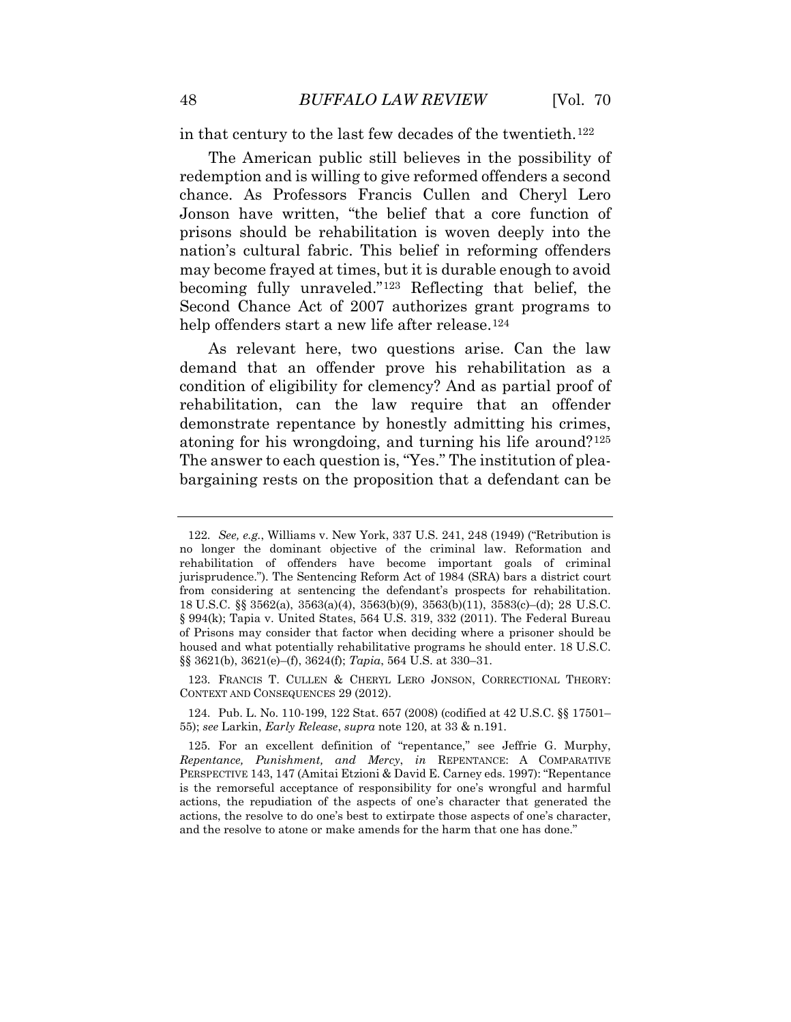in that century to the last few decades of the twentieth.<sup>[122](#page-49-1)</sup>

The American public still believes in the possibility of redemption and is willing to give reformed offenders a second chance. As Professors Francis Cullen and Cheryl Lero Jonson have written, "the belief that a core function of prisons should be rehabilitation is woven deeply into the nation's cultural fabric. This belief in reforming offenders may become frayed at times, but it is durable enough to avoid becoming fully unraveled."[123](#page-49-2) Reflecting that belief, the Second Chance Act of 2007 authorizes grant programs to help offenders start a new life after release.<sup>[124](#page-49-3)</sup>

As relevant here, two questions arise. Can the law demand that an offender prove his rehabilitation as a condition of eligibility for clemency? And as partial proof of rehabilitation, can the law require that an offender demonstrate repentance by honestly admitting his crimes, atoning for his wrongdoing, and turning his life around?[125](#page-50-0) The answer to each question is, "Yes." The institution of pleabargaining rests on the proposition that a defendant can be

123. FRANCIS T. CULLEN & CHERYL LERO JONSON, CORRECTIONAL THEORY: CONTEXT AND CONSEQUENCES 29 (2012).

<span id="page-48-1"></span>124. Pub. L. No. 110-199, 122 Stat. 657 (2008) (codified at 42 U.S.C. §§ 17501– 55); *see* Larkin, *Early Release*, *supra* note 120, at 33 & n.191.

<span id="page-48-0"></span><sup>122.</sup> *See, e.g.*, Williams v. New York, 337 U.S. 241, 248 (1949) ("Retribution is no longer the dominant objective of the criminal law. Reformation and rehabilitation of offenders have become important goals of criminal jurisprudence."). The Sentencing Reform Act of 1984 (SRA) bars a district court from considering at sentencing the defendant's prospects for rehabilitation. 18 U.S.C. §§ 3562(a), 3563(a)(4), 3563(b)(9), 3563(b)(11), 3583(c)–(d); 28 U.S.C. § 994(k); Tapia v. United States, 564 U.S. 319, 332 (2011). The Federal Bureau of Prisons may consider that factor when deciding where a prisoner should be housed and what potentially rehabilitative programs he should enter. 18 U.S.C. §§ 3621(b), 3621(e)–(f), 3624(f); *Tapia*, 564 U.S. at 330–31.

<span id="page-48-3"></span><span id="page-48-2"></span><sup>125.</sup> For an excellent definition of "repentance," see Jeffrie G. Murphy, *Repentance, Punishment, and Mercy*, *in* REPENTANCE: A COMPARATIVE PERSPECTIVE 143, 147 (Amitai Etzioni & David E. Carney eds. 1997): "Repentance is the remorseful acceptance of responsibility for one's wrongful and harmful actions, the repudiation of the aspects of one's character that generated the actions, the resolve to do one's best to extirpate those aspects of one's character, and the resolve to atone or make amends for the harm that one has done."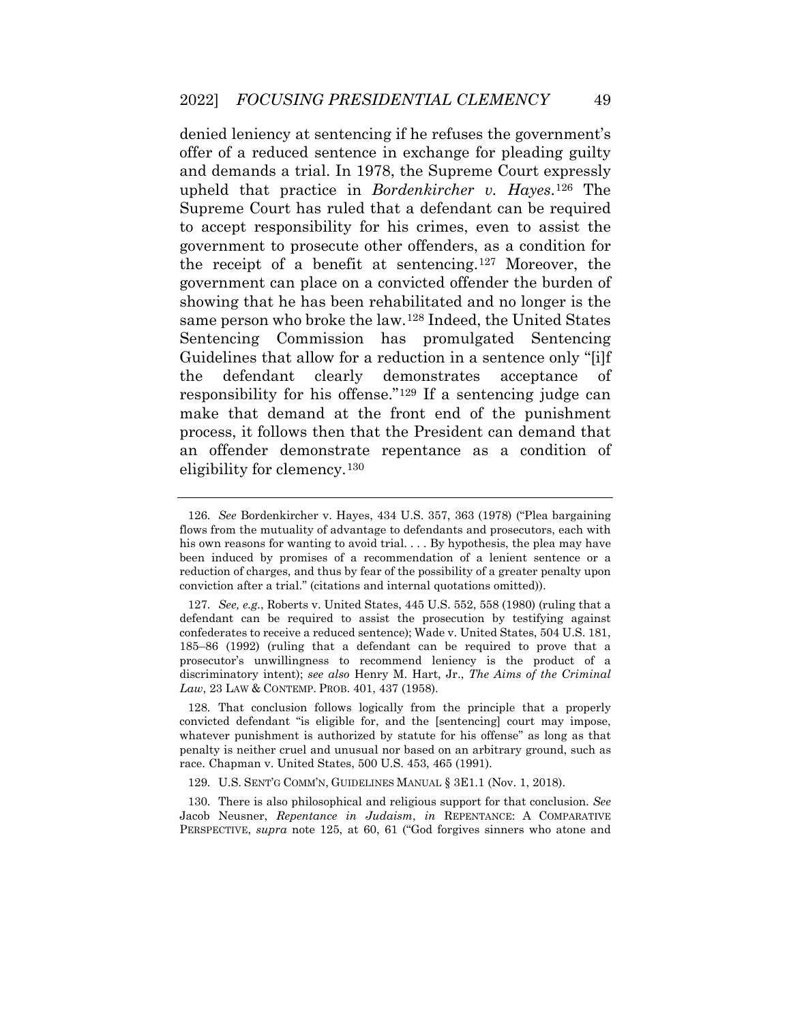denied leniency at sentencing if he refuses the government's offer of a reduced sentence in exchange for pleading guilty and demands a trial. In 1978, the Supreme Court expressly upheld that practice in *Bordenkircher v. Hayes*.[126](#page-50-1) The Supreme Court has ruled that a defendant can be required to accept responsibility for his crimes, even to assist the government to prosecute other offenders, as a condition for the receipt of a benefit at sentencing.[127](#page-50-2) Moreover, the government can place on a convicted offender the burden of showing that he has been rehabilitated and no longer is the same person who broke the law.[128](#page-50-3) Indeed, the United States Sentencing Commission has promulgated Sentencing Guidelines that allow for a reduction in a sentence only "[i]f the defendant clearly demonstrates acceptance of responsibility for his offense."[129](#page-51-0) If a sentencing judge can make that demand at the front end of the punishment process, it follows then that the President can demand that an offender demonstrate repentance as a condition of eligibility for clemency.[130](#page-51-1)

129. U.S. SENT'G COMM'N, GUIDELINES MANUAL § 3E1.1 (Nov. 1, 2018).

<span id="page-49-3"></span><span id="page-49-2"></span>130. There is also philosophical and religious support for that conclusion. *See* Jacob Neusner, *Repentance in Judaism*, *in* REPENTANCE: A COMPARATIVE PERSPECTIVE, *supra* note 125, at 60, 61 ("God forgives sinners who atone and

<span id="page-49-0"></span><sup>126.</sup> *See* Bordenkircher v. Hayes, 434 U.S. 357, 363 (1978) ("Plea bargaining flows from the mutuality of advantage to defendants and prosecutors, each with his own reasons for wanting to avoid trial. . . . By hypothesis, the plea may have been induced by promises of a recommendation of a lenient sentence or a reduction of charges, and thus by fear of the possibility of a greater penalty upon conviction after a trial." (citations and internal quotations omitted)).

<span id="page-49-1"></span><sup>127.</sup> *See, e.g.*, Roberts v. United States, 445 U.S. 552, 558 (1980) (ruling that a defendant can be required to assist the prosecution by testifying against confederates to receive a reduced sentence); Wade v. United States, 504 U.S. 181, 185–86 (1992) (ruling that a defendant can be required to prove that a prosecutor's unwillingness to recommend leniency is the product of a discriminatory intent); *see also* Henry M. Hart, Jr., *The Aims of the Criminal Law*, 23 LAW & CONTEMP. PROB. 401, 437 (1958).

<sup>128.</sup> That conclusion follows logically from the principle that a properly convicted defendant "is eligible for, and the [sentencing] court may impose, whatever punishment is authorized by statute for his offense" as long as that penalty is neither cruel and unusual nor based on an arbitrary ground, such as race. Chapman v. United States, 500 U.S. 453, 465 (1991).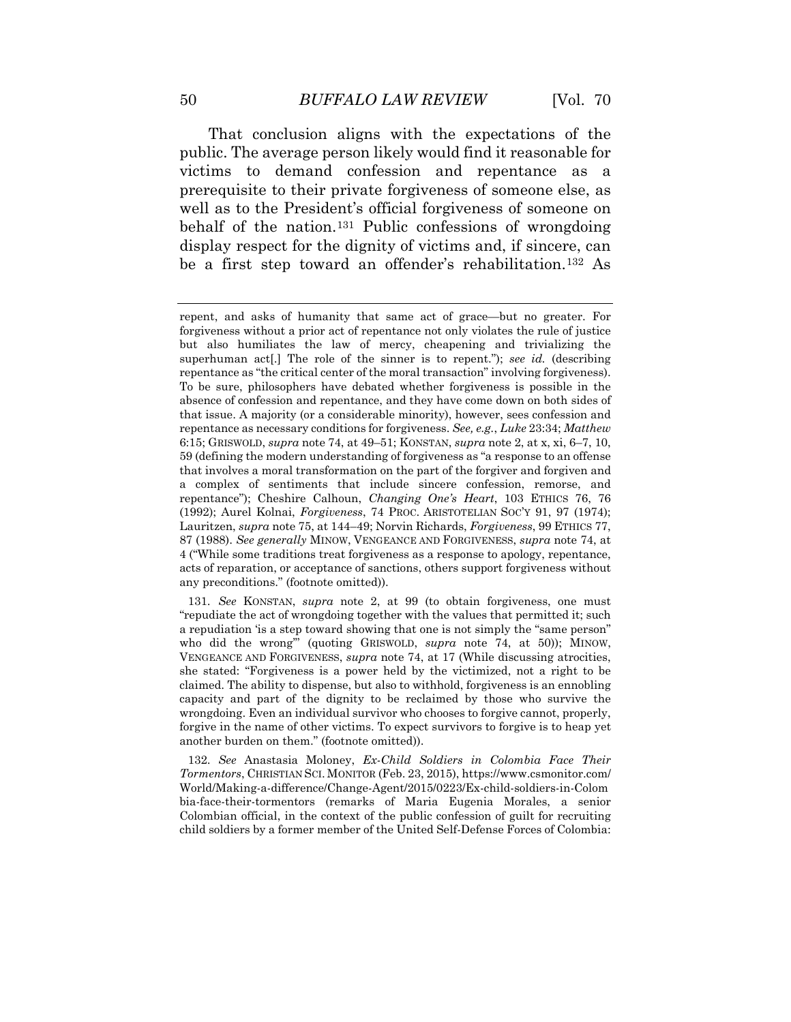That conclusion aligns with the expectations of the public. The average person likely would find it reasonable for victims to demand confession and repentance as a prerequisite to their private forgiveness of someone else, as well as to the President's official forgiveness of someone on behalf of the nation.[131](#page-51-2) Public confessions of wrongdoing display respect for the dignity of victims and, if sincere, can be a first step toward an offender's rehabilitation.[132](#page-52-0) As

repent, and asks of humanity that same act of grace—but no greater. For forgiveness without a prior act of repentance not only violates the rule of justice but also humiliates the law of mercy, cheapening and trivializing the superhuman act[.] The role of the sinner is to repent."); *see id.* (describing repentance as "the critical center of the moral transaction" involving forgiveness). To be sure, philosophers have debated whether forgiveness is possible in the absence of confession and repentance, and they have come down on both sides of that issue. A majority (or a considerable minority), however, sees confession and repentance as necessary conditions for forgiveness. *See, e.g.*, *Luke* 23:34; *Matthew* 6:15; GRISWOLD, *supra* note 74, at 49–51; KONSTAN, *supra* note 2, at x, xi, 6–7, 10, 59 (defining the modern understanding of forgiveness as "a response to an offense that involves a moral transformation on the part of the forgiver and forgiven and a complex of sentiments that include sincere confession, remorse, and repentance"); Cheshire Calhoun, *Changing One's Heart*, 103 ETHICS 76, 76 (1992); Aurel Kolnai, *Forgiveness*, 74 PROC. ARISTOTELIAN SOC'Y 91, 97 (1974); Lauritzen, *supra* note 75, at 144–49; Norvin Richards, *Forgiveness*, 99 ETHICS 77, 87 (1988). *See generally* MINOW, VENGEANCE AND FORGIVENESS, *supra* note 74, at 4 ("While some traditions treat forgiveness as a response to apology, repentance, acts of reparation, or acceptance of sanctions, others support forgiveness without any preconditions." (footnote omitted)).

<span id="page-50-2"></span><span id="page-50-1"></span><span id="page-50-0"></span><sup>131.</sup> *See* KONSTAN, *supra* note 2, at 99 (to obtain forgiveness, one must "repudiate the act of wrongdoing together with the values that permitted it; such a repudiation 'is a step toward showing that one is not simply the "same person" who did the wrong'" (quoting GRISWOLD, *supra* note 74, at 50)); MINOW, VENGEANCE AND FORGIVENESS, *supra* note 74, at 17 (While discussing atrocities, she stated: "Forgiveness is a power held by the victimized, not a right to be claimed. The ability to dispense, but also to withhold, forgiveness is an ennobling capacity and part of the dignity to be reclaimed by those who survive the wrongdoing. Even an individual survivor who chooses to forgive cannot, properly, forgive in the name of other victims. To expect survivors to forgive is to heap yet another burden on them." (footnote omitted)).

<span id="page-50-3"></span><sup>132.</sup> *See* Anastasia Moloney, *Ex-Child Soldiers in Colombia Face Their Tormentors*, CHRISTIAN SCI. MONITOR (Feb. 23, 2015), https://www.csmonitor.com/ World/Making-a-difference/Change-Agent/2015/0223/Ex-child-soldiers-in-Colom bia-face-their-tormentors (remarks of Maria Eugenia Morales, a senior Colombian official, in the context of the public confession of guilt for recruiting child soldiers by a former member of the United Self-Defense Forces of Colombia: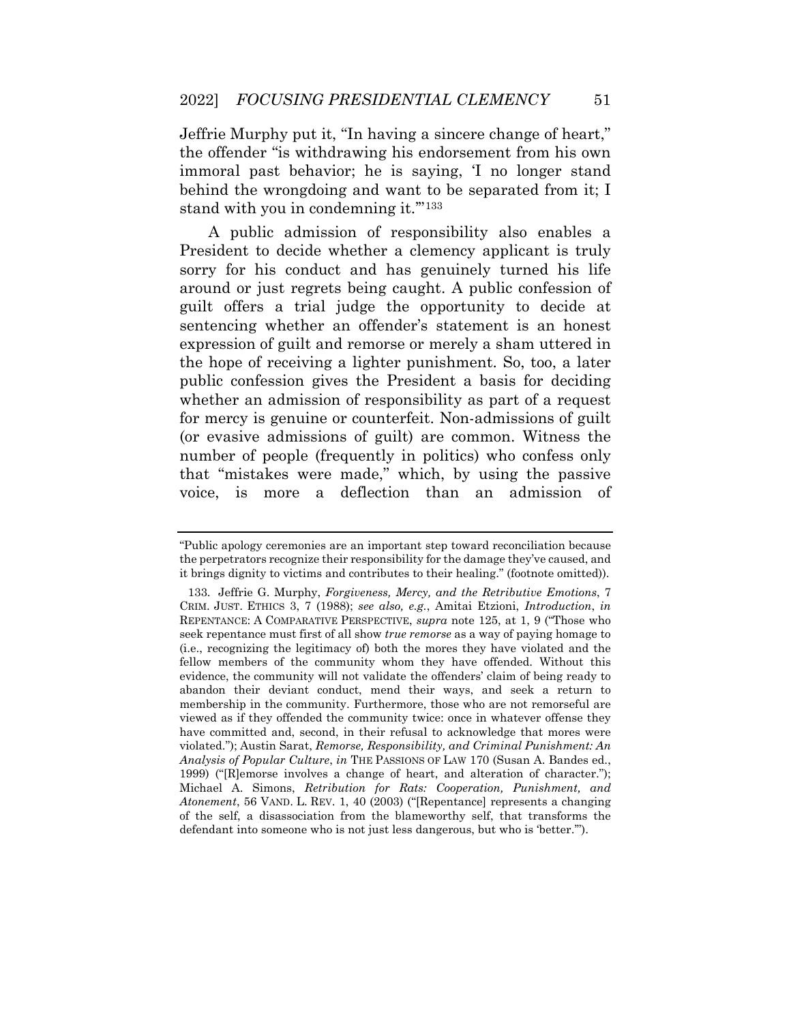Jeffrie Murphy put it, "In having a sincere change of heart," the offender "is withdrawing his endorsement from his own immoral past behavior; he is saying, 'I no longer stand behind the wrongdoing and want to be separated from it; I stand with you in condemning it."<sup>[133](#page-52-1)</sup>

A public admission of responsibility also enables a President to decide whether a clemency applicant is truly sorry for his conduct and has genuinely turned his life around or just regrets being caught. A public confession of guilt offers a trial judge the opportunity to decide at sentencing whether an offender's statement is an honest expression of guilt and remorse or merely a sham uttered in the hope of receiving a lighter punishment. So, too, a later public confession gives the President a basis for deciding whether an admission of responsibility as part of a request for mercy is genuine or counterfeit. Non-admissions of guilt (or evasive admissions of guilt) are common. Witness the number of people (frequently in politics) who confess only that "mistakes were made," which, by using the passive voice, is more a deflection than an admission of

<span id="page-51-1"></span><span id="page-51-0"></span><sup>&</sup>quot;Public apology ceremonies are an important step toward reconciliation because the perpetrators recognize their responsibility for the damage they've caused, and it brings dignity to victims and contributes to their healing." (footnote omitted)).

<span id="page-51-2"></span><sup>133.</sup> Jeffrie G. Murphy, *Forgiveness, Mercy, and the Retributive Emotions*, 7 CRIM. JUST. ETHICS 3, 7 (1988); *see also, e.g.*, Amitai Etzioni, *Introduction*, *in* REPENTANCE: A COMPARATIVE PERSPECTIVE, *supra* note 125, at 1, 9 ("Those who seek repentance must first of all show *true remorse* as a way of paying homage to (i.e., recognizing the legitimacy of) both the mores they have violated and the fellow members of the community whom they have offended. Without this evidence, the community will not validate the offenders' claim of being ready to abandon their deviant conduct, mend their ways, and seek a return to membership in the community. Furthermore, those who are not remorseful are viewed as if they offended the community twice: once in whatever offense they have committed and, second, in their refusal to acknowledge that mores were violated."); Austin Sarat, *Remorse, Responsibility, and Criminal Punishment: An Analysis of Popular Culture*, *in* THE PASSIONS OF LAW 170 (Susan A. Bandes ed., 1999) ("[R]emorse involves a change of heart, and alteration of character."); Michael A. Simons, *Retribution for Rats: Cooperation, Punishment, and Atonement*, 56 VAND. L. REV. 1, 40 (2003) ("[Repentance] represents a changing of the self, a disassociation from the blameworthy self, that transforms the defendant into someone who is not just less dangerous, but who is 'better.'").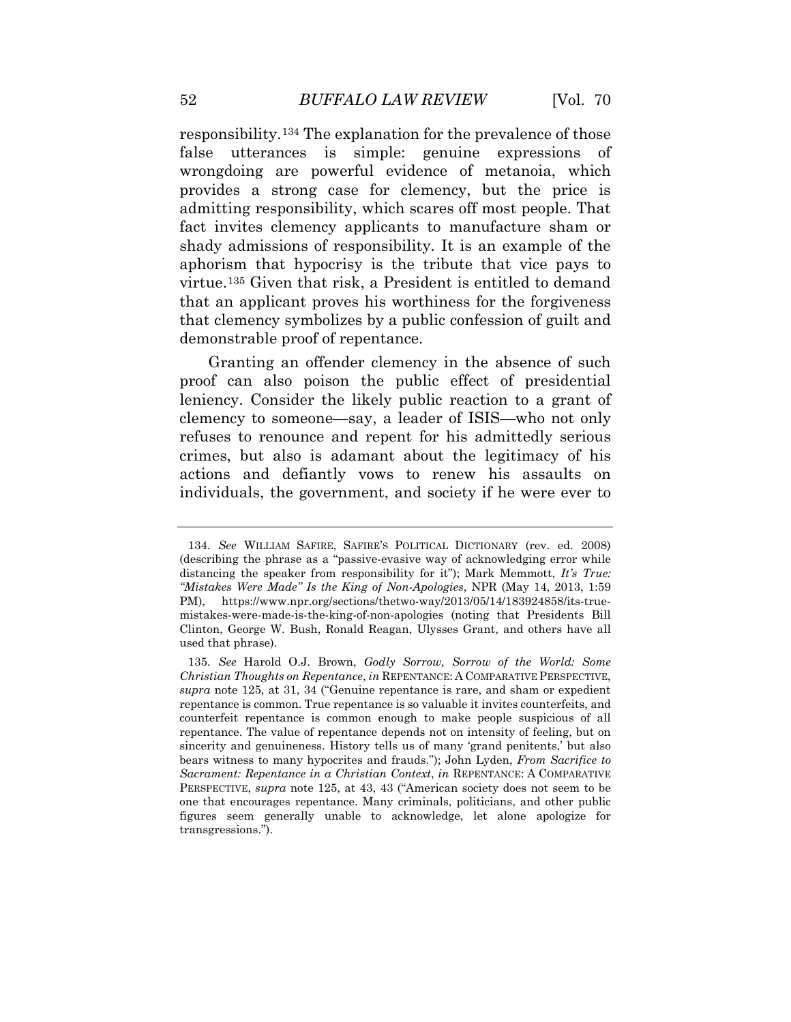responsibility.[134](#page-53-0) The explanation for the prevalence of those false utterances is simple: genuine expressions of wrongdoing are powerful evidence of metanoia, which provides a strong case for clemency, but the price is admitting responsibility, which scares off most people. That fact invites clemency applicants to manufacture sham or shady admissions of responsibility. It is an example of the aphorism that hypocrisy is the tribute that vice pays to virtue.[135](#page-53-1) Given that risk, a President is entitled to demand that an applicant proves his worthiness for the forgiveness that clemency symbolizes by a public confession of guilt and demonstrable proof of repentance.

<span id="page-52-0"></span>Granting an offender clemency in the absence of such proof can also poison the public effect of presidential leniency. Consider the likely public reaction to a grant of clemency to someone—say, a leader of ISIS—who not only refuses to renounce and repent for his admittedly serious crimes, but also is adamant about the legitimacy of his actions and defiantly vows to renew his assaults on individuals, the government, and society if he were ever to

<span id="page-52-1"></span><sup>134.</sup> *See* WILLIAM SAFIRE, SAFIRE'S POLITICAL DICTIONARY (rev. ed. 2008) (describing the phrase as a "passive-evasive way of acknowledging error while distancing the speaker from responsibility for it"); Mark Memmott, *It's True: "Mistakes Were Made" Is the King of Non-Apologies*, NPR (May 14, 2013, 1:59 PM), https://www.npr.org/sections/thetwo-way/2013/05/14/183924858/its-truemistakes-were-made-is-the-king-of-non-apologies (noting that Presidents Bill Clinton, George W. Bush, Ronald Reagan, Ulysses Grant, and others have all used that phrase).

<sup>135.</sup> *See* Harold O.J. Brown, *Godly Sorrow, Sorrow of the World: Some Christian Thoughts on Repentance*, *in* REPENTANCE: A COMPARATIVE PERSPECTIVE, *supra* note 125, at 31, 34 ("Genuine repentance is rare, and sham or expedient repentance is common. True repentance is so valuable it invites counterfeits, and counterfeit repentance is common enough to make people suspicious of all repentance. The value of repentance depends not on intensity of feeling, but on sincerity and genuineness. History tells us of many 'grand penitents,' but also bears witness to many hypocrites and frauds."); John Lyden, *From Sacrifice to Sacrament: Repentance in a Christian Context*, *in* REPENTANCE: A COMPARATIVE PERSPECTIVE, *supra* note 125, at 43, 43 ("American society does not seem to be one that encourages repentance. Many criminals, politicians, and other public figures seem generally unable to acknowledge, let alone apologize for transgressions.").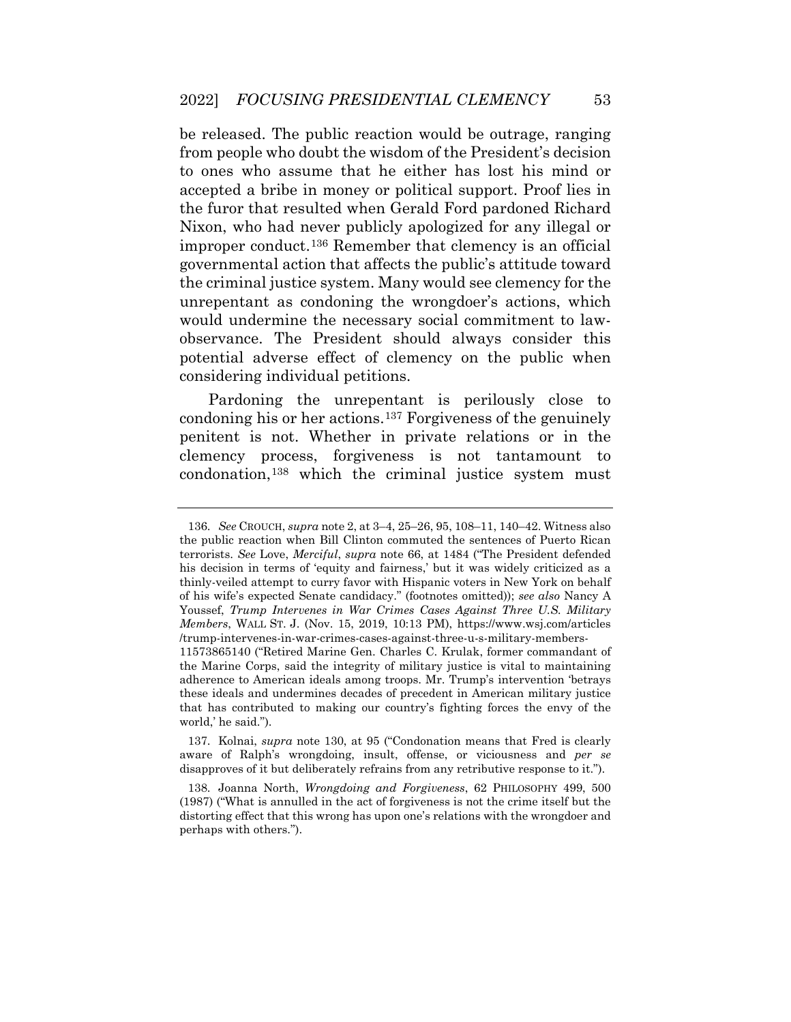be released. The public reaction would be outrage, ranging from people who doubt the wisdom of the President's decision to ones who assume that he either has lost his mind or accepted a bribe in money or political support. Proof lies in the furor that resulted when Gerald Ford pardoned Richard Nixon, who had never publicly apologized for any illegal or improper conduct.[136](#page-54-0) Remember that clemency is an official governmental action that affects the public's attitude toward the criminal justice system. Many would see clemency for the unrepentant as condoning the wrongdoer's actions, which would undermine the necessary social commitment to lawobservance. The President should always consider this potential adverse effect of clemency on the public when considering individual petitions.

Pardoning the unrepentant is perilously close to condoning his or her actions.[137](#page-55-0) Forgiveness of the genuinely penitent is not. Whether in private relations or in the clemency process, forgiveness is not tantamount to condonation,[138](#page-55-1) which the criminal justice system must

137. Kolnai, *supra* note 130, at 95 ("Condonation means that Fred is clearly aware of Ralph's wrongdoing, insult, offense, or viciousness and *per se*  disapproves of it but deliberately refrains from any retributive response to it.").

<span id="page-53-0"></span><sup>136.</sup> *See* CROUCH, *supra* note 2, at 3–4, 25–26, 95, 108–11, 140–42. Witness also the public reaction when Bill Clinton commuted the sentences of Puerto Rican terrorists. *See* Love, *Merciful*, *supra* note 66, at 1484 ("The President defended his decision in terms of 'equity and fairness,' but it was widely criticized as a thinly-veiled attempt to curry favor with Hispanic voters in New York on behalf of his wife's expected Senate candidacy." (footnotes omitted)); *see also* Nancy A Youssef, *Trump Intervenes in War Crimes Cases Against Three U.S. Military Members*, WALL ST. J. (Nov. 15, 2019, 10:13 PM), https://www.wsj.com/articles /trump-intervenes-in-war-crimes-cases-against-three-u-s-military-members-11573865140 ("Retired Marine Gen. Charles C. Krulak, former commandant of the Marine Corps, said the integrity of military justice is vital to maintaining

<span id="page-53-1"></span>adherence to American ideals among troops. Mr. Trump's intervention 'betrays these ideals and undermines decades of precedent in American military justice that has contributed to making our country's fighting forces the envy of the world,' he said.").

<sup>138.</sup> Joanna North, *Wrongdoing and Forgiveness*, 62 PHILOSOPHY 499, 500 (1987) ("What is annulled in the act of forgiveness is not the crime itself but the distorting effect that this wrong has upon one's relations with the wrongdoer and perhaps with others.").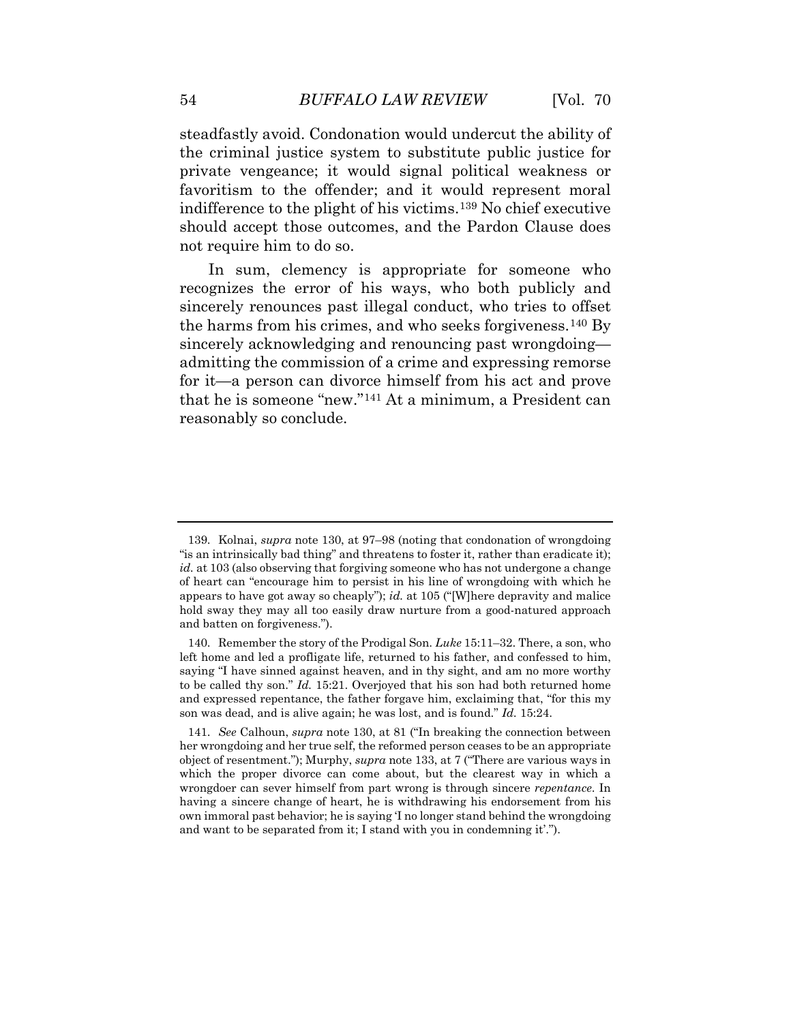steadfastly avoid. Condonation would undercut the ability of the criminal justice system to substitute public justice for private vengeance; it would signal political weakness or favoritism to the offender; and it would represent moral indifference to the plight of his victims.[139](#page-55-2) No chief executive should accept those outcomes, and the Pardon Clause does not require him to do so.

In sum, clemency is appropriate for someone who recognizes the error of his ways, who both publicly and sincerely renounces past illegal conduct, who tries to offset the harms from his crimes, and who seeks forgiveness.[140](#page-55-3) By sincerely acknowledging and renouncing past wrongdoing admitting the commission of a crime and expressing remorse for it—a person can divorce himself from his act and prove that he is someone "new."[141](#page-56-0) At a minimum, a President can reasonably so conclude.

<sup>139.</sup> Kolnai, *supra* note 130, at 97–98 (noting that condonation of wrongdoing "is an intrinsically bad thing" and threatens to foster it, rather than eradicate it); *id.* at 103 (also observing that forgiving someone who has not undergone a change of heart can "encourage him to persist in his line of wrongdoing with which he appears to have got away so cheaply"); *id.* at 105 ("[W]here depravity and malice hold sway they may all too easily draw nurture from a good-natured approach and batten on forgiveness.").

<span id="page-54-0"></span><sup>140.</sup> Remember the story of the Prodigal Son. *Luke* 15:11–32. There, a son, who left home and led a profligate life, returned to his father, and confessed to him, saying "I have sinned against heaven, and in thy sight, and am no more worthy to be called thy son." *Id.* 15:21. Overjoyed that his son had both returned home and expressed repentance, the father forgave him, exclaiming that, "for this my son was dead, and is alive again; he was lost, and is found." *Id.* 15:24.

<sup>141.</sup> *See* Calhoun, *supra* note 130, at 81 ("In breaking the connection between her wrongdoing and her true self, the reformed person ceases to be an appropriate object of resentment."); Murphy, *supra* note 133, at 7 ("There are various ways in which the proper divorce can come about, but the clearest way in which a wrongdoer can sever himself from part wrong is through sincere *repentance*. In having a sincere change of heart, he is withdrawing his endorsement from his own immoral past behavior; he is saying 'I no longer stand behind the wrongdoing and want to be separated from it; I stand with you in condemning it'.").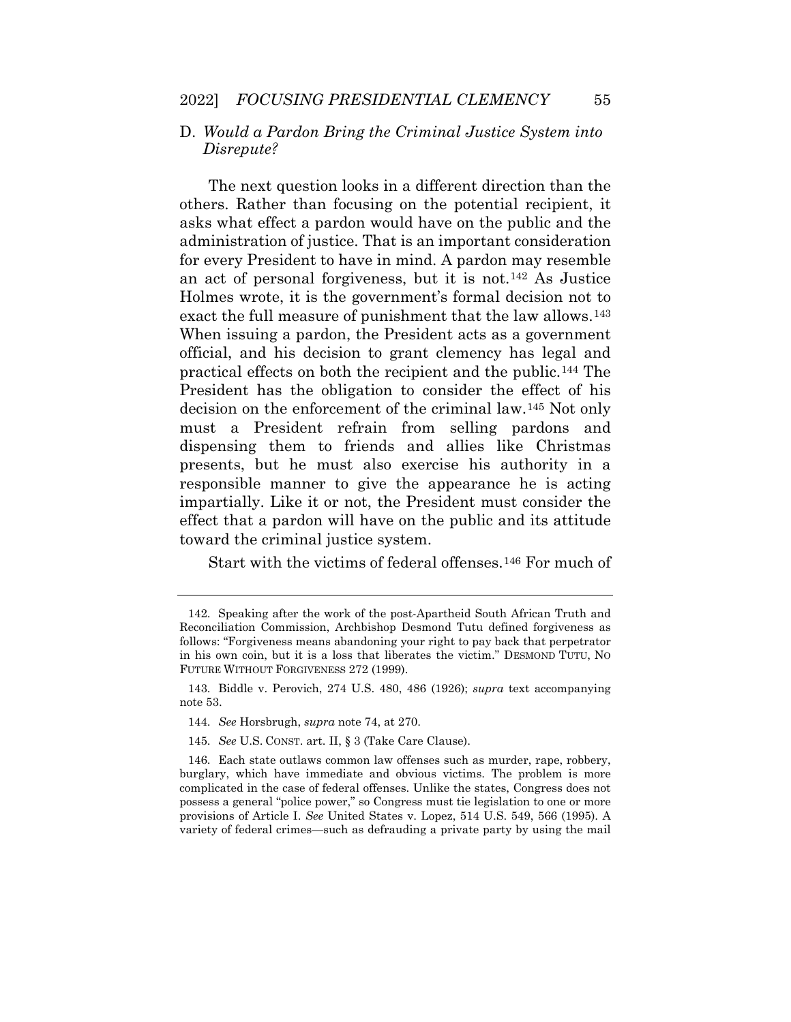# D. *Would a Pardon Bring the Criminal Justice System into Disrepute?*

The next question looks in a different direction than the others. Rather than focusing on the potential recipient, it asks what effect a pardon would have on the public and the administration of justice. That is an important consideration for every President to have in mind. A pardon may resemble an act of personal forgiveness, but it is not.[142](#page-57-0) As Justice Holmes wrote, it is the government's formal decision not to exact the full measure of punishment that the law allows.<sup>[143](#page-57-1)</sup> When issuing a pardon, the President acts as a government official, and his decision to grant clemency has legal and practical effects on both the recipient and the public.[144](#page-57-2) The President has the obligation to consider the effect of his decision on the enforcement of the criminal law.[145](#page-57-3) Not only must a President refrain from selling pardons and dispensing them to friends and allies like Christmas presents, but he must also exercise his authority in a responsible manner to give the appearance he is acting impartially. Like it or not, the President must consider the effect that a pardon will have on the public and its attitude toward the criminal justice system.

Start with the victims of federal offenses.[146](#page-57-4) For much of

<span id="page-55-2"></span><span id="page-55-1"></span><span id="page-55-0"></span><sup>142.</sup> Speaking after the work of the post-Apartheid South African Truth and Reconciliation Commission, Archbishop Desmond Tutu defined forgiveness as follows: "Forgiveness means abandoning your right to pay back that perpetrator in his own coin, but it is a loss that liberates the victim." DESMOND TUTU, NO FUTURE WITHOUT FORGIVENESS 272 (1999).

<sup>143.</sup> Biddle v. Perovich, 274 U.S. 480, 486 (1926); *supra* text accompanying note 53.

<sup>144.</sup> *See* Horsbrugh, *supra* note 74, at 270.

<sup>145.</sup> *See* U.S. CONST. art. II, § 3 (Take Care Clause).

<span id="page-55-3"></span><sup>146.</sup> Each state outlaws common law offenses such as murder, rape, robbery, burglary, which have immediate and obvious victims. The problem is more complicated in the case of federal offenses. Unlike the states, Congress does not possess a general "police power," so Congress must tie legislation to one or more provisions of Article I. *See* United States v. Lopez, 514 U.S. 549, 566 (1995). A variety of federal crimes—such as defrauding a private party by using the mail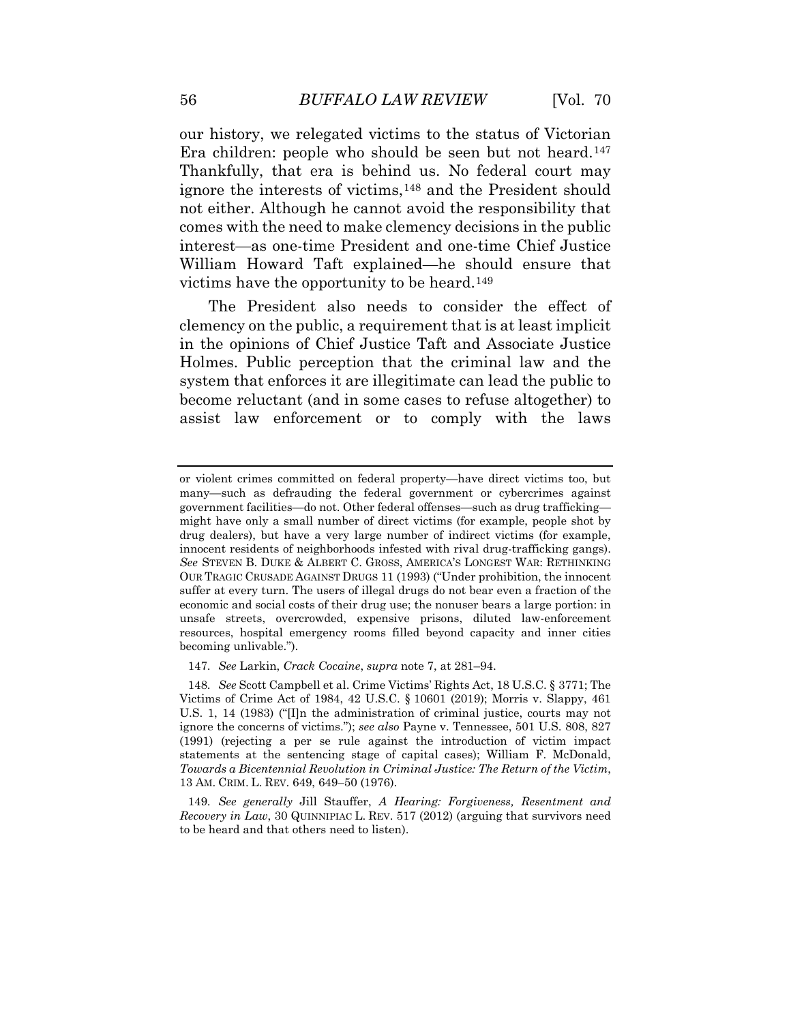our history, we relegated victims to the status of Victorian Era children: people who should be seen but not heard.<sup>[147](#page-58-0)</sup> Thankfully, that era is behind us. No federal court may ignore the interests of victims,<sup>[148](#page-58-1)</sup> and the President should not either. Although he cannot avoid the responsibility that comes with the need to make clemency decisions in the public interest—as one-time President and one-time Chief Justice William Howard Taft explained—he should ensure that victims have the opportunity to be heard.[149](#page-58-2)

The President also needs to consider the effect of clemency on the public, a requirement that is at least implicit in the opinions of Chief Justice Taft and Associate Justice Holmes. Public perception that the criminal law and the system that enforces it are illegitimate can lead the public to become reluctant (and in some cases to refuse altogether) to assist law enforcement or to comply with the laws

or violent crimes committed on federal property—have direct victims too, but many—such as defrauding the federal government or cybercrimes against government facilities—do not. Other federal offenses—such as drug trafficking might have only a small number of direct victims (for example, people shot by drug dealers), but have a very large number of indirect victims (for example, innocent residents of neighborhoods infested with rival drug-trafficking gangs). *See* STEVEN B. DUKE & ALBERT C. GROSS, AMERICA'S LONGEST WAR: RETHINKING OUR TRAGIC CRUSADE AGAINST DRUGS 11 (1993) ("Under prohibition, the innocent suffer at every turn. The users of illegal drugs do not bear even a fraction of the economic and social costs of their drug use; the nonuser bears a large portion: in unsafe streets, overcrowded, expensive prisons, diluted law-enforcement resources, hospital emergency rooms filled beyond capacity and inner cities becoming unlivable.").

<sup>147.</sup> *See* Larkin, *Crack Cocaine*, *supra* note 7, at 281–94.

<span id="page-56-0"></span><sup>148.</sup> *See* Scott Campbell et al. Crime Victims' Rights Act, 18 U.S.C. § 3771; The Victims of Crime Act of 1984, 42 U.S.C. § 10601 (2019); Morris v. Slappy, 461 U.S. 1, 14 (1983) ("[I]n the administration of criminal justice, courts may not ignore the concerns of victims."); *see also* Payne v. Tennessee, 501 U.S. 808, 827 (1991) (rejecting a per se rule against the introduction of victim impact statements at the sentencing stage of capital cases); William F. McDonald, *Towards a Bicentennial Revolution in Criminal Justice: The Return of the Victim*, 13 AM. CRIM. L. REV. 649, 649–50 (1976).

<sup>149.</sup> *See generally* Jill Stauffer, *A Hearing: Forgiveness, Resentment and Recovery in Law*, 30 QUINNIPIAC L. REV. 517 (2012) (arguing that survivors need to be heard and that others need to listen).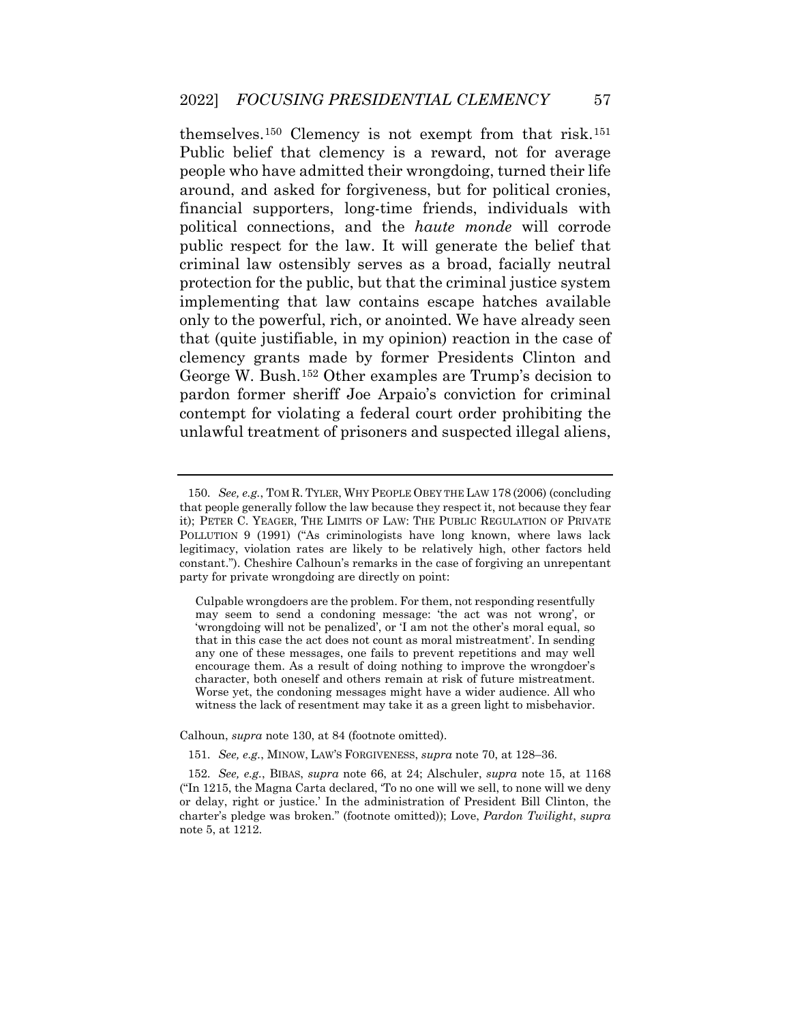themselves.[150](#page-59-0) Clemency is not exempt from that risk.[151](#page-59-1) Public belief that clemency is a reward, not for average people who have admitted their wrongdoing, turned their life around, and asked for forgiveness, but for political cronies, financial supporters, long-time friends, individuals with political connections, and the *haute monde* will corrode public respect for the law. It will generate the belief that criminal law ostensibly serves as a broad, facially neutral protection for the public, but that the criminal justice system implementing that law contains escape hatches available only to the powerful, rich, or anointed. We have already seen that (quite justifiable, in my opinion) reaction in the case of clemency grants made by former Presidents Clinton and George W. Bush.[152](#page-59-2) Other examples are Trump's decision to pardon former sheriff Joe Arpaio's conviction for criminal contempt for violating a federal court order prohibiting the unlawful treatment of prisoners and suspected illegal aliens,

<span id="page-57-4"></span><span id="page-57-3"></span><span id="page-57-2"></span><span id="page-57-1"></span>Calhoun, *supra* note 130, at 84 (footnote omitted).

151. *See, e.g.*, MINOW, LAW'S FORGIVENESS, *supra* note 70, at 128–36.

152. *See, e.g.*, BIBAS, *supra* note 66, at 24; Alschuler, *supra* note 15, at 1168 ("In 1215, the Magna Carta declared, 'To no one will we sell, to none will we deny or delay, right or justice.' In the administration of President Bill Clinton, the charter's pledge was broken." (footnote omitted)); Love, *Pardon Twilight*, *supra* note 5, at 1212.

<sup>150.</sup> *See, e.g.*, TOM R. TYLER, WHY PEOPLE OBEY THE LAW 178 (2006) (concluding that people generally follow the law because they respect it, not because they fear it); PETER C. YEAGER, THE LIMITS OF LAW: THE PUBLIC REGULATION OF PRIVATE POLLUTION 9 (1991) ("As criminologists have long known, where laws lack legitimacy, violation rates are likely to be relatively high, other factors held constant."). Cheshire Calhoun's remarks in the case of forgiving an unrepentant party for private wrongdoing are directly on point:

<span id="page-57-0"></span>Culpable wrongdoers are the problem. For them, not responding resentfully may seem to send a condoning message: 'the act was not wrong', or 'wrongdoing will not be penalized', or 'I am not the other's moral equal, so that in this case the act does not count as moral mistreatment'. In sending any one of these messages, one fails to prevent repetitions and may well encourage them. As a result of doing nothing to improve the wrongdoer's character, both oneself and others remain at risk of future mistreatment. Worse yet, the condoning messages might have a wider audience. All who witness the lack of resentment may take it as a green light to misbehavior.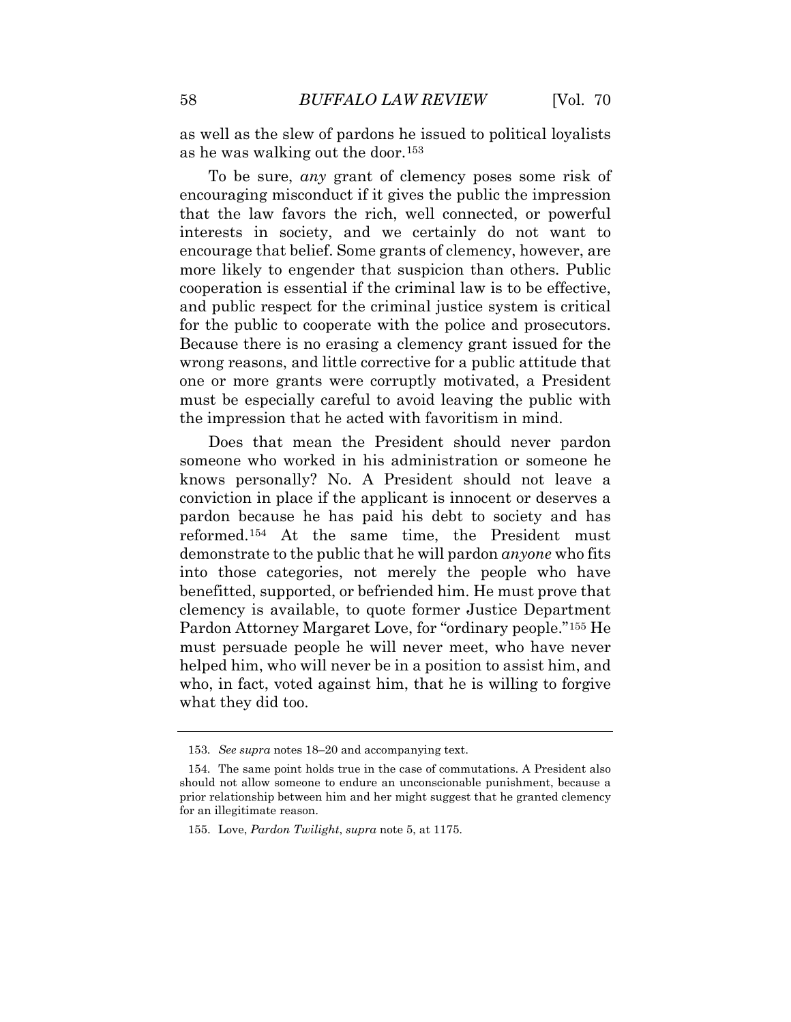as well as the slew of pardons he issued to political loyalists as he was walking out the door.[153](#page-60-0)

To be sure, *any* grant of clemency poses some risk of encouraging misconduct if it gives the public the impression that the law favors the rich, well connected, or powerful interests in society, and we certainly do not want to encourage that belief. Some grants of clemency, however, are more likely to engender that suspicion than others. Public cooperation is essential if the criminal law is to be effective, and public respect for the criminal justice system is critical for the public to cooperate with the police and prosecutors. Because there is no erasing a clemency grant issued for the wrong reasons, and little corrective for a public attitude that one or more grants were corruptly motivated, a President must be especially careful to avoid leaving the public with the impression that he acted with favoritism in mind.

Does that mean the President should never pardon someone who worked in his administration or someone he knows personally? No. A President should not leave a conviction in place if the applicant is innocent or deserves a pardon because he has paid his debt to society and has reformed.[154](#page-60-1) At the same time, the President must demonstrate to the public that he will pardon *anyone* who fits into those categories, not merely the people who have benefitted, supported, or befriended him. He must prove that clemency is available, to quote former Justice Department Pardon Attorney Margaret Love, for "ordinary people."[155](#page-60-2) He must persuade people he will never meet, who have never helped him, who will never be in a position to assist him, and who, in fact, voted against him, that he is willing to forgive what they did too.

<span id="page-58-1"></span><span id="page-58-0"></span><sup>153.</sup> *See supra* notes 18–20 and accompanying text.

<span id="page-58-2"></span><sup>154.</sup> The same point holds true in the case of commutations. A President also should not allow someone to endure an unconscionable punishment, because a prior relationship between him and her might suggest that he granted clemency for an illegitimate reason.

<sup>155.</sup> Love, *Pardon Twilight*, *supra* note 5, at 1175.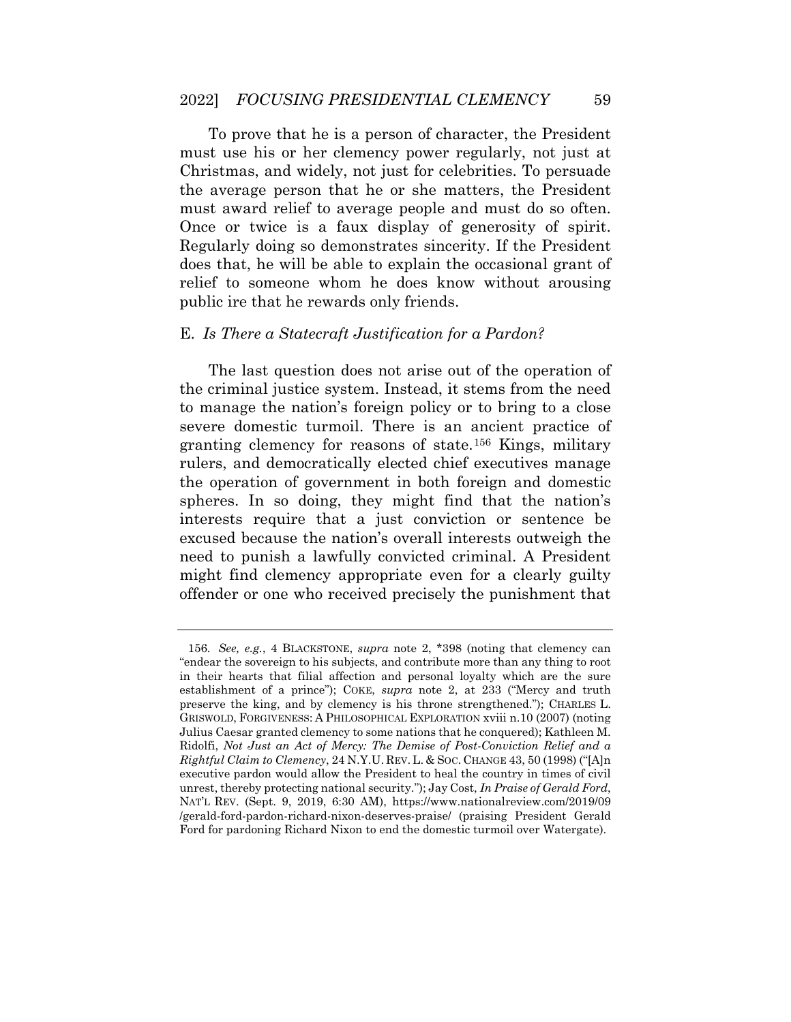To prove that he is a person of character, the President must use his or her clemency power regularly, not just at Christmas, and widely, not just for celebrities. To persuade the average person that he or she matters, the President must award relief to average people and must do so often. Once or twice is a faux display of generosity of spirit. Regularly doing so demonstrates sincerity. If the President does that, he will be able to explain the occasional grant of relief to someone whom he does know without arousing public ire that he rewards only friends.

#### E. *Is There a Statecraft Justification for a Pardon?*

<span id="page-59-0"></span>The last question does not arise out of the operation of the criminal justice system. Instead, it stems from the need to manage the nation's foreign policy or to bring to a close severe domestic turmoil. There is an ancient practice of granting clemency for reasons of state.[156](#page-61-0) Kings, military rulers, and democratically elected chief executives manage the operation of government in both foreign and domestic spheres. In so doing, they might find that the nation's interests require that a just conviction or sentence be excused because the nation's overall interests outweigh the need to punish a lawfully convicted criminal. A President might find clemency appropriate even for a clearly guilty offender or one who received precisely the punishment that

<span id="page-59-2"></span><span id="page-59-1"></span><sup>156.</sup> *See, e.g.*, 4 BLACKSTONE, *supra* note 2, \*398 (noting that clemency can "endear the sovereign to his subjects, and contribute more than any thing to root in their hearts that filial affection and personal loyalty which are the sure establishment of a prince"); COKE, *supra* note 2, at 233 ("Mercy and truth preserve the king, and by clemency is his throne strengthened."); CHARLES L. GRISWOLD, FORGIVENESS: A PHILOSOPHICAL EXPLORATION xviii n.10 (2007) (noting Julius Caesar granted clemency to some nations that he conquered); Kathleen M. Ridolfi, *Not Just an Act of Mercy: The Demise of Post-Conviction Relief and a Rightful Claim to Clemency*, 24 N.Y.U. REV. L. & SOC. CHANGE 43, 50 (1998) ("[A]n executive pardon would allow the President to heal the country in times of civil unrest, thereby protecting national security."); Jay Cost, *In Praise of Gerald Ford*, NAT'L REV. (Sept. 9, 2019, 6:30 AM), https://www.nationalreview.com/2019/09 /gerald-ford-pardon-richard-nixon-deserves-praise/ (praising President Gerald Ford for pardoning Richard Nixon to end the domestic turmoil over Watergate).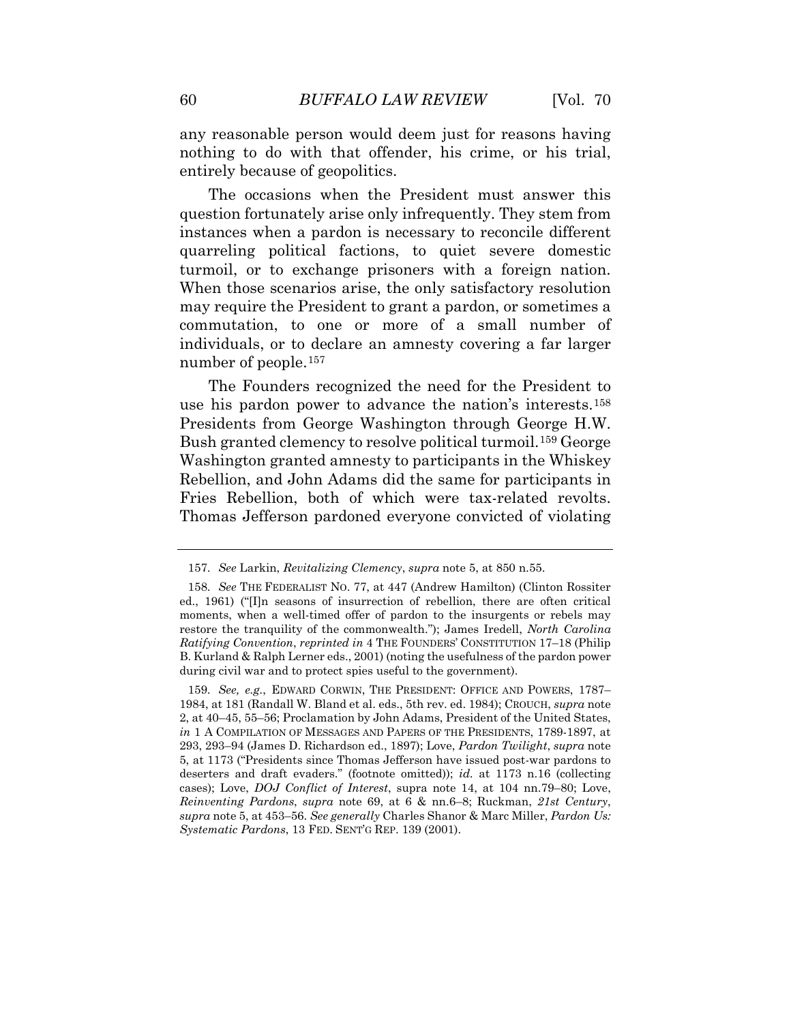any reasonable person would deem just for reasons having nothing to do with that offender, his crime, or his trial, entirely because of geopolitics.

The occasions when the President must answer this question fortunately arise only infrequently. They stem from instances when a pardon is necessary to reconcile different quarreling political factions, to quiet severe domestic turmoil, or to exchange prisoners with a foreign nation. When those scenarios arise, the only satisfactory resolution may require the President to grant a pardon, or sometimes a commutation, to one or more of a small number of individuals, or to declare an amnesty covering a far larger number of people.[157](#page-62-0)

The Founders recognized the need for the President to use his pardon power to advance the nation's interests.[158](#page-62-1) Presidents from George Washington through George H.W. Bush granted clemency to resolve political turmoil.[159](#page-62-2) George Washington granted amnesty to participants in the Whiskey Rebellion, and John Adams did the same for participants in Fries Rebellion, both of which were tax-related revolts. Thomas Jefferson pardoned everyone convicted of violating

<sup>157.</sup> *See* Larkin, *Revitalizing Clemency*, *supra* note 5, at 850 n.55.

<sup>158.</sup> *See* THE FEDERALIST NO. 77, at 447 (Andrew Hamilton) (Clinton Rossiter ed., 1961) ("[I]n seasons of insurrection of rebellion, there are often critical moments, when a well-timed offer of pardon to the insurgents or rebels may restore the tranquility of the commonwealth."); James Iredell, *North Carolina Ratifying Convention*, *reprinted in* 4 THE FOUNDERS' CONSTITUTION 17–18 (Philip B. Kurland & Ralph Lerner eds., 2001) (noting the usefulness of the pardon power during civil war and to protect spies useful to the government).

<span id="page-60-2"></span><span id="page-60-1"></span><span id="page-60-0"></span><sup>159.</sup> *See, e.g.*, EDWARD CORWIN, THE PRESIDENT: OFFICE AND POWERS, 1787– 1984, at 181 (Randall W. Bland et al. eds., 5th rev. ed. 1984); CROUCH, *supra* note 2, at 40–45, 55–56; Proclamation by John Adams, President of the United States, *in* 1 A COMPILATION OF MESSAGES AND PAPERS OF THE PRESIDENTS, 1789-1897, at 293, 293–94 (James D. Richardson ed., 1897); Love, *Pardon Twilight*, *supra* note 5, at 1173 ("Presidents since Thomas Jefferson have issued post-war pardons to deserters and draft evaders." (footnote omitted)); *id.* at 1173 n.16 (collecting cases); Love, *DOJ Conflict of Interest*, supra note 14, at 104 nn.79–80; Love, *Reinventing Pardons*, *supra* note 69, at 6 & nn.6–8; Ruckman, *21st Century*, *supra* note 5, at 453–56. *See generally* Charles Shanor & Marc Miller, *Pardon Us: Systematic Pardons*, 13 FED. SENT'G REP. 139 (2001).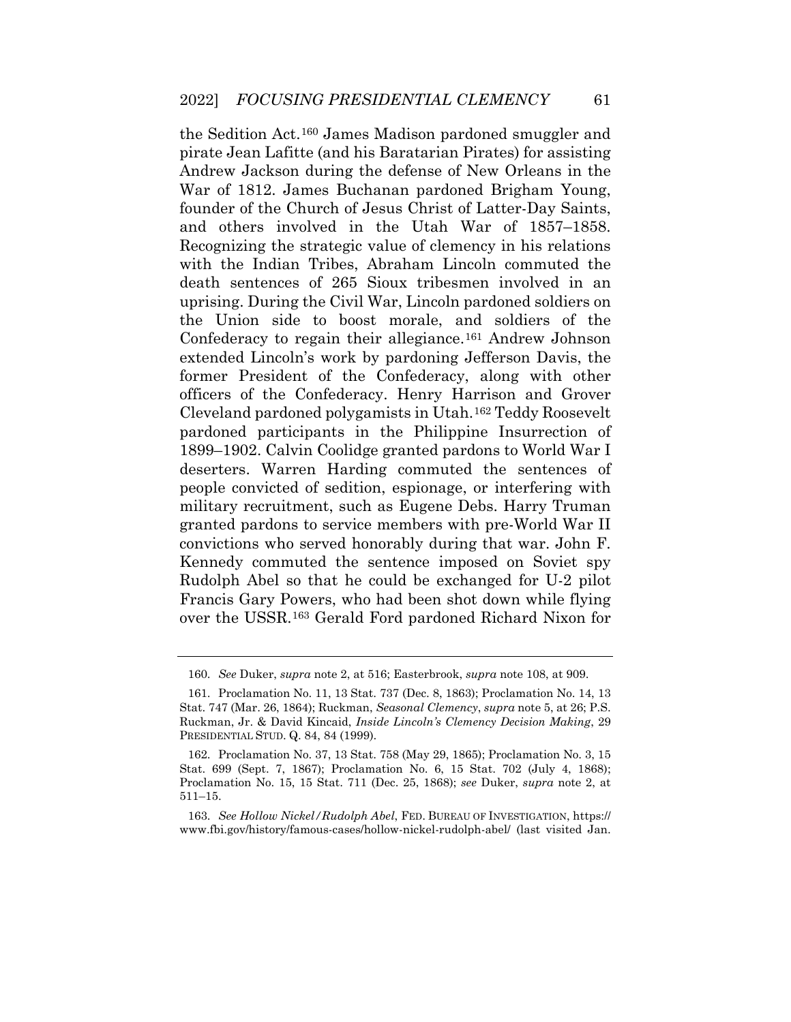the Sedition Act.[160](#page-63-0) James Madison pardoned smuggler and pirate Jean Lafitte (and his Baratarian Pirates) for assisting Andrew Jackson during the defense of New Orleans in the War of 1812. James Buchanan pardoned Brigham Young, founder of the Church of Jesus Christ of Latter-Day Saints, and others involved in the Utah War of 1857–1858. Recognizing the strategic value of clemency in his relations with the Indian Tribes, Abraham Lincoln commuted the death sentences of 265 Sioux tribesmen involved in an uprising. During the Civil War, Lincoln pardoned soldiers on the Union side to boost morale, and soldiers of the Confederacy to regain their allegiance.<sup>[161](#page-63-1)</sup> Andrew Johnson extended Lincoln's work by pardoning Jefferson Davis, the former President of the Confederacy, along with other officers of the Confederacy. Henry Harrison and Grover Cleveland pardoned polygamists in Utah.[162](#page-63-2) Teddy Roosevelt pardoned participants in the Philippine Insurrection of 1899–1902. Calvin Coolidge granted pardons to World War I deserters. Warren Harding commuted the sentences of people convicted of sedition, espionage, or interfering with military recruitment, such as Eugene Debs. Harry Truman granted pardons to service members with pre-World War II convictions who served honorably during that war. John F. Kennedy commuted the sentence imposed on Soviet spy Rudolph Abel so that he could be exchanged for U-2 pilot Francis Gary Powers, who had been shot down while flying over the USSR.[163](#page-64-0) Gerald Ford pardoned Richard Nixon for

163. *See Hollow Nickel/Rudolph Abel*, FED. BUREAU OF INVESTIGATION, https:// www.fbi.gov/history/famous-cases/hollow-nickel-rudolph-abel/ (last visited Jan.

<sup>160.</sup> *See* Duker, *supra* note 2, at 516; Easterbrook, *supra* note 108, at 909.

<span id="page-61-0"></span><sup>161.</sup> Proclamation No. 11, 13 Stat. 737 (Dec. 8, 1863); Proclamation No. 14, 13 Stat. 747 (Mar. 26, 1864); Ruckman, *Seasonal Clemency*, *supra* note 5, at 26; P.S. Ruckman, Jr. & David Kincaid, *Inside Lincoln's Clemency Decision Making*, 29 PRESIDENTIAL STUD. Q. 84, 84 (1999).

<sup>162.</sup> Proclamation No. 37, 13 Stat. 758 (May 29, 1865); Proclamation No. 3, 15 Stat. 699 (Sept. 7, 1867); Proclamation No. 6, 15 Stat. 702 (July 4, 1868); Proclamation No. 15, 15 Stat. 711 (Dec. 25, 1868); *see* Duker, *supra* note 2, at 511–15.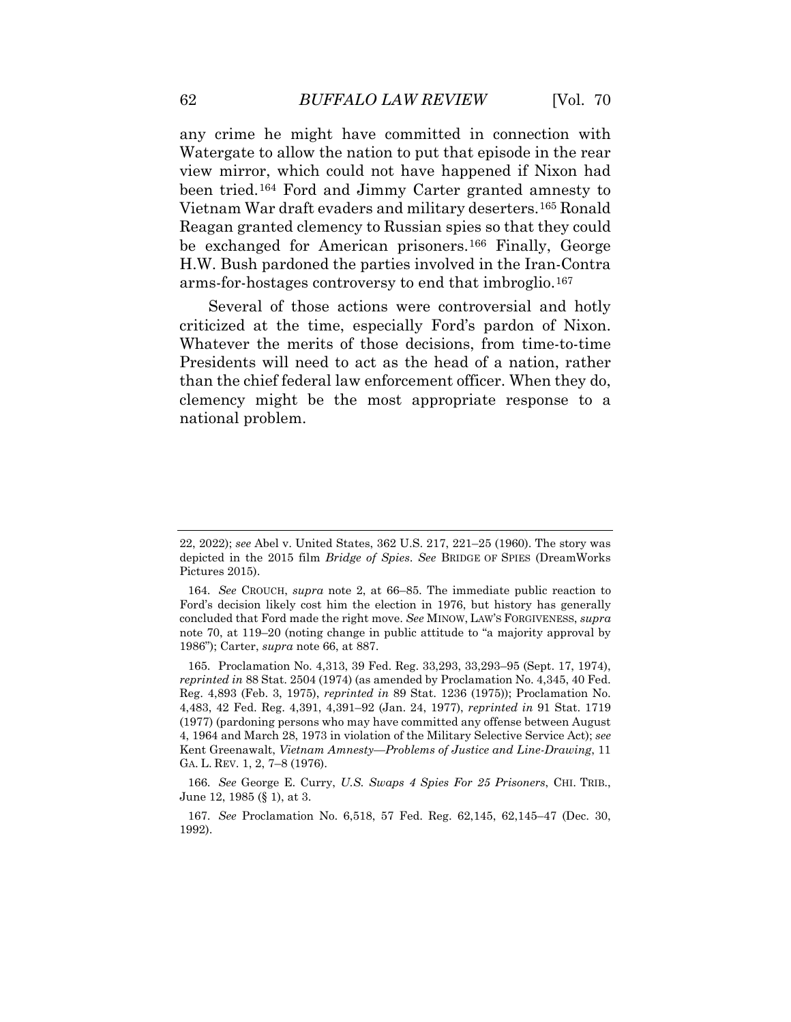any crime he might have committed in connection with Watergate to allow the nation to put that episode in the rear view mirror, which could not have happened if Nixon had been tried.[164](#page-64-1) Ford and Jimmy Carter granted amnesty to Vietnam War draft evaders and military deserters.[165](#page-64-2) Ronald Reagan granted clemency to Russian spies so that they could be exchanged for American prisoners.<sup>[166](#page-64-3)</sup> Finally, George H.W. Bush pardoned the parties involved in the Iran-Contra arms-for-hostages controversy to end that imbroglio.[167](#page-64-4)

Several of those actions were controversial and hotly criticized at the time, especially Ford's pardon of Nixon. Whatever the merits of those decisions, from time-to-time Presidents will need to act as the head of a nation, rather than the chief federal law enforcement officer. When they do, clemency might be the most appropriate response to a national problem.

<span id="page-62-0"></span><sup>22, 2022);</sup> *see* Abel v. United States, 362 U.S. 217, 221–25 (1960). The story was depicted in the 2015 film *Bridge of Spies*. *See* BRIDGE OF SPIES (DreamWorks Pictures 2015).

<span id="page-62-1"></span><sup>164.</sup> *See* CROUCH, *supra* note 2, at 66–85. The immediate public reaction to Ford's decision likely cost him the election in 1976, but history has generally concluded that Ford made the right move. *See* MINOW, LAW'S FORGIVENESS, *supra* note 70, at 119–20 (noting change in public attitude to "a majority approval by 1986"); Carter, *supra* note 66, at 887.

<span id="page-62-2"></span><sup>165.</sup> Proclamation No. 4,313, 39 Fed. Reg. 33,293, 33,293–95 (Sept. 17, 1974), *reprinted in* 88 Stat. 2504 (1974) (as amended by Proclamation No. 4,345, 40 Fed. Reg. 4,893 (Feb. 3, 1975), *reprinted in* 89 Stat. 1236 (1975)); Proclamation No. 4,483, 42 Fed. Reg. 4,391, 4,391–92 (Jan. 24, 1977), *reprinted in* 91 Stat. 1719 (1977) (pardoning persons who may have committed any offense between August 4, 1964 and March 28, 1973 in violation of the Military Selective Service Act); *see* Kent Greenawalt, *Vietnam Amnesty—Problems of Justice and Line-Drawing*, 11 GA. L. REV. 1, 2, 7–8 (1976).

<sup>166.</sup> *See* George E. Curry, *U.S. Swaps 4 Spies For 25 Prisoners*, CHI. TRIB., June 12, 1985 (§ 1), at 3.

<sup>167.</sup> *See* Proclamation No. 6,518, 57 Fed. Reg. 62,145, 62,145–47 (Dec. 30, 1992).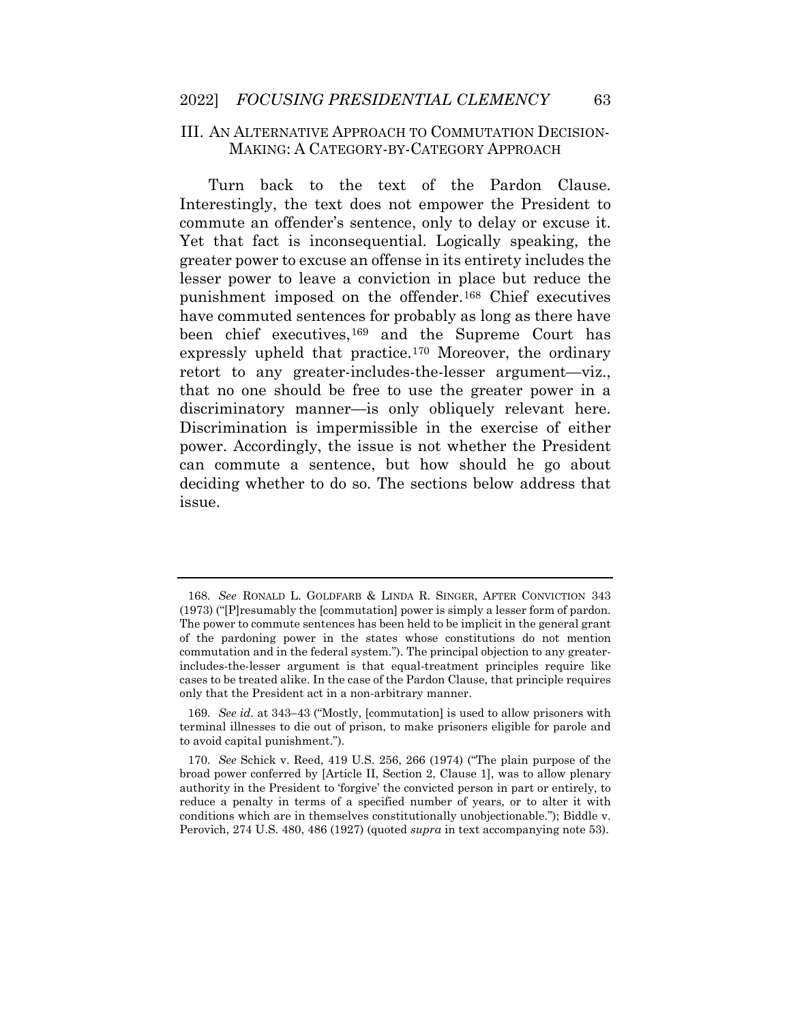### III. AN ALTERNATIVE APPROACH TO COMMUTATION DECISION-MAKING: A CATEGORY-BY-CATEGORY APPROACH

Turn back to the text of the Pardon Clause. Interestingly, the text does not empower the President to commute an offender's sentence, only to delay or excuse it. Yet that fact is inconsequential. Logically speaking, the greater power to excuse an offense in its entirety includes the lesser power to leave a conviction in place but reduce the punishment imposed on the offender.[168](#page-66-0) Chief executives have commuted sentences for probably as long as there have been chief executives,[169](#page-66-1) and the Supreme Court has expressly upheld that practice.<sup>[170](#page-66-2)</sup> Moreover, the ordinary retort to any greater-includes-the-lesser argument—viz., that no one should be free to use the greater power in a discriminatory manner—is only obliquely relevant here. Discrimination is impermissible in the exercise of either power. Accordingly, the issue is not whether the President can commute a sentence, but how should he go about deciding whether to do so. The sections below address that issue.

<sup>168.</sup> *See* RONALD L. GOLDFARB & LINDA R. SINGER, AFTER CONVICTION 343 (1973) ("[P]resumably the [commutation] power is simply a lesser form of pardon. The power to commute sentences has been held to be implicit in the general grant of the pardoning power in the states whose constitutions do not mention commutation and in the federal system."). The principal objection to any greaterincludes-the-lesser argument is that equal-treatment principles require like cases to be treated alike. In the case of the Pardon Clause, that principle requires only that the President act in a non-arbitrary manner.

<span id="page-63-1"></span><span id="page-63-0"></span><sup>169.</sup> *See id.* at 343–43 ("Mostly, [commutation] is used to allow prisoners with terminal illnesses to die out of prison, to make prisoners eligible for parole and to avoid capital punishment.").

<span id="page-63-2"></span><sup>170.</sup> *See* Schick v. Reed, 419 U.S. 256, 266 (1974) ("The plain purpose of the broad power conferred by [Article II, Section 2, Clause 1], was to allow plenary authority in the President to 'forgive' the convicted person in part or entirely, to reduce a penalty in terms of a specified number of years, or to alter it with conditions which are in themselves constitutionally unobjectionable."); Biddle v. Perovich, 274 U.S. 480, 486 (1927) (quoted *supra* in text accompanying note 53).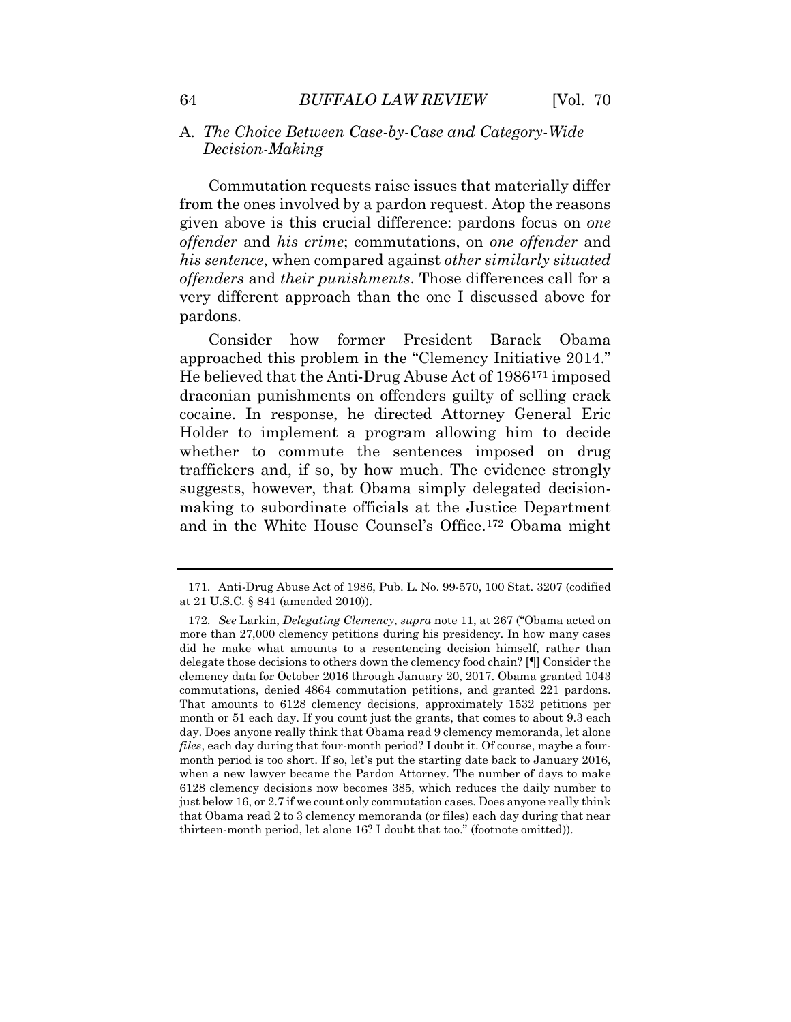## A. *The Choice Between Case-by-Case and Category-Wide Decision-Making*

Commutation requests raise issues that materially differ from the ones involved by a pardon request. Atop the reasons given above is this crucial difference: pardons focus on *one offender* and *his crime*; commutations, on *one offender* and *his sentence*, when compared against *other similarly situated offenders* and *their punishments*. Those differences call for a very different approach than the one I discussed above for pardons.

Consider how former President Barack Obama approached this problem in the "Clemency Initiative 2014." He believed that the Anti-Drug Abuse Act of 1986[171](#page-67-0) imposed draconian punishments on offenders guilty of selling crack cocaine. In response, he directed Attorney General Eric Holder to implement a program allowing him to decide whether to commute the sentences imposed on drug traffickers and, if so, by how much. The evidence strongly suggests, however, that Obama simply delegated decisionmaking to subordinate officials at the Justice Department and in the White House Counsel's Office.[172](#page-67-1) Obama might

<span id="page-64-1"></span><span id="page-64-0"></span><sup>171.</sup> Anti-Drug Abuse Act of 1986, Pub. L. No. 99-570, 100 Stat. 3207 (codified at 21 U.S.C. § 841 (amended 2010)).

<span id="page-64-4"></span><span id="page-64-3"></span><span id="page-64-2"></span><sup>172.</sup> *See* Larkin, *Delegating Clemency*, *supra* note 11, at 267 ("Obama acted on more than 27,000 clemency petitions during his presidency. In how many cases did he make what amounts to a resentencing decision himself, rather than delegate those decisions to others down the clemency food chain? [¶] Consider the clemency data for October 2016 through January 20, 2017. Obama granted 1043 commutations, denied 4864 commutation petitions, and granted 221 pardons. That amounts to 6128 clemency decisions, approximately 1532 petitions per month or 51 each day. If you count just the grants, that comes to about 9.3 each day. Does anyone really think that Obama read 9 clemency memoranda, let alone *files*, each day during that four-month period? I doubt it. Of course, maybe a fourmonth period is too short. If so, let's put the starting date back to January 2016, when a new lawyer became the Pardon Attorney. The number of days to make 6128 clemency decisions now becomes 385, which reduces the daily number to just below 16, or 2.7 if we count only commutation cases. Does anyone really think that Obama read 2 to 3 clemency memoranda (or files) each day during that near thirteen-month period, let alone 16? I doubt that too." (footnote omitted)).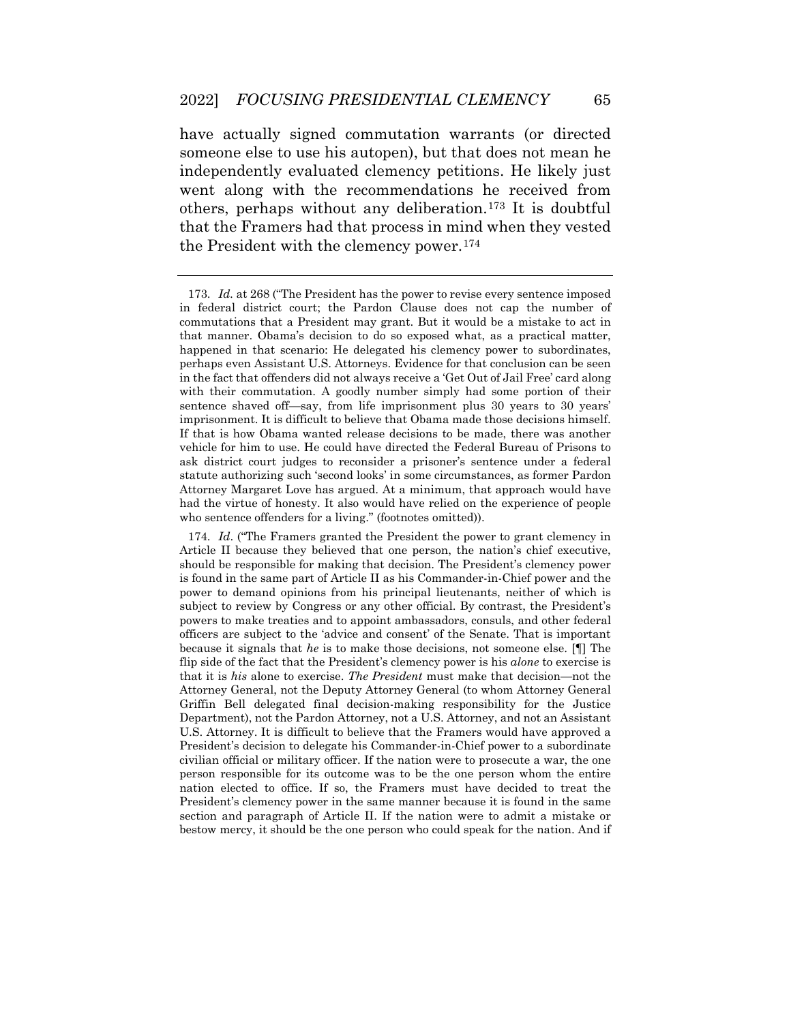have actually signed commutation warrants (or directed someone else to use his autopen), but that does not mean he independently evaluated clemency petitions. He likely just went along with the recommendations he received from others, perhaps without any deliberation.[173](#page-68-0) It is doubtful that the Framers had that process in mind when they vested the President with the clemency power.[174](#page-68-1)

<sup>173.</sup> *Id.* at 268 ("The President has the power to revise every sentence imposed in federal district court; the Pardon Clause does not cap the number of commutations that a President may grant. But it would be a mistake to act in that manner. Obama's decision to do so exposed what, as a practical matter, happened in that scenario: He delegated his clemency power to subordinates, perhaps even Assistant U.S. Attorneys. Evidence for that conclusion can be seen in the fact that offenders did not always receive a 'Get Out of Jail Free' card along with their commutation. A goodly number simply had some portion of their sentence shaved of f—say, from life imprisonment plus 30 years to 30 years' imprisonment. It is difficult to believe that Obama made those decisions himself. If that is how Obama wanted release decisions to be made, there was another vehicle for him to use. He could have directed the Federal Bureau of Prisons to ask district court judges to reconsider a prisoner's sentence under a federal statute authorizing such 'second looks' in some circumstances, as former Pardon Attorney Margaret Love has argued. At a minimum, that approach would have had the virtue of honesty. It also would have relied on the experience of people who sentence offenders for a living." (footnotes omitted)).

<sup>174.</sup> *Id*. ("The Framers granted the President the power to grant clemency in Article II because they believed that one person, the nation's chief executive, should be responsible for making that decision. The President's clemency power is found in the same part of Article II as his Commander-in-Chief power and the power to demand opinions from his principal lieutenants, neither of which is subject to review by Congress or any other official. By contrast, the President's powers to make treaties and to appoint ambassadors, consuls, and other federal officers are subject to the 'advice and consent' of the Senate. That is important because it signals that *he* is to make those decisions, not someone else. [¶] The flip side of the fact that the President's clemency power is his *alone* to exercise is that it is *his* alone to exercise. *The President* must make that decision—not the Attorney General, not the Deputy Attorney General (to whom Attorney General Griffin Bell delegated final decision-making responsibility for the Justice Department), not the Pardon Attorney, not a U.S. Attorney, and not an Assistant U.S. Attorney. It is difficult to believe that the Framers would have approved a President's decision to delegate his Commander-in-Chief power to a subordinate civilian official or military officer. If the nation were to prosecute a war, the one person responsible for its outcome was to be the one person whom the entire nation elected to office. If so, the Framers must have decided to treat the President's clemency power in the same manner because it is found in the same section and paragraph of Article II. If the nation were to admit a mistake or bestow mercy, it should be the one person who could speak for the nation. And if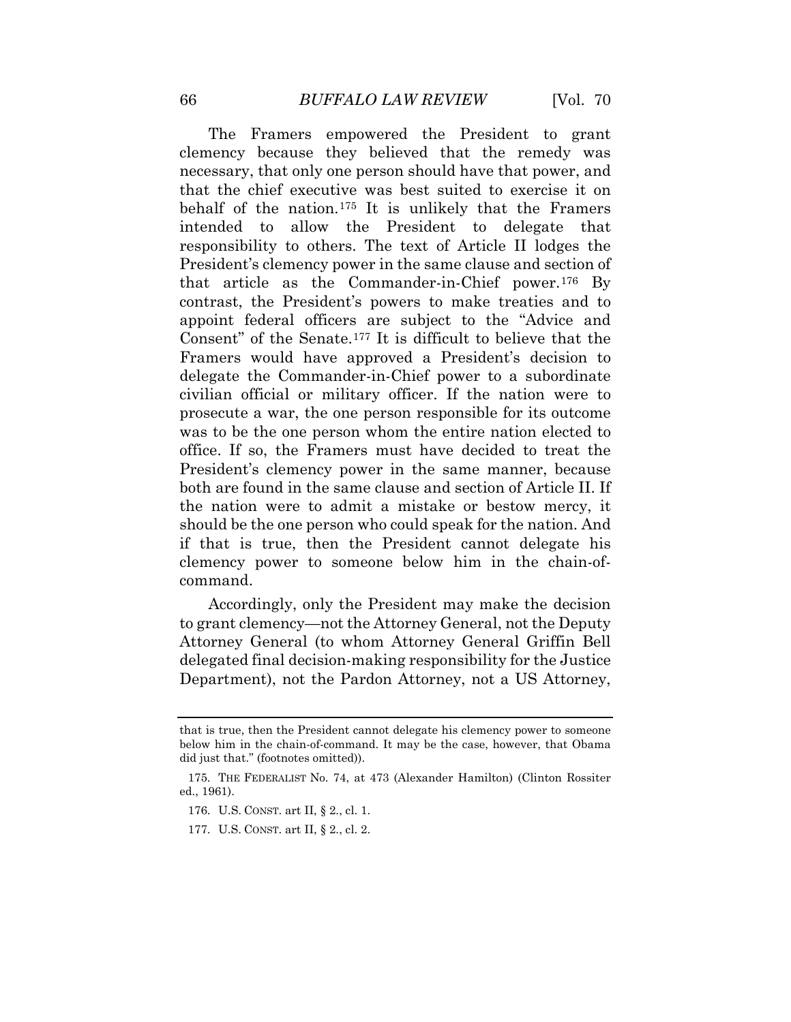The Framers empowered the President to grant clemency because they believed that the remedy was necessary, that only one person should have that power, and that the chief executive was best suited to exercise it on behalf of the nation.[175](#page-69-0) It is unlikely that the Framers intended to allow the President to delegate that responsibility to others. The text of Article II lodges the President's clemency power in the same clause and section of that article as the Commander-in-Chief power.[176](#page-69-1) By contrast, the President's powers to make treaties and to appoint federal officers are subject to the "Advice and Consent" of the Senate.[177](#page-69-2) It is difficult to believe that the Framers would have approved a President's decision to delegate the Commander-in-Chief power to a subordinate civilian official or military officer. If the nation were to prosecute a war, the one person responsible for its outcome was to be the one person whom the entire nation elected to office. If so, the Framers must have decided to treat the President's clemency power in the same manner, because both are found in the same clause and section of Article II. If the nation were to admit a mistake or bestow mercy, it should be the one person who could speak for the nation. And if that is true, then the President cannot delegate his clemency power to someone below him in the chain-ofcommand.

<span id="page-66-0"></span>Accordingly, only the President may make the decision to grant clemency—not the Attorney General, not the Deputy Attorney General (to whom Attorney General Griffin Bell delegated final decision-making responsibility for the Justice Department), not the Pardon Attorney, not a US Attorney,

<span id="page-66-2"></span><span id="page-66-1"></span>that is true, then the President cannot delegate his clemency power to someone below him in the chain-of-command. It may be the case, however, that Obama did just that." (footnotes omitted)).

<sup>175.</sup> THE FEDERALIST No. 74, at 473 (Alexander Hamilton) (Clinton Rossiter ed., 1961).

<sup>176.</sup> U.S. CONST. art II, § 2., cl. 1.

<sup>177.</sup> U.S. CONST. art II, § 2., cl. 2.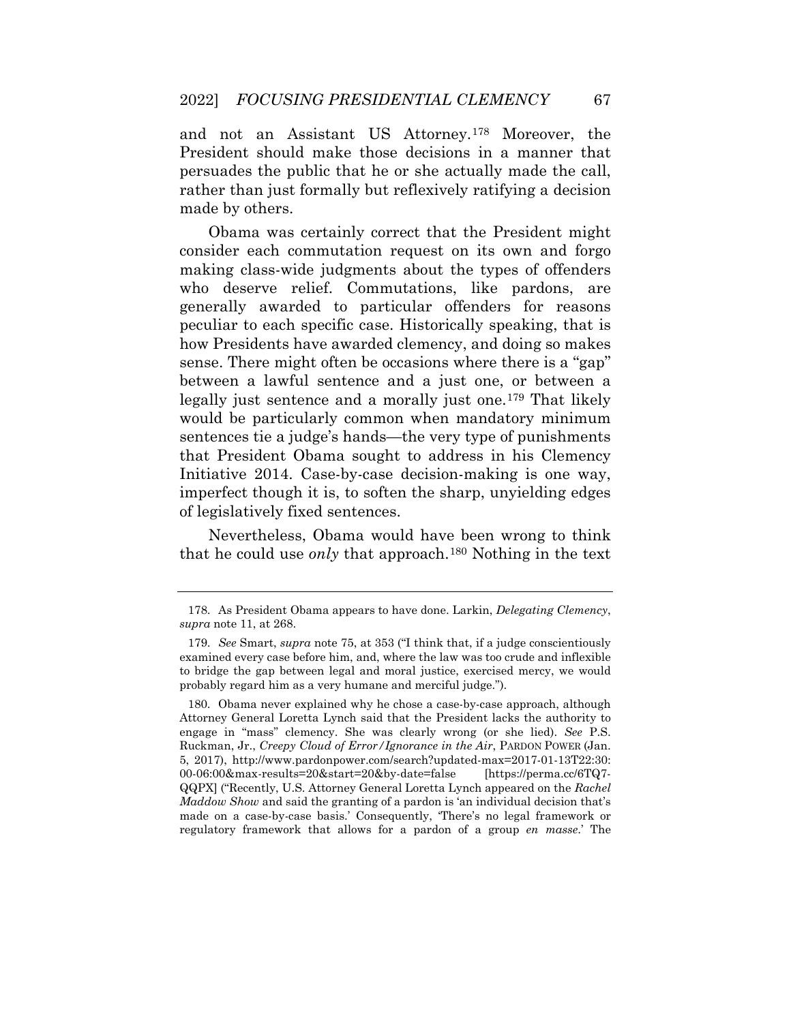and not an Assistant US Attorney.[178](#page-70-0) Moreover, the President should make those decisions in a manner that persuades the public that he or she actually made the call, rather than just formally but reflexively ratifying a decision made by others.

Obama was certainly correct that the President might consider each commutation request on its own and forgo making class-wide judgments about the types of offenders who deserve relief. Commutations, like pardons, are generally awarded to particular offenders for reasons peculiar to each specific case. Historically speaking, that is how Presidents have awarded clemency, and doing so makes sense. There might often be occasions where there is a "gap" between a lawful sentence and a just one, or between a legally just sentence and a morally just one.<sup>[179](#page-70-1)</sup> That likely would be particularly common when mandatory minimum sentences tie a judge's hands—the very type of punishments that President Obama sought to address in his Clemency Initiative 2014. Case-by-case decision-making is one way, imperfect though it is, to soften the sharp, unyielding edges of legislatively fixed sentences.

<span id="page-67-0"></span>Nevertheless, Obama would have been wrong to think that he could use *only* that approach.[180](#page-70-2) Nothing in the text

<span id="page-67-1"></span><sup>178.</sup> As President Obama appears to have done. Larkin, *Delegating Clemency*, *supra* note 11, at 268.

<sup>179.</sup> *See* Smart, *supra* note 75, at 353 ("I think that, if a judge conscientiously examined every case before him, and, where the law was too crude and inflexible to bridge the gap between legal and moral justice, exercised mercy, we would probably regard him as a very humane and merciful judge.").

<sup>180.</sup> Obama never explained why he chose a case-by-case approach, although Attorney General Loretta Lynch said that the President lacks the authority to engage in "mass" clemency. She was clearly wrong (or she lied). *See* P.S. Ruckman, Jr., *Creepy Cloud of Error/Ignorance in the Air*, PARDON POWER (Jan. 5, 2017), http://www.pardonpower.com/search?updated-max=2017-01-13T22:30: 00-06:00&max-results=20&start=20&by-date=false [https://perma.cc/6TQ7- QQPX] ("Recently, U.S. Attorney General Loretta Lynch appeared on the *Rachel Maddow Show* and said the granting of a pardon is 'an individual decision that's made on a case-by-case basis.' Consequently, 'There's no legal framework or regulatory framework that allows for a pardon of a group *en masse*.' The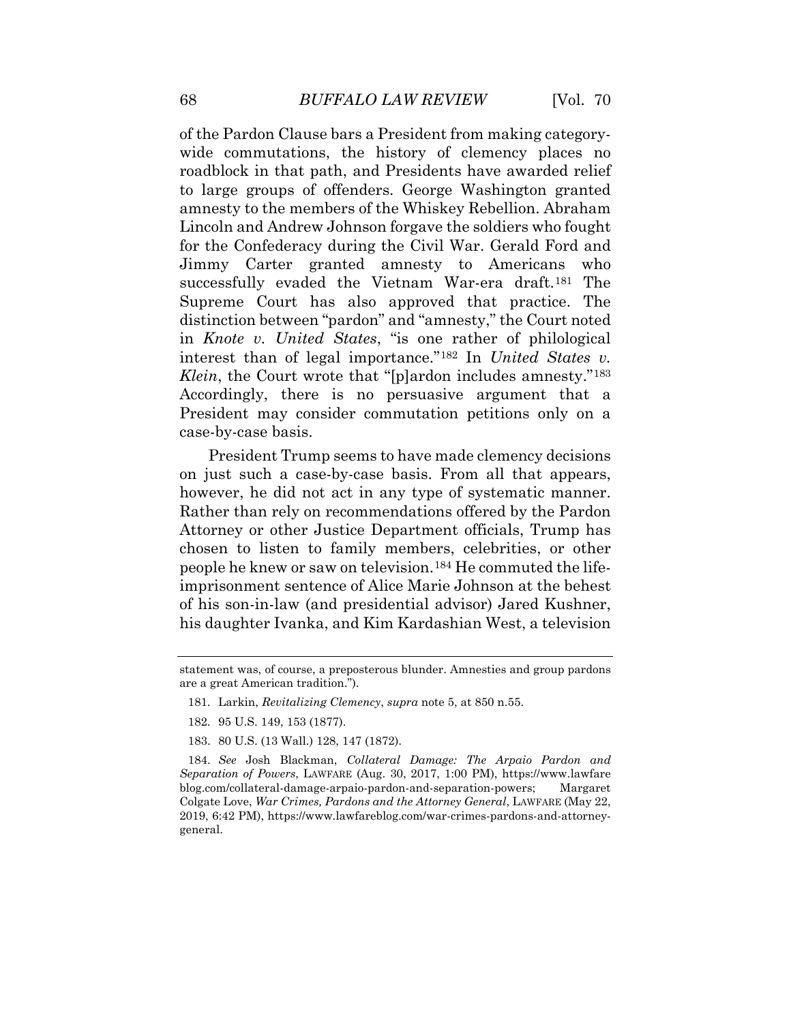<span id="page-68-0"></span>of the Pardon Clause bars a President from making categorywide commutations, the history of clemency places no roadblock in that path, and Presidents have awarded relief to large groups of offenders. George Washington granted amnesty to the members of the Whiskey Rebellion. Abraham Lincoln and Andrew Johnson forgave the soldiers who fought for the Confederacy during the Civil War. Gerald Ford and Jimmy Carter granted amnesty to Americans who successfully evaded the Vietnam War-era draft.[181](#page-71-0) The Supreme Court has also approved that practice. The distinction between "pardon" and "amnesty," the Court noted in *Knote v. United States*, "is one rather of philological interest than of legal importance."[182](#page-71-1) In *United States v. Klein*, the Court wrote that "[p]ardon includes amnesty."[183](#page-71-2) Accordingly, there is no persuasive argument that a President may consider commutation petitions only on a case-by-case basis.

<span id="page-68-1"></span>President Trump seems to have made clemency decisions on just such a case-by-case basis. From all that appears, however, he did not act in any type of systematic manner. Rather than rely on recommendations offered by the Pardon Attorney or other Justice Department officials, Trump has chosen to listen to family members, celebrities, or other people he knew or saw on television.[184](#page-71-3) He commuted the lifeimprisonment sentence of Alice Marie Johnson at the behest of his son-in-law (and presidential advisor) Jared Kushner, his daughter Ivanka, and Kim Kardashian West, a television

- 181. Larkin, *Revitalizing Clemency*, *supra* note 5, at 850 n.55.
- 182. 95 U.S. 149, 153 (1877).
- 183. 80 U.S. (13 Wall.) 128, 147 (1872).

statement was, of course, a preposterous blunder. Amnesties and group pardons are a great American tradition.").

<sup>184.</sup> *See* Josh Blackman, *Collateral Damage: The Arpaio Pardon and Separation of Powers*, LAWFARE (Aug. 30, 2017, 1:00 PM), https://www.lawfare blog.com/collateral-damage-arpaio-pardon-and-separation-powers; Margaret Colgate Love, *War Crimes, Pardons and the Attorney General*, LAWFARE (May 22, 2019, 6:42 PM), https://www.lawfareblog.com/war-crimes-pardons-and-attorneygeneral.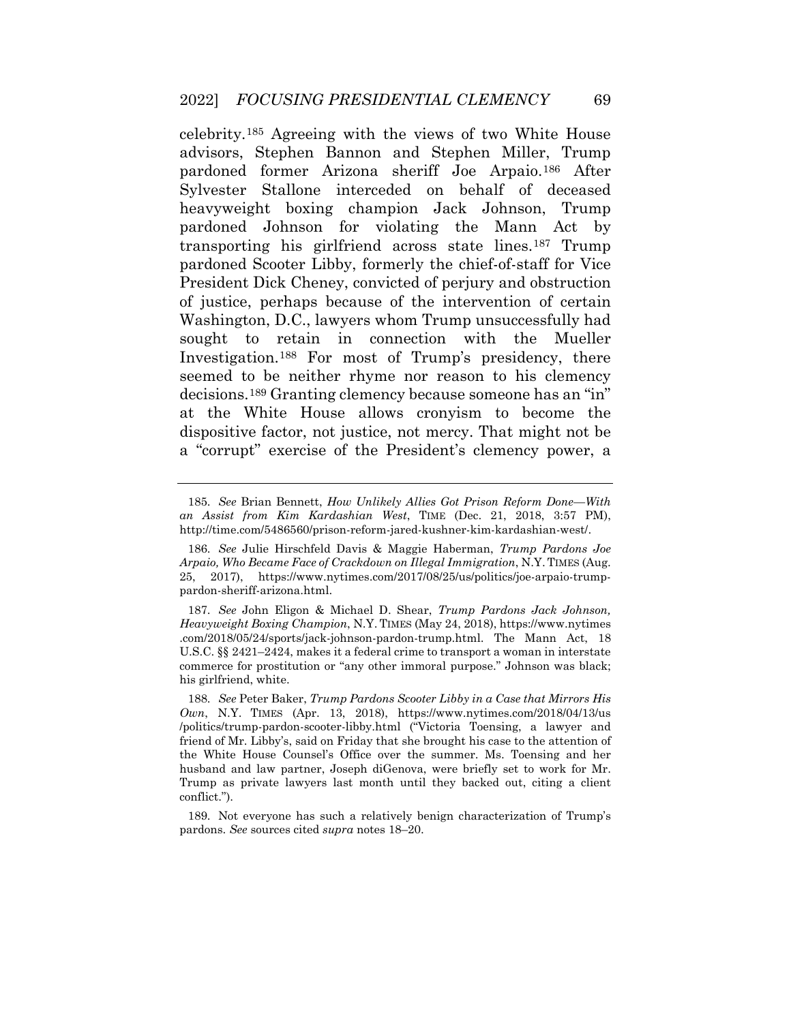celebrity.[185](#page-72-0) Agreeing with the views of two White House advisors, Stephen Bannon and Stephen Miller, Trump pardoned former Arizona sheriff Joe Arpaio.[186](#page-72-1) After Sylvester Stallone interceded on behalf of deceased heavyweight boxing champion Jack Johnson, Trump pardoned Johnson for violating the Mann Act by transporting his girlfriend across state lines.[187](#page-72-2) Trump pardoned Scooter Libby, formerly the chief-of-staff for Vice President Dick Cheney, convicted of perjury and obstruction of justice, perhaps because of the intervention of certain Washington, D.C., lawyers whom Trump unsuccessfully had sought to retain in connection with the Mueller Investigation.[188](#page-72-3) For most of Trump's presidency, there seemed to be neither rhyme nor reason to his clemency decisions.[189](#page-72-4) Granting clemency because someone has an "in" at the White House allows cronyism to become the dispositive factor, not justice, not mercy. That might not be a "corrupt" exercise of the President's clemency power, a

<sup>185.</sup> *See* Brian Bennett, *How Unlikely Allies Got Prison Reform Done—With an Assist from Kim Kardashian West*, TIME (Dec. 21, 2018, 3:57 PM), http://time.com/5486560/prison-reform-jared-kushner-kim-kardashian-west/.

<sup>186.</sup> *See* Julie Hirschfeld Davis & Maggie Haberman, *Trump Pardons Joe Arpaio, Who Became Face of Crackdown on Illegal Immigration*, N.Y. TIMES (Aug. 25, 2017), https://www.nytimes.com/2017/08/25/us/politics/joe-arpaio-trumppardon-sheriff-arizona.html.

<sup>187.</sup> *See* John Eligon & Michael D. Shear, *Trump Pardons Jack Johnson, Heavyweight Boxing Champion*, N.Y. TIMES (May 24, 2018), https://www.nytimes .com/2018/05/24/sports/jack-johnson-pardon-trump.html. The Mann Act, 18 U.S.C. §§ 2421–2424, makes it a federal crime to transport a woman in interstate commerce for prostitution or "any other immoral purpose." Johnson was black; his girlfriend, white.

<sup>188.</sup> *See* Peter Baker, *Trump Pardons Scooter Libby in a Case that Mirrors His Own*, N.Y. TIMES (Apr. 13, 2018), https://www.nytimes.com/2018/04/13/us /politics/trump-pardon-scooter-libby.html ("Victoria Toensing, a lawyer and friend of Mr. Libby's, said on Friday that she brought his case to the attention of the White House Counsel's Office over the summer. Ms. Toensing and her husband and law partner, Joseph diGenova, were briefly set to work for Mr. Trump as private lawyers last month until they backed out, citing a client conflict.").

<span id="page-69-2"></span><span id="page-69-1"></span><span id="page-69-0"></span><sup>189.</sup> Not everyone has such a relatively benign characterization of Trump's pardons. *See* sources cited *supra* notes 18–20.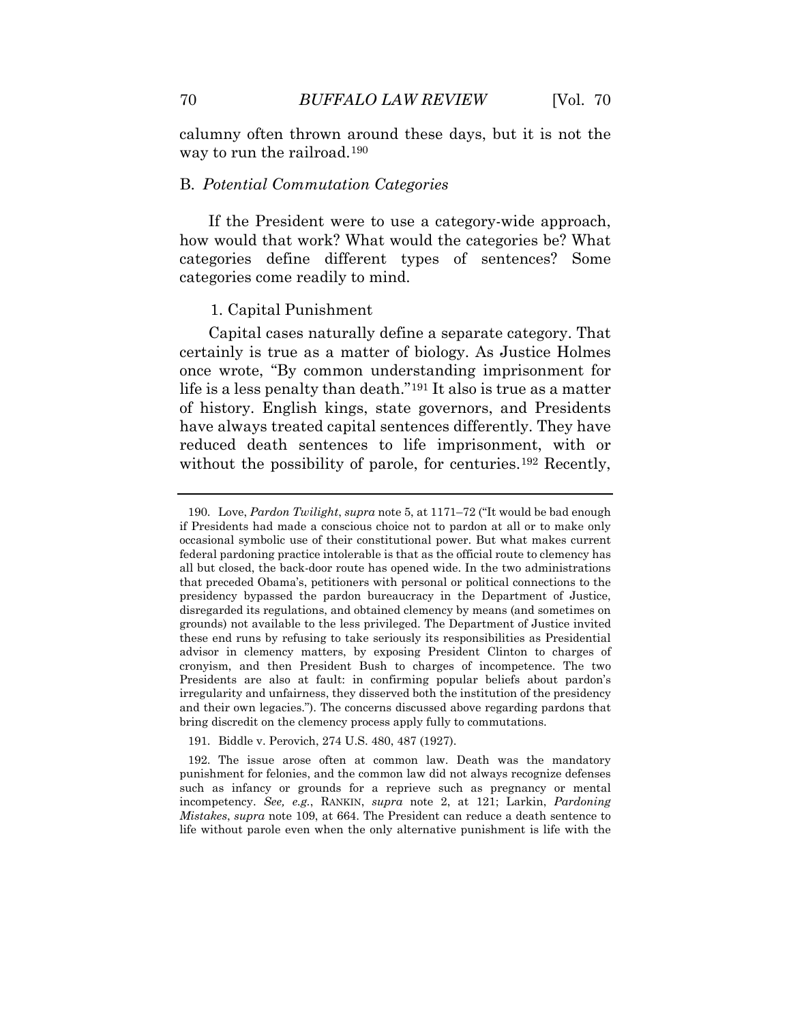calumny often thrown around these days, but it is not the way to run the railroad.<sup>[190](#page-73-0)</sup>

#### B. *Potential Commutation Categories*

If the President were to use a category-wide approach, how would that work? What would the categories be? What categories define different types of sentences? Some categories come readily to mind.

#### 1. Capital Punishment

Capital cases naturally define a separate category. That certainly is true as a matter of biology. As Justice Holmes once wrote, "By common understanding imprisonment for life is a less penalty than death."[191](#page-73-1) It also is true as a matter of history. English kings, state governors, and Presidents have always treated capital sentences differently. They have reduced death sentences to life imprisonment, with or without the possibility of parole, for centuries.<sup>192</sup> Recently,

<span id="page-70-1"></span>191. Biddle v. Perovich, 274 U.S. 480, 487 (1927).

<span id="page-70-0"></span><sup>190.</sup> Love, *Pardon Twilight*, *supra* note 5, at 1171–72 ("It would be bad enough if Presidents had made a conscious choice not to pardon at all or to make only occasional symbolic use of their constitutional power. But what makes current federal pardoning practice intolerable is that as the official route to clemency has all but closed, the back-door route has opened wide. In the two administrations that preceded Obama's, petitioners with personal or political connections to the presidency bypassed the pardon bureaucracy in the Department of Justice, disregarded its regulations, and obtained clemency by means (and sometimes on grounds) not available to the less privileged. The Department of Justice invited these end runs by refusing to take seriously its responsibilities as Presidential advisor in clemency matters, by exposing President Clinton to charges of cronyism, and then President Bush to charges of incompetence. The two Presidents are also at fault: in confirming popular beliefs about pardon's irregularity and unfairness, they disserved both the institution of the presidency and their own legacies."). The concerns discussed above regarding pardons that bring discredit on the clemency process apply fully to commutations.

<span id="page-70-2"></span><sup>192.</sup> The issue arose often at common law. Death was the mandatory punishment for felonies, and the common law did not always recognize defenses such as infancy or grounds for a reprieve such as pregnancy or mental incompetency. *See, e.g.*, RANKIN, *supra* note 2, at 121; Larkin, *Pardoning Mistakes*, *supra* note 109, at 664. The President can reduce a death sentence to life without parole even when the only alternative punishment is life with the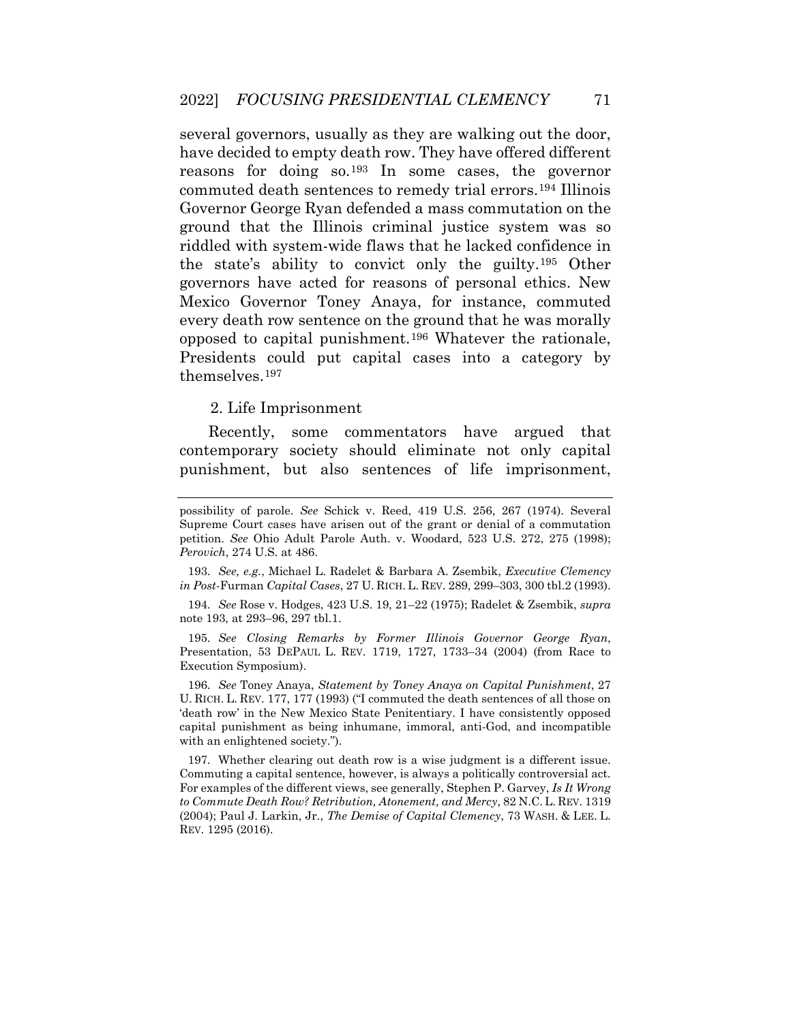several governors, usually as they are walking out the door, have decided to empty death row. They have offered different reasons for doing so.[193](#page-74-1) In some cases, the governor commuted death sentences to remedy trial errors.[194](#page-74-2) Illinois Governor George Ryan defended a mass commutation on the ground that the Illinois criminal justice system was so riddled with system-wide flaws that he lacked confidence in the state's ability to convict only the guilty.[195](#page-74-3) Other governors have acted for reasons of personal ethics. New Mexico Governor Toney Anaya, for instance, commuted every death row sentence on the ground that he was morally opposed to capital punishment.[196](#page-74-4) Whatever the rationale, Presidents could put capital cases into a category by themselves.[197](#page-74-5)

#### 2. Life Imprisonment

Recently, some commentators have argued that contemporary society should eliminate not only capital punishment, but also sentences of life imprisonment,

195. *See Closing Remarks by Former Illinois Governor George Ryan*, Presentation, 53 DEPAUL L. REV. 1719, 1727, 1733–34 (2004) (from Race to Execution Symposium).

<span id="page-71-1"></span><span id="page-71-0"></span>196. *See* Toney Anaya, *Statement by Toney Anaya on Capital Punishment*, 27 U. RICH. L. REV. 177, 177 (1993) ("I commuted the death sentences of all those on 'death row' in the New Mexico State Penitentiary. I have consistently opposed capital punishment as being inhumane, immoral, anti-God, and incompatible with an enlightened society.").

<span id="page-71-3"></span><span id="page-71-2"></span>197. Whether clearing out death row is a wise judgment is a different issue. Commuting a capital sentence, however, is always a politically controversial act. For examples of the different views, see generally, Stephen P. Garvey, *Is It Wrong to Commute Death Row? Retribution, Atonement, and Mercy*, 82 N.C. L. REV. 1319 (2004); Paul J. Larkin, Jr., *The Demise of Capital Clemency*, 73 WASH. & LEE. L. REV. 1295 (2016).

possibility of parole. *See* Schick v. Reed, 419 U.S. 256, 267 (1974). Several Supreme Court cases have arisen out of the grant or denial of a commutation petition. *See* Ohio Adult Parole Auth. v. Woodard, 523 U.S. 272, 275 (1998); *Perovich*, 274 U.S. at 486.

<sup>193.</sup> *See, e.g.*, Michael L. Radelet & Barbara A. Zsembik, *Executive Clemency in Post-*Furman *Capital Cases*, 27 U. RICH. L. REV. 289, 299–303, 300 tbl.2 (1993).

<sup>194.</sup> *See* Rose v. Hodges, 423 U.S. 19, 21–22 (1975); Radelet & Zsembik, *supra* note 193, at 293–96, 297 tbl.1.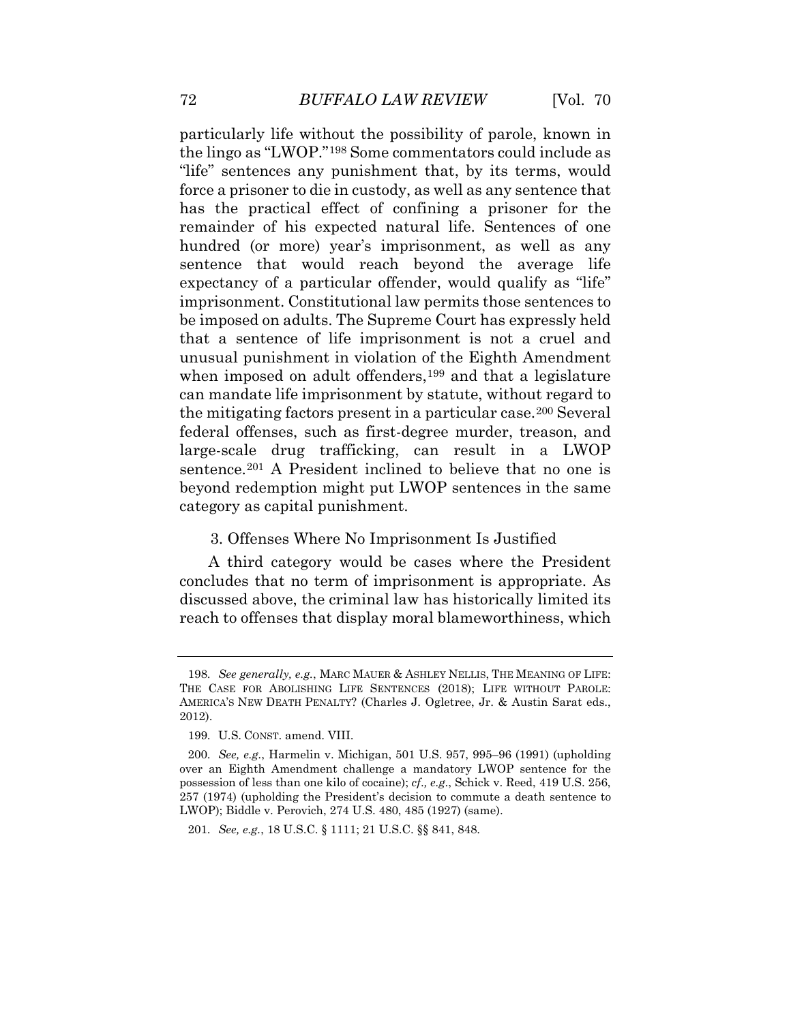particularly life without the possibility of parole, known in the lingo as "LWOP."[198](#page-75-0) Some commentators could include as "life" sentences any punishment that, by its terms, would force a prisoner to die in custody, as well as any sentence that has the practical effect of confining a prisoner for the remainder of his expected natural life. Sentences of one hundred (or more) year's imprisonment, as well as any sentence that would reach beyond the average life expectancy of a particular offender, would qualify as "life" imprisonment. Constitutional law permits those sentences to be imposed on adults. The Supreme Court has expressly held that a sentence of life imprisonment is not a cruel and unusual punishment in violation of the Eighth Amendment when imposed on adult offenders,<sup>[199](#page-75-1)</sup> and that a legislature can mandate life imprisonment by statute, without regard to the mitigating factors present in a particular case.[200](#page-75-2) Several federal offenses, such as first-degree murder, treason, and large-scale drug trafficking, can result in a LWOP sentence.<sup>[201](#page-75-3)</sup> A President inclined to believe that no one is beyond redemption might put LWOP sentences in the same category as capital punishment.

3. Offenses Where No Imprisonment Is Justified

A third category would be cases where the President concludes that no term of imprisonment is appropriate. As discussed above, the criminal law has historically limited its reach to offenses that display moral blameworthiness, which

<sup>198.</sup> *See generally, e.g.*, MARC MAUER & ASHLEY NELLIS, THE MEANING OF LIFE: THE CASE FOR ABOLISHING LIFE SENTENCES (2018); LIFE WITHOUT PAROLE: AMERICA'S NEW DEATH PENALTY? (Charles J. Ogletree, Jr. & Austin Sarat eds., 2012).

<sup>199.</sup> U.S. CONST. amend. VIII.

<sup>200.</sup> *See, e.g.*, Harmelin v. Michigan, 501 U.S. 957, 995–96 (1991) (upholding over an Eighth Amendment challenge a mandatory LWOP sentence for the possession of less than one kilo of cocaine); *cf*.*, e.g*., Schick v. Reed, 419 U.S. 256, 257 (1974) (upholding the President's decision to commute a death sentence to LWOP); Biddle v. Perovich, 274 U.S. 480, 485 (1927) (same).

<sup>201.</sup> *See, e.g.*, 18 U.S.C. § 1111; 21 U.S.C. §§ 841, 848.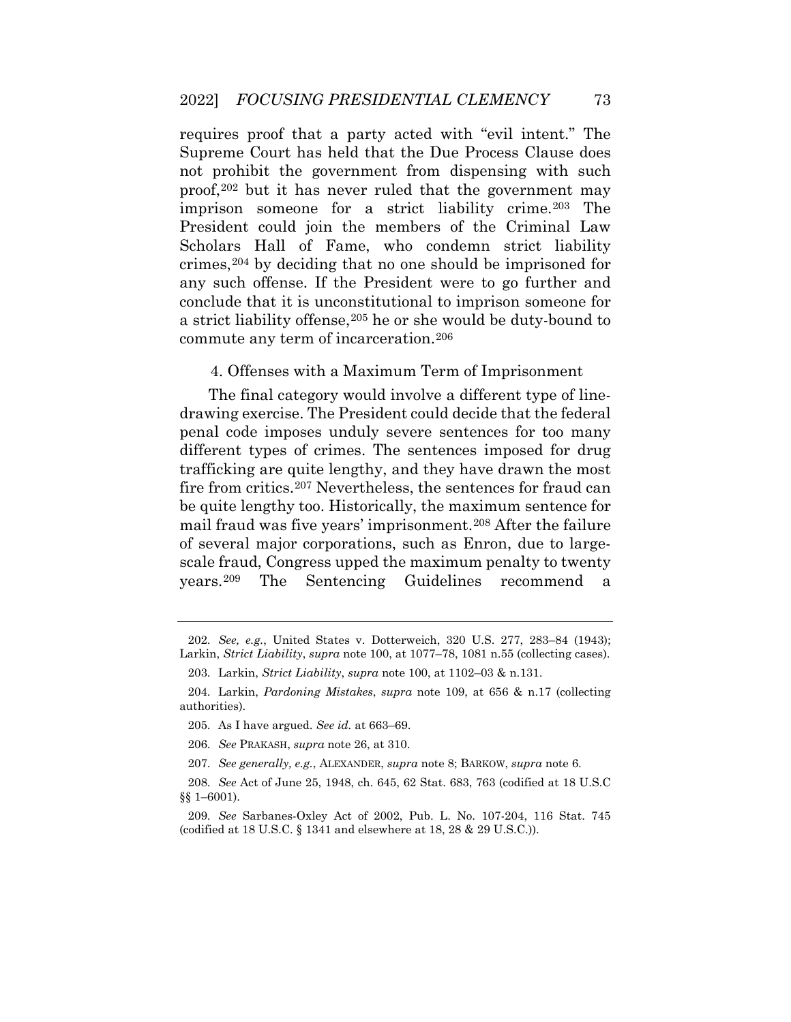requires proof that a party acted with "evil intent." The Supreme Court has held that the Due Process Clause does not prohibit the government from dispensing with such proof,[202](#page-76-0) but it has never ruled that the government may imprison someone for a strict liability crime.[203](#page-76-1) The President could join the members of the Criminal Law Scholars Hall of Fame, who condemn strict liability crimes,[204](#page-76-2) by deciding that no one should be imprisoned for any such offense. If the President were to go further and conclude that it is unconstitutional to imprison someone for a strict liability offense,<sup>[205](#page-76-3)</sup> he or she would be duty-bound to commute any term of incarceration.[206](#page-76-4)

4. Offenses with a Maximum Term of Imprisonment

The final category would involve a different type of linedrawing exercise. The President could decide that the federal penal code imposes unduly severe sentences for too many different types of crimes. The sentences imposed for drug trafficking are quite lengthy, and they have drawn the most fire from critics.[207](#page-76-5) Nevertheless, the sentences for fraud can be quite lengthy too. Historically, the maximum sentence for mail fraud was five years' imprisonment.[208](#page-77-0) After the failure of several major corporations, such as Enron, due to largescale fraud, Congress upped the maximum penalty to twenty years.[209](#page-77-1) The Sentencing Guidelines recommend a

<sup>202.</sup> *See, e.g.*, United States v. Dotterweich, 320 U.S. 277, 283–84 (1943); Larkin, *Strict Liability*, *supra* note 100, at 1077–78, 1081 n.55 (collecting cases).

<sup>203.</sup> Larkin, *Strict Liability*, *supra* note 100, at 1102–03 & n.131.

<sup>204.</sup> Larkin, *Pardoning Mistakes*, *supra* note 109, at 656 & n.17 (collecting authorities).

<sup>205.</sup> As I have argued. *See id.* at 663–69.

<sup>206.</sup> *See* PRAKASH, *supra* note 26, at 310.

<sup>207.</sup> *See generally, e.g.*, ALEXANDER, *supra* note 8; BARKOW, *supra* note 6.

<sup>208.</sup> *See* Act of June 25, 1948, ch. 645, 62 Stat. 683, 763 (codified at 18 U.S.C §§ 1–6001).

<sup>209.</sup> *See* Sarbanes-Oxley Act of 2002, Pub. L. No. 107-204, 116 Stat. 745 (codified at 18 U.S.C. § 1341 and elsewhere at 18, 28 & 29 U.S.C.)).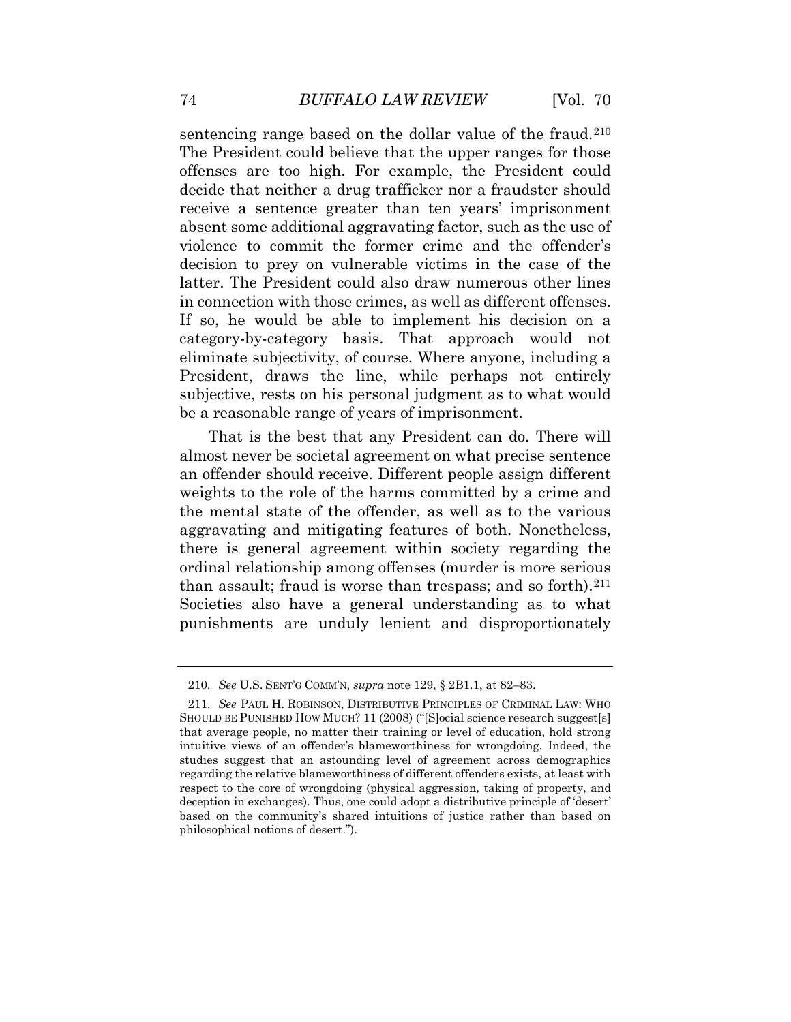sentencing range based on the dollar value of the fraud.[210](#page-77-2) The President could believe that the upper ranges for those offenses are too high. For example, the President could decide that neither a drug trafficker nor a fraudster should receive a sentence greater than ten years' imprisonment absent some additional aggravating factor, such as the use of violence to commit the former crime and the offender's decision to prey on vulnerable victims in the case of the latter. The President could also draw numerous other lines in connection with those crimes, as well as different offenses. If so, he would be able to implement his decision on a category-by-category basis. That approach would not eliminate subjectivity, of course. Where anyone, including a President, draws the line, while perhaps not entirely subjective, rests on his personal judgment as to what would be a reasonable range of years of imprisonment.

That is the best that any President can do. There will almost never be societal agreement on what precise sentence an offender should receive. Different people assign different weights to the role of the harms committed by a crime and the mental state of the offender, as well as to the various aggravating and mitigating features of both. Nonetheless, there is general agreement within society regarding the ordinal relationship among offenses (murder is more serious than assault; fraud is worse than trespass; and so forth).<sup>[211](#page-77-3)</sup> Societies also have a general understanding as to what punishments are unduly lenient and disproportionately

<sup>210.</sup> *See* U.S. SENT'G COMM'N, *supra* note 129, § 2B1.1, at 82–83.

<sup>211.</sup> *See* PAUL H. ROBINSON, DISTRIBUTIVE PRINCIPLES OF CRIMINAL LAW: WHO SHOULD BE PUNISHED HOW MUCH? 11 (2008) ("[S]ocial science research suggest[s] that average people, no matter their training or level of education, hold strong intuitive views of an offender's blameworthiness for wrongdoing. Indeed, the studies suggest that an astounding level of agreement across demographics regarding the relative blameworthiness of different offenders exists, at least with respect to the core of wrongdoing (physical aggression, taking of property, and deception in exchanges). Thus, one could adopt a distributive principle of 'desert' based on the community's shared intuitions of justice rather than based on philosophical notions of desert.").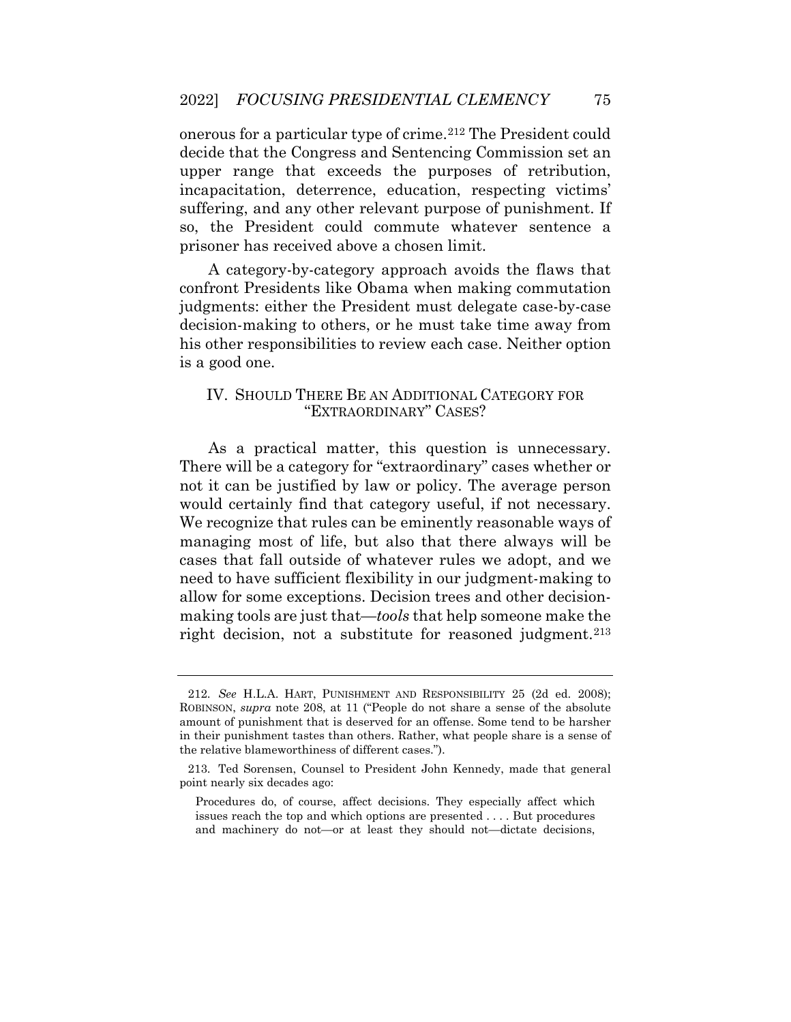onerous for a particular type of crime.[212](#page-78-0) The President could decide that the Congress and Sentencing Commission set an upper range that exceeds the purposes of retribution, incapacitation, deterrence, education, respecting victims' suffering, and any other relevant purpose of punishment. If so, the President could commute whatever sentence a prisoner has received above a chosen limit.

A category-by-category approach avoids the flaws that confront Presidents like Obama when making commutation judgments: either the President must delegate case-by-case decision-making to others, or he must take time away from his other responsibilities to review each case. Neither option is a good one.

## IV. SHOULD THERE BE AN ADDITIONAL CATEGORY FOR "EXTRAORDINARY" CASES?

As a practical matter, this question is unnecessary. There will be a category for "extraordinary" cases whether or not it can be justified by law or policy. The average person would certainly find that category useful, if not necessary. We recognize that rules can be eminently reasonable ways of managing most of life, but also that there always will be cases that fall outside of whatever rules we adopt, and we need to have sufficient flexibility in our judgment-making to allow for some exceptions. Decision trees and other decisionmaking tools are just that—*tools* that help someone make the right decision, not a substitute for reasoned judgment.<sup>[213](#page-79-0)</sup>

<span id="page-75-1"></span><span id="page-75-0"></span><sup>212.</sup> *See* H.L.A. HART, PUNISHMENT AND RESPONSIBILITY 25 (2d ed. 2008); ROBINSON, *supra* note 208, at 11 ("People do not share a sense of the absolute amount of punishment that is deserved for an offense. Some tend to be harsher in their punishment tastes than others. Rather, what people share is a sense of the relative blameworthiness of different cases.").

<span id="page-75-3"></span><span id="page-75-2"></span><sup>213.</sup> Ted Sorensen, Counsel to President John Kennedy, made that general point nearly six decades ago:

Procedures do, of course, affect decisions. They especially affect which issues reach the top and which options are presented . . . . But procedures and machinery do not—or at least they should not—dictate decisions,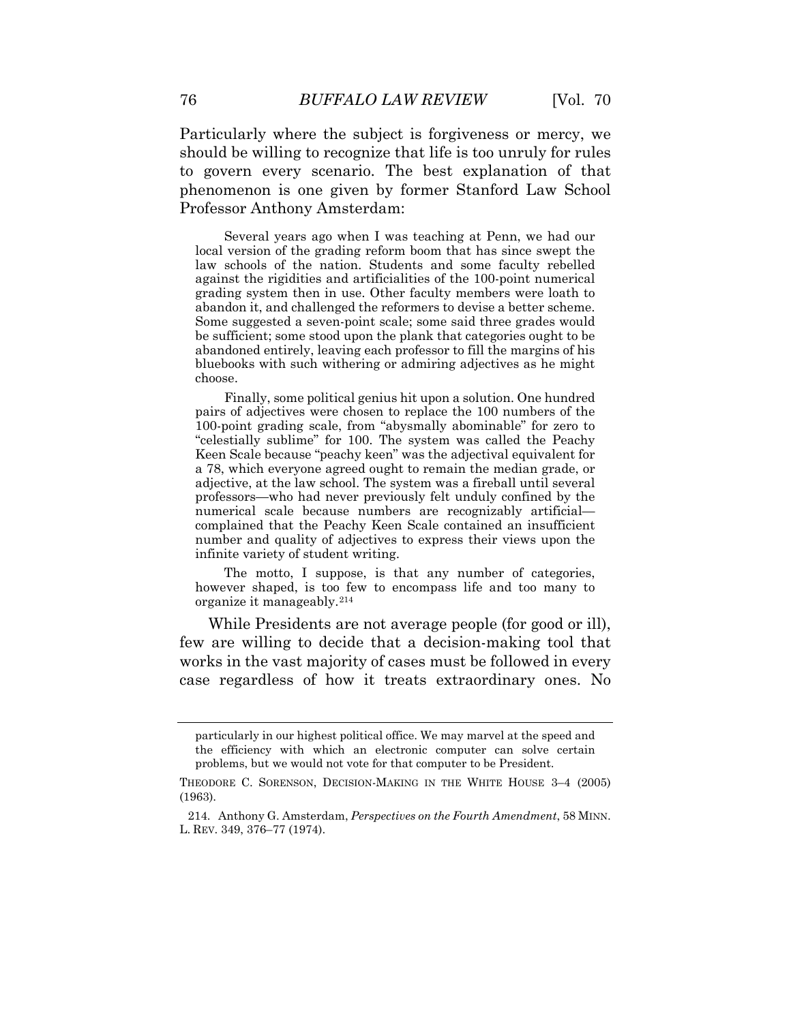Particularly where the subject is forgiveness or mercy, we should be willing to recognize that life is too unruly for rules to govern every scenario. The best explanation of that phenomenon is one given by former Stanford Law School Professor Anthony Amsterdam:

Several years ago when I was teaching at Penn, we had our local version of the grading reform boom that has since swept the law schools of the nation. Students and some faculty rebelled against the rigidities and artificialities of the 100-point numerical grading system then in use. Other faculty members were loath to abandon it, and challenged the reformers to devise a better scheme. Some suggested a seven-point scale; some said three grades would be sufficient; some stood upon the plank that categories ought to be abandoned entirely, leaving each professor to fill the margins of his bluebooks with such withering or admiring adjectives as he might choose.

Finally, some political genius hit upon a solution. One hundred pairs of adjectives were chosen to replace the 100 numbers of the 100-point grading scale, from "abysmally abominable" for zero to "celestially sublime" for 100. The system was called the Peachy Keen Scale because "peachy keen" was the adjectival equivalent for a 78, which everyone agreed ought to remain the median grade, or adjective, at the law school. The system was a fireball until several professors—who had never previously felt unduly confined by the numerical scale because numbers are recognizably artificial complained that the Peachy Keen Scale contained an insufficient number and quality of adjectives to express their views upon the infinite variety of student writing.

The motto, I suppose, is that any number of categories, however shaped, is too few to encompass life and too many to organize it manageably.[2](#page-80-0)14

<span id="page-76-0"></span>While Presidents are not average people (for good or ill), few are willing to decide that a decision-making tool that works in the vast majority of cases must be followed in every case regardless of how it treats extraordinary ones. No

particularly in our highest political office. We may marvel at the speed and the efficiency with which an electronic computer can solve certain problems, but we would not vote for that computer to be President.

<span id="page-76-4"></span><span id="page-76-3"></span><span id="page-76-2"></span><span id="page-76-1"></span>THEODORE C. SORENSON, DECISION-MAKING IN THE WHITE HOUSE 3–4 (2005) (1963).

<span id="page-76-5"></span><sup>214.</sup> Anthony G. Amsterdam, *Perspectives on the Fourth Amendment*, 58 MINN. L. REV. 349, 376–77 (1974).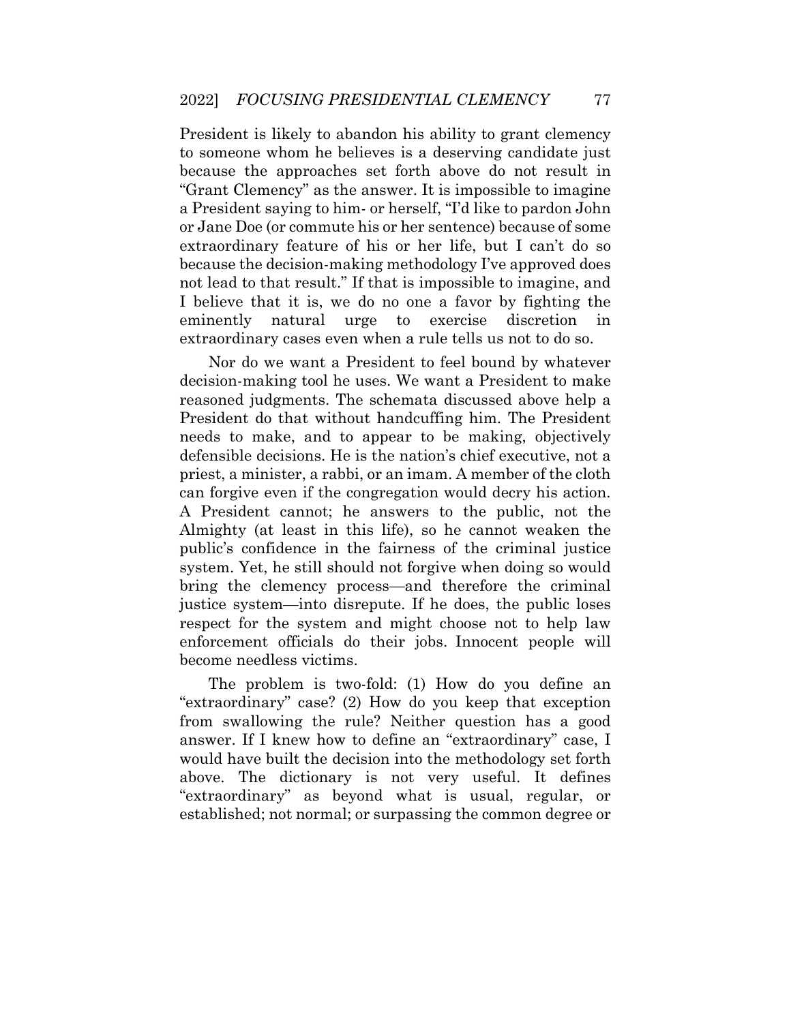President is likely to abandon his ability to grant clemency to someone whom he believes is a deserving candidate just because the approaches set forth above do not result in "Grant Clemency" as the answer. It is impossible to imagine a President saying to him- or herself, "I'd like to pardon John or Jane Doe (or commute his or her sentence) because of some extraordinary feature of his or her life, but I can't do so because the decision-making methodology I've approved does not lead to that result." If that is impossible to imagine, and I believe that it is, we do no one a favor by fighting the eminently natural urge to exercise discretion in extraordinary cases even when a rule tells us not to do so.

Nor do we want a President to feel bound by whatever decision-making tool he uses. We want a President to make reasoned judgments. The schemata discussed above help a President do that without handcuffing him. The President needs to make, and to appear to be making, objectively defensible decisions. He is the nation's chief executive, not a priest, a minister, a rabbi, or an imam. A member of the cloth can forgive even if the congregation would decry his action. A President cannot; he answers to the public, not the Almighty (at least in this life), so he cannot weaken the public's confidence in the fairness of the criminal justice system. Yet, he still should not forgive when doing so would bring the clemency process—and therefore the criminal justice system—into disrepute. If he does, the public loses respect for the system and might choose not to help law enforcement officials do their jobs. Innocent people will become needless victims.

<span id="page-77-3"></span><span id="page-77-2"></span><span id="page-77-1"></span><span id="page-77-0"></span>The problem is two-fold: (1) How do you define an "extraordinary" case? (2) How do you keep that exception from swallowing the rule? Neither question has a good answer. If I knew how to define an "extraordinary" case, I would have built the decision into the methodology set forth above. The dictionary is not very useful. It defines "extraordinary" as beyond what is usual, regular, or established; not normal; or surpassing the common degree or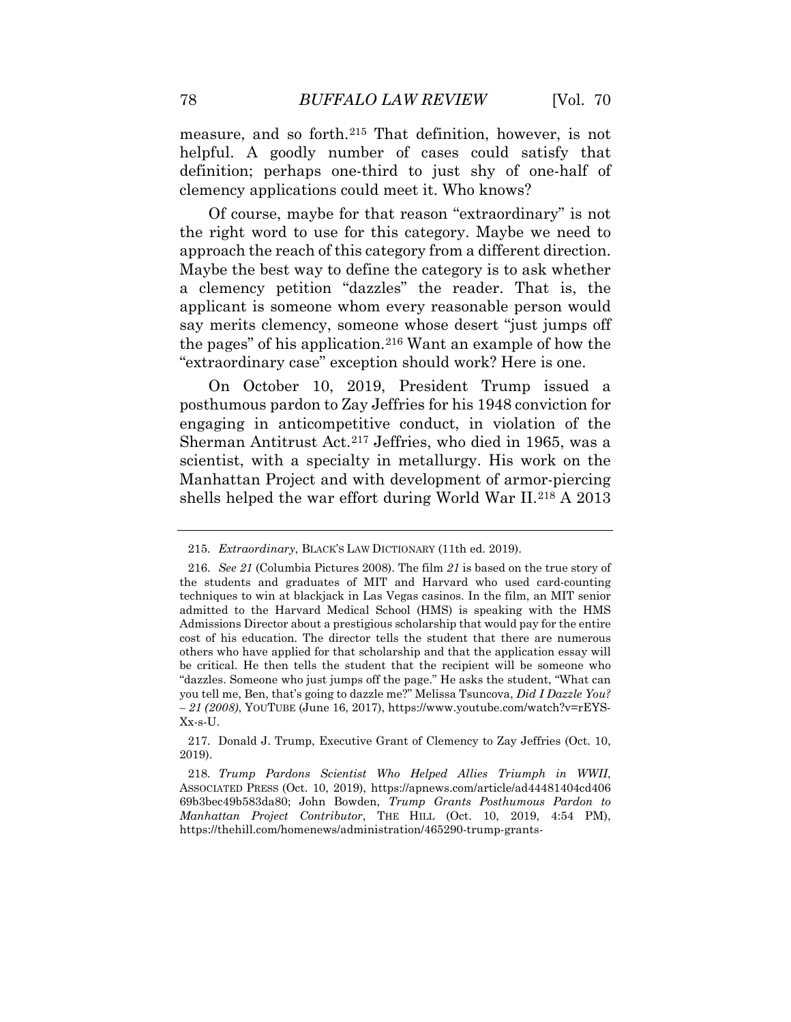measure, and so forth.[215](#page-81-0) That definition, however, is not helpful. A goodly number of cases could satisfy that definition; perhaps one-third to just shy of one-half of clemency applications could meet it. Who knows?

Of course, maybe for that reason "extraordinary" is not the right word to use for this category. Maybe we need to approach the reach of this category from a different direction. Maybe the best way to define the category is to ask whether a clemency petition "dazzles" the reader. That is, the applicant is someone whom every reasonable person would say merits clemency, someone whose desert "just jumps off the pages" of his application.[216](#page-81-1) Want an example of how the "extraordinary case" exception should work? Here is one.

On October 10, 2019, President Trump issued a posthumous pardon to Zay Jeffries for his 1948 conviction for engaging in anticompetitive conduct, in violation of the Sherman Antitrust Act.[217](#page-82-0) Jeffries, who died in 1965, was a scientist, with a specialty in metallurgy. His work on the Manhattan Project and with development of armor-piercing shells helped the war effort during World War II.[218](#page-82-1) A 2013

<span id="page-78-0"></span>217. Donald J. Trump, Executive Grant of Clemency to Zay Jeffries (Oct. 10, 2019).

<sup>215.</sup> *Extraordinary*, BLACK'S LAW DICTIONARY (11th ed. 2019).

<sup>216.</sup> *See 21* (Columbia Pictures 2008). The film *21* is based on the true story of the students and graduates of MIT and Harvard who used card-counting techniques to win at blackjack in Las Vegas casinos. In the film, an MIT senior admitted to the Harvard Medical School (HMS) is speaking with the HMS Admissions Director about a prestigious scholarship that would pay for the entire cost of his education. The director tells the student that there are numerous others who have applied for that scholarship and that the application essay will be critical. He then tells the student that the recipient will be someone who "dazzles. Someone who just jumps off the page." He asks the student, "What can you tell me, Ben, that's going to dazzle me?" Melissa Tsuncova, *Did I Dazzle You? – 21 (2008)*, YOUTUBE (June 16, 2017), https://www.youtube.com/watch?v=rEYS-Xx-s-U.

<sup>218.</sup> *Trump Pardons Scientist Who Helped Allies Triumph in WWII*, ASSOCIATED PRESS (Oct. 10, 2019), https://apnews.com/article/ad44481404cd406 69b3bec49b583da80; John Bowden, *Trump Grants Posthumous Pardon to Manhattan Project Contributor*, THE HILL (Oct. 10, 2019, 4:54 PM), https://thehill.com/homenews/administration/465290-trump-grants-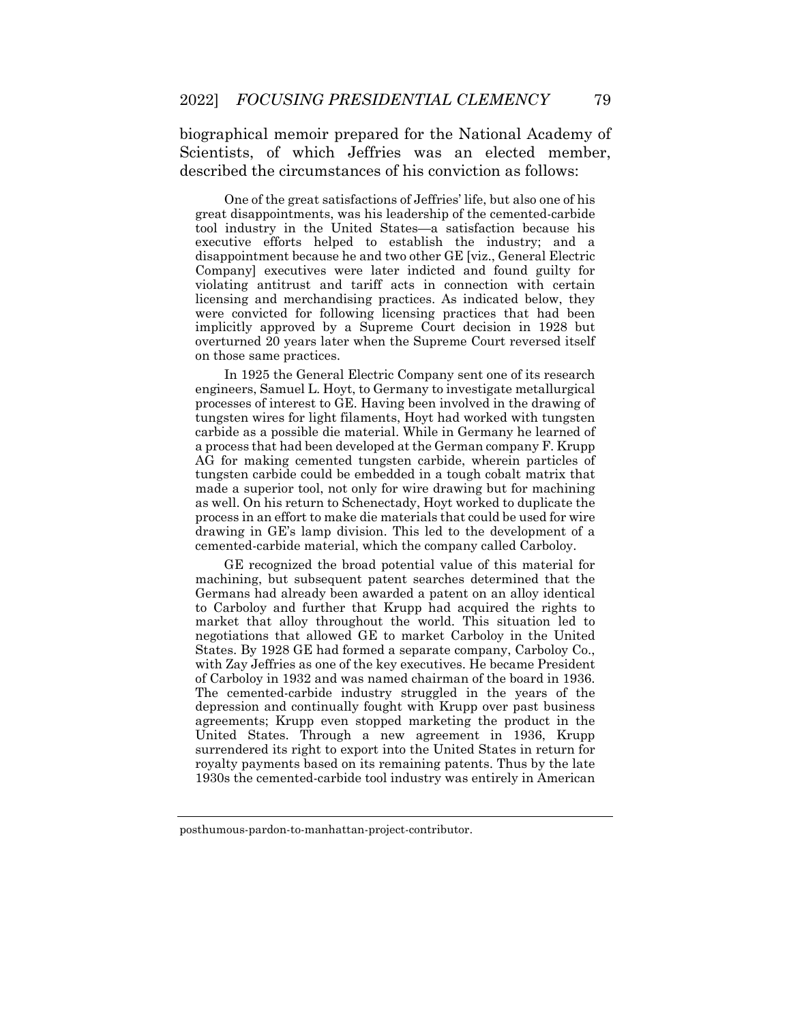biographical memoir prepared for the National Academy of Scientists, of which Jeffries was an elected member, described the circumstances of his conviction as follows:

One of the great satisfactions of Jeffries' life, but also one of his great disappointments, was his leadership of the cemented-carbide tool industry in the United States—a satisfaction because his executive efforts helped to establish the industry; and a disappointment because he and two other GE [viz., General Electric Company] executives were later indicted and found guilty for violating antitrust and tariff acts in connection with certain licensing and merchandising practices. As indicated below, they were convicted for following licensing practices that had been implicitly approved by a Supreme Court decision in 1928 but overturned 20 years later when the Supreme Court reversed itself on those same practices.

In 1925 the General Electric Company sent one of its research engineers, Samuel L. Hoyt, to Germany to investigate metallurgical processes of interest to GE. Having been involved in the drawing of tungsten wires for light filaments, Hoyt had worked with tungsten carbide as a possible die material. While in Germany he learned of a process that had been developed at the German company F. Krupp AG for making cemented tungsten carbide, wherein particles of tungsten carbide could be embedded in a tough cobalt matrix that made a superior tool, not only for wire drawing but for machining as well. On his return to Schenectady, Hoyt worked to duplicate the process in an effort to make die materials that could be used for wire drawing in GE's lamp division. This led to the development of a cemented-carbide material, which the company called Carboloy.

<span id="page-79-0"></span>GE recognized the broad potential value of this material for machining, but subsequent patent searches determined that the Germans had already been awarded a patent on an alloy identical to Carboloy and further that Krupp had acquired the rights to market that alloy throughout the world. This situation led to negotiations that allowed GE to market Carboloy in the United States. By 1928 GE had formed a separate company, Carboloy Co., with Zay Jeffries as one of the key executives. He became President of Carboloy in 1932 and was named chairman of the board in 1936. The cemented-carbide industry struggled in the years of the depression and continually fought with Krupp over past business agreements; Krupp even stopped marketing the product in the United States. Through a new agreement in 1936, Krupp surrendered its right to export into the United States in return for royalty payments based on its remaining patents. Thus by the late 1930s the cemented-carbide tool industry was entirely in American

posthumous-pardon-to-manhattan-project-contributor.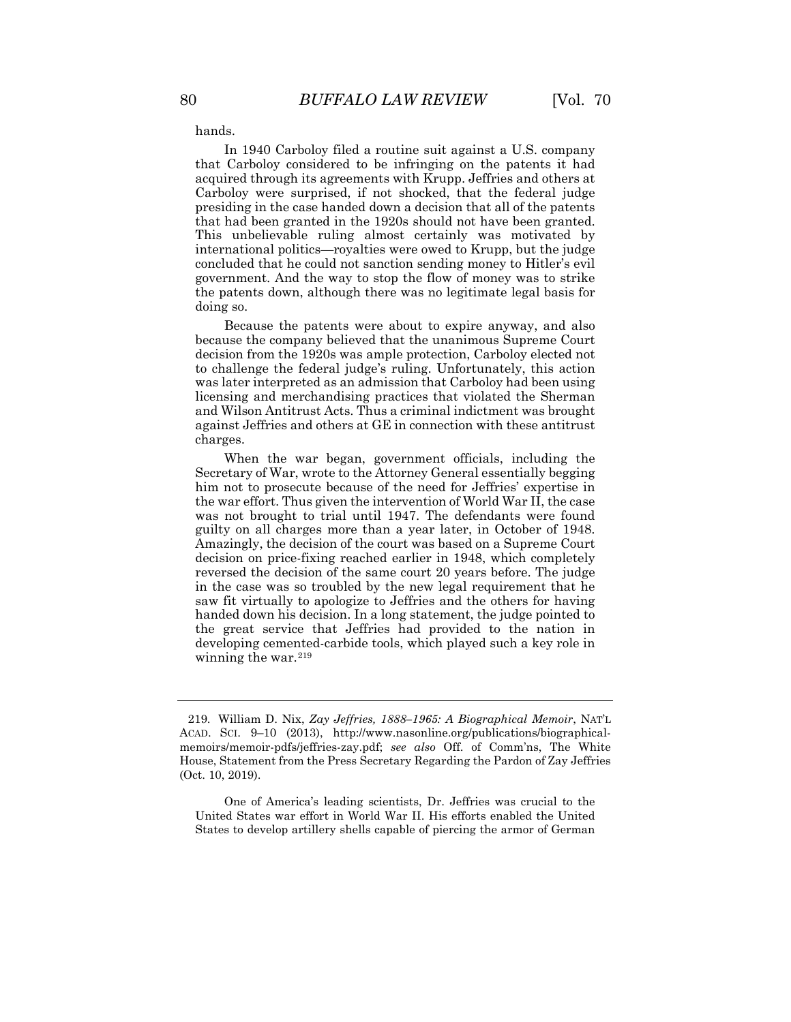hands.

In 1940 Carboloy filed a routine suit against a U.S. company that Carboloy considered to be infringing on the patents it had acquired through its agreements with Krupp. Jeffries and others at Carboloy were surprised, if not shocked, that the federal judge presiding in the case handed down a decision that all of the patents that had been granted in the 1920s should not have been granted. This unbelievable ruling almost certainly was motivated by international politics—royalties were owed to Krupp, but the judge concluded that he could not sanction sending money to Hitler's evil government. And the way to stop the flow of money was to strike the patents down, although there was no legitimate legal basis for doing so.

Because the patents were about to expire anyway, and also because the company believed that the unanimous Supreme Court decision from the 1920s was ample protection, Carboloy elected not to challenge the federal judge's ruling. Unfortunately, this action was later interpreted as an admission that Carboloy had been using licensing and merchandising practices that violated the Sherman and Wilson Antitrust Acts. Thus a criminal indictment was brought against Jeffries and others at GE in connection with these antitrust charges.

When the war began, government officials, including the Secretary of War, wrote to the Attorney General essentially begging him not to prosecute because of the need for Jeffries' expertise in the war effort. Thus given the intervention of World War II, the case was not brought to trial until 1947. The defendants were found guilty on all charges more than a year later, in October of 1948. Amazingly, the decision of the court was based on a Supreme Court decision on price-fixing reached earlier in 1948, which completely reversed the decision of the same court 20 years before. The judge in the case was so troubled by the new legal requirement that he saw fit virtually to apologize to Jeffries and the others for having handed down his decision. In a long statement, the judge pointed to the great service that Jeffries had provided to the nation in developing cemented-carbide tools, which played such a key role in winning the war.<sup>[2](#page-84-0)19</sup>

<sup>219.</sup> William D. Nix, *Zay Jeffries, 1888–1965: A Biographical Memoir*, NAT'L ACAD. SCI. 9–10 (2013), http://www.nasonline.org/publications/biographicalmemoirs/memoir-pdfs/jeffries-zay.pdf; *see also* Off. of Comm'ns, The White House, Statement from the Press Secretary Regarding the Pardon of Zay Jeffries (Oct. 10, 2019).

<span id="page-80-0"></span>One of America's leading scientists, Dr. Jeffries was crucial to the United States war effort in World War II. His efforts enabled the United States to develop artillery shells capable of piercing the armor of German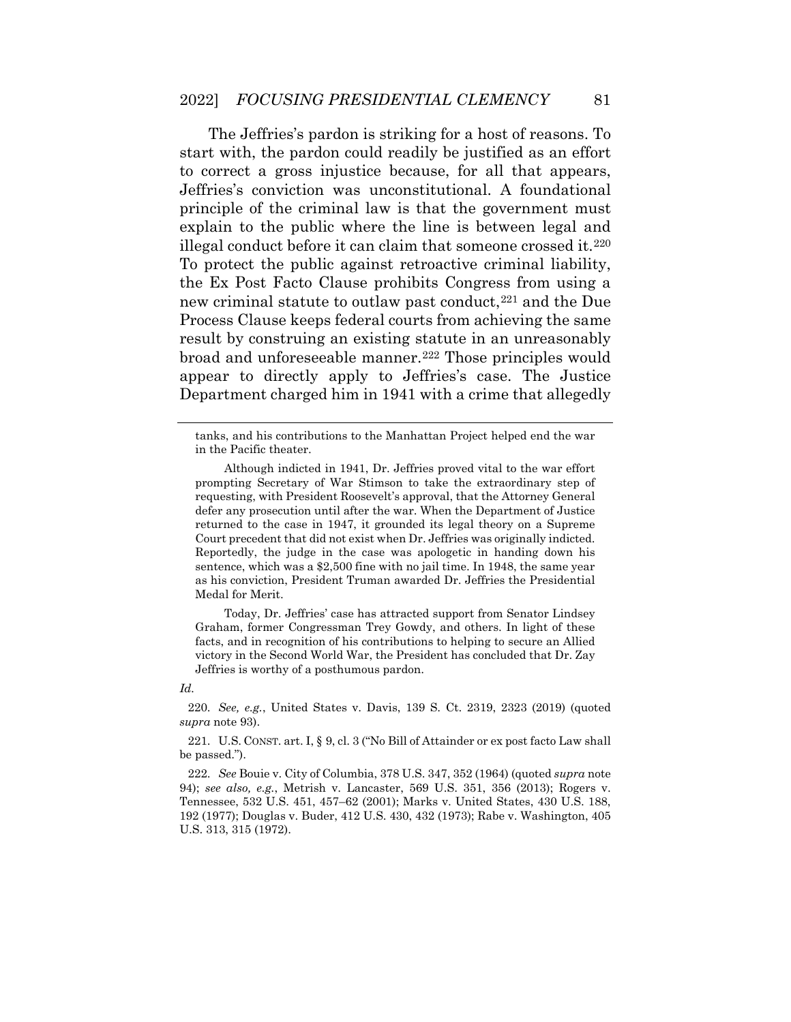The Jeffries's pardon is striking for a host of reasons. To start with, the pardon could readily be justified as an effort to correct a gross injustice because, for all that appears, Jeffries's conviction was unconstitutional. A foundational principle of the criminal law is that the government must explain to the public where the line is between legal and illegal conduct before it can claim that someone crossed it.<sup>[220](#page-84-1)</sup> To protect the public against retroactive criminal liability, the Ex Post Facto Clause prohibits Congress from using a new criminal statute to outlaw past conduct,<sup>[221](#page-85-0)</sup> and the Due Process Clause keeps federal courts from achieving the same result by construing an existing statute in an unreasonably broad and unforeseeable manner.<sup>[222](#page-85-1)</sup> Those principles would appear to directly apply to Jeffries's case. The Justice Department charged him in 1941 with a crime that allegedly

Today, Dr. Jeffries' case has attracted support from Senator Lindsey Graham, former Congressman Trey Gowdy, and others. In light of these facts, and in recognition of his contributions to helping to secure an Allied victory in the Second World War, the President has concluded that Dr. Zay Jeffries is worthy of a posthumous pardon.

## <span id="page-81-1"></span><span id="page-81-0"></span>*Id.*

220. *See, e.g.*, United States v. Davis, 139 S. Ct. 2319, 2323 (2019) (quoted *supra* note 93).

221. U.S. CONST. art. I, § 9, cl. 3 ("No Bill of Attainder or ex post facto Law shall be passed.").

222. *See* Bouie v. City of Columbia, 378 U.S. 347, 352 (1964) (quoted *supra* note 94); *see also, e.g.*, Metrish v. Lancaster, 569 U.S. 351, 356 (2013); Rogers v. Tennessee, 532 U.S. 451, 457–62 (2001); Marks v. United States, 430 U.S. 188, 192 (1977); Douglas v. Buder, 412 U.S. 430, 432 (1973); Rabe v. Washington, 405 U.S. 313, 315 (1972).

tanks, and his contributions to the Manhattan Project helped end the war in the Pacific theater.

Although indicted in 1941, Dr. Jeffries proved vital to the war effort prompting Secretary of War Stimson to take the extraordinary step of requesting, with President Roosevelt's approval, that the Attorney General defer any prosecution until after the war. When the Department of Justice returned to the case in 1947, it grounded its legal theory on a Supreme Court precedent that did not exist when Dr. Jeffries was originally indicted. Reportedly, the judge in the case was apologetic in handing down his sentence, which was a \$2,500 fine with no jail time. In 1948, the same year as his conviction, President Truman awarded Dr. Jeffries the Presidential Medal for Merit.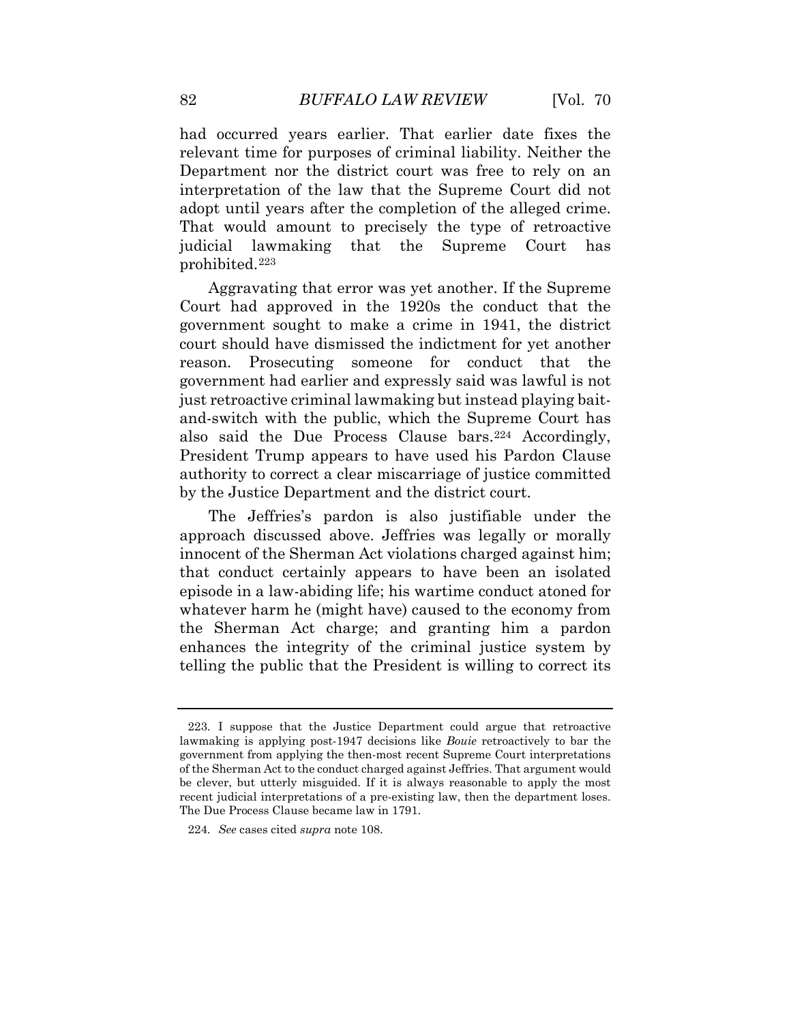had occurred years earlier. That earlier date fixes the relevant time for purposes of criminal liability. Neither the Department nor the district court was free to rely on an interpretation of the law that the Supreme Court did not adopt until years after the completion of the alleged crime. That would amount to precisely the type of retroactive judicial lawmaking that the Supreme Court has prohibited.[223](#page-85-2)

Aggravating that error was yet another. If the Supreme Court had approved in the 1920s the conduct that the government sought to make a crime in 1941, the district court should have dismissed the indictment for yet another reason. Prosecuting someone for conduct that the government had earlier and expressly said was lawful is not just retroactive criminal lawmaking but instead playing baitand-switch with the public, which the Supreme Court has also said the Due Process Clause bars.[224](#page-85-3) Accordingly, President Trump appears to have used his Pardon Clause authority to correct a clear miscarriage of justice committed by the Justice Department and the district court.

The Jeffries's pardon is also justifiable under the approach discussed above. Jeffries was legally or morally innocent of the Sherman Act violations charged against him; that conduct certainly appears to have been an isolated episode in a law-abiding life; his wartime conduct atoned for whatever harm he (might have) caused to the economy from the Sherman Act charge; and granting him a pardon enhances the integrity of the criminal justice system by telling the public that the President is willing to correct its

<span id="page-82-1"></span><span id="page-82-0"></span><sup>223.</sup> I suppose that the Justice Department could argue that retroactive lawmaking is applying post-1947 decisions like *Bouie* retroactively to bar the government from applying the then-most recent Supreme Court interpretations of the Sherman Act to the conduct charged against Jeffries. That argument would be clever, but utterly misguided. If it is always reasonable to apply the most recent judicial interpretations of a pre-existing law, then the department loses. The Due Process Clause became law in 1791.

<sup>224.</sup> *See* cases cited *supra* note 108.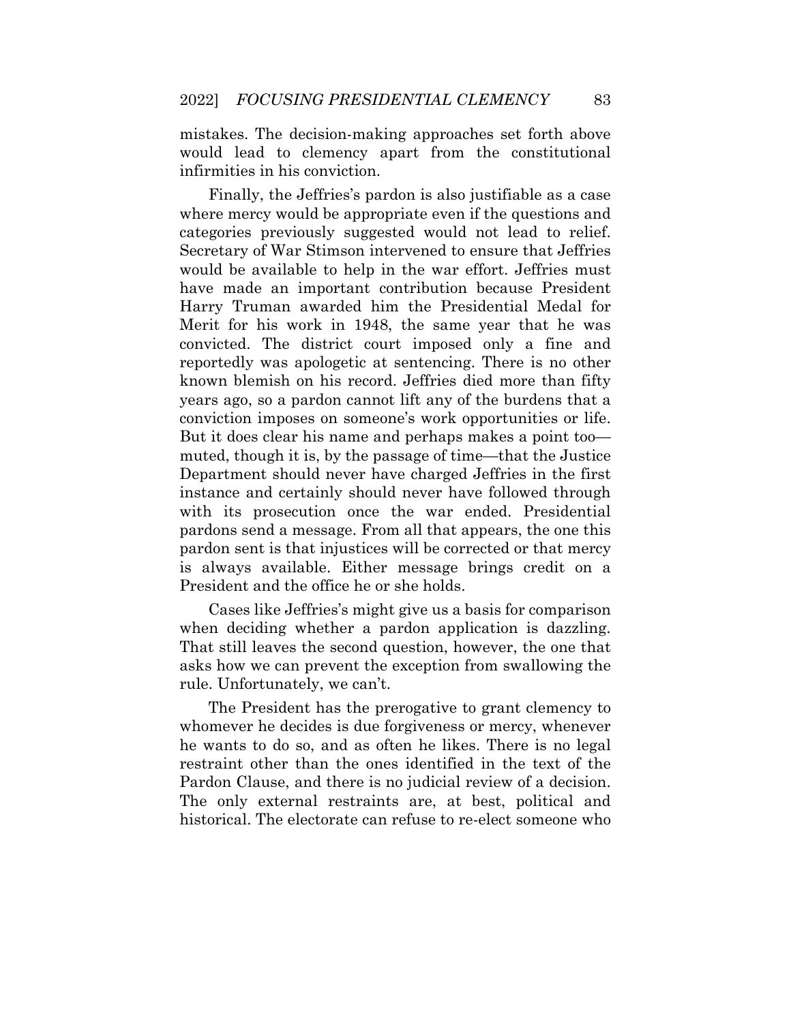mistakes. The decision-making approaches set forth above would lead to clemency apart from the constitutional infirmities in his conviction.

Finally, the Jeffries's pardon is also justifiable as a case where mercy would be appropriate even if the questions and categories previously suggested would not lead to relief. Secretary of War Stimson intervened to ensure that Jeffries would be available to help in the war effort. Jeffries must have made an important contribution because President Harry Truman awarded him the Presidential Medal for Merit for his work in 1948, the same year that he was convicted. The district court imposed only a fine and reportedly was apologetic at sentencing. There is no other known blemish on his record. Jeffries died more than fifty years ago, so a pardon cannot lift any of the burdens that a conviction imposes on someone's work opportunities or life. But it does clear his name and perhaps makes a point too muted, though it is, by the passage of time—that the Justice Department should never have charged Jeffries in the first instance and certainly should never have followed through with its prosecution once the war ended. Presidential pardons send a message. From all that appears, the one this pardon sent is that injustices will be corrected or that mercy is always available. Either message brings credit on a President and the office he or she holds.

Cases like Jeffries's might give us a basis for comparison when deciding whether a pardon application is dazzling. That still leaves the second question, however, the one that asks how we can prevent the exception from swallowing the rule. Unfortunately, we can't.

The President has the prerogative to grant clemency to whomever he decides is due forgiveness or mercy, whenever he wants to do so, and as often he likes. There is no legal restraint other than the ones identified in the text of the Pardon Clause, and there is no judicial review of a decision. The only external restraints are, at best, political and historical. The electorate can refuse to re-elect someone who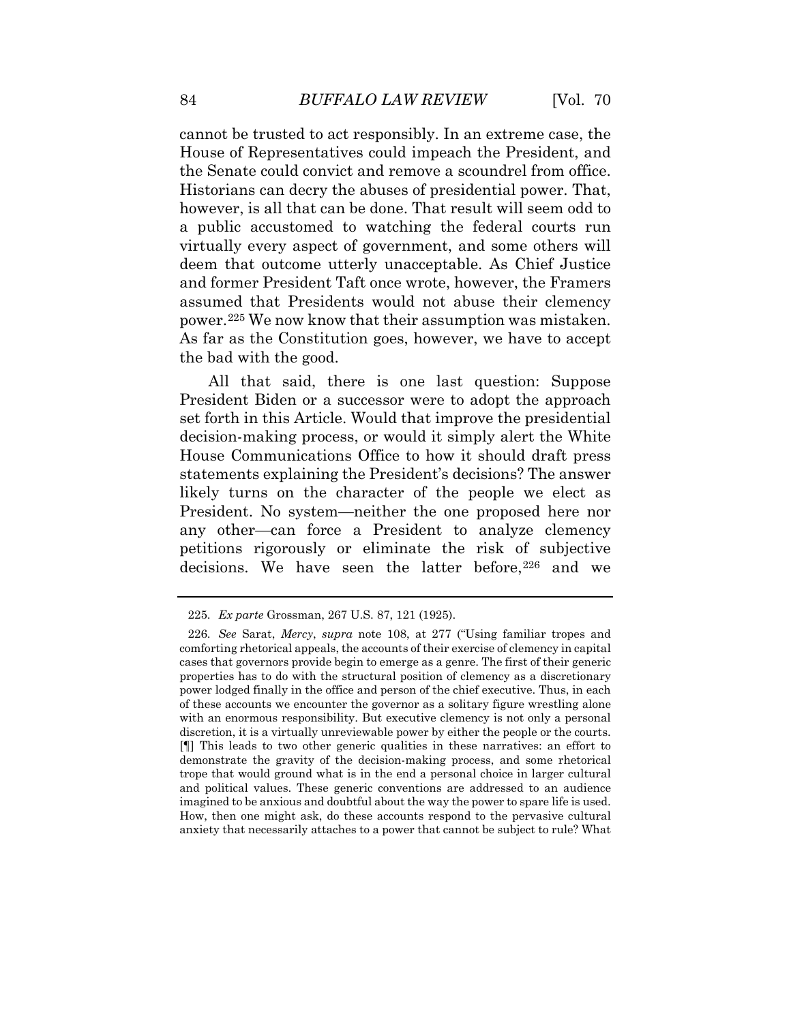cannot be trusted to act responsibly. In an extreme case, the House of Representatives could impeach the President, and the Senate could convict and remove a scoundrel from office. Historians can decry the abuses of presidential power. That, however, is all that can be done. That result will seem odd to a public accustomed to watching the federal courts run virtually every aspect of government, and some others will deem that outcome utterly unacceptable. As Chief Justice and former President Taft once wrote, however, the Framers assumed that Presidents would not abuse their clemency power.[225](#page-85-3) We now know that their assumption was mistaken. As far as the Constitution goes, however, we have to accept the bad with the good.

<span id="page-84-0"></span>All that said, there is one last question: Suppose President Biden or a successor were to adopt the approach set forth in this Article. Would that improve the presidential decision-making process, or would it simply alert the White House Communications Office to how it should draft press statements explaining the President's decisions? The answer likely turns on the character of the people we elect as President. No system—neither the one proposed here nor any other—can force a President to analyze clemency petitions rigorously or eliminate the risk of subjective decisions. We have seen the latter before,  $226$  and we

<sup>225.</sup> *Ex parte* Grossman, 267 U.S. 87, 121 (1925).

<span id="page-84-1"></span><sup>226.</sup> *See* Sarat, *Mercy*, *supra* note 108, at 277 ("Using familiar tropes and comforting rhetorical appeals, the accounts of their exercise of clemency in capital cases that governors provide begin to emerge as a genre. The first of their generic properties has to do with the structural position of clemency as a discretionary power lodged finally in the office and person of the chief executive. Thus, in each of these accounts we encounter the governor as a solitary figure wrestling alone with an enormous responsibility. But executive clemency is not only a personal discretion, it is a virtually unreviewable power by either the people or the courts. [¶] This leads to two other generic qualities in these narratives: an effort to demonstrate the gravity of the decision-making process, and some rhetorical trope that would ground what is in the end a personal choice in larger cultural and political values. These generic conventions are addressed to an audience imagined to be anxious and doubtful about the way the power to spare life is used. How, then one might ask, do these accounts respond to the pervasive cultural anxiety that necessarily attaches to a power that cannot be subject to rule? What